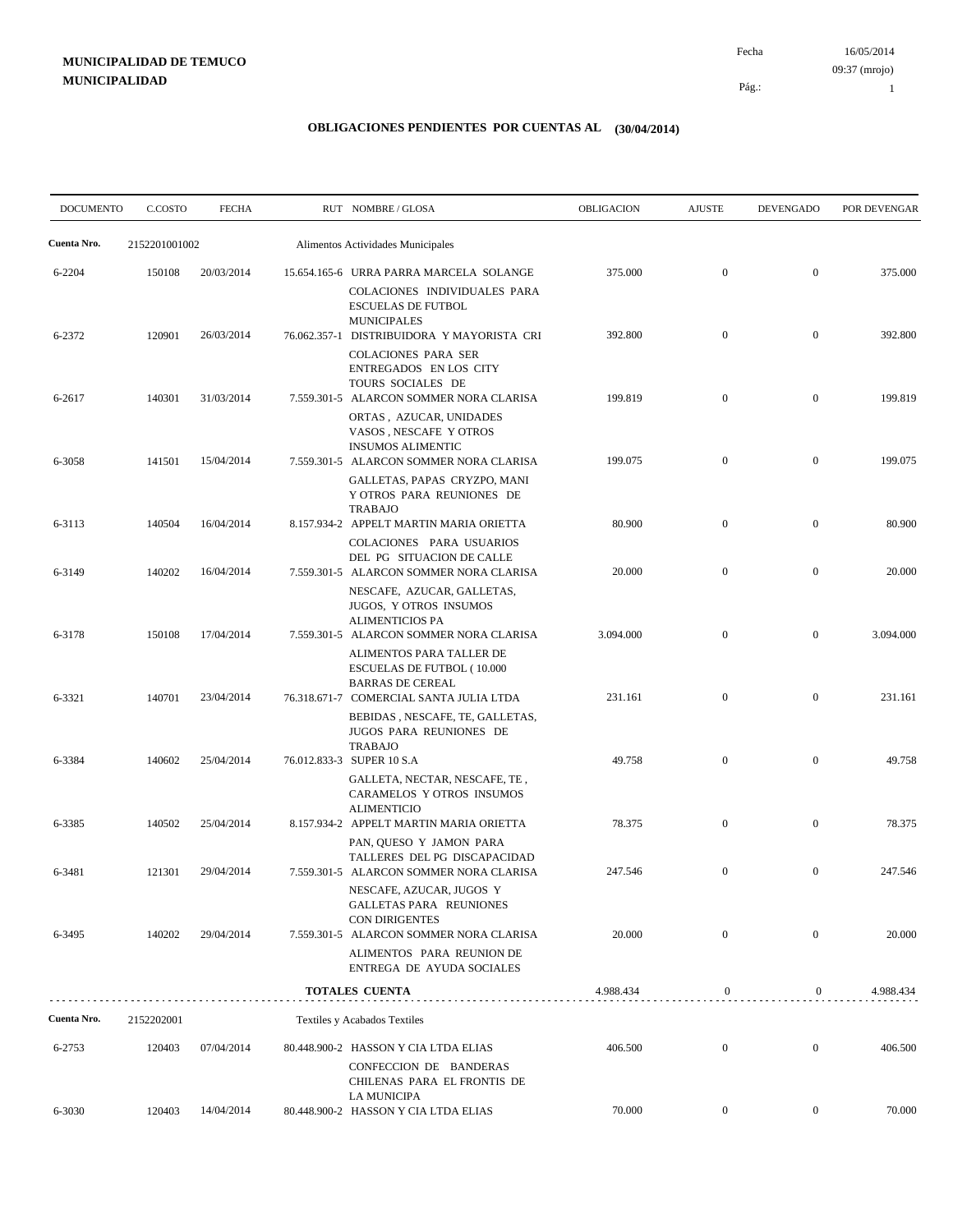# **MUNICIPALIDAD DE TEMUCO MUNICIPALIDAD**

16/05/2014 Fecha 09:37 (mrojo)

Pág.:

1

| <b>DOCUMENTO</b> | C.COSTO       | <b>FECHA</b> | RUT NOMBRE/GLOSA                                                                                                                              | <b>OBLIGACION</b> | <b>AJUSTE</b>    | <b>DEVENGADO</b> | POR DEVENGAR |
|------------------|---------------|--------------|-----------------------------------------------------------------------------------------------------------------------------------------------|-------------------|------------------|------------------|--------------|
| Cuenta Nro.      | 2152201001002 |              | Alimentos Actividades Municipales                                                                                                             |                   |                  |                  |              |
| 6-2204           | 150108        | 20/03/2014   | 15.654.165-6 URRA PARRA MARCELA SOLANGE<br>COLACIONES INDIVIDUALES PARA<br><b>ESCUELAS DE FUTBOL</b>                                          | 375.000           | $\mathbf{0}$     | $\boldsymbol{0}$ | 375.000      |
| 6-2372           | 120901        | 26/03/2014   | <b>MUNICIPALES</b><br>76.062.357-1 DISTRIBUIDORA Y MAYORISTA CRI<br><b>COLACIONES PARA SER</b><br>ENTREGADOS EN LOS CITY<br>TOURS SOCIALES DE | 392.800           | $\mathbf{0}$     | $\overline{0}$   | 392.800      |
| 6-2617           | 140301        | 31/03/2014   | 7.559.301-5 ALARCON SOMMER NORA CLARISA<br>ORTAS, AZUCAR, UNIDADES<br>VASOS, NESCAFE Y OTROS<br><b>INSUMOS ALIMENTIC</b>                      | 199.819           | $\mathbf{0}$     | $\boldsymbol{0}$ | 199.819      |
| 6-3058           | 141501        | 15/04/2014   | 7.559.301-5 ALARCON SOMMER NORA CLARISA<br>GALLETAS, PAPAS CRYZPO, MANI<br>Y OTROS PARA REUNIONES DE<br>TRABAJO                               | 199.075           | $\mathbf{0}$     | $\overline{0}$   | 199.075      |
| 6-3113           | 140504        | 16/04/2014   | 8.157.934-2 APPELT MARTIN MARIA ORIETTA<br>COLACIONES PARA USUARIOS<br>DEL PG SITUACION DE CALLE                                              | 80.900            | $\overline{0}$   | $\boldsymbol{0}$ | 80.900       |
| 6-3149           | 140202        | 16/04/2014   | 7.559.301-5 ALARCON SOMMER NORA CLARISA<br>NESCAFE, AZUCAR, GALLETAS,<br>JUGOS, Y OTROS INSUMOS<br><b>ALIMENTICIOS PA</b>                     | 20.000            | $\overline{0}$   | $\overline{0}$   | 20.000       |
| 6-3178           | 150108        | 17/04/2014   | 7.559.301-5 ALARCON SOMMER NORA CLARISA<br>ALIMENTOS PARA TALLER DE<br><b>ESCUELAS DE FUTBOL (10.000</b><br><b>BARRAS DE CEREAL</b>           | 3.094.000         | $\overline{0}$   | $\overline{0}$   | 3.094.000    |
| 6-3321           | 140701        | 23/04/2014   | 76.318.671-7 COMERCIAL SANTA JULIA LTDA<br>BEBIDAS, NESCAFE, TE, GALLETAS,<br>JUGOS PARA REUNIONES DE                                         | 231.161           | $\overline{0}$   | $\mathbf{0}$     | 231.161      |
| 6-3384           | 140602        | 25/04/2014   | <b>TRABAJO</b><br>76.012.833-3 SUPER 10 S.A<br>GALLETA, NECTAR, NESCAFE, TE,<br>CARAMELOS Y OTROS INSUMOS<br><b>ALIMENTICIO</b>               | 49.758            | $\mathbf{0}$     | $\overline{0}$   | 49.758       |
| 6-3385           | 140502        | 25/04/2014   | 8.157.934-2 APPELT MARTIN MARIA ORIETTA<br>PAN, QUESO Y JAMON PARA<br>TALLERES DEL PG DISCAPACIDAD                                            | 78.375            | $\overline{0}$   | $\boldsymbol{0}$ | 78.375       |
| 6-3481           | 121301        | 29/04/2014   | 7.559.301-5 ALARCON SOMMER NORA CLARISA<br>NESCAFE, AZUCAR, JUGOS Y<br>GALLETAS PARA REUNIONES<br>CON DIRIGENTES                              | 247.546           | $\overline{0}$   | $\mathbf{0}$     | 247.546      |
| 6-3495           | 140202        | 29/04/2014   | 7.559.301-5 ALARCON SOMMER NORA CLARISA<br>ALIMENTOS PARA REUNION DE<br><b>ENTREGA DE AYUDA SOCIALES</b>                                      | 20.000            | $\overline{0}$   | $\overline{0}$   | 20.000       |
|                  |               |              | TOTALES CUENTA                                                                                                                                | 4.988.434         | $\mathbf{0}$     | $\boldsymbol{0}$ | 4.988.434    |
| Cuenta Nro.      | 2152202001    |              | Textiles y Acabados Textiles                                                                                                                  |                   |                  |                  |              |
| 6-2753           | 120403        | 07/04/2014   | 80.448.900-2 HASSON Y CIA LTDA ELIAS<br>CONFECCION DE BANDERAS<br>CHILENAS PARA EL FRONTIS DE<br>LA MUNICIPA                                  | 406.500           | $\overline{0}$   | $\mathbf{0}$     | 406.500      |
| 6-3030           | 120403        | 14/04/2014   | 80.448.900-2 HASSON Y CIA LTDA ELIAS                                                                                                          | 70.000            | $\boldsymbol{0}$ | $\overline{0}$   | 70.000       |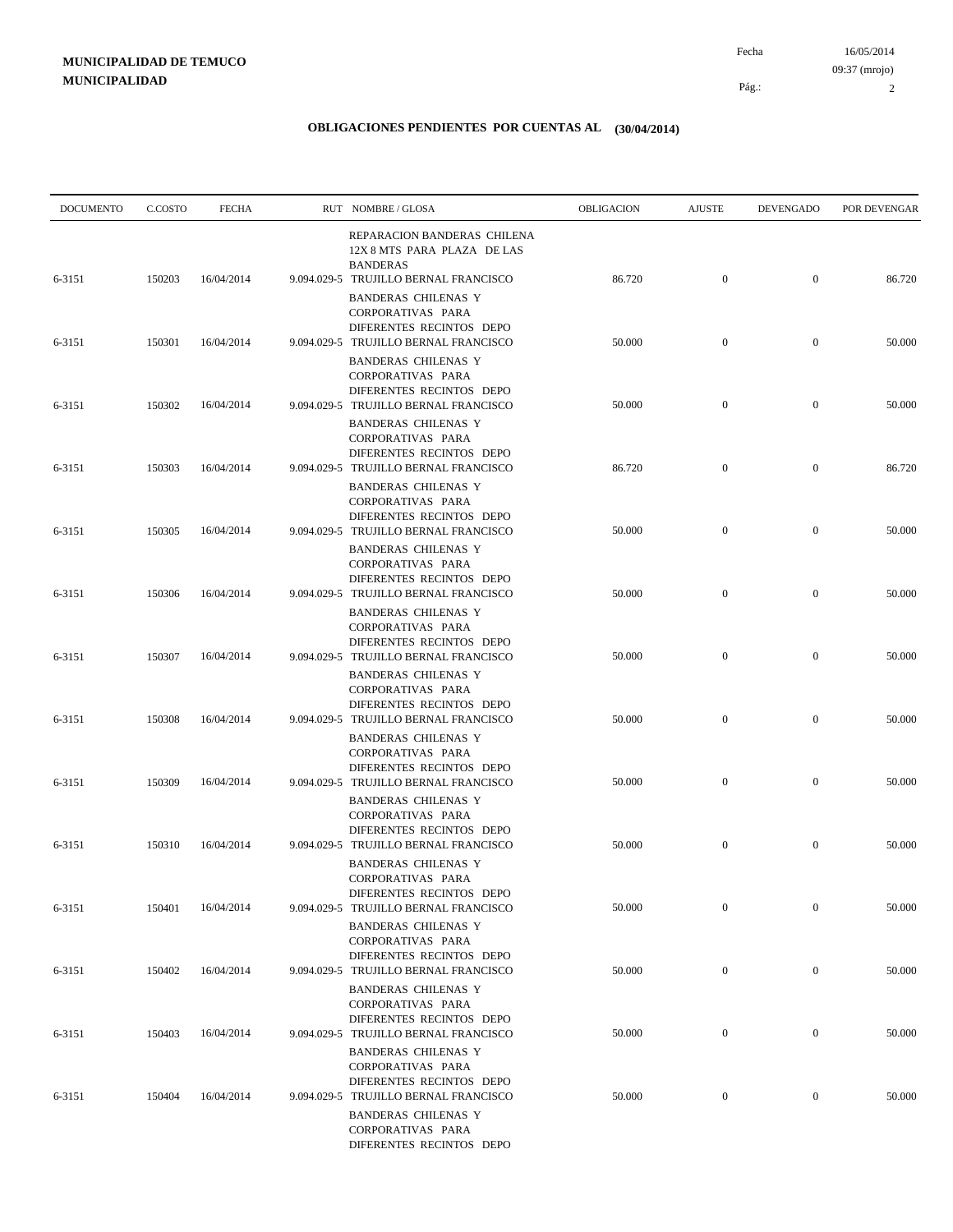| <b>DOCUMENTO</b> | C.COSTO | <b>FECHA</b> | RUT NOMBRE/GLOSA                                                                                                       | OBLIGACION | <b>AJUSTE</b>    | <b>DEVENGADO</b> | POR DEVENGAR |
|------------------|---------|--------------|------------------------------------------------------------------------------------------------------------------------|------------|------------------|------------------|--------------|
| 6-3151           | 150203  | 16/04/2014   | REPARACION BANDERAS CHILENA<br>12X 8 MTS PARA PLAZA DE LAS<br><b>BANDERAS</b><br>9.094.029-5 TRUJILLO BERNAL FRANCISCO | 86.720     | $\boldsymbol{0}$ | $\overline{0}$   | 86.720       |
|                  |         |              | <b>BANDERAS CHILENAS Y</b><br>CORPORATIVAS PARA<br>DIFERENTES RECINTOS DEPO                                            |            |                  |                  |              |
| 6-3151           | 150301  | 16/04/2014   | 9.094.029-5 TRUJILLO BERNAL FRANCISCO<br><b>BANDERAS CHILENAS Y</b><br>CORPORATIVAS PARA<br>DIFERENTES RECINTOS DEPO   | 50.000     | $\mathbf{0}$     | $\mathbf{0}$     | 50.000       |
| 6-3151           | 150302  | 16/04/2014   | 9.094.029-5 TRUJILLO BERNAL FRANCISCO<br><b>BANDERAS CHILENAS Y</b><br>CORPORATIVAS PARA                               | 50.000     | $\mathbf{0}$     | $\mathbf{0}$     | 50.000       |
| 6-3151           | 150303  | 16/04/2014   | DIFERENTES RECINTOS DEPO<br>9.094.029-5 TRUJILLO BERNAL FRANCISCO<br><b>BANDERAS CHILENAS Y</b>                        | 86.720     | $\mathbf{0}$     | $\mathbf{0}$     | 86.720       |
| 6-3151           | 150305  | 16/04/2014   | CORPORATIVAS PARA<br>DIFERENTES RECINTOS DEPO<br>9.094.029-5 TRUJILLO BERNAL FRANCISCO                                 | 50.000     | $\mathbf{0}$     | $\mathbf{0}$     | 50.000       |
| 6-3151           | 150306  | 16/04/2014   | <b>BANDERAS CHILENAS Y</b><br>CORPORATIVAS PARA<br>DIFERENTES RECINTOS DEPO<br>9.094.029-5 TRUJILLO BERNAL FRANCISCO   | 50.000     | $\boldsymbol{0}$ | $\mathbf{0}$     | 50.000       |
| 6-3151           | 150307  | 16/04/2014   | <b>BANDERAS CHILENAS Y</b><br>CORPORATIVAS PARA<br>DIFERENTES RECINTOS DEPO<br>9.094.029-5 TRUJILLO BERNAL FRANCISCO   | 50.000     | $\mathbf{0}$     | $\overline{0}$   | 50.000       |
|                  |         |              | <b>BANDERAS CHILENAS Y</b><br>CORPORATIVAS PARA<br>DIFERENTES RECINTOS DEPO                                            |            |                  | $\mathbf{0}$     |              |
| 6-3151           | 150308  | 16/04/2014   | 9.094.029-5 TRUJILLO BERNAL FRANCISCO<br><b>BANDERAS CHILENAS Y</b><br>CORPORATIVAS PARA<br>DIFERENTES RECINTOS DEPO   | 50.000     | $\mathbf{0}$     |                  | 50.000       |
| 6-3151           | 150309  | 16/04/2014   | 9.094.029-5 TRUJILLO BERNAL FRANCISCO<br><b>BANDERAS CHILENAS Y</b><br>CORPORATIVAS PARA                               | 50.000     | $\overline{0}$   | $\overline{0}$   | 50.000       |
| 6-3151           | 150310  | 16/04/2014   | DIFERENTES RECINTOS DEPO<br>9.094.029-5 TRUJILLO BERNAL FRANCISCO<br><b>BANDERAS CHILENAS Y</b>                        | 50.000     | $\mathbf{0}$     | $\mathbf{0}$     | 50.000       |
| 6-3151           | 150401  | 16/04/2014   | CORPORATIVAS PARA<br>DIFERENTES RECINTOS DEPO<br>9.094.029-5 TRUJILLO BERNAL FRANCISCO<br><b>BANDERAS CHILENAS Y</b>   | 50.000     | $\mathbf{0}$     | $\mathbf{0}$     | 50.000       |
| 6-3151           | 150402  | 16/04/2014   | CORPORATIVAS PARA<br>DIFERENTES RECINTOS DEPO<br>9.094.029-5 TRUJILLO BERNAL FRANCISCO                                 | 50.000     | $\boldsymbol{0}$ | $\boldsymbol{0}$ | 50.000       |
| 6-3151           | 150403  | 16/04/2014   | <b>BANDERAS CHILENAS Y</b><br>CORPORATIVAS PARA<br>DIFERENTES RECINTOS DEPO<br>9.094.029-5 TRUJILLO BERNAL FRANCISCO   | 50.000     | $\boldsymbol{0}$ | $\boldsymbol{0}$ | 50.000       |
|                  |         |              | <b>BANDERAS CHILENAS Y</b><br>CORPORATIVAS PARA<br>DIFERENTES RECINTOS DEPO                                            |            |                  |                  |              |
| 6-3151           | 150404  | 16/04/2014   | 9.094.029-5 TRUJILLO BERNAL FRANCISCO<br><b>BANDERAS CHILENAS Y</b><br>CORPORATIVAS PARA<br>DIFERENTES RECINTOS DEPO   | 50.000     | $\bf{0}$         | $\boldsymbol{0}$ | 50.000       |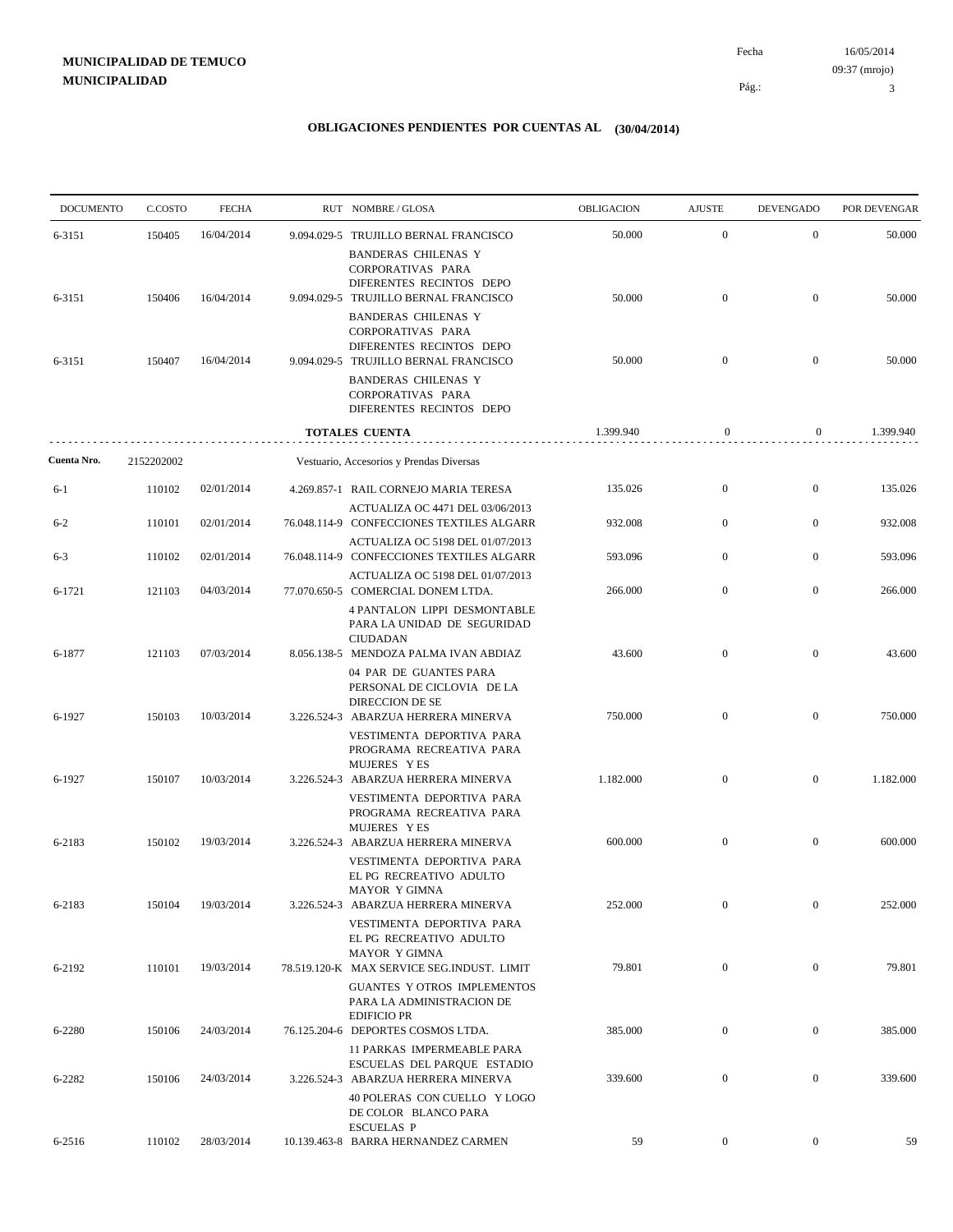# **MUNICIPALIDAD DE TEMUCO MUNICIPALIDAD**

16/05/2014 3 Pág.: Fecha 09:37 (mrojo)

| <b>DOCUMENTO</b> | C.COSTO    | <b>FECHA</b> | RUT NOMBRE/GLOSA                                                                                                     | OBLIGACION | <b>AJUSTE</b>    | <b>DEVENGADO</b> | POR DEVENGAR |
|------------------|------------|--------------|----------------------------------------------------------------------------------------------------------------------|------------|------------------|------------------|--------------|
| 6-3151           | 150405     | 16/04/2014   | 9.094.029-5 TRUJILLO BERNAL FRANCISCO                                                                                | 50.000     | $\boldsymbol{0}$ | $\boldsymbol{0}$ | 50.000       |
| 6-3151           | 150406     | 16/04/2014   | <b>BANDERAS CHILENAS Y</b><br>CORPORATIVAS PARA<br>DIFERENTES RECINTOS DEPO<br>9.094.029-5 TRUJILLO BERNAL FRANCISCO | 50.000     | $\boldsymbol{0}$ | $\overline{0}$   | 50.000       |
|                  |            |              | <b>BANDERAS CHILENAS Y</b><br>CORPORATIVAS PARA<br>DIFERENTES RECINTOS DEPO                                          |            |                  |                  |              |
| 6-3151           | 150407     | 16/04/2014   | 9.094.029-5 TRUJILLO BERNAL FRANCISCO<br><b>BANDERAS CHILENAS Y</b><br>CORPORATIVAS PARA<br>DIFERENTES RECINTOS DEPO | 50.000     | $\mathbf{0}$     | $\mathbf{0}$     | 50.000       |
|                  |            |              | TOTALES CUENTA                                                                                                       | 1.399.940  | $\mathbf{0}$     | $\boldsymbol{0}$ | 1.399.940    |
| Cuenta Nro.      | 2152202002 |              | Vestuario, Accesorios y Prendas Diversas                                                                             |            |                  |                  |              |
| 6-1              | 110102     | 02/01/2014   | 4.269.857-1 RAIL CORNEJO MARIA TERESA                                                                                | 135.026    | $\boldsymbol{0}$ | $\boldsymbol{0}$ | 135.026      |
| $6 - 2$          | 110101     | 02/01/2014   | ACTUALIZA OC 4471 DEL 03/06/2013<br>76.048.114-9 CONFECCIONES TEXTILES ALGARR                                        | 932.008    | $\overline{0}$   | $\overline{0}$   | 932.008      |
| $6 - 3$          | 110102     | 02/01/2014   | ACTUALIZA OC 5198 DEL 01/07/2013<br>76.048.114-9 CONFECCIONES TEXTILES ALGARR                                        | 593.096    | $\boldsymbol{0}$ | $\boldsymbol{0}$ | 593.096      |
| 6-1721           | 121103     | 04/03/2014   | ACTUALIZA OC 5198 DEL 01/07/2013<br>77.070.650-5 COMERCIAL DONEM LTDA.                                               | 266.000    | $\overline{0}$   | $\boldsymbol{0}$ | 266.000      |
|                  |            |              | 4 PANTALON LIPPI DESMONTABLE<br>PARA LA UNIDAD DE SEGURIDAD<br><b>CIUDADAN</b>                                       |            |                  |                  |              |
| 6-1877           | 121103     | 07/03/2014   | 8.056.138-5 MENDOZA PALMA IVAN ABDIAZ<br>04 PAR DE GUANTES PARA<br>PERSONAL DE CICLOVIA DE LA                        | 43.600     | $\overline{0}$   | $\boldsymbol{0}$ | 43.600       |
| 6-1927           | 150103     | 10/03/2014   | DIRECCION DE SE<br>3.226.524-3 ABARZUA HERRERA MINERVA<br>VESTIMENTA DEPORTIVA PARA                                  | 750.000    | $\boldsymbol{0}$ | $\mathbf{0}$     | 750.000      |
| 6-1927           | 150107     | 10/03/2014   | PROGRAMA RECREATIVA PARA<br>MUJERES YES<br>3.226.524-3 ABARZUA HERRERA MINERVA                                       | 1.182.000  | $\overline{0}$   | $\mathbf{0}$     | 1.182.000    |
|                  |            |              | VESTIMENTA DEPORTIVA PARA<br>PROGRAMA RECREATIVA PARA<br>MUJERES YES                                                 |            |                  |                  |              |
| 6-2183           | 150102     | 19/03/2014   | 3.226.524-3 ABARZUA HERRERA MINERVA<br>VESTIMENTA DEPORTIVA PARA<br>EL PG RECREATIVO ADULTO<br>MAYOR Y GIMNA         | 600.000    | $\boldsymbol{0}$ | $\mathbf{0}$     | 600.000      |
| 6-2183           | 150104     | 19/03/2014   | 3.226.524-3 ABARZUA HERRERA MINERVA<br>VESTIMENTA DEPORTIVA PARA<br>EL PG RECREATIVO ADULTO                          | 252.000    | $\boldsymbol{0}$ | $\mathbf{0}$     | 252.000      |
| 6-2192           | 110101     | 19/03/2014   | MAYOR Y GIMNA<br>78.519.120-K MAX SERVICE SEG.INDUST. LIMIT<br>GUANTES Y OTROS IMPLEMENTOS                           | 79.801     | $\boldsymbol{0}$ | $\boldsymbol{0}$ | 79.801       |
| 6-2280           | 150106     | 24/03/2014   | PARA LA ADMINISTRACION DE<br><b>EDIFICIO PR</b><br>76.125.204-6 DEPORTES COSMOS LTDA.                                | 385.000    | $\boldsymbol{0}$ | $\boldsymbol{0}$ | 385.000      |
| 6-2282           | 150106     | 24/03/2014   | 11 PARKAS IMPERMEABLE PARA<br>ESCUELAS DEL PARQUE ESTADIO<br>3.226.524-3 ABARZUA HERRERA MINERVA                     | 339.600    | $\boldsymbol{0}$ | $\boldsymbol{0}$ | 339.600      |
|                  |            |              | 40 POLERAS CON CUELLO Y LOGO<br>DE COLOR BLANCO PARA<br><b>ESCUELAS P</b>                                            |            |                  |                  |              |
| 6-2516           | 110102     | 28/03/2014   | 10.139.463-8 BARRA HERNANDEZ CARMEN                                                                                  | 59         | $\boldsymbol{0}$ | $\boldsymbol{0}$ | 59           |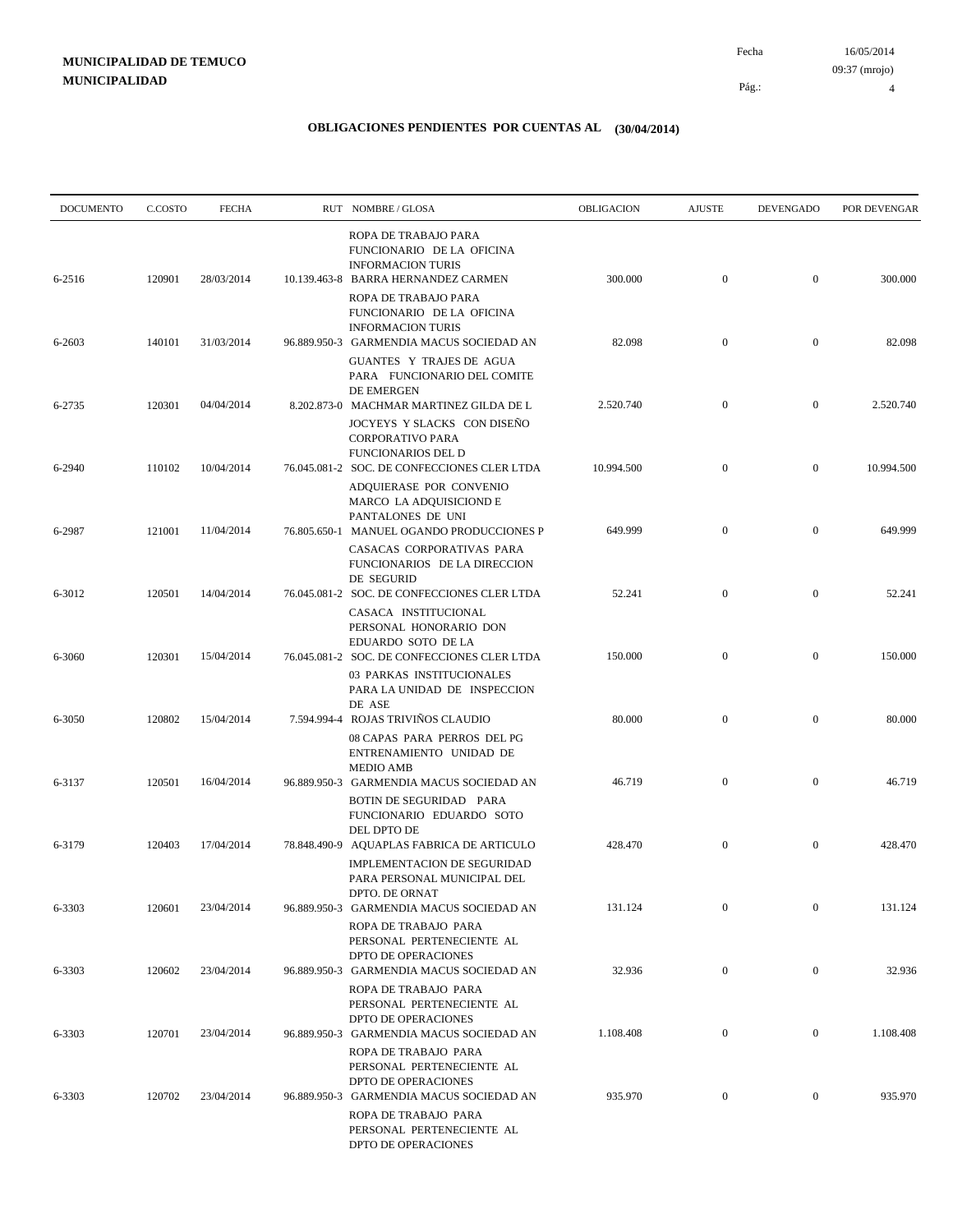4

| <b>DOCUMENTO</b> | C.COSTO | <b>FECHA</b> | RUT NOMBRE/GLOSA                                                                                                          | OBLIGACION | <b>AJUSTE</b>    | <b>DEVENGADO</b> | POR DEVENGAR |
|------------------|---------|--------------|---------------------------------------------------------------------------------------------------------------------------|------------|------------------|------------------|--------------|
| 6-2516           | 120901  | 28/03/2014   | ROPA DE TRABAJO PARA<br>FUNCIONARIO DE LA OFICINA<br><b>INFORMACION TURIS</b><br>10.139.463-8 BARRA HERNANDEZ CARMEN      | 300.000    | $\mathbf{0}$     | $\mathbf{0}$     | 300.000      |
|                  |         |              | ROPA DE TRABAJO PARA<br>FUNCIONARIO DE LA OFICINA<br><b>INFORMACION TURIS</b>                                             |            |                  |                  |              |
| 6-2603           | 140101  | 31/03/2014   | 96.889.950-3 GARMENDIA MACUS SOCIEDAD AN<br>GUANTES Y TRAJES DE AGUA<br>PARA FUNCIONARIO DEL COMITE<br>DE EMERGEN         | 82.098     | $\mathbf{0}$     | $\mathbf{0}$     | 82.098       |
| 6-2735           | 120301  | 04/04/2014   | 8.202.873-0 MACHMAR MARTINEZ GILDA DE L<br>JOCYEYS Y SLACKS CON DISEÑO<br><b>CORPORATIVO PARA</b>                         | 2.520.740  | $\mathbf{0}$     | $\mathbf{0}$     | 2.520.740    |
| 6-2940           | 110102  | 10/04/2014   | <b>FUNCIONARIOS DEL D</b><br>76.045.081-2 SOC. DE CONFECCIONES CLER LTDA<br>ADQUIERASE POR CONVENIO                       | 10.994.500 | $\mathbf{0}$     | $\mathbf{0}$     | 10.994.500   |
| 6-2987           | 121001  | 11/04/2014   | MARCO LA ADQUISICIOND E<br>PANTALONES DE UNI<br>76.805.650-1 MANUEL OGANDO PRODUCCIONES P                                 | 649.999    | $\mathbf{0}$     | $\mathbf{0}$     | 649.999      |
| 6-3012           | 120501  | 14/04/2014   | CASACAS CORPORATIVAS PARA<br>FUNCIONARIOS DE LA DIRECCION<br>DE SEGURID<br>76.045.081-2 SOC. DE CONFECCIONES CLER LTDA    | 52.241     | $\mathbf{0}$     | $\mathbf{0}$     | 52.241       |
|                  |         |              | CASACA INSTITUCIONAL<br>PERSONAL HONORARIO DON<br>EDUARDO SOTO DE LA                                                      |            |                  |                  |              |
| 6-3060           | 120301  | 15/04/2014   | 76.045.081-2 SOC. DE CONFECCIONES CLER LTDA<br>03 PARKAS INSTITUCIONALES<br>PARA LA UNIDAD DE INSPECCION<br>DE ASE        | 150.000    | $\mathbf{0}$     | $\mathbf{0}$     | 150.000      |
| 6-3050           | 120802  | 15/04/2014   | 7.594.994-4 ROJAS TRIVIÑOS CLAUDIO<br>08 CAPAS PARA PERROS DEL PG<br>ENTRENAMIENTO UNIDAD DE                              | 80.000     | $\mathbf{0}$     | $\mathbf{0}$     | 80.000       |
| 6-3137           | 120501  | 16/04/2014   | <b>MEDIO AMB</b><br>96.889.950-3 GARMENDIA MACUS SOCIEDAD AN<br>BOTIN DE SEGURIDAD PARA                                   | 46.719     | $\mathbf{0}$     | $\mathbf{0}$     | 46.719       |
|                  | 120403  | 17/04/2014   | FUNCIONARIO EDUARDO SOTO<br>DEL DPTO DE                                                                                   | 428.470    |                  | $\mathbf{0}$     | 428.470      |
| 6-3179           |         |              | 78.848.490-9 AQUAPLAS FABRICA DE ARTICULO<br>IMPLEMENTACION DE SEGURIDAD<br>PARA PERSONAL MUNICIPAL DEL<br>DPTO. DE ORNAT |            | $\boldsymbol{0}$ |                  |              |
| 6-3303           | 120601  | 23/04/2014   | 96.889.950-3 GARMENDIA MACUS SOCIEDAD AN<br>ROPA DE TRABAJO PARA                                                          | 131.124    | $\mathbf{0}$     | $\mathbf{0}$     | 131.124      |
| 6-3303           | 120602  | 23/04/2014   | PERSONAL PERTENECIENTE AL<br>DPTO DE OPERACIONES<br>96.889.950-3 GARMENDIA MACUS SOCIEDAD AN                              | 32.936     | $\boldsymbol{0}$ | $\boldsymbol{0}$ | 32.936       |
| 6-3303           | 120701  | 23/04/2014   | ROPA DE TRABAJO PARA<br>PERSONAL PERTENECIENTE AL<br>DPTO DE OPERACIONES<br>96.889.950-3 GARMENDIA MACUS SOCIEDAD AN      | 1.108.408  | $\boldsymbol{0}$ | $\boldsymbol{0}$ | 1.108.408    |
|                  |         |              | ROPA DE TRABAJO PARA<br>PERSONAL PERTENECIENTE AL<br>DPTO DE OPERACIONES                                                  |            |                  |                  |              |
| 6-3303           | 120702  | 23/04/2014   | 96.889.950-3 GARMENDIA MACUS SOCIEDAD AN<br>ROPA DE TRABAJO PARA<br>PERSONAL PERTENECIENTE AL<br>DPTO DE OPERACIONES      | 935.970    | $\bf{0}$         | $\boldsymbol{0}$ | 935.970      |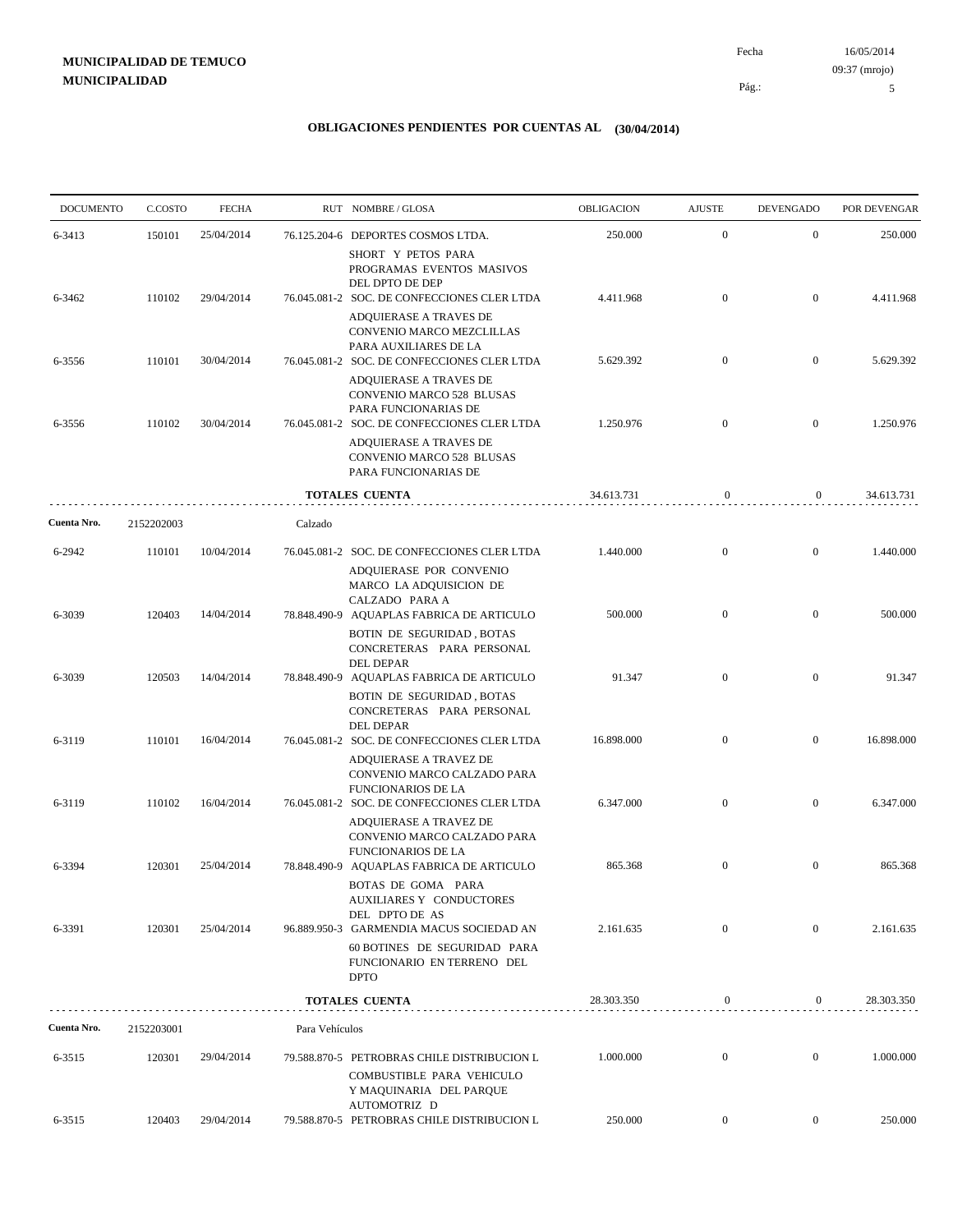# **MUNICIPALIDAD DE TEMUCO MUNICIPALIDAD**

16/05/2014 5 Pág.: Fecha 09:37 (mrojo)

| <b>DOCUMENTO</b> | C.COSTO    | <b>FECHA</b> |                | RUT NOMBRE/GLOSA                                                                                                      | <b>OBLIGACION</b> | <b>AJUSTE</b>    | <b>DEVENGADO</b> | POR DEVENGAR |
|------------------|------------|--------------|----------------|-----------------------------------------------------------------------------------------------------------------------|-------------------|------------------|------------------|--------------|
| 6-3413           | 150101     | 25/04/2014   |                | 76.125.204-6 DEPORTES COSMOS LTDA.                                                                                    | 250.000           | $\mathbf{0}$     | $\mathbf{0}$     | 250.000      |
|                  |            |              |                | SHORT Y PETOS PARA<br>PROGRAMAS EVENTOS MASIVOS<br>DEL DPTO DE DEP                                                    |                   |                  |                  |              |
| 6-3462           | 110102     | 29/04/2014   |                | 76.045.081-2 SOC. DE CONFECCIONES CLER LTDA<br>ADQUIERASE A TRAVES DE                                                 | 4.411.968         | $\mathbf{0}$     | $\boldsymbol{0}$ | 4.411.968    |
|                  |            |              |                | CONVENIO MARCO MEZCLILLAS<br>PARA AUXILIARES DE LA                                                                    |                   |                  |                  |              |
| 6-3556           | 110101     | 30/04/2014   |                | 76.045.081-2 SOC. DE CONFECCIONES CLER LTDA<br>ADQUIERASE A TRAVES DE<br>CONVENIO MARCO 528 BLUSAS                    | 5.629.392         | $\mathbf{0}$     | $\boldsymbol{0}$ | 5.629.392    |
| 6-3556           | 110102     | 30/04/2014   |                | PARA FUNCIONARIAS DE<br>76.045.081-2 SOC. DE CONFECCIONES CLER LTDA                                                   | 1.250.976         | $\overline{0}$   | $\mathbf{0}$     | 1.250.976    |
|                  |            |              |                | ADQUIERASE A TRAVES DE<br>CONVENIO MARCO 528 BLUSAS<br>PARA FUNCIONARIAS DE                                           |                   |                  |                  |              |
|                  |            |              |                | TOTALES CUENTA                                                                                                        | 34.613.731        | $\boldsymbol{0}$ | $\overline{0}$   | 34.613.731   |
| Cuenta Nro.      | 2152202003 |              | Calzado        |                                                                                                                       |                   |                  |                  |              |
| 6-2942           | 110101     | 10/04/2014   |                | 76.045.081-2 SOC. DE CONFECCIONES CLER LTDA<br>ADQUIERASE POR CONVENIO<br>MARCO LA ADQUISICION DE                     | 1.440.000         | $\mathbf{0}$     | $\mathbf{0}$     | 1.440.000    |
| 6-3039           | 120403     | 14/04/2014   |                | CALZADO PARA A<br>78.848.490-9 AQUAPLAS FABRICA DE ARTICULO<br>BOTIN DE SEGURIDAD, BOTAS<br>CONCRETERAS PARA PERSONAL | 500.000           | $\mathbf{0}$     | $\overline{0}$   | 500.000      |
| 6-3039           | 120503     | 14/04/2014   |                | DEL DEPAR<br>78.848.490-9 AQUAPLAS FABRICA DE ARTICULO<br>BOTIN DE SEGURIDAD, BOTAS                                   | 91.347            | $\mathbf{0}$     | $\boldsymbol{0}$ | 91.347       |
| 6-3119           | 110101     | 16/04/2014   |                | CONCRETERAS PARA PERSONAL<br><b>DEL DEPAR</b><br>76.045.081-2 SOC. DE CONFECCIONES CLER LTDA                          | 16.898.000        | $\mathbf{0}$     | $\overline{0}$   | 16.898.000   |
|                  |            |              |                | ADQUIERASE A TRAVEZ DE<br>CONVENIO MARCO CALZADO PARA<br><b>FUNCIONARIOS DE LA</b>                                    |                   |                  |                  |              |
| 6-3119           | 110102     | 16/04/2014   |                | 76.045.081-2 SOC. DE CONFECCIONES CLER LTDA<br>ADQUIERASE A TRAVEZ DE<br>CONVENIO MARCO CALZADO PARA                  | 6.347.000         | $\mathbf{0}$     | $\mathbf{0}$     | 6.347.000    |
| 6-3394           | 120301     | 25/04/2014   | 78.848.490-9   | <b>FUNCIONARIOS DE LA</b><br>AQUAPLAS FABRICA DE ARTICULO<br>BOTAS DE GOMA PARA<br>AUXILIARES Y CONDUCTORES           | 865.368           | $\boldsymbol{0}$ | $\mathbf{0}$     | 865.368      |
| 6-3391           | 120301     | 25/04/2014   |                | DEL DPTO DE AS<br>96.889.950-3 GARMENDIA MACUS SOCIEDAD AN                                                            | 2.161.635         | $\mathbf{0}$     | $\boldsymbol{0}$ | 2.161.635    |
|                  |            |              |                | 60 BOTINES DE SEGURIDAD PARA<br>FUNCIONARIO EN TERRENO DEL<br><b>DPTO</b>                                             |                   |                  |                  |              |
|                  |            |              |                | <b>TOTALES CUENTA</b>                                                                                                 | 28.303.350        | $\boldsymbol{0}$ | $\boldsymbol{0}$ | 28.303.350   |
| Cuenta Nro.      | 2152203001 |              | Para Vehículos |                                                                                                                       |                   |                  |                  |              |
| 6-3515           | 120301     | 29/04/2014   |                | 79.588.870-5 PETROBRAS CHILE DISTRIBUCION L<br>COMBUSTIBLE PARA VEHICULO<br>Y MAQUINARIA DEL PARQUE                   | 1.000.000         | $\boldsymbol{0}$ | $\mathbf{0}$     | 1.000.000    |
| 6-3515           | 120403     | 29/04/2014   |                | AUTOMOTRIZ D<br>79.588.870-5 PETROBRAS CHILE DISTRIBUCION L                                                           | 250.000           | $\mathbf{0}$     | $\boldsymbol{0}$ | 250.000      |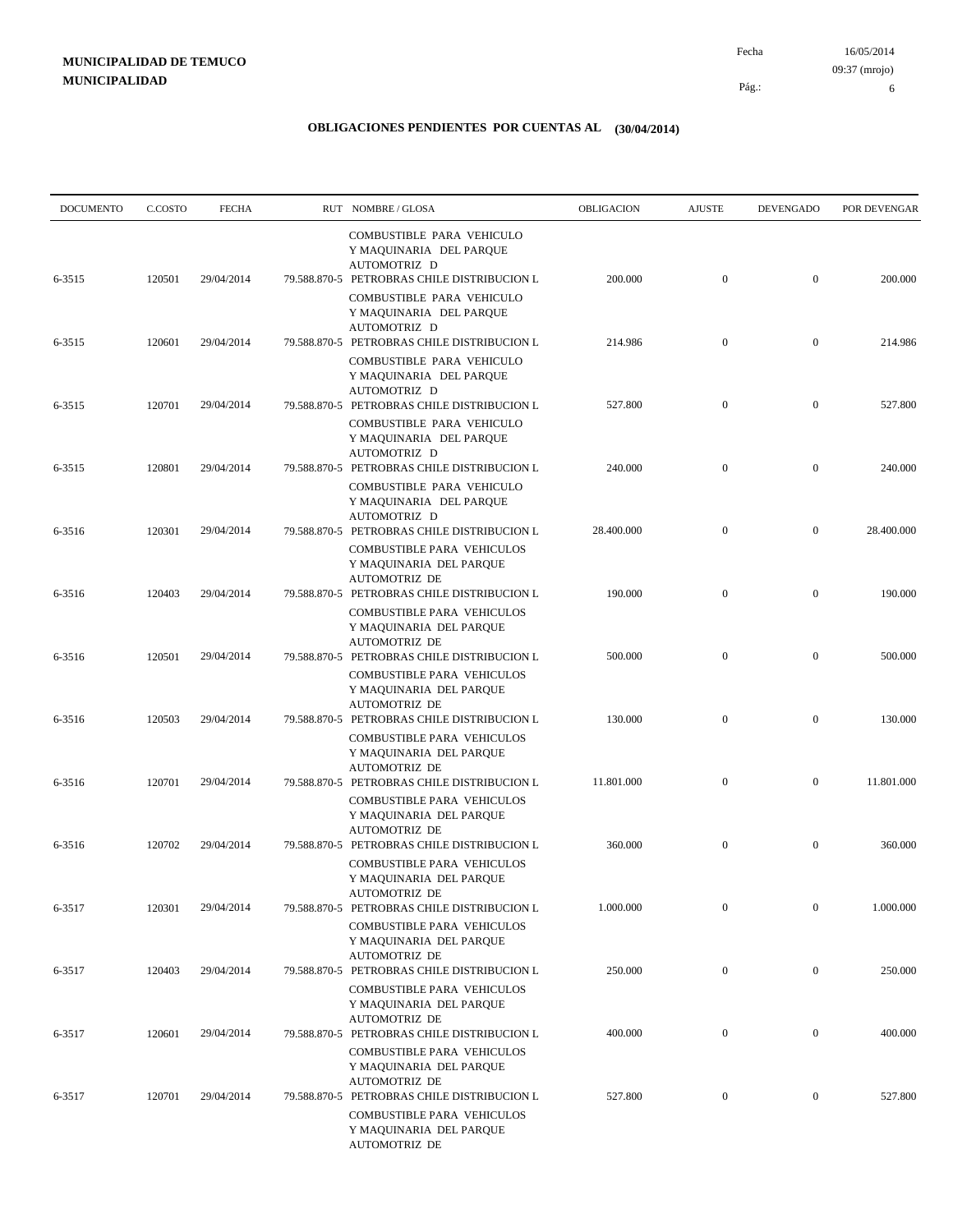6

| <b>DOCUMENTO</b> | C.COSTO | <b>FECHA</b> | RUT NOMBRE/GLOSA                                                                                                                              | OBLIGACION | <b>AJUSTE</b>    | <b>DEVENGADO</b> | POR DEVENGAR |
|------------------|---------|--------------|-----------------------------------------------------------------------------------------------------------------------------------------------|------------|------------------|------------------|--------------|
| 6-3515           | 120501  | 29/04/2014   | COMBUSTIBLE PARA VEHICULO<br>Y MAQUINARIA DEL PARQUE<br>AUTOMOTRIZ D<br>79.588.870-5 PETROBRAS CHILE DISTRIBUCION L                           | 200.000    | $\boldsymbol{0}$ | $\overline{0}$   | 200.000      |
|                  |         |              | COMBUSTIBLE PARA VEHICULO<br>Y MAQUINARIA DEL PARQUE<br>AUTOMOTRIZ D                                                                          |            |                  |                  |              |
| 6-3515           | 120601  | 29/04/2014   | 79.588.870-5 PETROBRAS CHILE DISTRIBUCION L<br>COMBUSTIBLE PARA VEHICULO<br>Y MAQUINARIA DEL PARQUE                                           | 214.986    | $\mathbf{0}$     | $\mathbf{0}$     | 214.986      |
| 6-3515           | 120701  | 29/04/2014   | AUTOMOTRIZ D<br>79.588.870-5 PETROBRAS CHILE DISTRIBUCION L<br>COMBUSTIBLE PARA VEHICULO                                                      | 527.800    | $\mathbf{0}$     | $\mathbf{0}$     | 527.800      |
| 6-3515           | 120801  | 29/04/2014   | Y MAQUINARIA DEL PARQUE<br>AUTOMOTRIZ D<br>79.588.870-5 PETROBRAS CHILE DISTRIBUCION L                                                        | 240.000    | $\mathbf{0}$     | $\mathbf{0}$     | 240.000      |
|                  |         |              | COMBUSTIBLE PARA VEHICULO<br>Y MAQUINARIA DEL PARQUE<br>AUTOMOTRIZ D                                                                          |            |                  |                  |              |
| 6-3516           | 120301  | 29/04/2014   | 79.588.870-5 PETROBRAS CHILE DISTRIBUCION L<br>COMBUSTIBLE PARA VEHICULOS<br>Y MAQUINARIA DEL PARQUE                                          | 28,400,000 | $\mathbf{0}$     | $\mathbf{0}$     | 28.400.000   |
| 6-3516           | 120403  | 29/04/2014   | <b>AUTOMOTRIZ DE</b><br>79.588.870-5 PETROBRAS CHILE DISTRIBUCION L<br>COMBUSTIBLE PARA VEHICULOS                                             | 190.000    | $\mathbf{0}$     | $\mathbf{0}$     | 190.000      |
| 6-3516           | 120501  | 29/04/2014   | Y MAQUINARIA DEL PARQUE<br><b>AUTOMOTRIZ DE</b><br>79.588.870-5 PETROBRAS CHILE DISTRIBUCION L                                                | 500.000    | $\mathbf{0}$     | $\mathbf{0}$     | 500.000      |
|                  |         |              | COMBUSTIBLE PARA VEHICULOS<br>Y MAQUINARIA DEL PARQUE<br><b>AUTOMOTRIZ DE</b>                                                                 |            |                  |                  |              |
| 6-3516           | 120503  | 29/04/2014   | 79.588.870-5 PETROBRAS CHILE DISTRIBUCION L<br>COMBUSTIBLE PARA VEHICULOS<br>Y MAQUINARIA DEL PARQUE                                          | 130.000    | $\mathbf{0}$     | $\mathbf{0}$     | 130.000      |
| 6-3516           | 120701  | 29/04/2014   | <b>AUTOMOTRIZ DE</b><br>79.588.870-5 PETROBRAS CHILE DISTRIBUCION L<br><b>COMBUSTIBLE PARA VEHICULOS</b>                                      | 11.801.000 | $\mathbf{0}$     | $\mathbf{0}$     | 11.801.000   |
| 6-3516           | 120702  | 29/04/2014   | Y MAQUINARIA DEL PARQUE<br><b>AUTOMOTRIZ DE</b><br>79.588.870-5 PETROBRAS CHILE DISTRIBUCION L                                                | 360.000    | $\mathbf{0}$     | $\mathbf{0}$     | 360.000      |
|                  |         |              | COMBUSTIBLE PARA VEHICULOS<br>Y MAQUINARIA DEL PARQUE<br><b>AUTOMOTRIZ DE</b>                                                                 |            |                  |                  |              |
| 6-3517           | 120301  | 29/04/2014   | 79.588.870-5 PETROBRAS CHILE DISTRIBUCION L<br>COMBUSTIBLE PARA VEHICULOS<br>Y MAQUINARIA DEL PARQUE                                          | 1.000.000  | $\mathbf{0}$     | $\mathbf{0}$     | 1.000.000    |
| 6-3517           | 120403  | 29/04/2014   | <b>AUTOMOTRIZ DE</b><br>79.588.870-5 PETROBRAS CHILE DISTRIBUCION L                                                                           | 250.000    | $\boldsymbol{0}$ | $\bf{0}$         | 250.000      |
| 6-3517           | 120601  | 29/04/2014   | COMBUSTIBLE PARA VEHICULOS<br>Y MAQUINARIA DEL PARQUE<br><b>AUTOMOTRIZ DE</b><br>79.588.870-5 PETROBRAS CHILE DISTRIBUCION L                  | 400.000    | $\boldsymbol{0}$ | $\boldsymbol{0}$ | 400.000      |
|                  |         |              | COMBUSTIBLE PARA VEHICULOS<br>Y MAQUINARIA DEL PARQUE                                                                                         |            |                  |                  |              |
| 6-3517           | 120701  | 29/04/2014   | <b>AUTOMOTRIZ DE</b><br>79.588.870-5 PETROBRAS CHILE DISTRIBUCION L<br>COMBUSTIBLE PARA VEHICULOS<br>Y MAQUINARIA DEL PARQUE<br>AUTOMOTRIZ DE | 527.800    | $\mathbf{0}$     | $\boldsymbol{0}$ | 527.800      |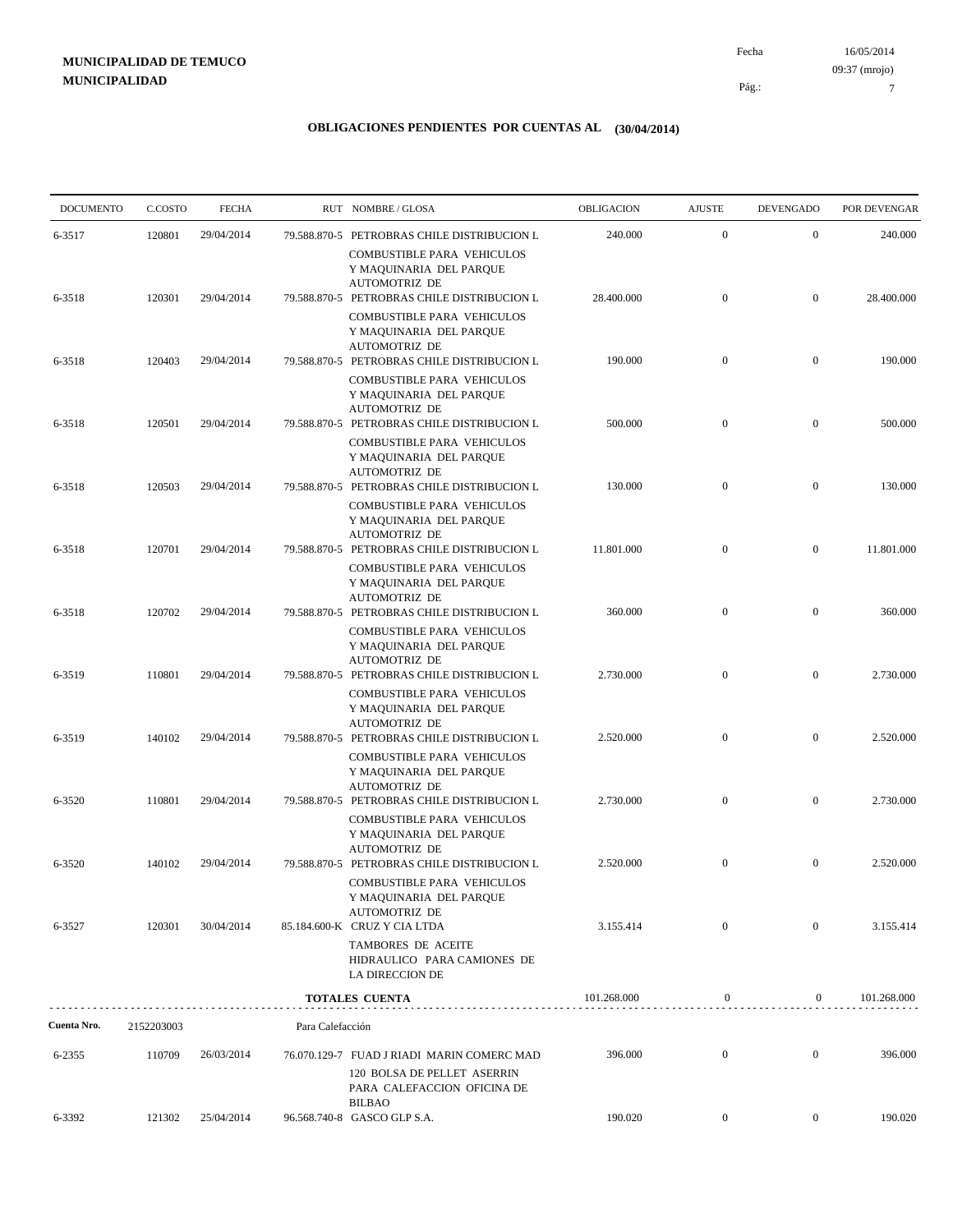# **MUNICIPALIDAD DE TEMUCO MUNICIPALIDAD**

16/05/2014 Pág.: Fecha

## **OBLIGACIONES PENDIENTES POR CUENTAS AL (30/04/2014)**

| <b>DOCUMENTO</b> | C.COSTO    | <b>FECHA</b> |                  | RUT NOMBRE/GLOSA                                                                                                             | <b>OBLIGACION</b> | <b>AJUSTE</b>    | <b>DEVENGADO</b> | POR DEVENGAR |
|------------------|------------|--------------|------------------|------------------------------------------------------------------------------------------------------------------------------|-------------------|------------------|------------------|--------------|
| 6-3517           | 120801     | 29/04/2014   |                  | 79.588.870-5 PETROBRAS CHILE DISTRIBUCION L<br>COMBUSTIBLE PARA VEHICULOS                                                    | 240.000           | $\mathbf{0}$     | $\mathbf{0}$     | 240.000      |
| 6-3518           | 120301     | 29/04/2014   |                  | Y MAQUINARIA DEL PARQUE<br><b>AUTOMOTRIZ DE</b><br>79.588.870-5 PETROBRAS CHILE DISTRIBUCION L                               | 28.400.000        | $\boldsymbol{0}$ | $\mathbf{0}$     | 28.400.000   |
|                  |            |              |                  | COMBUSTIBLE PARA VEHICULOS<br>Y MAQUINARIA DEL PARQUE<br><b>AUTOMOTRIZ DE</b>                                                |                   |                  |                  |              |
| 6-3518           | 120403     | 29/04/2014   |                  | 79.588.870-5 PETROBRAS CHILE DISTRIBUCION L<br>COMBUSTIBLE PARA VEHICULOS<br>Y MAQUINARIA DEL PARQUE                         | 190.000           | $\boldsymbol{0}$ | $\mathbf{0}$     | 190.000      |
| 6-3518           | 120501     | 29/04/2014   |                  | <b>AUTOMOTRIZ DE</b><br>79.588.870-5 PETROBRAS CHILE DISTRIBUCION L                                                          | 500.000           | $\boldsymbol{0}$ | $\mathbf{0}$     | 500.000      |
| 6-3518           | 120503     | 29/04/2014   |                  | COMBUSTIBLE PARA VEHICULOS<br>Y MAQUINARIA DEL PARQUE<br><b>AUTOMOTRIZ DE</b><br>79.588.870-5 PETROBRAS CHILE DISTRIBUCION L | 130.000           | $\boldsymbol{0}$ | $\mathbf{0}$     | 130.000      |
|                  |            |              |                  | COMBUSTIBLE PARA VEHICULOS<br>Y MAQUINARIA DEL PARQUE<br><b>AUTOMOTRIZ DE</b>                                                |                   |                  |                  |              |
| 6-3518           | 120701     | 29/04/2014   |                  | 79.588.870-5 PETROBRAS CHILE DISTRIBUCION L<br>COMBUSTIBLE PARA VEHICULOS<br>Y MAQUINARIA DEL PARQUE                         | 11.801.000        | $\boldsymbol{0}$ | $\mathbf{0}$     | 11.801.000   |
| 6-3518           | 120702     | 29/04/2014   |                  | <b>AUTOMOTRIZ DE</b><br>79.588.870-5 PETROBRAS CHILE DISTRIBUCION L<br>COMBUSTIBLE PARA VEHICULOS<br>Y MAQUINARIA DEL PARQUE | 360.000           | $\boldsymbol{0}$ | $\mathbf{0}$     | 360.000      |
| 6-3519           | 110801     | 29/04/2014   |                  | <b>AUTOMOTRIZ DE</b><br>79.588.870-5 PETROBRAS CHILE DISTRIBUCION L                                                          | 2.730.000         | $\overline{0}$   | $\mathbf{0}$     | 2.730.000    |
| 6-3519           | 140102     | 29/04/2014   |                  | COMBUSTIBLE PARA VEHICULOS<br>Y MAQUINARIA DEL PARQUE<br><b>AUTOMOTRIZ DE</b><br>79.588.870-5 PETROBRAS CHILE DISTRIBUCION L | 2.520.000         | $\boldsymbol{0}$ | $\mathbf{0}$     | 2.520.000    |
|                  |            |              |                  | COMBUSTIBLE PARA VEHICULOS<br>Y MAQUINARIA DEL PARQUE<br><b>AUTOMOTRIZ DE</b>                                                |                   |                  |                  |              |
| 6-3520           | 110801     | 29/04/2014   |                  | 79.588.870-5 PETROBRAS CHILE DISTRIBUCION L<br>COMBUSTIBLE PARA VEHICULOS<br>Y MAQUINARIA DEL PARQUE                         | 2.730.000         | $\overline{0}$   | $\boldsymbol{0}$ | 2.730.000    |
| 6-3520           | 140102     | 29/04/2014   |                  | <b>AUTOMOTRIZ DE</b><br>79.588.870-5 PETROBRAS CHILE DISTRIBUCION L<br>COMBUSTIBLE PARA VEHICULOS<br>Y MAQUINARIA DEL PARQUE | 2.520.000         | $\boldsymbol{0}$ | $\mathbf{0}$     | 2.520.000    |
| 6-3527           | 120301     | 30/04/2014   |                  | <b>AUTOMOTRIZ DE</b><br>85.184.600-K CRUZ Y CIA LTDA                                                                         | 3.155.414         | $\mathbf{0}$     | $\boldsymbol{0}$ | 3.155.414    |
|                  |            |              |                  | TAMBORES DE ACEITE<br>HIDRAULICO PARA CAMIONES DE<br>LA DIRECCION DE                                                         |                   |                  |                  |              |
|                  |            |              |                  | TOTALES CUENTA                                                                                                               | 101.268.000       | $\boldsymbol{0}$ | $\overline{0}$   | 101.268.000  |
| Cuenta Nro.      | 2152203003 |              | Para Calefacción |                                                                                                                              |                   |                  |                  |              |
| 6-2355           | 110709     | 26/03/2014   |                  | 76.070.129-7 FUAD J RIADI MARIN COMERC MAD<br>120 BOLSA DE PELLET ASERRIN<br>PARA CALEFACCION OFICINA DE<br><b>BILBAO</b>    | 396.000           | $\boldsymbol{0}$ | $\boldsymbol{0}$ | 396.000      |
| 6-3392           | 121302     | 25/04/2014   |                  | 96.568.740-8 GASCO GLP S.A.                                                                                                  | 190.020           | $\overline{0}$   | $\overline{0}$   | 190.020      |

09:37 (mrojo)

7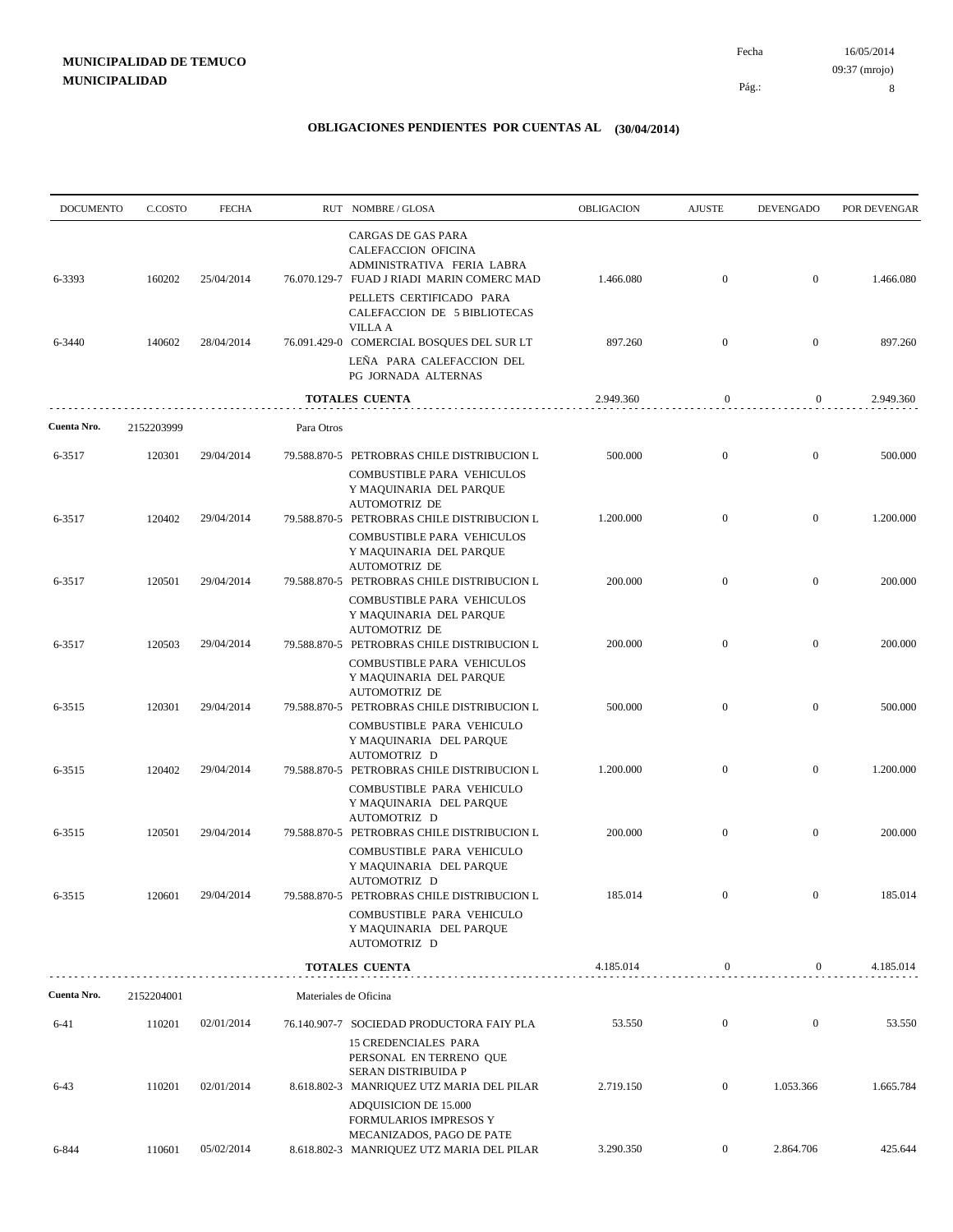| <b>DOCUMENTO</b> | C.COSTO    | <b>FECHA</b> |                       | RUT NOMBRE/GLOSA                                                                                                             | OBLIGACION | <b>AJUSTE</b>    | <b>DEVENGADO</b> | POR DEVENGAR |
|------------------|------------|--------------|-----------------------|------------------------------------------------------------------------------------------------------------------------------|------------|------------------|------------------|--------------|
| 6-3393           | 160202     | 25/04/2014   |                       | CARGAS DE GAS PARA<br>CALEFACCION OFICINA<br>ADMINISTRATIVA FERIA LABRA<br>76.070.129-7 FUAD J RIADI MARIN COMERC MAD        | 1.466.080  | $\mathbf{0}$     | $\overline{0}$   | 1.466.080    |
|                  |            |              |                       | PELLETS CERTIFICADO PARA<br>CALEFACCION DE 5 BIBLIOTECAS<br><b>VILLA A</b>                                                   |            |                  |                  |              |
| 6-3440           | 140602     | 28/04/2014   |                       | 76.091.429-0 COMERCIAL BOSQUES DEL SUR LT<br>LEÑA PARA CALEFACCION DEL<br>PG JORNADA ALTERNAS                                | 897.260    | $\mathbf{0}$     | $\boldsymbol{0}$ | 897.260      |
|                  |            |              |                       | <b>TOTALES CUENTA</b>                                                                                                        | 2.949.360  | 0                | 0                | 2.949.360    |
| Cuenta Nro.      | 2152203999 |              | Para Otros            |                                                                                                                              |            |                  |                  |              |
| 6-3517           | 120301     | 29/04/2014   |                       | 79.588.870-5 PETROBRAS CHILE DISTRIBUCION L                                                                                  | 500.000    | $\mathbf{0}$     | $\boldsymbol{0}$ | 500.000      |
|                  |            |              |                       | COMBUSTIBLE PARA VEHICULOS<br>Y MAQUINARIA DEL PARQUE<br><b>AUTOMOTRIZ DE</b>                                                |            |                  |                  |              |
| 6-3517           | 120402     | 29/04/2014   |                       | 79.588.870-5 PETROBRAS CHILE DISTRIBUCION L<br>COMBUSTIBLE PARA VEHICULOS<br>Y MAQUINARIA DEL PARQUE<br><b>AUTOMOTRIZ DE</b> | 1.200.000  | $\mathbf{0}$     | $\boldsymbol{0}$ | 1.200.000    |
| 6-3517           | 120501     | 29/04/2014   |                       | 79.588.870-5 PETROBRAS CHILE DISTRIBUCION L<br>COMBUSTIBLE PARA VEHICULOS<br>Y MAQUINARIA DEL PARQUE                         | 200.000    | $\overline{0}$   | $\mathbf{0}$     | 200.000      |
| 6-3517           | 120503     | 29/04/2014   |                       | <b>AUTOMOTRIZ DE</b><br>79.588.870-5 PETROBRAS CHILE DISTRIBUCION L<br>COMBUSTIBLE PARA VEHICULOS<br>Y MAQUINARIA DEL PARQUE | 200.000    | $\mathbf{0}$     | $\mathbf{0}$     | 200.000      |
| 6-3515           | 120301     | 29/04/2014   |                       | <b>AUTOMOTRIZ DE</b><br>79.588.870-5 PETROBRAS CHILE DISTRIBUCION L<br>COMBUSTIBLE PARA VEHICULO                             | 500.000    | $\mathbf{0}$     | $\mathbf{0}$     | 500.000      |
| 6-3515           | 120402     | 29/04/2014   |                       | Y MAQUINARIA DEL PARQUE<br>AUTOMOTRIZ D<br>79.588.870-5 PETROBRAS CHILE DISTRIBUCION L<br>COMBUSTIBLE PARA VEHICULO          | 1.200.000  | $\mathbf{0}$     | $\boldsymbol{0}$ | 1.200.000    |
| 6-3515           | 120501     | 29/04/2014   |                       | Y MAQUINARIA DEL PARQUE<br>AUTOMOTRIZ D<br>79.588.870-5 PETROBRAS CHILE DISTRIBUCION L                                       | 200.000    | $\mathbf{0}$     | $\mathbf{0}$     | 200.000      |
|                  |            |              |                       | COMBUSTIBLE PARA VEHICULO<br>Y MAQUINARIA DEL PARQUE<br>AUTOMOTRIZ D                                                         |            |                  |                  |              |
| 6-3515           | 120601     | 29/04/2014   |                       | 79.588.870-5 PETROBRAS CHILE DISTRIBUCION L<br>COMBUSTIBLE PARA VEHICULO<br>Y MAQUINARIA DEL PARQUE<br>AUTOMOTRIZ D          | 185.014    | $\mathbf{0}$     |                  | 185.014      |
|                  |            |              |                       | <b>TOTALES CUENTA</b>                                                                                                        | 4.185.014  | $\boldsymbol{0}$ | $\overline{0}$   | 4.185.014    |
| Cuenta Nro.      | 2152204001 |              | Materiales de Oficina |                                                                                                                              |            |                  |                  |              |
| $6 - 41$         | 110201     | 02/01/2014   |                       | 76.140.907-7 SOCIEDAD PRODUCTORA FAIY PLA<br>15 CREDENCIALES PARA<br>PERSONAL EN TERRENO QUE                                 | 53.550     | $\boldsymbol{0}$ | $\boldsymbol{0}$ | 53.550       |
| $6 - 43$         | 110201     | 02/01/2014   |                       | SERAN DISTRIBUIDA P<br>8.618.802-3 MANRIQUEZ UTZ MARIA DEL PILAR<br>ADQUISICION DE 15.000                                    | 2.719.150  | $\mathbf{0}$     | 1.053.366        | 1.665.784    |
| 6-844            | 110601     | 05/02/2014   |                       | <b>FORMULARIOS IMPRESOS Y</b><br>MECANIZADOS, PAGO DE PATE<br>8.618.802-3 MANRIQUEZ UTZ MARIA DEL PILAR                      | 3.290.350  | $\boldsymbol{0}$ | 2.864.706        | 425.644      |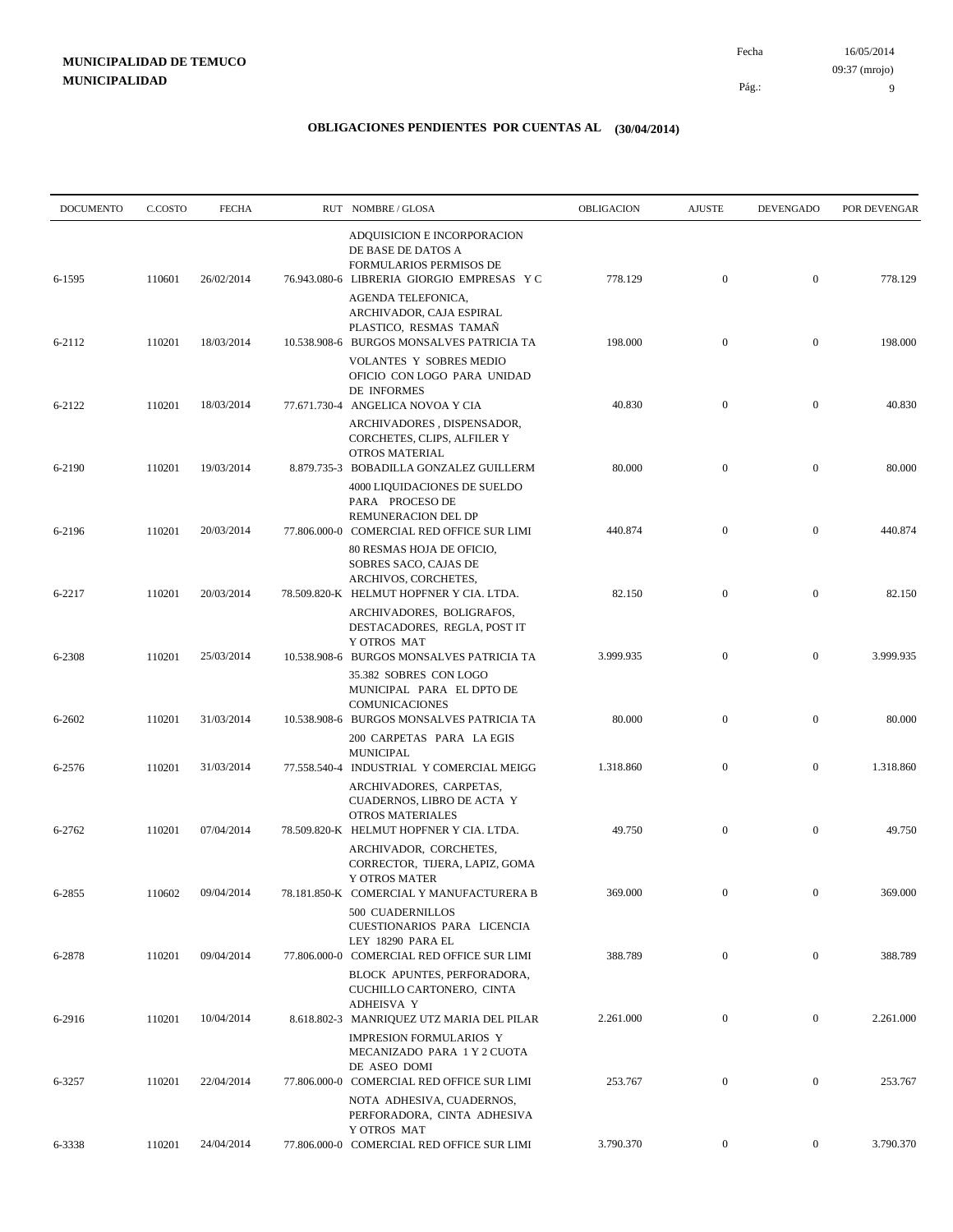16/05/2014 Pág.: Fecha 09:37 (mrojo)

9

| <b>DOCUMENTO</b> | C.COSTO | <b>FECHA</b> | RUT NOMBRE/GLOSA                                                                                                                | OBLIGACION | <b>AJUSTE</b>    | <b>DEVENGADO</b> | POR DEVENGAR |
|------------------|---------|--------------|---------------------------------------------------------------------------------------------------------------------------------|------------|------------------|------------------|--------------|
| 6-1595           | 110601  | 26/02/2014   | ADQUISICION E INCORPORACION<br>DE BASE DE DATOS A<br>FORMULARIOS PERMISOS DE<br>76.943.080-6 LIBRERIA GIORGIO EMPRESAS Y C      | 778.129    | $\boldsymbol{0}$ | $\mathbf{0}$     | 778.129      |
|                  |         |              | AGENDA TELEFONICA,<br>ARCHIVADOR, CAJA ESPIRAL<br>PLASTICO, RESMAS TAMAN                                                        |            |                  |                  |              |
| 6-2112           | 110201  | 18/03/2014   | 10.538.908-6 BURGOS MONSALVES PATRICIA TA<br><b>VOLANTES Y SOBRES MEDIO</b><br>OFICIO CON LOGO PARA UNIDAD                      | 198.000    | $\mathbf{0}$     | $\mathbf{0}$     | 198.000      |
| 6-2122           | 110201  | 18/03/2014   | DE INFORMES<br>77.671.730-4 ANGELICA NOVOA Y CIA<br>ARCHIVADORES, DISPENSADOR,<br>CORCHETES, CLIPS, ALFILER Y<br>OTROS MATERIAL | 40.830     | $\mathbf{0}$     | $\mathbf{0}$     | 40.830       |
| 6-2190           | 110201  | 19/03/2014   | 8.879.735-3 BOBADILLA GONZALEZ GUILLERM<br>4000 LIQUIDACIONES DE SUELDO<br>PARA PROCESO DE                                      | 80.000     | $\mathbf{0}$     | $\mathbf{0}$     | 80.000       |
| 6-2196           | 110201  | 20/03/2014   | REMUNERACION DEL DP<br>77.806.000-0 COMERCIAL RED OFFICE SUR LIMI<br>80 RESMAS HOJA DE OFICIO,<br>SOBRES SACO, CAJAS DE         | 440.874    | $\mathbf{0}$     | $\mathbf{0}$     | 440.874      |
| 6-2217           | 110201  | 20/03/2014   | ARCHIVOS, CORCHETES,<br>78.509.820-K HELMUT HOPFNER Y CIA. LTDA.<br>ARCHIVADORES, BOLIGRAFOS,                                   | 82.150     | $\mathbf{0}$     | $\mathbf{0}$     | 82.150       |
| 6-2308           | 110201  | 25/03/2014   | DESTACADORES, REGLA, POST IT<br>Y OTROS MAT<br>10.538.908-6 BURGOS MONSALVES PATRICIA TA<br>35.382 SOBRES CON LOGO              | 3.999.935  | $\mathbf{0}$     | $\mathbf{0}$     | 3.999.935    |
| 6-2602           | 110201  | 31/03/2014   | MUNICIPAL PARA EL DPTO DE<br><b>COMUNICACIONES</b><br>10.538.908-6 BURGOS MONSALVES PATRICIA TA                                 | 80.000     | $\mathbf{0}$     | $\mathbf{0}$     | 80.000       |
| 6-2576           | 110201  | 31/03/2014   | 200 CARPETAS PARA LA EGIS<br><b>MUNICIPAL</b><br>77.558.540-4 INDUSTRIAL Y COMERCIAL MEIGG                                      | 1.318.860  | $\boldsymbol{0}$ | $\mathbf{0}$     | 1.318.860    |
|                  |         |              | ARCHIVADORES, CARPETAS,<br>CUADERNOS, LIBRO DE ACTA Y<br>OTROS MATERIALES                                                       |            |                  |                  |              |
| 6-2762           | 110201  | 07/04/2014   | 78.509.820-K HELMUT HOPFNER Y CIA. LTDA.<br>ARCHIVADOR, CORCHETES,<br>CORRECTOR, TIJERA, LAPIZ, GOMA                            | 49.750     | $\boldsymbol{0}$ | $\mathbf{0}$     | 49.750       |
| 6-2855           | 110602  | 09/04/2014   | Y OTROS MATER<br>78.181.850-K COMERCIAL Y MANUFACTURERA B<br>500 CUADERNILLOS                                                   | 369.000    | $\overline{0}$   | $\overline{0}$   | 369.000      |
| 6-2878           | 110201  | 09/04/2014   | CUESTIONARIOS PARA LICENCIA<br>LEY 18290 PARA EL<br>77.806.000-0 COMERCIAL RED OFFICE SUR LIMI                                  | 388.789    | $\mathbf{0}$     | $\mathbf{0}$     | 388.789      |
| 6-2916           | 110201  | 10/04/2014   | BLOCK APUNTES, PERFORADORA,<br>CUCHILLO CARTONERO, CINTA<br>ADHEISVA Y<br>8.618.802-3 MANRIQUEZ UTZ MARIA DEL PILAR             | 2.261.000  | $\mathbf{0}$     | $\mathbf{0}$     | 2.261.000    |
|                  |         |              | <b>IMPRESION FORMULARIOS Y</b><br>MECANIZADO PARA 1 Y 2 CUOTA<br>DE ASEO DOMI                                                   |            |                  |                  |              |
| 6-3257           | 110201  | 22/04/2014   | 77.806.000-0 COMERCIAL RED OFFICE SUR LIMI<br>NOTA ADHESIVA, CUADERNOS,<br>PERFORADORA, CINTA ADHESIVA                          | 253.767    | $\boldsymbol{0}$ | $\boldsymbol{0}$ | 253.767      |
| 6-3338           | 110201  | 24/04/2014   | Y OTROS MAT<br>77.806.000-0 COMERCIAL RED OFFICE SUR LIMI                                                                       | 3.790.370  | $\mathbf{0}$     | $\boldsymbol{0}$ | 3.790.370    |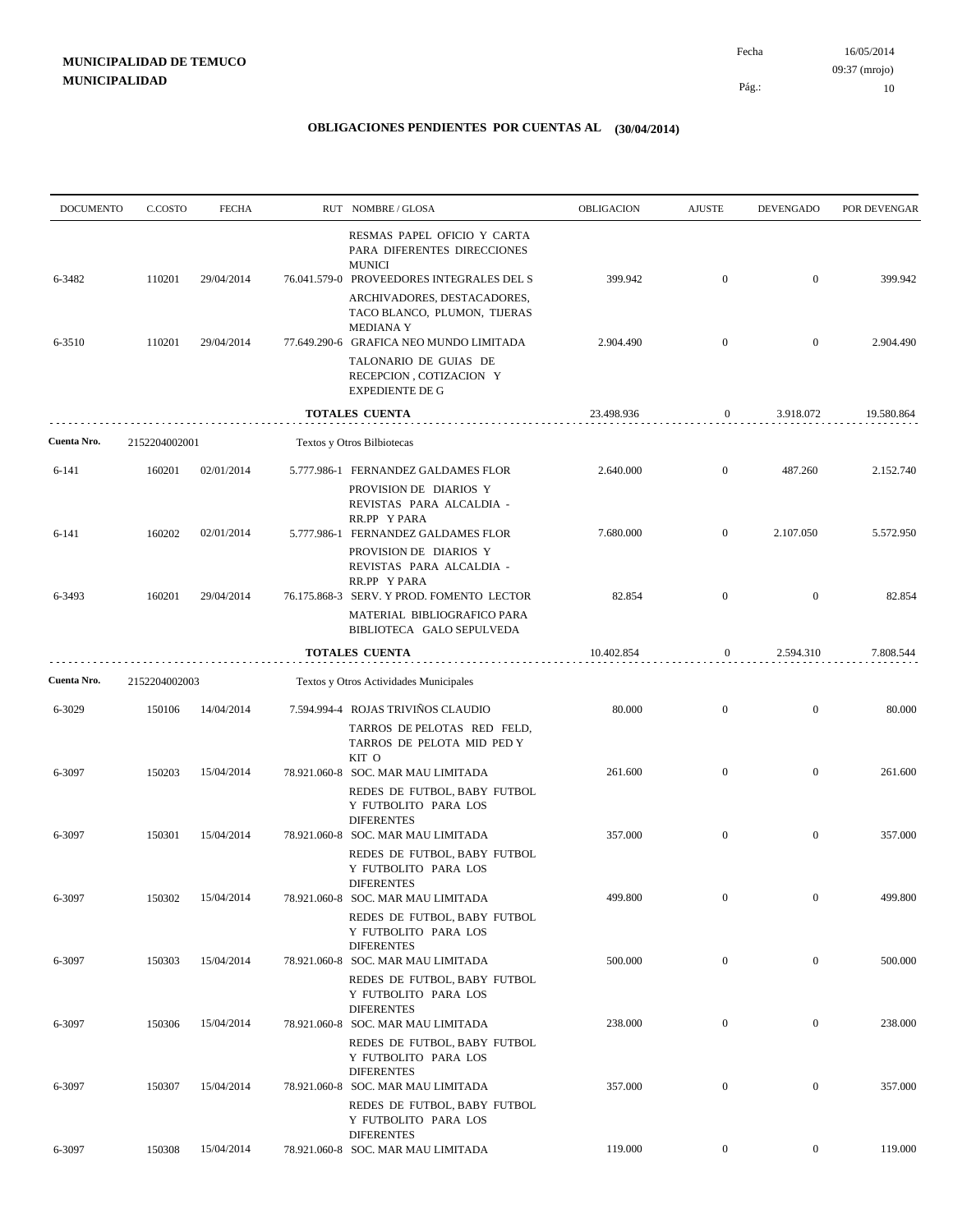| <b>DOCUMENTO</b> | C.COSTO       | <b>FECHA</b> | RUT NOMBRE/GLOSA                                                                                                         | <b>OBLIGACION</b> | <b>AJUSTE</b>    | <b>DEVENGADO</b> | POR DEVENGAR |
|------------------|---------------|--------------|--------------------------------------------------------------------------------------------------------------------------|-------------------|------------------|------------------|--------------|
| 6-3482           | 110201        | 29/04/2014   | RESMAS PAPEL OFICIO Y CARTA<br>PARA DIFERENTES DIRECCIONES<br><b>MUNICI</b><br>76.041.579-0 PROVEEDORES INTEGRALES DEL S | 399.942           | $\boldsymbol{0}$ | $\boldsymbol{0}$ | 399.942      |
|                  |               |              | ARCHIVADORES, DESTACADORES,<br>TACO BLANCO, PLUMON, TIJERAS<br><b>MEDIANA Y</b>                                          |                   |                  |                  |              |
| 6-3510           | 110201        | 29/04/2014   | 77.649.290-6 GRAFICA NEO MUNDO LIMITADA<br>TALONARIO DE GUIAS DE<br>RECEPCION, COTIZACION Y<br><b>EXPEDIENTE DE G</b>    | 2.904.490         | $\mathbf{0}$     | $\mathbf{0}$     | 2.904.490    |
|                  |               |              | TOTALES CUENTA                                                                                                           | 23.498.936        | $\boldsymbol{0}$ | 3.918.072        | 19.580.864   |
| Cuenta Nro.      | 2152204002001 |              | Textos y Otros Bilbiotecas                                                                                               |                   |                  |                  |              |
| 6-141            | 160201        | 02/01/2014   | 5.777.986-1 FERNANDEZ GALDAMES FLOR<br>PROVISION DE DIARIOS Y<br>REVISTAS PARA ALCALDIA -                                | 2.640.000         | $\mathbf{0}$     | 487.260          | 2.152.740    |
| 6-141            | 160202        | 02/01/2014   | RR.PP Y PARA<br>5.777.986-1 FERNANDEZ GALDAMES FLOR<br>PROVISION DE DIARIOS Y                                            | 7.680.000         | $\mathbf{0}$     | 2.107.050        | 5.572.950    |
| 6-3493           | 160201        | 29/04/2014   | REVISTAS PARA ALCALDIA -<br>RR.PP Y PARA<br>76.175.868-3 SERV. Y PROD. FOMENTO LECTOR                                    | 82.854            | $\boldsymbol{0}$ | $\mathbf{0}$     | 82.854       |
|                  |               |              | MATERIAL BIBLIOGRAFICO PARA<br>BIBLIOTECA GALO SEPULVEDA                                                                 |                   |                  |                  |              |
|                  |               |              | <b>TOTALES CUENTA</b>                                                                                                    | 10.402.854        | 0                | 2.594.310        | 7.808.544    |
| Cuenta Nro.      | 2152204002003 |              | Textos y Otros Actividades Municipales                                                                                   |                   |                  |                  |              |
| 6-3029           | 150106        | 14/04/2014   | 7.594.994-4 ROJAS TRIVIÑOS CLAUDIO<br>TARROS DE PELOTAS RED FELD,<br>TARROS DE PELOTA MID PED Y                          | 80.000            | $\boldsymbol{0}$ | $\mathbf{0}$     | 80.000       |
| 6-3097           | 150203        | 15/04/2014   | KIT O<br>78.921.060-8 SOC. MAR MAU LIMITADA<br>REDES DE FUTBOL, BABY FUTBOL<br>Y FUTBOLITO PARA LOS                      | 261.600           | $\boldsymbol{0}$ | $\mathbf{0}$     | 261.600      |
| 6-3097           | 150301        | 15/04/2014   | <b>DIFERENTES</b><br>78.921.060-8 SOC. MAR MAU LIMITADA<br>REDES DE FUTBOL, BABY FUTBOL                                  | 357.000           | $\mathbf{0}$     | $\mathbf{0}$     | 357.000      |
| 6-3097           | 150302        | 15/04/2014   | Y FUTBOLITO PARA LOS<br><b>DIFERENTES</b><br>78.921.060-8 SOC. MAR MAU LIMITADA                                          | 499.800           | $\boldsymbol{0}$ | $\overline{0}$   | 499.800      |
| 6-3097           | 150303        | 15/04/2014   | REDES DE FUTBOL, BABY FUTBOL<br>Y FUTBOLITO PARA LOS<br><b>DIFERENTES</b><br>78.921.060-8 SOC. MAR MAU LIMITADA          | 500.000           | $\overline{0}$   | $\overline{0}$   | 500.000      |
|                  |               |              | REDES DE FUTBOL, BABY FUTBOL<br>Y FUTBOLITO PARA LOS<br><b>DIFERENTES</b>                                                |                   |                  |                  |              |
| 6-3097           | 150306        | 15/04/2014   | 78.921.060-8 SOC. MAR MAU LIMITADA<br>REDES DE FUTBOL, BABY FUTBOL<br>Y FUTBOLITO PARA LOS                               | 238.000           | $\boldsymbol{0}$ | $\boldsymbol{0}$ | 238.000      |
| 6-3097           | 150307        | 15/04/2014   | <b>DIFERENTES</b><br>78.921.060-8 SOC. MAR MAU LIMITADA<br>REDES DE FUTBOL, BABY FUTBOL                                  | 357.000           | $\boldsymbol{0}$ | $\overline{0}$   | 357.000      |
| 6-3097           | 150308        | 15/04/2014   | Y FUTBOLITO PARA LOS<br><b>DIFERENTES</b><br>78.921.060-8 SOC. MAR MAU LIMITADA                                          | 119.000           | $\overline{0}$   | $\overline{0}$   | 119.000      |
|                  |               |              |                                                                                                                          |                   |                  |                  |              |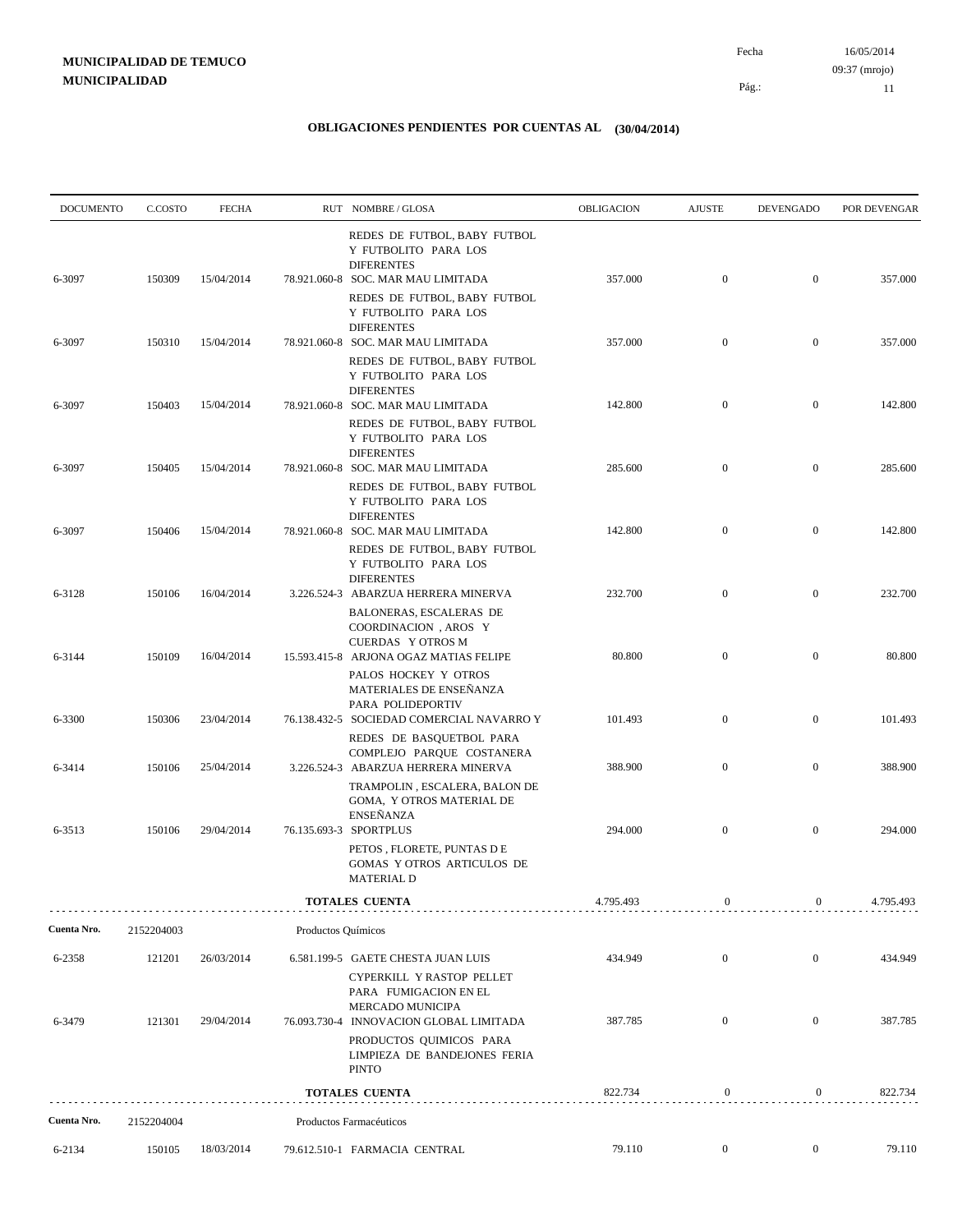| <b>DOCUMENTO</b> | C.COSTO    | <b>FECHA</b> |                    | RUT NOMBRE/GLOSA                                                                                                                       | OBLIGACION | <b>AJUSTE</b>    | <b>DEVENGADO</b> | POR DEVENGAR |
|------------------|------------|--------------|--------------------|----------------------------------------------------------------------------------------------------------------------------------------|------------|------------------|------------------|--------------|
| 6-3097           | 150309     | 15/04/2014   |                    | REDES DE FUTBOL, BABY FUTBOL<br>Y FUTBOLITO PARA LOS<br><b>DIFERENTES</b><br>78.921.060-8 SOC. MAR MAU LIMITADA                        | 357.000    | $\boldsymbol{0}$ | $\mathbf{0}$     | 357.000      |
|                  |            |              |                    | REDES DE FUTBOL, BABY FUTBOL<br>Y FUTBOLITO PARA LOS<br><b>DIFERENTES</b>                                                              |            |                  |                  |              |
| 6-3097           | 150310     | 15/04/2014   |                    | 78.921.060-8 SOC. MAR MAU LIMITADA<br>REDES DE FUTBOL, BABY FUTBOL<br>Y FUTBOLITO PARA LOS                                             | 357.000    | $\boldsymbol{0}$ | $\mathbf{0}$     | 357.000      |
| 6-3097           | 150403     | 15/04/2014   |                    | <b>DIFERENTES</b><br>78.921.060-8 SOC. MAR MAU LIMITADA<br>REDES DE FUTBOL, BABY FUTBOL<br>Y FUTBOLITO PARA LOS                        | 142.800    | $\mathbf{0}$     | $\mathbf{0}$     | 142.800      |
| 6-3097           | 150405     | 15/04/2014   |                    | <b>DIFERENTES</b><br>78.921.060-8 SOC. MAR MAU LIMITADA<br>REDES DE FUTBOL, BABY FUTBOL<br>Y FUTBOLITO PARA LOS                        | 285.600    | $\boldsymbol{0}$ | $\mathbf{0}$     | 285.600      |
| 6-3097           | 150406     | 15/04/2014   |                    | <b>DIFERENTES</b><br>78.921.060-8 SOC. MAR MAU LIMITADA<br>REDES DE FUTBOL, BABY FUTBOL<br>Y FUTBOLITO PARA LOS                        | 142.800    | $\boldsymbol{0}$ | $\mathbf{0}$     | 142.800      |
| 6-3128           | 150106     | 16/04/2014   |                    | <b>DIFERENTES</b><br>3.226.524-3 ABARZUA HERRERA MINERVA<br>BALONERAS, ESCALERAS DE                                                    | 232.700    | $\mathbf{0}$     | $\mathbf{0}$     | 232.700      |
| 6-3144           | 150109     | 16/04/2014   |                    | COORDINACION, AROS Y<br><b>CUERDAS Y OTROS M</b><br>15.593.415-8 ARJONA OGAZ MATIAS FELIPE<br>PALOS HOCKEY Y OTROS                     | 80.800     | $\mathbf{0}$     | $\mathbf{0}$     | 80.800       |
| 6-3300           | 150306     | 23/04/2014   |                    | MATERIALES DE ENSEÑANZA<br>PARA POLIDEPORTIV<br>76.138.432-5 SOCIEDAD COMERCIAL NAVARRO Y                                              | 101.493    | $\boldsymbol{0}$ | $\boldsymbol{0}$ | 101.493      |
| 6-3414           | 150106     | 25/04/2014   |                    | REDES DE BASQUETBOL PARA<br>COMPLEJO PARQUE COSTANERA<br>3.226.524-3 ABARZUA HERRERA MINERVA                                           | 388.900    | $\boldsymbol{0}$ | $\mathbf{0}$     | 388.900      |
|                  |            |              |                    | TRAMPOLIN, ESCALERA, BALON DE<br>GOMA, Y OTROS MATERIAL DE<br><b>ENSEÑANZA</b>                                                         |            |                  |                  |              |
| 6-3513           | 150106     | 29/04/2014   |                    | 76.135.693-3 SPORTPLUS<br>PETOS, FLORETE, PUNTAS DE<br>GOMAS Y OTROS ARTICULOS DE<br><b>MATERIAL D</b>                                 | 294.000    | $\boldsymbol{0}$ | $\mathbf{0}$     | 294.000      |
|                  |            |              |                    | TOTALES CUENTA                                                                                                                         | 4.795.493  | $\boldsymbol{0}$ | $\overline{0}$   | 4.795.493    |
| Cuenta Nro.      | 2152204003 |              | Productos Químicos |                                                                                                                                        |            |                  |                  |              |
| 6-2358           | 121201     | 26/03/2014   |                    | 6.581.199-5 GAETE CHESTA JUAN LUIS<br>CYPERKILL Y RASTOP PELLET<br>PARA FUMIGACION EN EL                                               | 434.949    | $\boldsymbol{0}$ | $\mathbf{0}$     | 434.949      |
| 6-3479           | 121301     | 29/04/2014   |                    | MERCADO MUNICIPA<br>76.093.730-4 INNOVACION GLOBAL LIMITADA<br>PRODUCTOS QUIMICOS PARA<br>LIMPIEZA DE BANDEJONES FERIA<br><b>PINTO</b> | 387.785    | $\mathbf{0}$     | $\mathbf{0}$     | 387.785      |
|                  |            |              |                    | <b>TOTALES CUENTA</b>                                                                                                                  | 822.734    | $\boldsymbol{0}$ | $\boldsymbol{0}$ | 822.734      |
| Cuenta Nro.      | 2152204004 |              |                    | Productos Farmacéuticos                                                                                                                |            |                  |                  |              |
| 6-2134           | 150105     | 18/03/2014   |                    | 79.612.510-1 FARMACIA CENTRAL                                                                                                          | 79.110     | $\boldsymbol{0}$ | $\boldsymbol{0}$ | 79.110       |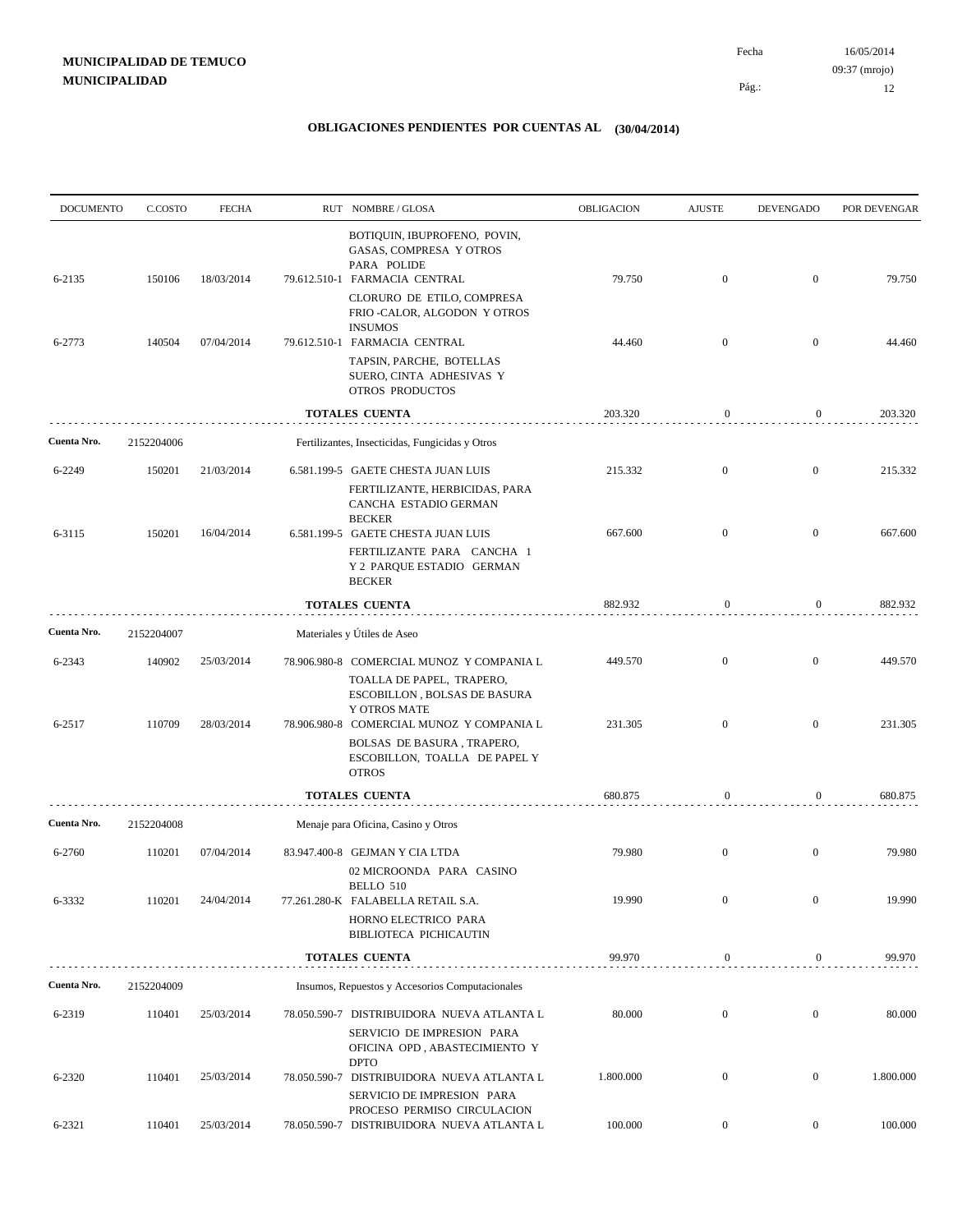| <b>DOCUMENTO</b> | C.COSTO    | <b>FECHA</b> | RUT NOMBRE/GLOSA                                                                                                                                         | OBLIGACION | <b>AJUSTE</b>    | <b>DEVENGADO</b> | POR DEVENGAR |
|------------------|------------|--------------|----------------------------------------------------------------------------------------------------------------------------------------------------------|------------|------------------|------------------|--------------|
| 6-2135           | 150106     | 18/03/2014   | BOTIQUIN, IBUPROFENO, POVIN,<br>GASAS, COMPRESA Y OTROS<br>PARA POLIDE<br>79.612.510-1 FARMACIA CENTRAL                                                  | 79.750     | $\mathbf{0}$     | $\overline{0}$   | 79.750       |
|                  |            |              | CLORURO DE ETILO, COMPRESA<br>FRIO -CALOR, ALGODON Y OTROS<br><b>INSUMOS</b>                                                                             |            |                  |                  |              |
| 6-2773           | 140504     | 07/04/2014   | 79.612.510-1 FARMACIA CENTRAL<br>TAPSIN, PARCHE, BOTELLAS<br>SUERO, CINTA ADHESIVAS Y<br>OTROS PRODUCTOS                                                 | 44.460     | $\mathbf{0}$     | $\mathbf{0}$     | 44.460       |
|                  |            |              | TOTALES CUENTA                                                                                                                                           | 203.320    | $\boldsymbol{0}$ | 0                | 203.320      |
| Cuenta Nro.      | 2152204006 |              | Fertilizantes, Insecticidas, Fungicidas y Otros                                                                                                          |            |                  |                  |              |
| 6-2249           | 150201     | 21/03/2014   | 6.581.199-5 GAETE CHESTA JUAN LUIS<br>FERTILIZANTE, HERBICIDAS, PARA                                                                                     | 215.332    | $\mathbf{0}$     | $\boldsymbol{0}$ | 215.332      |
| 6-3115           | 150201     | 16/04/2014   | CANCHA ESTADIO GERMAN<br><b>BECKER</b><br>6.581.199-5 GAETE CHESTA JUAN LUIS<br>FERTILIZANTE PARA CANCHA 1<br>Y 2 PARQUE ESTADIO GERMAN<br><b>BECKER</b> | 667.600    | $\mathbf{0}$     | $\mathbf{0}$     | 667.600      |
|                  |            |              | <b>TOTALES CUENTA</b>                                                                                                                                    | 882.932    | $\mathbf{0}$     | $\boldsymbol{0}$ | 882.932      |
| Cuenta Nro.      | 2152204007 |              | Materiales y Útiles de Aseo                                                                                                                              |            |                  |                  |              |
| 6-2343           | 140902     | 25/03/2014   | 78.906.980-8 COMERCIAL MUNOZ Y COMPANIA L                                                                                                                | 449.570    | $\mathbf{0}$     | $\boldsymbol{0}$ | 449.570      |
| 6-2517           | 110709     | 28/03/2014   | TOALLA DE PAPEL, TRAPERO,<br>ESCOBILLON, BOLSAS DE BASURA<br>Y OTROS MATE<br>78.906.980-8 COMERCIAL MUNOZ Y COMPANIA L<br>BOLSAS DE BASURA, TRAPERO,     | 231.305    | $\overline{0}$   | $\mathbf{0}$     | 231.305      |
|                  |            |              | ESCOBILLON, TOALLA DE PAPEL Y<br><b>OTROS</b>                                                                                                            |            |                  |                  |              |
|                  |            |              | <b>TOTALES CUENTA</b>                                                                                                                                    | 680.875    | $\boldsymbol{0}$ | 0                | 680.875      |
| Cuenta Nro.      | 2152204008 |              | Menaje para Oficina, Casino y Otros                                                                                                                      |            |                  |                  |              |
| 6-2760           | 110201     | 07/04/2014   | 83.947.400-8 GEJMAN Y CIA LTDA<br>02 MICROONDA PARA CASINO<br>BELLO 510                                                                                  | 79.980     | $\mathbf{0}$     | $\mathbf{0}$     | 79.980       |
| 6-3332           | 110201     | 24/04/2014   | 77.261.280-K FALABELLA RETAIL S.A.<br>HORNO ELECTRICO PARA<br>BIBLIOTECA PICHICAUTIN                                                                     | 19.990     | $\boldsymbol{0}$ | $\boldsymbol{0}$ | 19.990       |
|                  |            |              | <b>TOTALES CUENTA</b>                                                                                                                                    | 99.970     | $\boldsymbol{0}$ | $\overline{0}$   | 99.970       |
| Cuenta Nro.      | 2152204009 |              | Insumos, Repuestos y Accesorios Computacionales                                                                                                          |            |                  |                  |              |
| 6-2319           | 110401     | 25/03/2014   | 78.050.590-7 DISTRIBUIDORA NUEVA ATLANTA L<br>SERVICIO DE IMPRESION PARA<br>OFICINA OPD, ABASTECIMIENTO Y                                                | 80.000     | $\boldsymbol{0}$ | $\overline{0}$   | 80.000       |
| 6-2320           | 110401     | 25/03/2014   | <b>DPTO</b><br>78.050.590-7 DISTRIBUIDORA NUEVA ATLANTA L<br>SERVICIO DE IMPRESION PARA                                                                  | 1.800.000  | $\mathbf{0}$     | $\boldsymbol{0}$ | 1.800.000    |
| 6-2321           | 110401     | 25/03/2014   | PROCESO PERMISO CIRCULACION<br>78.050.590-7 DISTRIBUIDORA NUEVA ATLANTA L                                                                                | 100.000    | $\boldsymbol{0}$ | $\overline{0}$   | 100.000      |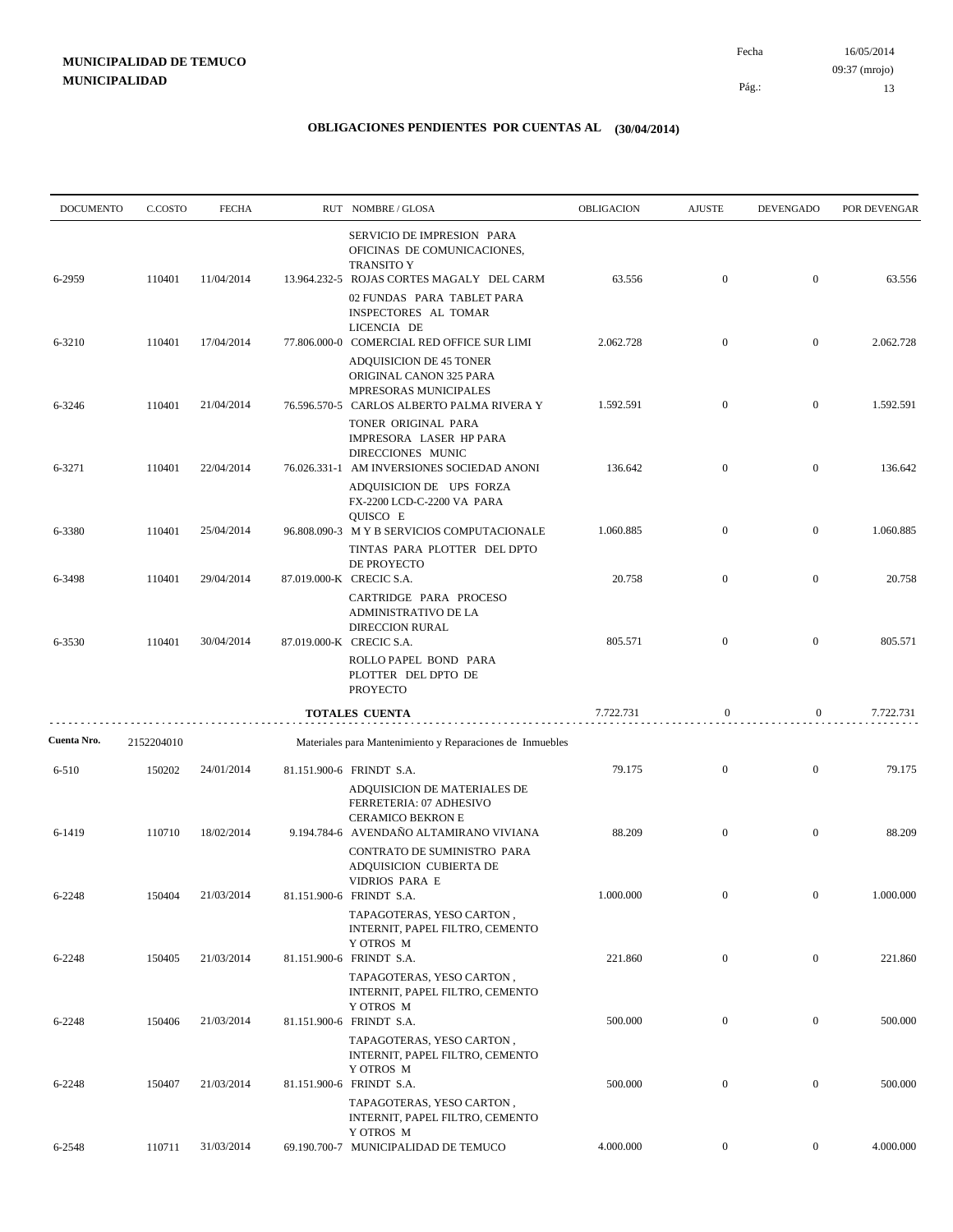| <b>DOCUMENTO</b> | C.COSTO    | <b>FECHA</b> | RUT NOMBRE/GLOSA                                                                                                            | OBLIGACION | <b>AJUSTE</b>    | <b>DEVENGADO</b> | POR DEVENGAR |
|------------------|------------|--------------|-----------------------------------------------------------------------------------------------------------------------------|------------|------------------|------------------|--------------|
| 6-2959           | 110401     | 11/04/2014   | SERVICIO DE IMPRESION PARA<br>OFICINAS DE COMUNICACIONES,<br><b>TRANSITO Y</b><br>13.964.232-5 ROJAS CORTES MAGALY DEL CARM | 63.556     | $\boldsymbol{0}$ | $\overline{0}$   | 63.556       |
|                  |            |              | 02 FUNDAS PARA TABLET PARA<br>INSPECTORES AL TOMAR<br>LICENCIA DE                                                           |            |                  |                  |              |
| 6-3210           | 110401     | 17/04/2014   | 77.806.000-0 COMERCIAL RED OFFICE SUR LIMI<br><b>ADQUISICION DE 45 TONER</b>                                                | 2.062.728  | $\boldsymbol{0}$ | $\mathbf{0}$     | 2.062.728    |
| 6-3246           | 110401     | 21/04/2014   | ORIGINAL CANON 325 PARA<br>MPRESORAS MUNICIPALES<br>76.596.570-5 CARLOS ALBERTO PALMA RIVERA Y                              | 1.592.591  | $\mathbf{0}$     | $\mathbf{0}$     | 1.592.591    |
|                  |            |              | TONER ORIGINAL PARA<br>IMPRESORA LASER HP PARA<br>DIRECCIONES MUNIC                                                         |            |                  |                  |              |
| 6-3271           | 110401     | 22/04/2014   | 76.026.331-1 AM INVERSIONES SOCIEDAD ANONI<br>ADQUISICION DE UPS FORZA<br>FX-2200 LCD-C-2200 VA PARA                        | 136.642    | $\boldsymbol{0}$ | $\mathbf{0}$     | 136.642      |
| 6-3380           | 110401     | 25/04/2014   | QUISCO E<br>96.808.090-3 MYB SERVICIOS COMPUTACIONALE<br>TINTAS PARA PLOTTER DEL DPTO                                       | 1.060.885  | $\boldsymbol{0}$ | $\mathbf{0}$     | 1.060.885    |
| 6-3498           | 110401     | 29/04/2014   | DE PROYECTO<br>87.019.000-K CRECIC S.A.<br>CARTRIDGE PARA PROCESO                                                           | 20.758     | $\boldsymbol{0}$ | $\mathbf{0}$     | 20.758       |
| 6-3530           | 110401     | 30/04/2014   | <b>ADMINISTRATIVO DE LA</b><br><b>DIRECCION RURAL</b><br>87.019.000-K CRECIC S.A.                                           | 805.571    | $\boldsymbol{0}$ | $\mathbf{0}$     | 805.571      |
|                  |            |              | ROLLO PAPEL BOND PARA<br>PLOTTER DEL DPTO DE<br><b>PROYECTO</b>                                                             |            |                  |                  |              |
|                  |            |              | <b>TOTALES CUENTA</b>                                                                                                       | 7.722.731  | $\mathbf{0}$     | $\boldsymbol{0}$ | 7.722.731    |
| Cuenta Nro.      | 2152204010 |              | Materiales para Mantenimiento y Reparaciones de Inmuebles                                                                   |            |                  |                  |              |
| 6-510            | 150202     | 24/01/2014   | 81.151.900-6 FRINDT S.A.<br>ADQUISICION DE MATERIALES DE<br>FERRETERIA: 07 ADHESIVO<br><b>CERAMICO BEKRON E</b>             | 79.175     | $\boldsymbol{0}$ | $\mathbf{0}$     | 79.175       |
| 6-1419           | 110710     | 18/02/2014   | 9.194.784-6 AVENDAÑO ALTAMIRANO VIVIANA<br>CONTRATO DE SUMINISTRO PARA<br>ADQUISICION CUBIERTA DE                           | 88.209     | $\boldsymbol{0}$ | $\mathbf{0}$     | 88.209       |
| 6-2248           | 150404     | 21/03/2014   | <b>VIDRIOS PARA E</b><br>81.151.900-6 FRINDT S.A.<br>TAPAGOTERAS, YESO CARTON,<br>INTERNIT, PAPEL FILTRO, CEMENTO           | 1.000.000  | $\overline{0}$   | $\mathbf{0}$     | 1.000.000    |
| 6-2248           | 150405     | 21/03/2014   | Y OTROS M<br>81.151.900-6 FRINDT S.A.<br>TAPAGOTERAS, YESO CARTON,                                                          | 221.860    | $\overline{0}$   | $\overline{0}$   | 221.860      |
| 6-2248           | 150406     | 21/03/2014   | INTERNIT, PAPEL FILTRO, CEMENTO<br>Y OTROS M<br>81.151.900-6 FRINDT S.A.                                                    | 500.000    | $\boldsymbol{0}$ | $\overline{0}$   | 500.000      |
|                  |            |              | TAPAGOTERAS, YESO CARTON,<br>INTERNIT, PAPEL FILTRO, CEMENTO<br>Y OTROS M                                                   |            |                  |                  |              |
| 6-2248           | 150407     | 21/03/2014   | 81.151.900-6 FRINDT S.A.<br>TAPAGOTERAS, YESO CARTON,<br>INTERNIT, PAPEL FILTRO, CEMENTO                                    | 500.000    | $\boldsymbol{0}$ | $\mathbf{0}$     | 500.000      |
| 6-2548           | 110711     | 31/03/2014   | Y OTROS M<br>69.190.700-7 MUNICIPALIDAD DE TEMUCO                                                                           | 4.000.000  | $\overline{0}$   | $\mathbf{0}$     | 4.000.000    |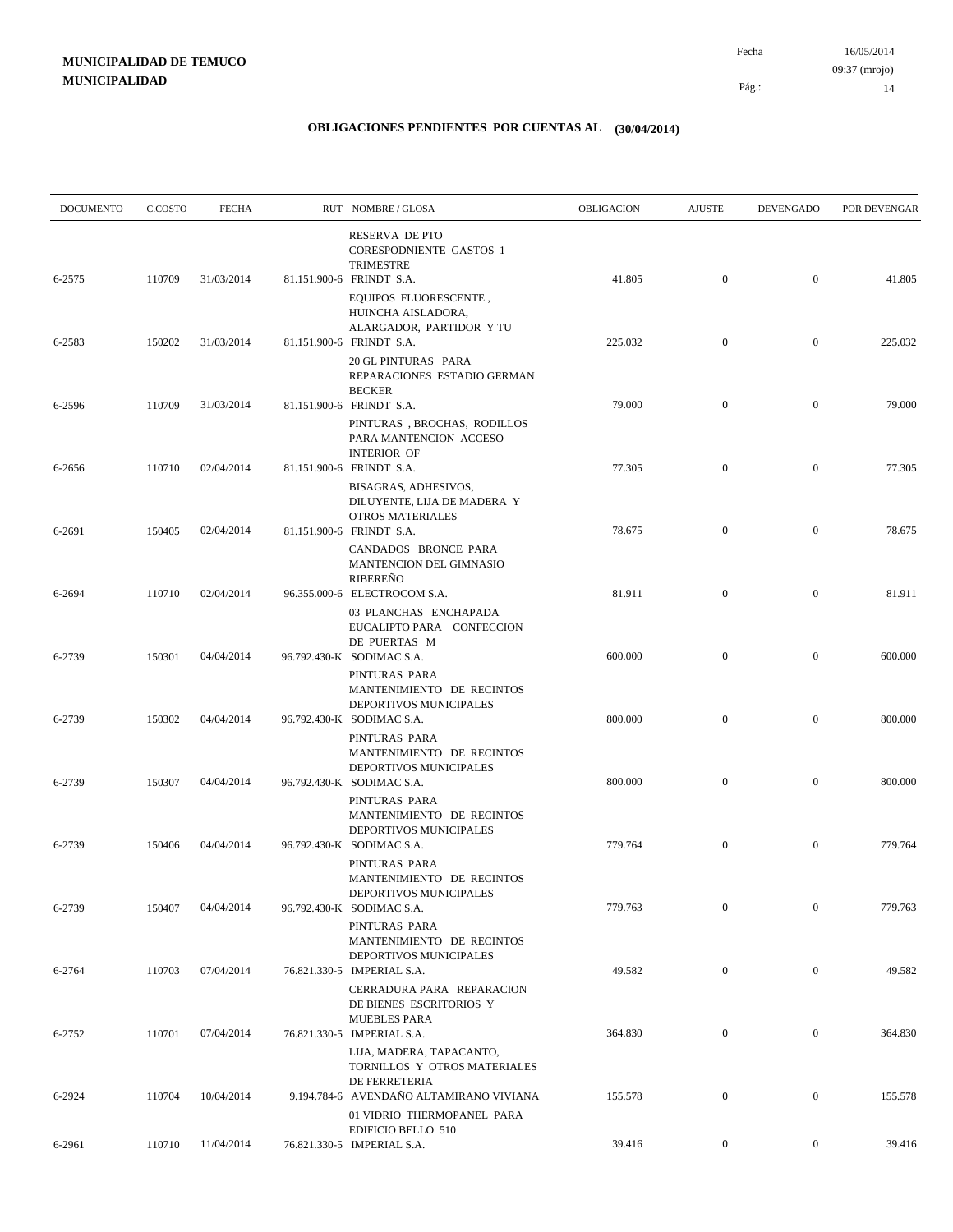| <b>DOCUMENTO</b> | C.COSTO | <b>FECHA</b> | RUT NOMBRE/GLOSA                                                                                        | OBLIGACION | <b>AJUSTE</b>    | <b>DEVENGADO</b> | POR DEVENGAR |
|------------------|---------|--------------|---------------------------------------------------------------------------------------------------------|------------|------------------|------------------|--------------|
| 6-2575           | 110709  | 31/03/2014   | RESERVA DE PTO<br><b>CORESPODNIENTE GASTOS 1</b><br><b>TRIMESTRE</b><br>81.151.900-6 FRINDT S.A.        | 41.805     | $\boldsymbol{0}$ | $\overline{0}$   | 41.805       |
|                  |         |              | EQUIPOS FLUORESCENTE,<br>HUINCHA AISLADORA,<br>ALARGADOR, PARTIDOR Y TU                                 |            |                  |                  |              |
| 6-2583           | 150202  | 31/03/2014   | 81.151.900-6 FRINDT S.A.<br>20 GL PINTURAS PARA<br>REPARACIONES ESTADIO GERMAN                          | 225.032    | $\mathbf{0}$     | $\mathbf{0}$     | 225.032      |
| 6-2596           | 110709  | 31/03/2014   | <b>BECKER</b><br>81.151.900-6 FRINDT S.A.                                                               | 79.000     | $\overline{0}$   | $\overline{0}$   | 79.000       |
| 6-2656           | 110710  | 02/04/2014   | PINTURAS, BROCHAS, RODILLOS<br>PARA MANTENCION ACCESO<br><b>INTERIOR OF</b><br>81.151.900-6 FRINDT S.A. | 77.305     | $\mathbf{0}$     | $\mathbf{0}$     | 77.305       |
|                  |         |              | BISAGRAS, ADHESIVOS,<br>DILUYENTE, LIJA DE MADERA Y<br><b>OTROS MATERIALES</b>                          |            |                  |                  |              |
| 6-2691           | 150405  | 02/04/2014   | 81.151.900-6 FRINDT S.A.<br>CANDADOS BRONCE PARA<br>MANTENCION DEL GIMNASIO                             | 78.675     | $\mathbf{0}$     | $\mathbf{0}$     | 78.675       |
| 6-2694           | 110710  | 02/04/2014   | <b>RIBEREÑO</b><br>96.355.000-6 ELECTROCOM S.A.<br>03 PLANCHAS ENCHAPADA                                | 81.911     | $\mathbf{0}$     | $\mathbf{0}$     | 81.911       |
| 6-2739           | 150301  | 04/04/2014   | EUCALIPTO PARA CONFECCION<br>DE PUERTAS M<br>96.792.430-K SODIMAC S.A.                                  | 600.000    | $\boldsymbol{0}$ | $\mathbf{0}$     | 600.000      |
| 6-2739           | 150302  | 04/04/2014   | PINTURAS PARA<br>MANTENIMIENTO DE RECINTOS<br>DEPORTIVOS MUNICIPALES<br>96.792.430-K SODIMAC S.A.       | 800.000    | $\boldsymbol{0}$ | $\mathbf{0}$     | 800.000      |
|                  |         |              | PINTURAS PARA<br>MANTENIMIENTO DE RECINTOS<br>DEPORTIVOS MUNICIPALES                                    |            |                  |                  |              |
| 6-2739           | 150307  | 04/04/2014   | 96.792.430-K SODIMAC S.A.<br>PINTURAS PARA<br>MANTENIMIENTO DE RECINTOS                                 | 800.000    | $\boldsymbol{0}$ | $\mathbf{0}$     | 800.000      |
| 6-2739           | 150406  | 04/04/2014   | DEPORTIVOS MUNICIPALES<br>96.792.430-K SODIMAC S.A.<br>PINTURAS PARA                                    | 779.764    | $\mathbf{0}$     | $\mathbf{0}$     | 779.764      |
| 6-2739           | 150407  | 04/04/2014   | MANTENIMIENTO DE RECINTOS<br>DEPORTIVOS MUNICIPALES<br>96.792.430-K SODIMAC S.A.                        | 779.763    | $\mathbf{0}$     | $\mathbf{0}$     | 779.763      |
|                  |         |              | PINTURAS PARA<br>MANTENIMIENTO DE RECINTOS<br>DEPORTIVOS MUNICIPALES                                    |            |                  |                  |              |
| 6-2764           | 110703  | 07/04/2014   | 76.821.330-5 IMPERIAL S.A.<br>CERRADURA PARA REPARACION<br>DE BIENES ESCRITORIOS Y                      | 49.582     | $\boldsymbol{0}$ | $\boldsymbol{0}$ | 49.582       |
| 6-2752           | 110701  | 07/04/2014   | <b>MUEBLES PARA</b><br>76.821.330-5 IMPERIAL S.A.<br>LIJA, MADERA, TAPACANTO,                           | 364.830    | $\boldsymbol{0}$ | $\boldsymbol{0}$ | 364.830      |
| 6-2924           | 110704  | 10/04/2014   | TORNILLOS Y OTROS MATERIALES<br>DE FERRETERIA<br>9.194.784-6 AVENDAÑO ALTAMIRANO VIVIANA                | 155.578    | $\mathbf{0}$     | $\boldsymbol{0}$ | 155.578      |
| 6-2961           | 110710  | 11/04/2014   | 01 VIDRIO THERMOPANEL PARA<br><b>EDIFICIO BELLO 510</b><br>76.821.330-5 IMPERIAL S.A.                   | 39.416     | $\boldsymbol{0}$ | $\overline{0}$   | 39.416       |
|                  |         |              |                                                                                                         |            |                  |                  |              |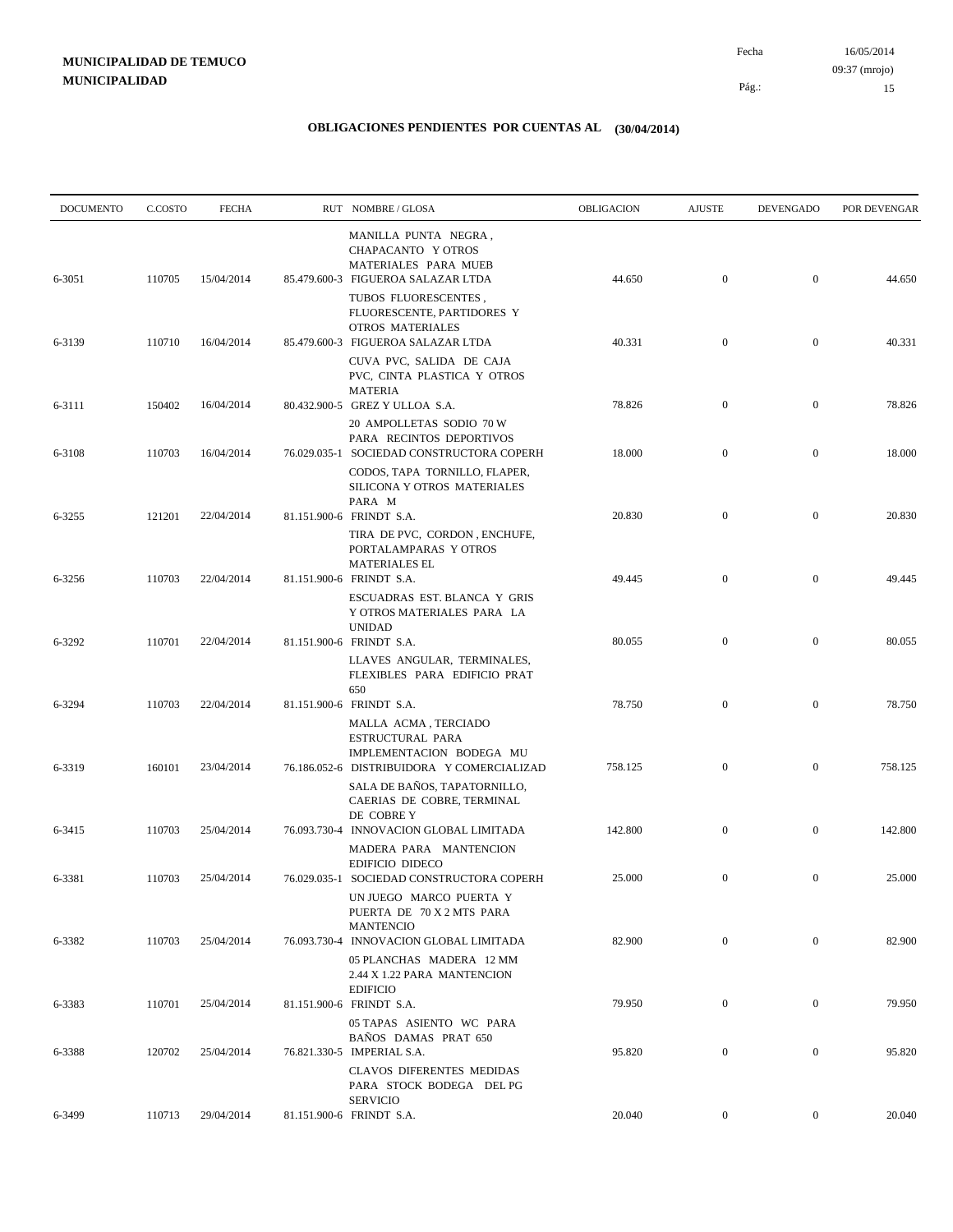| <b>DOCUMENTO</b> | C.COSTO | <b>FECHA</b> | RUT NOMBRE/GLOSA                                                                                                                      | OBLIGACION | <b>AJUSTE</b>    | <b>DEVENGADO</b> | POR DEVENGAR |
|------------------|---------|--------------|---------------------------------------------------------------------------------------------------------------------------------------|------------|------------------|------------------|--------------|
| 6-3051           | 110705  | 15/04/2014   | MANILLA PUNTA NEGRA,<br>CHAPACANTO Y OTROS<br>MATERIALES PARA MUEB<br>85.479.600-3 FIGUEROA SALAZAR LTDA                              | 44.650     | $\boldsymbol{0}$ | $\overline{0}$   | 44.650       |
| 6-3139           | 110710  | 16/04/2014   | TUBOS FLUORESCENTES,<br>FLUORESCENTE, PARTIDORES Y<br>OTROS MATERIALES<br>85.479.600-3 FIGUEROA SALAZAR LTDA                          | 40.331     | $\mathbf{0}$     | $\mathbf{0}$     | 40.331       |
|                  |         |              | CUVA PVC, SALIDA DE CAJA<br>PVC, CINTA PLASTICA Y OTROS<br><b>MATERIA</b>                                                             |            |                  |                  |              |
| 6-3111           | 150402  | 16/04/2014   | 80.432.900-5 GREZ Y ULLOA S.A.<br>20 AMPOLLETAS SODIO 70 W                                                                            | 78.826     | $\mathbf{0}$     | $\mathbf{0}$     | 78.826       |
| 6-3108           | 110703  | 16/04/2014   | PARA RECINTOS DEPORTIVOS<br>76.029.035-1 SOCIEDAD CONSTRUCTORA COPERH<br>CODOS, TAPA TORNILLO, FLAPER,<br>SILICONA Y OTROS MATERIALES | 18.000     | $\mathbf{0}$     | $\mathbf{0}$     | 18.000       |
| 6-3255           | 121201  | 22/04/2014   | PARA M<br>81.151.900-6 FRINDT S.A.<br>TIRA DE PVC, CORDON, ENCHUFE,                                                                   | 20.830     | $\mathbf{0}$     | $\mathbf{0}$     | 20.830       |
| 6-3256           | 110703  | 22/04/2014   | PORTALAMPARAS Y OTROS<br><b>MATERIALES EL</b><br>81.151.900-6 FRINDT S.A.                                                             | 49.445     | $\boldsymbol{0}$ | $\mathbf{0}$     | 49.445       |
| 6-3292           | 110701  | 22/04/2014   | ESCUADRAS EST. BLANCA Y GRIS<br>Y OTROS MATERIALES PARA LA<br><b>UNIDAD</b><br>81.151.900-6 FRINDT S.A.                               | 80.055     | $\mathbf{0}$     | $\mathbf{0}$     | 80.055       |
|                  |         |              | LLAVES ANGULAR, TERMINALES,<br>FLEXIBLES PARA EDIFICIO PRAT<br>650                                                                    |            |                  |                  |              |
| 6-3294           | 110703  | 22/04/2014   | 81.151.900-6 FRINDT S.A.<br>MALLA ACMA, TERCIADO<br>ESTRUCTURAL PARA                                                                  | 78.750     | $\mathbf{0}$     | $\mathbf{0}$     | 78.750       |
| 6-3319           | 160101  | 23/04/2014   | IMPLEMENTACION BODEGA MU<br>76.186.052-6 DISTRIBUIDORA Y COMERCIALIZAD<br>SALA DE BAÑOS, TAPATORNILLO,<br>CAERIAS DE COBRE, TERMINAL  | 758.125    | $\boldsymbol{0}$ | $\mathbf{0}$     | 758.125      |
| 6-3415           | 110703  | 25/04/2014   | DE COBRE Y<br>76.093.730-4 INNOVACION GLOBAL LIMITADA<br>MADERA PARA MANTENCION                                                       | 142.800    | $\boldsymbol{0}$ | $\mathbf{0}$     | 142.800      |
| 6-3381           | 110703  | 25/04/2014   | EDIFICIO DIDECO<br>76.029.035-1 SOCIEDAD CONSTRUCTORA COPERH<br>UN JUEGO MARCO PUERTA Y<br>PUERTA DE 70 X 2 MTS PARA                  | 25.000     | $\mathbf{0}$     | $\mathbf{0}$     | 25.000       |
| 6-3382           | 110703  | 25/04/2014   | <b>MANTENCIO</b><br>76.093.730-4 INNOVACION GLOBAL LIMITADA<br>05 PLANCHAS MADERA 12 MM                                               | 82.900     | $\overline{0}$   | $\overline{0}$   | 82.900       |
| 6-3383           | 110701  | 25/04/2014   | 2.44 X 1.22 PARA MANTENCION<br><b>EDIFICIO</b><br>81.151.900-6 FRINDT S.A.                                                            | 79.950     | $\mathbf{0}$     | $\mathbf{0}$     | 79.950       |
| 6-3388           | 120702  | 25/04/2014   | 05 TAPAS ASIENTO WC PARA<br>BAÑOS DAMAS PRAT 650<br>76.821.330-5 IMPERIAL S.A.                                                        | 95.820     | $\boldsymbol{0}$ | $\boldsymbol{0}$ | 95.820       |
|                  |         |              | <b>CLAVOS DIFERENTES MEDIDAS</b><br>PARA STOCK BODEGA DEL PG<br><b>SERVICIO</b>                                                       |            |                  |                  |              |
| 6-3499           | 110713  | 29/04/2014   | 81.151.900-6 FRINDT S.A.                                                                                                              | 20.040     | $\overline{0}$   | $\mathbf{0}$     | 20.040       |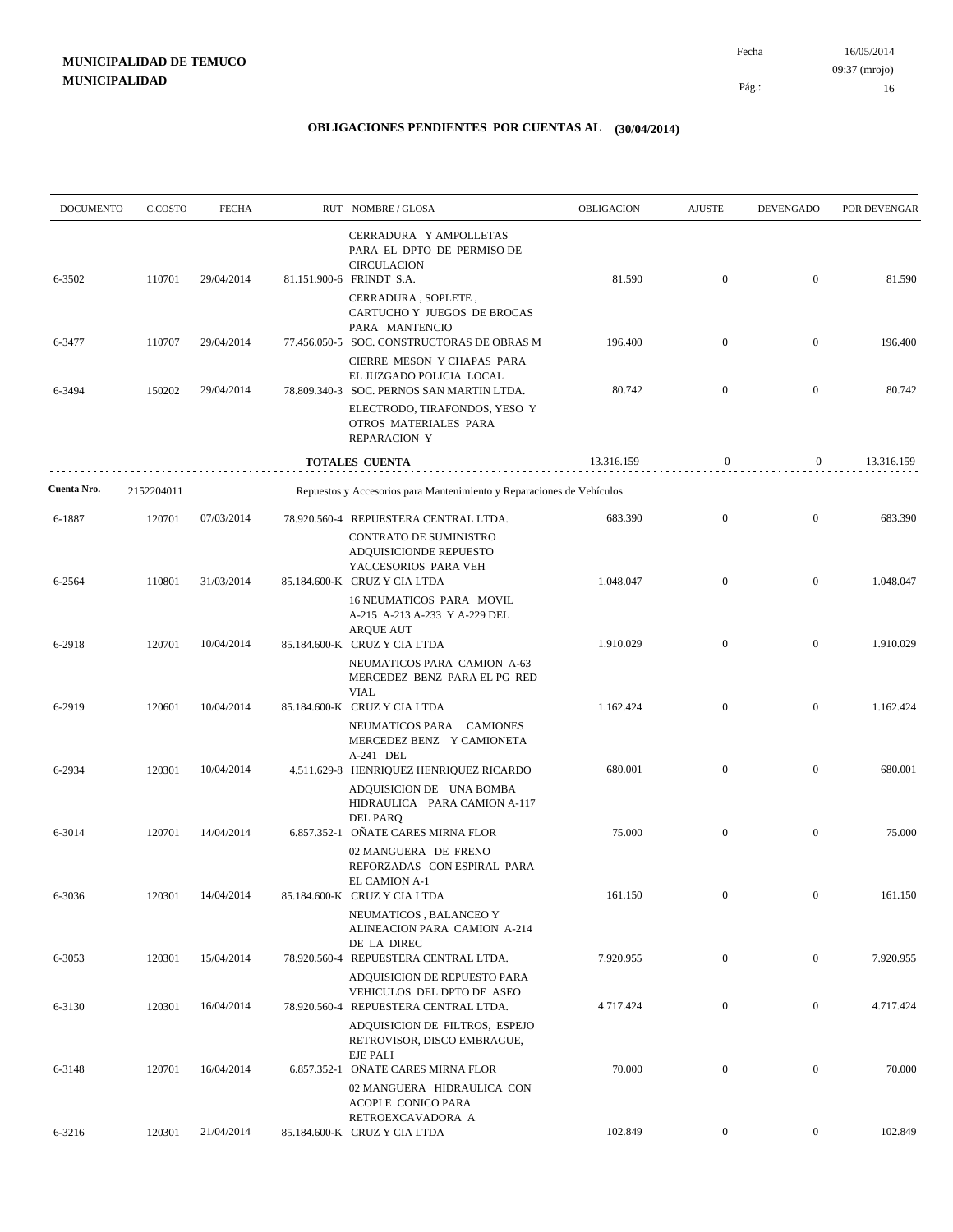| <b>DOCUMENTO</b> | C.COSTO    | <b>FECHA</b>      | RUT NOMBRE/GLOSA                                                                                                              | OBLIGACION | <b>AJUSTE</b>    | <b>DEVENGADO</b> | POR DEVENGAR |
|------------------|------------|-------------------|-------------------------------------------------------------------------------------------------------------------------------|------------|------------------|------------------|--------------|
| 6-3502           | 110701     | 29/04/2014        | CERRADURA Y AMPOLLETAS<br>PARA EL DPTO DE PERMISO DE<br><b>CIRCULACION</b><br>81.151.900-6 FRINDT S.A.                        | 81.590     | $\mathbf{0}$     | $\mathbf{0}$     | 81.590       |
|                  |            |                   | CERRADURA, SOPLETE,<br>CARTUCHO Y JUEGOS DE BROCAS<br>PARA MANTENCIO                                                          |            |                  |                  |              |
| 6-3477           | 110707     | 29/04/2014        | 77.456.050-5 SOC. CONSTRUCTORAS DE OBRAS M<br>CIERRE MESON Y CHAPAS PARA<br>EL JUZGADO POLICIA LOCAL                          | 196.400    | $\mathbf{0}$     | $\mathbf{0}$     | 196.400      |
| 6-3494           | 150202     | 29/04/2014        | 78.809.340-3 SOC. PERNOS SAN MARTIN LTDA.<br>ELECTRODO, TIRAFONDOS, YESO Y                                                    | 80.742     | $\mathbf{0}$     | $\mathbf{0}$     | 80.742       |
|                  |            |                   | OTROS MATERIALES PARA<br><b>REPARACION Y</b>                                                                                  |            |                  |                  |              |
|                  |            |                   | TOTALES CUENTA                                                                                                                | 13.316.159 | $\mathbf{0}$     | $\mathbf{0}$     | 13.316.159   |
| Cuenta Nro.      | 2152204011 |                   | Repuestos y Accesorios para Mantenimiento y Reparaciones de Vehículos                                                         |            |                  |                  |              |
| 6-1887           | 120701     | 07/03/2014        | 78.920.560-4 REPUESTERA CENTRAL LTDA.<br>CONTRATO DE SUMINISTRO<br>ADQUISICIONDE REPUESTO<br>YACCESORIOS PARA VEH             | 683.390    | $\mathbf{0}$     | $\mathbf{0}$     | 683.390      |
| 6-2564           | 110801     | 31/03/2014        | 85.184.600-K CRUZ Y CIA LTDA<br>16 NEUMATICOS PARA MOVIL<br>A-215 A-213 A-233 Y A-229 DEL<br><b>ARQUE AUT</b>                 | 1.048.047  | $\mathbf{0}$     | $\mathbf{0}$     | 1.048.047    |
| 6-2918           | 120701     | 10/04/2014        | 85.184.600-K CRUZ Y CIA LTDA<br>NEUMATICOS PARA CAMION A-63<br>MERCEDEZ BENZ PARA EL PG RED<br><b>VIAL</b>                    | 1.910.029  | $\mathbf{0}$     | $\mathbf{0}$     | 1.910.029    |
| 6-2919           | 120601     | 10/04/2014        | 85.184.600-K CRUZ Y CIA LTDA<br>NEUMATICOS PARA CAMIONES<br>MERCEDEZ BENZ Y CAMIONETA                                         | 1.162.424  | $\mathbf{0}$     | $\mathbf{0}$     | 1.162.424    |
| 6-2934           | 120301     | 10/04/2014        | A-241 DEL<br>4.511.629-8 HENRIQUEZ HENRIQUEZ RICARDO<br>ADQUISICION DE UNA BOMBA<br>HIDRAULICA PARA CAMION A-117              | 680.001    | $\mathbf{0}$     | $\mathbf{0}$     | 680.001      |
| 6-3014           | 120701     | 14/04/2014        | <b>DEL PARQ</b><br>6.857.352-1 OÑATE CARES MIRNA FLOR<br>02 MANGUERA DE FRENO<br>REFORZADAS CON ESPIRAL PARA<br>EL CAMION A-1 | 75.000     | $\mathbf{0}$     | $\mathbf{0}$     | 75.000       |
| 6-3036           |            | 120301 14/04/2014 | 85.184.600-K CRUZ Y CIA LTDA<br>NEUMATICOS, BALANCEO Y<br>ALINEACION PARA CAMION A-214<br>DE LA DIREC                         | 161.150    |                  | $\mathbf{0}$     | 161.150      |
| 6-3053           | 120301     | 15/04/2014        | 78.920.560-4 REPUESTERA CENTRAL LTDA.<br>ADQUISICION DE REPUESTO PARA<br>VEHICULOS DEL DPTO DE ASEO                           | 7.920.955  | $\boldsymbol{0}$ | $\overline{0}$   | 7.920.955    |
| 6-3130           | 120301     | 16/04/2014        | 78.920.560-4 REPUESTERA CENTRAL LTDA.<br>ADQUISICION DE FILTROS, ESPEJO<br>RETROVISOR, DISCO EMBRAGUE,                        | 4.717.424  | $\boldsymbol{0}$ | $\boldsymbol{0}$ | 4.717.424    |
| 6-3148           | 120701     | 16/04/2014        | <b>EJE PALI</b><br>6.857.352-1 OÑATE CARES MIRNA FLOR<br>02 MANGUERA HIDRAULICA CON<br>ACOPLE CONICO PARA                     | 70.000     | $\mathbf{0}$     | $\mathbf{0}$     | 70.000       |
| 6-3216           | 120301     | 21/04/2014        | RETROEXCAVADORA A<br>85.184.600-K CRUZ Y CIA LTDA                                                                             | 102.849    | $\boldsymbol{0}$ | $\boldsymbol{0}$ | 102.849      |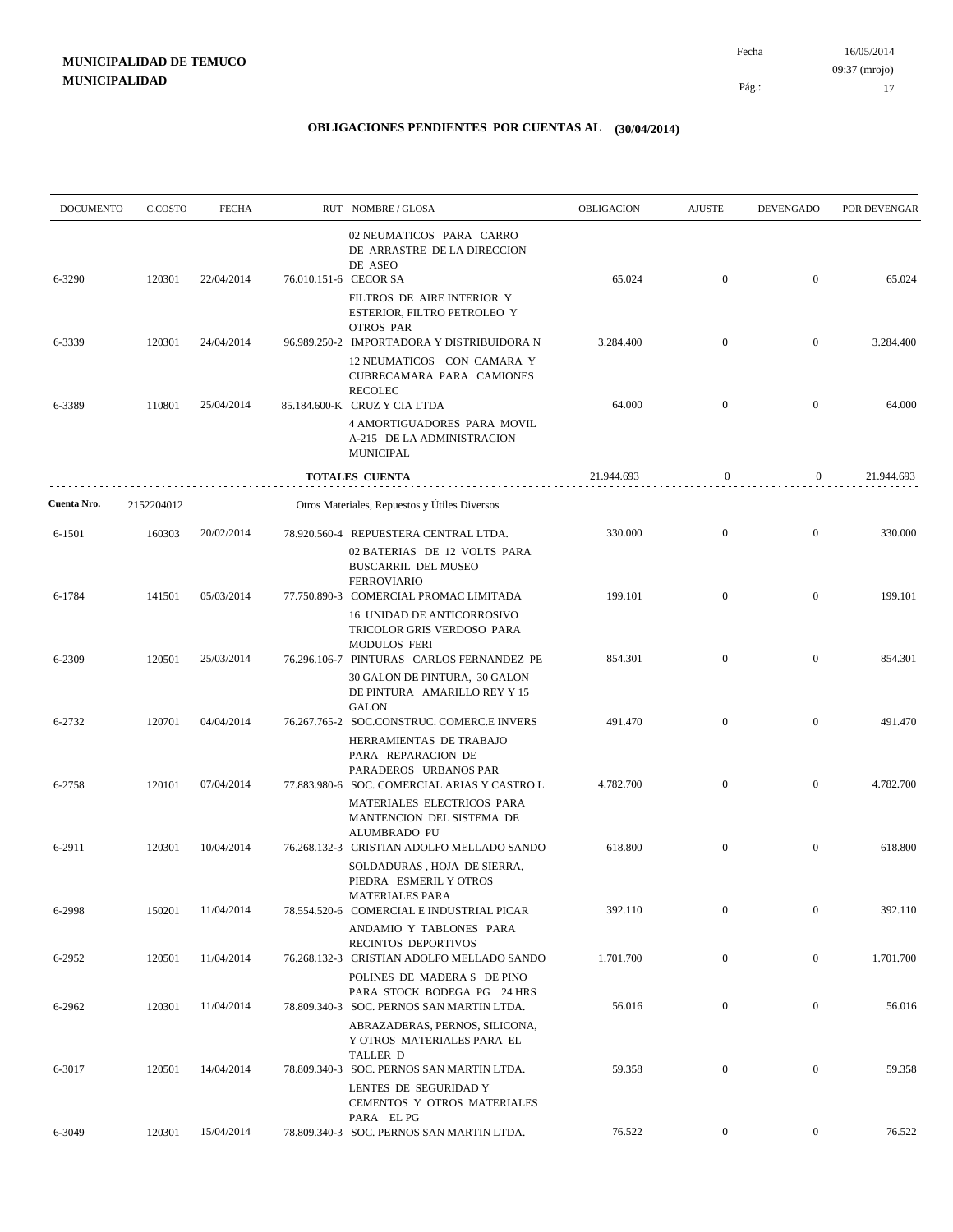| <b>DOCUMENTO</b><br>C.COSTO | <b>FECHA</b>                         |                                                      |                                                                                 | OBLIGACION                                                                                                                                                                                                                                                                                                                                                                                                                                                                                                                                                                                                                                                                                                                                                                                                                                                                                                                                | <b>AJUSTE</b>                  | <b>DEVENGADO</b>                                 | POR DEVENGAR                                     |
|-----------------------------|--------------------------------------|------------------------------------------------------|---------------------------------------------------------------------------------|-------------------------------------------------------------------------------------------------------------------------------------------------------------------------------------------------------------------------------------------------------------------------------------------------------------------------------------------------------------------------------------------------------------------------------------------------------------------------------------------------------------------------------------------------------------------------------------------------------------------------------------------------------------------------------------------------------------------------------------------------------------------------------------------------------------------------------------------------------------------------------------------------------------------------------------------|--------------------------------|--------------------------------------------------|--------------------------------------------------|
| 120301                      | 22/04/2014                           |                                                      | 02 NEUMATICOS PARA CARRO<br>DE ARRASTRE DE LA DIRECCION<br>DE ASEO              | 65.024                                                                                                                                                                                                                                                                                                                                                                                                                                                                                                                                                                                                                                                                                                                                                                                                                                                                                                                                    | $\boldsymbol{0}$               | $\mathbf{0}$                                     | 65.024                                           |
|                             |                                      |                                                      | FILTROS DE AIRE INTERIOR Y<br>ESTERIOR, FILTRO PETROLEO Y                       |                                                                                                                                                                                                                                                                                                                                                                                                                                                                                                                                                                                                                                                                                                                                                                                                                                                                                                                                           |                                |                                                  |                                                  |
| 120301                      | 24/04/2014                           |                                                      |                                                                                 | 3.284.400                                                                                                                                                                                                                                                                                                                                                                                                                                                                                                                                                                                                                                                                                                                                                                                                                                                                                                                                 | $\mathbf{0}$                   | $\mathbf{0}$                                     | 3.284.400                                        |
|                             |                                      |                                                      | 12 NEUMATICOS CON CAMARA Y<br>CUBRECAMARA PARA CAMIONES<br><b>RECOLEC</b>       |                                                                                                                                                                                                                                                                                                                                                                                                                                                                                                                                                                                                                                                                                                                                                                                                                                                                                                                                           |                                |                                                  |                                                  |
| 110801                      | 25/04/2014                           |                                                      |                                                                                 | 64.000                                                                                                                                                                                                                                                                                                                                                                                                                                                                                                                                                                                                                                                                                                                                                                                                                                                                                                                                    | $\mathbf{0}$                   | $\mathbf{0}$                                     | 64.000                                           |
|                             |                                      |                                                      | A-215 DE LA ADMINISTRACION<br><b>MUNICIPAL</b>                                  |                                                                                                                                                                                                                                                                                                                                                                                                                                                                                                                                                                                                                                                                                                                                                                                                                                                                                                                                           |                                |                                                  |                                                  |
|                             |                                      |                                                      |                                                                                 | 21.944.693                                                                                                                                                                                                                                                                                                                                                                                                                                                                                                                                                                                                                                                                                                                                                                                                                                                                                                                                | $\bf{0}$                       | $\overline{0}$                                   | 21.944.693                                       |
| 2152204012                  |                                      |                                                      |                                                                                 |                                                                                                                                                                                                                                                                                                                                                                                                                                                                                                                                                                                                                                                                                                                                                                                                                                                                                                                                           |                                |                                                  |                                                  |
| 160303                      | 20/02/2014                           |                                                      |                                                                                 | 330.000                                                                                                                                                                                                                                                                                                                                                                                                                                                                                                                                                                                                                                                                                                                                                                                                                                                                                                                                   | $\mathbf{0}$                   | $\mathbf{0}$                                     | 330.000                                          |
|                             |                                      |                                                      | BUSCARRIL DEL MUSEO<br><b>FERROVIARIO</b>                                       |                                                                                                                                                                                                                                                                                                                                                                                                                                                                                                                                                                                                                                                                                                                                                                                                                                                                                                                                           |                                |                                                  | 199.101                                          |
|                             |                                      |                                                      | 16 UNIDAD DE ANTICORROSIVO<br>TRICOLOR GRIS VERDOSO PARA                        |                                                                                                                                                                                                                                                                                                                                                                                                                                                                                                                                                                                                                                                                                                                                                                                                                                                                                                                                           |                                |                                                  |                                                  |
| 120501                      | 25/03/2014                           |                                                      | 30 GALON DE PINTURA, 30 GALON<br>DE PINTURA AMARILLO REY Y 15                   | 854.301                                                                                                                                                                                                                                                                                                                                                                                                                                                                                                                                                                                                                                                                                                                                                                                                                                                                                                                                   | $\mathbf{0}$                   | $\overline{0}$                                   | 854.301                                          |
|                             |                                      |                                                      |                                                                                 | 491.470                                                                                                                                                                                                                                                                                                                                                                                                                                                                                                                                                                                                                                                                                                                                                                                                                                                                                                                                   | $\mathbf{0}$                   | $\mathbf{0}$                                     | 491.470                                          |
|                             |                                      |                                                      | HERRAMIENTAS DE TRABAJO<br>PARA REPARACION DE<br>PARADEROS URBANOS PAR          |                                                                                                                                                                                                                                                                                                                                                                                                                                                                                                                                                                                                                                                                                                                                                                                                                                                                                                                                           |                                |                                                  | 4.782.700                                        |
|                             |                                      |                                                      | MATERIALES ELECTRICOS PARA<br>MANTENCION DEL SISTEMA DE                         |                                                                                                                                                                                                                                                                                                                                                                                                                                                                                                                                                                                                                                                                                                                                                                                                                                                                                                                                           |                                |                                                  |                                                  |
| 120301                      | 10/04/2014                           |                                                      | SOLDADURAS, HOJA DE SIERRA,                                                     | 618.800                                                                                                                                                                                                                                                                                                                                                                                                                                                                                                                                                                                                                                                                                                                                                                                                                                                                                                                                   | $\boldsymbol{0}$               | $\mathbf{0}$                                     | 618.800                                          |
| 150201                      | 11/04/2014                           |                                                      | <b>MATERIALES PARA</b>                                                          | 392.110                                                                                                                                                                                                                                                                                                                                                                                                                                                                                                                                                                                                                                                                                                                                                                                                                                                                                                                                   | $\boldsymbol{0}$               | $\mathbf{0}$                                     | 392.110                                          |
|                             |                                      |                                                      | ANDAMIO Y TABLONES PARA                                                         |                                                                                                                                                                                                                                                                                                                                                                                                                                                                                                                                                                                                                                                                                                                                                                                                                                                                                                                                           |                                |                                                  |                                                  |
| 120501                      | 11/04/2014                           |                                                      |                                                                                 | 1.701.700                                                                                                                                                                                                                                                                                                                                                                                                                                                                                                                                                                                                                                                                                                                                                                                                                                                                                                                                 | $\boldsymbol{0}$               | $\overline{0}$                                   | 1.701.700                                        |
| 120301                      | 11/04/2014                           |                                                      | PARA STOCK BODEGA PG 24 HRS                                                     | 56.016                                                                                                                                                                                                                                                                                                                                                                                                                                                                                                                                                                                                                                                                                                                                                                                                                                                                                                                                    | $\mathbf{0}$                   | $\boldsymbol{0}$                                 | 56.016                                           |
|                             |                                      |                                                      | ABRAZADERAS, PERNOS, SILICONA,<br>Y OTROS MATERIALES PARA EL<br><b>TALLER D</b> |                                                                                                                                                                                                                                                                                                                                                                                                                                                                                                                                                                                                                                                                                                                                                                                                                                                                                                                                           |                                |                                                  | 59.358                                           |
|                             |                                      |                                                      | LENTES DE SEGURIDAD Y<br>CEMENTOS Y OTROS MATERIALES                            |                                                                                                                                                                                                                                                                                                                                                                                                                                                                                                                                                                                                                                                                                                                                                                                                                                                                                                                                           |                                |                                                  |                                                  |
| 120301                      | 15/04/2014                           |                                                      | PARA EL PG                                                                      | 76.522                                                                                                                                                                                                                                                                                                                                                                                                                                                                                                                                                                                                                                                                                                                                                                                                                                                                                                                                    | $\overline{0}$                 | $\overline{0}$                                   | 76.522                                           |
|                             | 141501<br>120701<br>120101<br>120501 | 05/03/2014<br>04/04/2014<br>07/04/2014<br>14/04/2014 |                                                                                 | RUT NOMBRE/GLOSA<br>76.010.151-6 CECOR SA<br><b>OTROS PAR</b><br>96.989.250-2 IMPORTADORA Y DISTRIBUIDORA N<br>85.184.600-K CRUZ Y CIA LTDA<br>4 AMORTIGUADORES PARA MOVIL<br><b>TOTALES CUENTA</b><br>Otros Materiales, Repuestos y Útiles Diversos<br>78.920.560-4 REPUESTERA CENTRAL LTDA.<br>02 BATERIAS DE 12 VOLTS PARA<br>77.750.890-3 COMERCIAL PROMAC LIMITADA<br><b>MODULOS FERI</b><br>76.296.106-7 PINTURAS CARLOS FERNANDEZ PE<br><b>GALON</b><br>76.267.765-2 SOC.CONSTRUC. COMERC.E INVERS<br>77.883.980-6 SOC. COMERCIAL ARIAS Y CASTRO L<br>ALUMBRADO PU<br>76.268.132-3 CRISTIAN ADOLFO MELLADO SANDO<br>PIEDRA ESMERIL Y OTROS<br>78.554.520-6 COMERCIAL E INDUSTRIAL PICAR<br>RECINTOS DEPORTIVOS<br>76.268.132-3 CRISTIAN ADOLFO MELLADO SANDO<br>POLINES DE MADERA S DE PINO<br>78.809.340-3 SOC. PERNOS SAN MARTIN LTDA.<br>78.809.340-3 SOC. PERNOS SAN MARTIN LTDA.<br>78.809.340-3 SOC. PERNOS SAN MARTIN LTDA. | 199.101<br>4.782.700<br>59.358 | $\mathbf{0}$<br>$\mathbf{0}$<br>$\boldsymbol{0}$ | $\overline{0}$<br>$\overline{0}$<br>$\mathbf{0}$ |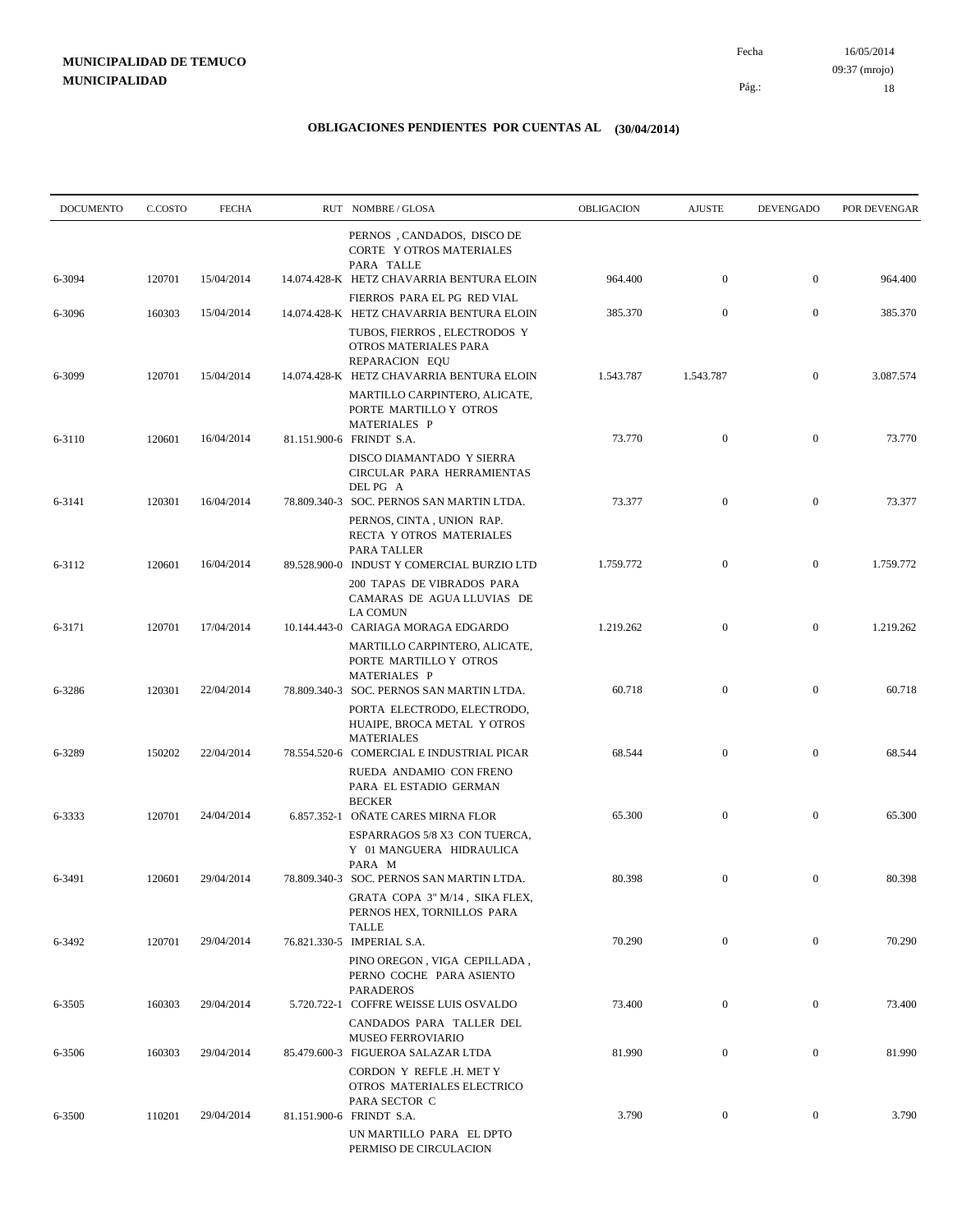| <b>DOCUMENTO</b> | C.COSTO | <b>FECHA</b> | RUT NOMBRE/GLOSA                                                                                                             | OBLIGACION | <b>AJUSTE</b>    | <b>DEVENGADO</b> | POR DEVENGAR |
|------------------|---------|--------------|------------------------------------------------------------------------------------------------------------------------------|------------|------------------|------------------|--------------|
| 6-3094           | 120701  | 15/04/2014   | PERNOS, CANDADOS, DISCO DE<br>CORTE Y OTROS MATERIALES<br>PARA TALLE<br>14.074.428-K HETZ CHAVARRIA BENTURA ELOIN            | 964.400    | $\boldsymbol{0}$ | $\mathbf{0}$     | 964.400      |
| 6-3096           | 160303  | 15/04/2014   | FIERROS PARA EL PG RED VIAL<br>14.074.428-K HETZ CHAVARRIA BENTURA ELOIN                                                     | 385.370    | $\mathbf{0}$     | $\mathbf{0}$     | 385.370      |
| 6-3099           | 120701  | 15/04/2014   | TUBOS, FIERROS, ELECTRODOS Y<br>OTROS MATERIALES PARA<br>REPARACION EQU<br>14.074.428-K HETZ CHAVARRIA BENTURA ELOIN         | 1.543.787  | 1.543.787        | $\mathbf{0}$     | 3.087.574    |
|                  |         |              | MARTILLO CARPINTERO, ALICATE,<br>PORTE MARTILLO Y OTROS<br>MATERIALES P                                                      |            |                  |                  |              |
| 6-3110           | 120601  | 16/04/2014   | 81.151.900-6 FRINDT S.A.<br>DISCO DIAMANTADO Y SIERRA<br>CIRCULAR PARA HERRAMIENTAS<br>DEL PG A                              | 73.770     | $\mathbf{0}$     | $\mathbf{0}$     | 73.770       |
| 6-3141           | 120301  | 16/04/2014   | 78.809.340-3 SOC. PERNOS SAN MARTIN LTDA.<br>PERNOS, CINTA, UNION RAP.<br>RECTA Y OTROS MATERIALES<br>PARA TALLER            | 73.377     | $\boldsymbol{0}$ | $\mathbf{0}$     | 73.377       |
| 6-3112           | 120601  | 16/04/2014   | 89.528.900-0 INDUST Y COMERCIAL BURZIO LTD<br>200 TAPAS DE VIBRADOS PARA<br>CAMARAS DE AGUA LLUVIAS DE<br><b>LA COMUN</b>    | 1.759.772  | $\mathbf{0}$     | $\mathbf{0}$     | 1.759.772    |
| 6-3171           | 120701  | 17/04/2014   | 10.144.443-0 CARIAGA MORAGA EDGARDO<br>MARTILLO CARPINTERO, ALICATE,<br>PORTE MARTILLO Y OTROS<br>MATERIALES P               | 1.219.262  | $\mathbf{0}$     | $\mathbf{0}$     | 1.219.262    |
| 6-3286           | 120301  | 22/04/2014   | 78.809.340-3 SOC. PERNOS SAN MARTIN LTDA.<br>PORTA ELECTRODO, ELECTRODO,<br>HUAIPE, BROCA METAL Y OTROS<br><b>MATERIALES</b> | 60.718     | $\mathbf{0}$     | $\mathbf{0}$     | 60.718       |
| 6-3289           | 150202  | 22/04/2014   | 78.554.520-6 COMERCIAL E INDUSTRIAL PICAR<br>RUEDA ANDAMIO CON FRENO<br>PARA EL ESTADIO GERMAN<br><b>BECKER</b>              | 68.544     | $\mathbf{0}$     | $\mathbf{0}$     | 68.544       |
| 6-3333           | 120701  | 24/04/2014   | 6.857.352-1 OÑATE CARES MIRNA FLOR<br>ESPARRAGOS 5/8 X3 CON TUERCA,<br>Y 01 MANGUERA HIDRAULICA<br>PARA M                    | 65.300     | $\mathbf{0}$     | $\mathbf{0}$     | 65.300       |
| 6-3491           | 120601  | 29/04/2014   | 78.809.340-3 SOC. PERNOS SAN MARTIN LTDA.<br>GRATA COPA 3" M/14, SIKA FLEX,<br>PERNOS HEX, TORNILLOS PARA<br><b>TALLE</b>    | 80.398     | $\boldsymbol{0}$ | $\mathbf{0}$     | 80.398       |
| 6-3492           | 120701  | 29/04/2014   | 76.821.330-5 IMPERIAL S.A.<br>PINO OREGON, VIGA CEPILLADA,<br>PERNO COCHE PARA ASIENTO<br><b>PARADEROS</b>                   | 70.290     | $\overline{0}$   | $\overline{0}$   | 70.290       |
| 6-3505           | 160303  | 29/04/2014   | 5.720.722-1 COFFRE WEISSE LUIS OSVALDO<br>CANDADOS PARA TALLER DEL<br>MUSEO FERROVIARIO                                      | 73.400     | $\boldsymbol{0}$ | $\boldsymbol{0}$ | 73.400       |
| 6-3506           | 160303  | 29/04/2014   | 85.479.600-3 FIGUEROA SALAZAR LTDA<br>CORDON Y REFLE .H. MET Y<br>OTROS MATERIALES ELECTRICO                                 | 81.990     | $\mathbf{0}$     | $\overline{0}$   | 81.990       |
| 6-3500           | 110201  | 29/04/2014   | PARA SECTOR C<br>81.151.900-6 FRINDT S.A.<br>UN MARTILLO PARA EL DPTO<br>PERMISO DE CIRCULACION                              | 3.790      | $\boldsymbol{0}$ | $\boldsymbol{0}$ | 3.790        |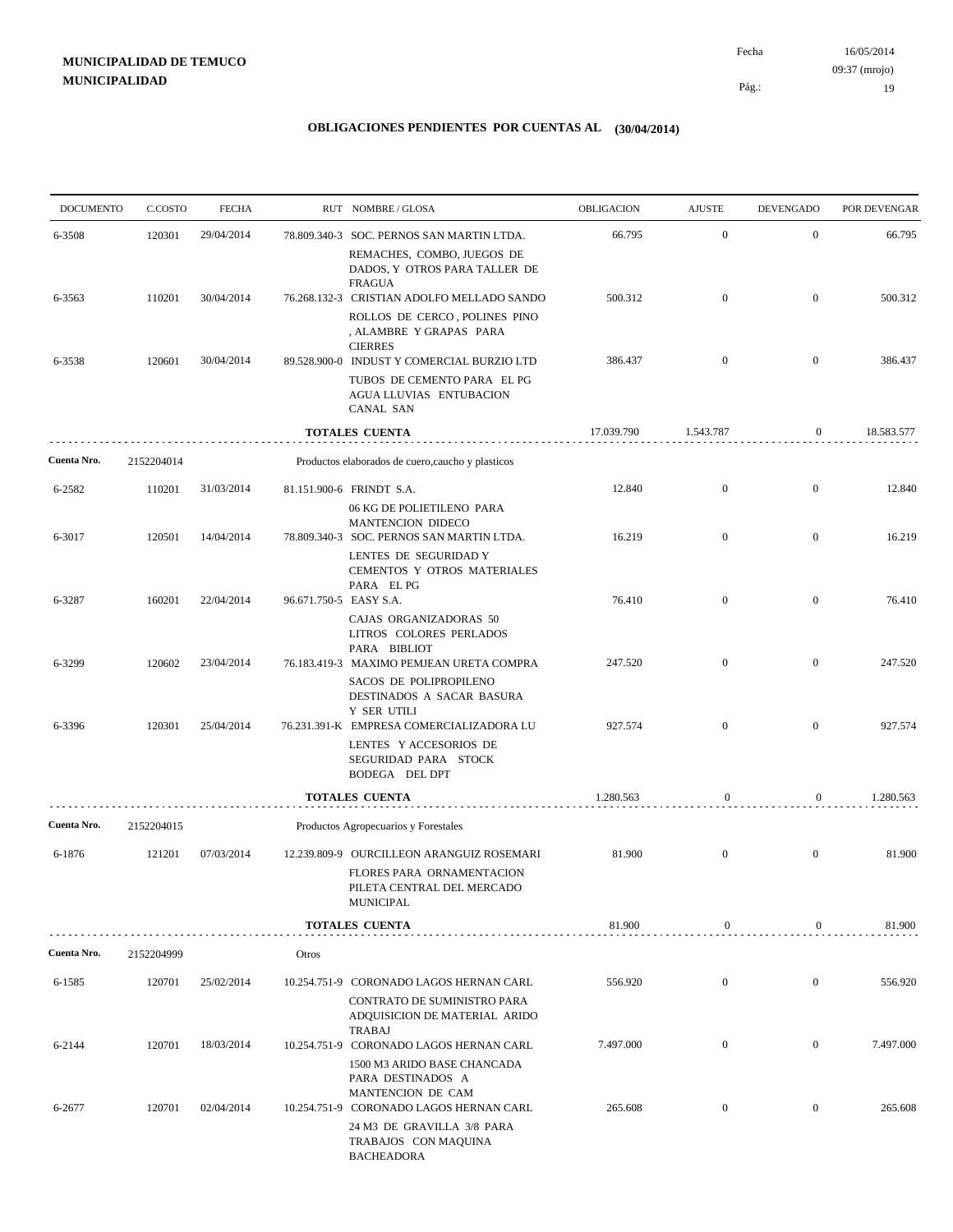16/05/2014 19 Pág.: Fecha 09:37 (mrojo)

| <b>DOCUMENTO</b> | C.COSTO    | <b>FECHA</b> |                        | RUT NOMBRE/GLOSA                                                                                                       | OBLIGACION | <b>AJUSTE</b>    | <b>DEVENGADO</b> | POR DEVENGAR |
|------------------|------------|--------------|------------------------|------------------------------------------------------------------------------------------------------------------------|------------|------------------|------------------|--------------|
| 6-3508           | 120301     | 29/04/2014   |                        | 78.809.340-3 SOC. PERNOS SAN MARTIN LTDA.                                                                              | 66.795     | $\mathbf{0}$     | $\mathbf{0}$     | 66.795       |
|                  |            |              |                        | REMACHES, COMBO, JUEGOS DE<br>DADOS, Y OTROS PARA TALLER DE<br><b>FRAGUA</b>                                           |            |                  |                  |              |
| 6-3563           | 110201     | 30/04/2014   |                        | 76.268.132-3 CRISTIAN ADOLFO MELLADO SANDO<br>ROLLOS DE CERCO, POLINES PINO                                            | 500.312    | $\mathbf{0}$     | $\overline{0}$   | 500.312      |
|                  |            |              |                        | , ALAMBRE Y GRAPAS PARA<br><b>CIERRES</b>                                                                              | 386.437    |                  |                  |              |
| 6-3538           | 120601     | 30/04/2014   |                        | 89.528.900-0 INDUST Y COMERCIAL BURZIO LTD<br>TUBOS DE CEMENTO PARA EL PG<br>AGUA LLUVIAS ENTUBACION<br>CANAL SAN      |            | $\mathbf{0}$     | $\boldsymbol{0}$ | 386.437      |
|                  |            |              |                        | <b>TOTALES CUENTA</b>                                                                                                  | 17.039.790 | 1.543.787        | $\overline{0}$   | 18.583.577   |
| Cuenta Nro.      | 2152204014 |              |                        | Productos elaborados de cuero, caucho y plasticos                                                                      |            |                  |                  |              |
| 6-2582           | 110201     | 31/03/2014   |                        | 81.151.900-6 FRINDT S.A.<br>06 KG DE POLIETILENO PARA                                                                  | 12.840     | $\mathbf{0}$     | $\boldsymbol{0}$ | 12.840       |
| 6-3017           | 120501     | 14/04/2014   |                        | MANTENCION DIDECO<br>78.809.340-3 SOC. PERNOS SAN MARTIN LTDA.<br>LENTES DE SEGURIDAD Y<br>CEMENTOS Y OTROS MATERIALES | 16.219     | $\mathbf{0}$     | $\overline{0}$   | 16.219       |
| 6-3287           | 160201     | 22/04/2014   | 96.671.750-5 EASY S.A. | PARA EL PG                                                                                                             | 76.410     | $\overline{0}$   | $\mathbf{0}$     | 76.410       |
|                  |            |              |                        | CAJAS ORGANIZADORAS 50<br>LITROS COLORES PERLADOS<br>PARA BIBLIOT                                                      |            | $\mathbf{0}$     | $\overline{0}$   |              |
| 6-3299           | 120602     | 23/04/2014   |                        | 76.183.419-3 MAXIMO PEMJEAN URETA COMPRA<br>SACOS DE POLIPROPILENO<br>DESTINADOS A SACAR BASURA<br>Y SER UTILI         | 247.520    |                  |                  | 247.520      |
| 6-3396           | 120301     | 25/04/2014   |                        | 76.231.391-K EMPRESA COMERCIALIZADORA LU<br>LENTES Y ACCESORIOS DE<br>SEGURIDAD PARA STOCK                             | 927.574    | $\mathbf{0}$     | $\overline{0}$   | 927.574      |
|                  |            |              |                        | BODEGA DEL DPT                                                                                                         |            |                  |                  |              |
| Cuenta Nro.      | 2152204015 |              |                        | <b>TOTALES CUENTA</b><br>Productos Agropecuarios y Forestales                                                          | 1.280.563  | $\mathbf{0}$     | $\overline{0}$   | 1.280.563    |
| 6-1876           | 121201     | 07/03/2014   |                        | 12.239.809-9 OURCILLEON ARANGUIZ ROSEMARI                                                                              | 81.900     | $\mathbf{0}$     | $\mathbf{0}$     | 81.900       |
|                  |            |              |                        | FLORES PARA ORNAMENTACION<br>PILETA CENTRAL DEL MERCADO<br><b>MUNICIPAL</b>                                            |            |                  |                  |              |
|                  |            |              |                        | <b>TOTALES CUENTA</b>                                                                                                  | 81.900     | $\boldsymbol{0}$ | 0                | 81.900       |
| Cuenta Nro.      | 2152204999 |              | Otros                  |                                                                                                                        |            |                  |                  |              |
| 6-1585           | 120701     | 25/02/2014   |                        | 10.254.751-9 CORONADO LAGOS HERNAN CARL                                                                                | 556.920    | $\mathbf{0}$     | $\mathbf{0}$     | 556.920      |
|                  |            |              |                        | CONTRATO DE SUMINISTRO PARA<br>ADQUISICION DE MATERIAL ARIDO<br><b>TRABAJ</b>                                          |            |                  |                  |              |
| 6-2144           | 120701     | 18/03/2014   |                        | 10.254.751-9 CORONADO LAGOS HERNAN CARL<br>1500 M3 ARIDO BASE CHANCADA<br>PARA DESTINADOS A                            | 7.497.000  | $\mathbf{0}$     | $\mathbf{0}$     | 7.497.000    |
| 6-2677           | 120701     | 02/04/2014   |                        | MANTENCION DE CAM<br>10.254.751-9 CORONADO LAGOS HERNAN CARL<br>24 M3 DE GRAVILLA 3/8 PARA<br>TRABAJOS CON MAQUINA     | 265.608    | $\boldsymbol{0}$ | $\mathbf{0}$     | 265.608      |
|                  |            |              |                        | <b>BACHEADORA</b>                                                                                                      |            |                  |                  |              |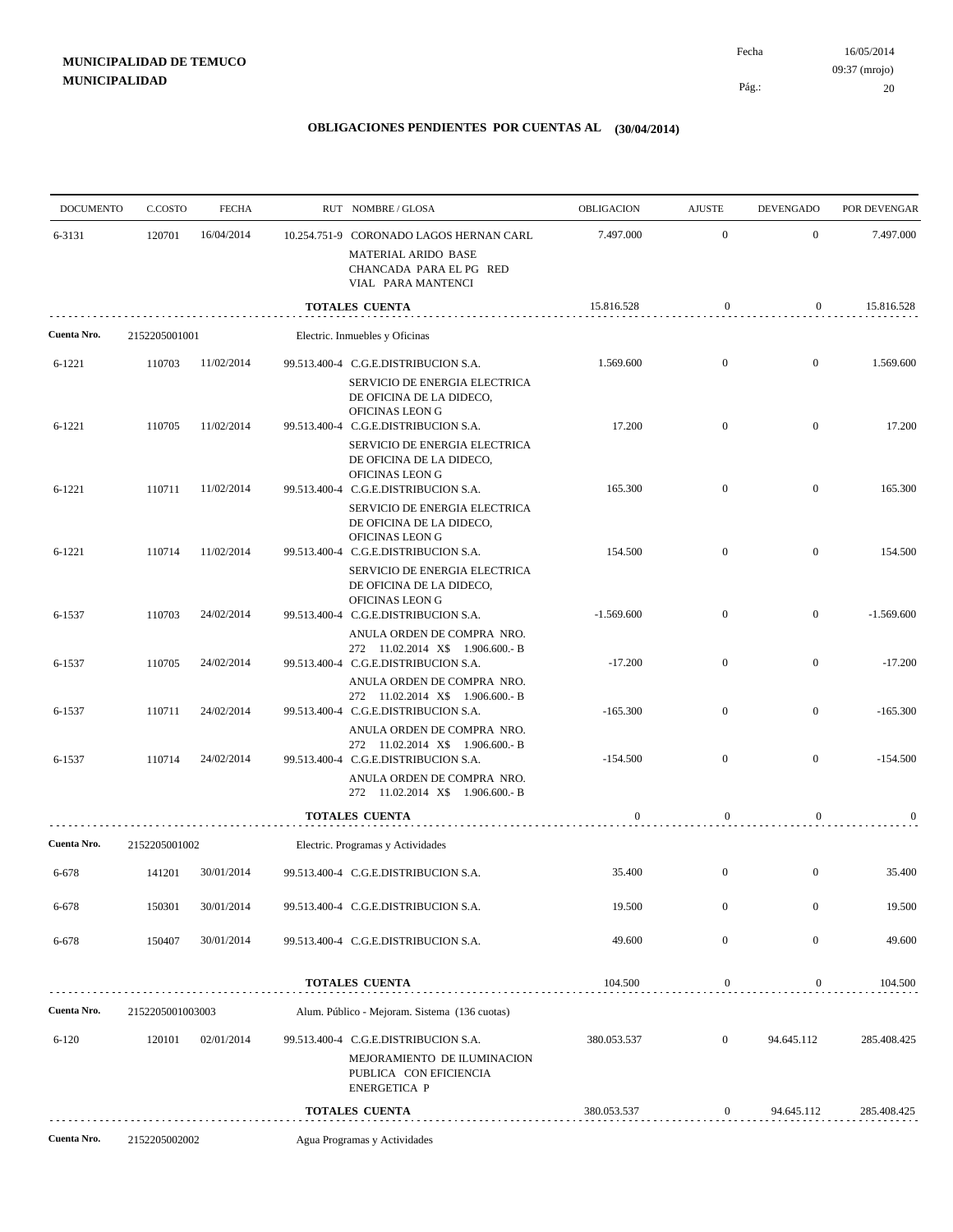| <b>DOCUMENTO</b> | C.COSTO          | <b>FECHA</b> | RUT NOMBRE/GLOSA                                                                                                     | <b>OBLIGACION</b> | <b>AJUSTE</b>    | <b>DEVENGADO</b> | POR DEVENGAR |
|------------------|------------------|--------------|----------------------------------------------------------------------------------------------------------------------|-------------------|------------------|------------------|--------------|
| 6-3131           | 120701           | 16/04/2014   | 10.254.751-9 CORONADO LAGOS HERNAN CARL<br>MATERIAL ARIDO BASE<br>CHANCADA PARA EL PG RED                            | 7.497.000         | $\mathbf{0}$     | $\boldsymbol{0}$ | 7.497.000    |
|                  |                  |              | VIAL PARA MANTENCI<br><b>TOTALES CUENTA</b>                                                                          | 15.816.528        | 0                | $\overline{0}$   | 15.816.528   |
| Cuenta Nro.      | 2152205001001    |              | Electric. Inmuebles y Oficinas                                                                                       |                   |                  |                  |              |
| $6 - 1221$       | 110703           | 11/02/2014   | 99.513.400-4 C.G.E.DISTRIBUCION S.A.                                                                                 | 1.569.600         | $\mathbf{0}$     | $\boldsymbol{0}$ | 1.569.600    |
|                  |                  |              | SERVICIO DE ENERGIA ELECTRICA<br>DE OFICINA DE LA DIDECO,<br>OFICINAS LEON G                                         |                   |                  |                  |              |
| $6 - 1221$       | 110705           | 11/02/2014   | 99.513.400-4 C.G.E.DISTRIBUCION S.A.<br>SERVICIO DE ENERGIA ELECTRICA<br>DE OFICINA DE LA DIDECO,                    | 17.200            | $\mathbf{0}$     | $\mathbf{0}$     | 17.200       |
| $6 - 1221$       | 110711           | 11/02/2014   | OFICINAS LEON G<br>99.513.400-4 C.G.E.DISTRIBUCION S.A.<br>SERVICIO DE ENERGIA ELECTRICA                             | 165.300           | $\overline{0}$   | $\boldsymbol{0}$ | 165.300      |
| $6 - 1221$       | 110714           | 11/02/2014   | DE OFICINA DE LA DIDECO,<br>OFICINAS LEON G<br>99.513.400-4 C.G.E.DISTRIBUCION S.A.                                  | 154.500           | $\mathbf{0}$     | $\mathbf{0}$     | 154.500      |
|                  |                  |              | SERVICIO DE ENERGIA ELECTRICA<br>DE OFICINA DE LA DIDECO,<br>OFICINAS LEON G                                         |                   |                  |                  |              |
| 6-1537           | 110703           | 24/02/2014   | 99.513.400-4 C.G.E.DISTRIBUCION S.A.<br>ANULA ORDEN DE COMPRA NRO.                                                   | $-1.569.600$      | $\mathbf{0}$     | $\overline{0}$   | $-1.569.600$ |
| 6-1537           | 110705           | 24/02/2014   | 272 11.02.2014 X\$ 1.906.600.- B<br>99.513.400-4 C.G.E.DISTRIBUCION S.A.<br>ANULA ORDEN DE COMPRA NRO.               | $-17.200$         | $\mathbf{0}$     | $\mathbf{0}$     | $-17.200$    |
| 6-1537           | 110711           | 24/02/2014   | 272 11.02.2014 X\$ 1.906.600.- B<br>99.513.400-4 C.G.E.DISTRIBUCION S.A.                                             | $-165.300$        | $\mathbf{0}$     | $\mathbf{0}$     | $-165.300$   |
| 6-1537           | 110714           | 24/02/2014   | ANULA ORDEN DE COMPRA NRO.<br>272 11.02.2014 X\$ 1.906.600.- B<br>99.513.400-4 C.G.E.DISTRIBUCION S.A.               | $-154.500$        | $\overline{0}$   | $\boldsymbol{0}$ | $-154.500$   |
|                  |                  |              | ANULA ORDEN DE COMPRA NRO.<br>272 11.02.2014 X\$ 1.906.600.- B                                                       |                   |                  |                  |              |
|                  |                  |              | <b>TOTALES CUENTA</b>                                                                                                | $\boldsymbol{0}$  | $\boldsymbol{0}$ | $\overline{0}$   | $\bf{0}$     |
| Cuenta Nro.      | 2152205001002    |              | Electric. Programas y Actividades                                                                                    |                   |                  |                  |              |
| $6 - 678$        | 141201           | 30/01/2014   | 99.513.400-4 C.G.E.DISTRIBUCION S.A.                                                                                 | 35.400            | $\mathbf{0}$     | $\boldsymbol{0}$ | 35.400       |
| 6-678            | 150301           | 30/01/2014   | 99.513.400-4 C.G.E.DISTRIBUCION S.A.                                                                                 | 19.500            | $\mathbf{0}$     | $\boldsymbol{0}$ | 19.500       |
| 6-678            | 150407           | 30/01/2014   | 99.513.400-4 C.G.E.DISTRIBUCION S.A.                                                                                 | 49.600            | $\boldsymbol{0}$ | $\boldsymbol{0}$ | 49.600       |
|                  |                  |              | <b>TOTALES CUENTA</b>                                                                                                | 104.500           | 0                | 0                | 104.500      |
| Cuenta Nro.      | 2152205001003003 |              | Alum. Público - Mejoram. Sistema (136 cuotas)                                                                        |                   |                  |                  |              |
| $6 - 120$        | 120101           | 02/01/2014   | 99.513.400-4 C.G.E.DISTRIBUCION S.A.<br>MEJORAMIENTO DE ILUMINACION<br>PUBLICA CON EFICIENCIA<br><b>ENERGETICA P</b> | 380.053.537       | $\mathbf{0}$     | 94.645.112       | 285.408.425  |
|                  |                  |              | <b>TOTALES CUENTA</b>                                                                                                | 380.053.537       | $\boldsymbol{0}$ | 94.645.112       | 285.408.425  |
| Cuenta Nro.      | 2152205002002    |              | Agua Programas y Actividades                                                                                         |                   |                  |                  |              |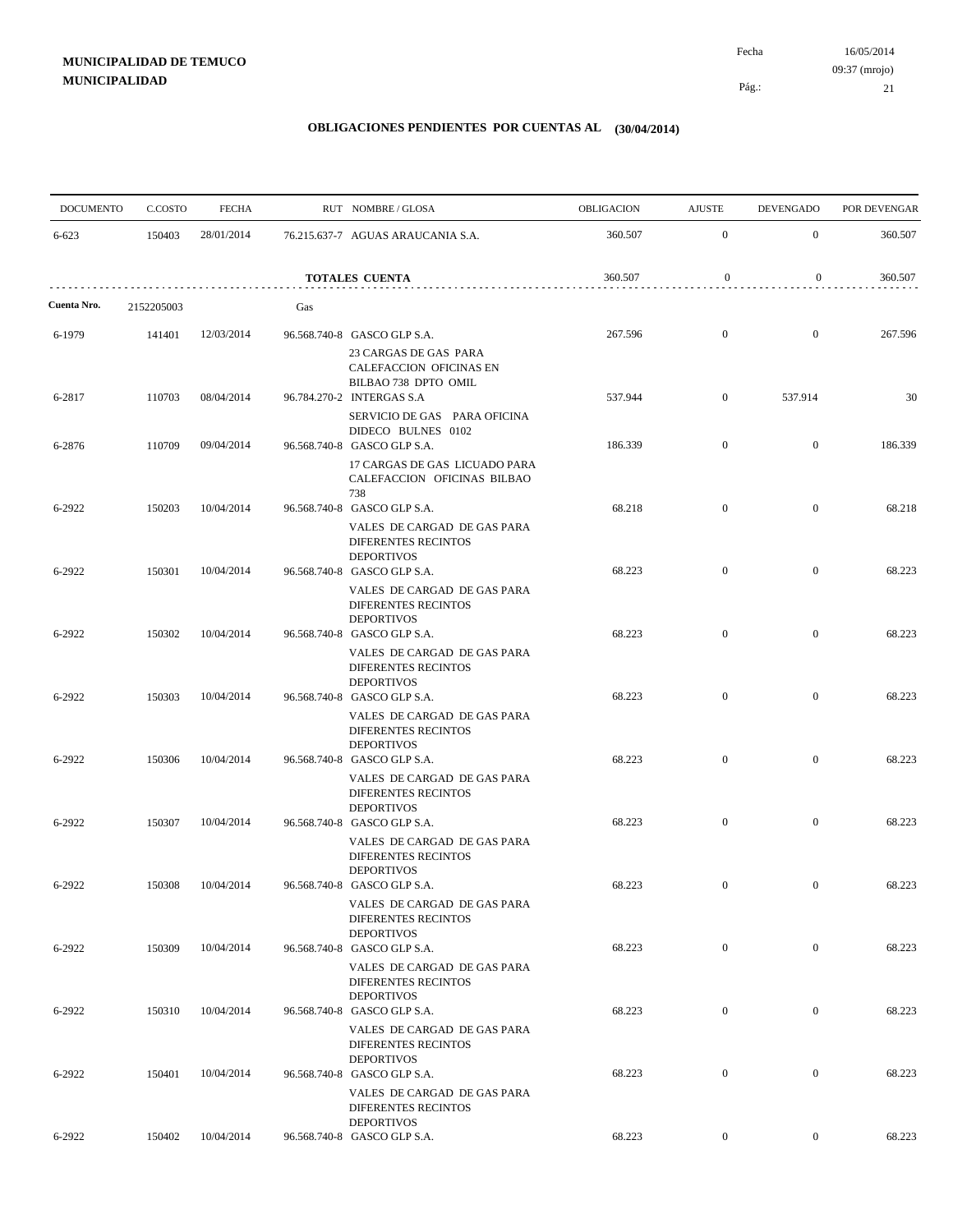| <b>DOCUMENTO</b> | C.COSTO    | <b>FECHA</b> |     | RUT NOMBRE/GLOSA                                                                         | OBLIGACION | <b>AJUSTE</b>    | <b>DEVENGADO</b> | POR DEVENGAR |
|------------------|------------|--------------|-----|------------------------------------------------------------------------------------------|------------|------------------|------------------|--------------|
| 6-623            | 150403     | 28/01/2014   |     | 76.215.637-7 AGUAS ARAUCANIA S.A.                                                        | 360.507    | $\overline{0}$   | $\mathbf{0}$     | 360.507      |
|                  |            |              |     | <b>TOTALES CUENTA</b>                                                                    | 360.507    | $\boldsymbol{0}$ | $\mathbf{0}$     | 360.507      |
| Cuenta Nro.      | 2152205003 |              | Gas |                                                                                          |            |                  |                  |              |
| 6-1979           | 141401     | 12/03/2014   |     | 96.568.740-8 GASCO GLP S.A.<br>23 CARGAS DE GAS PARA                                     | 267.596    | $\boldsymbol{0}$ | $\mathbf{0}$     | 267.596      |
| 6-2817           | 110703     | 08/04/2014   |     | CALEFACCION OFICINAS EN<br>BILBAO 738 DPTO OMIL<br>96.784.270-2 INTERGAS S.A             | 537.944    | $\mathbf{0}$     | 537.914          | 30           |
| 6-2876           | 110709     | 09/04/2014   |     | SERVICIO DE GAS PARA OFICINA<br>DIDECO BULNES 0102<br>96.568.740-8 GASCO GLP S.A.        | 186.339    | $\boldsymbol{0}$ | $\mathbf{0}$     | 186.339      |
|                  |            |              |     | 17 CARGAS DE GAS LICUADO PARA<br>CALEFACCION OFICINAS BILBAO                             |            |                  |                  |              |
| 6-2922           | 150203     | 10/04/2014   |     | 738<br>96.568.740-8 GASCO GLP S.A.                                                       | 68.218     | $\mathbf{0}$     | $\mathbf{0}$     | 68.218       |
|                  |            |              |     | VALES DE CARGAD DE GAS PARA<br>DIFERENTES RECINTOS<br><b>DEPORTIVOS</b>                  |            |                  |                  |              |
| 6-2922           | 150301     | 10/04/2014   |     | 96.568.740-8 GASCO GLP S.A.<br>VALES DE CARGAD DE GAS PARA<br>DIFERENTES RECINTOS        | 68.223     | $\boldsymbol{0}$ | $\mathbf{0}$     | 68.223       |
| 6-2922           | 150302     | 10/04/2014   |     | <b>DEPORTIVOS</b><br>96.568.740-8 GASCO GLP S.A.                                         | 68.223     | $\boldsymbol{0}$ | $\mathbf{0}$     | 68.223       |
|                  |            |              |     | VALES DE CARGAD DE GAS PARA<br>DIFERENTES RECINTOS<br><b>DEPORTIVOS</b>                  |            |                  |                  |              |
| 6-2922           | 150303     | 10/04/2014   |     | 96.568.740-8 GASCO GLP S.A.<br>VALES DE CARGAD DE GAS PARA<br>DIFERENTES RECINTOS        | 68.223     | $\mathbf{0}$     | $\mathbf{0}$     | 68.223       |
| 6-2922           | 150306     | 10/04/2014   |     | <b>DEPORTIVOS</b><br>96.568.740-8 GASCO GLP S.A.<br>VALES DE CARGAD DE GAS PARA          | 68.223     | $\boldsymbol{0}$ | $\mathbf{0}$     | 68.223       |
|                  |            |              |     | DIFERENTES RECINTOS<br><b>DEPORTIVOS</b>                                                 |            |                  |                  |              |
| 6-2922           | 150307     | 10/04/2014   |     | 96.568.740-8 GASCO GLP S.A.<br>VALES DE CARGAD DE GAS PARA<br><b>DIFERENTES RECINTOS</b> | 68.223     | $\boldsymbol{0}$ | $\mathbf{0}$     | 68.223       |
| 6-2922           | 150308     | 10/04/2014   |     | <b>DEPORTIVOS</b><br>96.568.740-8 GASCO GLP S.A.<br>VALES DE CARGAD DE GAS PARA          | 68.223     | $\boldsymbol{0}$ | $\mathbf{0}$     | 68.223       |
|                  |            |              |     | DIFERENTES RECINTOS<br><b>DEPORTIVOS</b>                                                 |            |                  |                  |              |
| 6-2922           | 150309     | 10/04/2014   |     | 96.568.740-8 GASCO GLP S.A.<br>VALES DE CARGAD DE GAS PARA<br><b>DIFERENTES RECINTOS</b> | 68.223     | $\boldsymbol{0}$ | $\overline{0}$   | 68.223       |
| 6-2922           | 150310     | 10/04/2014   |     | <b>DEPORTIVOS</b><br>96.568.740-8 GASCO GLP S.A.                                         | 68.223     | $\overline{0}$   | $\boldsymbol{0}$ | 68.223       |
|                  |            |              |     | VALES DE CARGAD DE GAS PARA<br>DIFERENTES RECINTOS<br><b>DEPORTIVOS</b>                  |            |                  |                  |              |
| 6-2922           | 150401     | 10/04/2014   |     | 96.568.740-8 GASCO GLP S.A.<br>VALES DE CARGAD DE GAS PARA<br><b>DIFERENTES RECINTOS</b> | 68.223     | $\overline{0}$   | $\boldsymbol{0}$ | 68.223       |
| 6-2922           | 150402     | 10/04/2014   |     | <b>DEPORTIVOS</b><br>96.568.740-8 GASCO GLP S.A.                                         | 68.223     | $\overline{0}$   | $\mathbf{0}$     | 68.223       |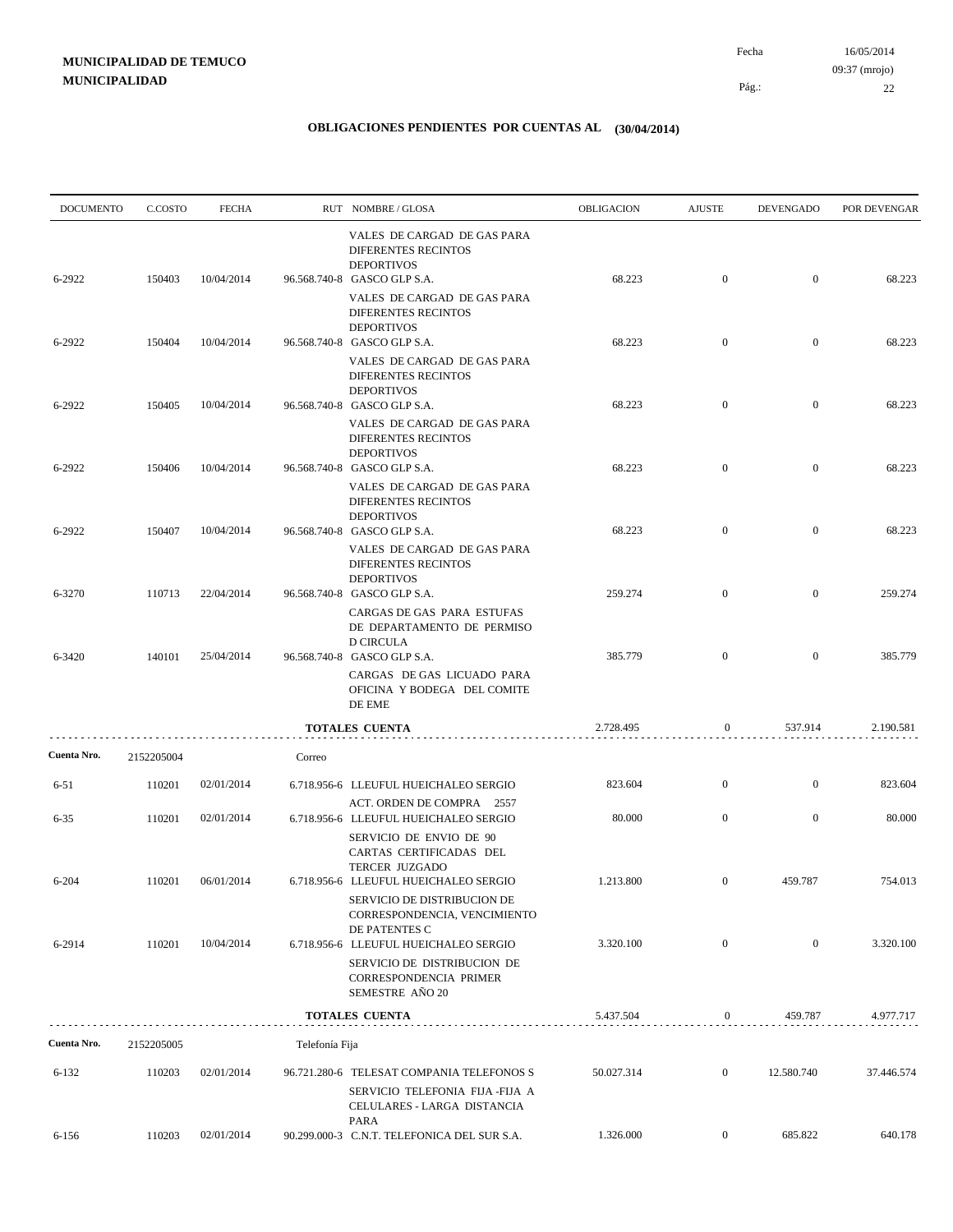| <b>DOCUMENTO</b> | C.COSTO    | <b>FECHA</b> |                | RUT NOMBRE/GLOSA                                                                                                                               | <b>OBLIGACION</b> | <b>AJUSTE</b>    | <b>DEVENGADO</b> | POR DEVENGAR |
|------------------|------------|--------------|----------------|------------------------------------------------------------------------------------------------------------------------------------------------|-------------------|------------------|------------------|--------------|
| 6-2922           | 150403     | 10/04/2014   |                | VALES DE CARGAD DE GAS PARA<br><b>DIFERENTES RECINTOS</b><br><b>DEPORTIVOS</b><br>96.568.740-8 GASCO GLP S.A.                                  | 68.223            | $\boldsymbol{0}$ | $\overline{0}$   | 68.223       |
|                  |            |              |                | VALES DE CARGAD DE GAS PARA<br><b>DIFERENTES RECINTOS</b><br><b>DEPORTIVOS</b>                                                                 |                   |                  |                  |              |
| 6-2922           | 150404     | 10/04/2014   |                | 96.568.740-8 GASCO GLP S.A.<br>VALES DE CARGAD DE GAS PARA<br><b>DIFERENTES RECINTOS</b>                                                       | 68.223            | $\mathbf{0}$     | $\overline{0}$   | 68.223       |
| 6-2922           | 150405     | 10/04/2014   |                | <b>DEPORTIVOS</b><br>96.568.740-8 GASCO GLP S.A.<br>VALES DE CARGAD DE GAS PARA                                                                | 68.223            | $\mathbf{0}$     | $\overline{0}$   | 68.223       |
| 6-2922           | 150406     | 10/04/2014   |                | DIFERENTES RECINTOS<br><b>DEPORTIVOS</b><br>96.568.740-8 GASCO GLP S.A.                                                                        | 68.223            | $\boldsymbol{0}$ | $\mathbf{0}$     | 68.223       |
|                  |            |              |                | VALES DE CARGAD DE GAS PARA<br><b>DIFERENTES RECINTOS</b><br><b>DEPORTIVOS</b>                                                                 |                   |                  |                  |              |
| 6-2922           | 150407     | 10/04/2014   |                | 96.568.740-8 GASCO GLP S.A.<br>VALES DE CARGAD DE GAS PARA<br>DIFERENTES RECINTOS<br><b>DEPORTIVOS</b>                                         | 68.223            | $\boldsymbol{0}$ | $\mathbf{0}$     | 68.223       |
| 6-3270           | 110713     | 22/04/2014   |                | 96.568.740-8 GASCO GLP S.A.<br>CARGAS DE GAS PARA ESTUFAS<br>DE DEPARTAMENTO DE PERMISO                                                        | 259.274           | $\mathbf{0}$     | $\mathbf{0}$     | 259.274      |
| 6-3420           | 140101     | 25/04/2014   |                | <b>D CIRCULA</b><br>96.568.740-8 GASCO GLP S.A.<br>CARGAS DE GAS LICUADO PARA<br>OFICINA Y BODEGA DEL COMITE<br>DE EME                         | 385.779           | $\boldsymbol{0}$ | $\mathbf{0}$     | 385.779      |
|                  |            |              |                | TOTALES CUENTA                                                                                                                                 | 2.728.495         | 0                | 537.914          | 2.190.581    |
| Cuenta Nro.      | 2152205004 |              | Correo         |                                                                                                                                                |                   |                  |                  |              |
| 6-51             | 110201     | 02/01/2014   |                | 6.718.956-6 LLEUFUL HUEICHALEO SERGIO                                                                                                          | 823.604           | $\boldsymbol{0}$ | $\mathbf{0}$     | 823.604      |
| $6 - 35$         | 110201     | 02/01/2014   |                | ACT. ORDEN DE COMPRA 2557<br>6.718.956-6 LLEUFUL HUEICHALEO SERGIO<br>SERVICIO DE ENVIO DE 90<br>CARTAS CERTIFICADAS DEL                       | 80.000            | $\overline{0}$   | $\boldsymbol{0}$ | 80.000       |
| $6 - 204$        | 110201     | 06/01/2014   |                | <b>TERCER JUZGADO</b><br>6.718.956-6 LLEUFUL HUEICHALEO SERGIO<br>SERVICIO DE DISTRIBUCION DE<br>CORRESPONDENCIA, VENCIMIENTO<br>DE PATENTES C | 1.213.800         | $\mathbf{0}$     | 459.787          | 754.013      |
| 6-2914           | 110201     | 10/04/2014   |                | 6.718.956-6 LLEUFUL HUEICHALEO SERGIO<br>SERVICIO DE DISTRIBUCION DE<br>CORRESPONDENCIA PRIMER<br>SEMESTRE AÑO 20                              | 3.320.100         | $\boldsymbol{0}$ | $\overline{0}$   | 3.320.100    |
|                  |            |              |                | TOTALES CUENTA                                                                                                                                 | 5.437.504         | $\overline{0}$   | 459.787          | 4.977.717    |
| Cuenta Nro.      | 2152205005 |              | Telefonía Fija |                                                                                                                                                |                   |                  |                  |              |
| $6 - 132$        | 110203     | 02/01/2014   |                | 96.721.280-6 TELESAT COMPANIA TELEFONOS S<br>SERVICIO TELEFONIA FIJA -FIJA A<br>CELULARES - LARGA DISTANCIA                                    | 50.027.314        | $\overline{0}$   | 12.580.740       | 37.446.574   |
| 6-156            | 110203     | 02/01/2014   |                | PARA<br>90.299.000-3 C.N.T. TELEFONICA DEL SUR S.A.                                                                                            | 1.326.000         | $\overline{0}$   | 685.822          | 640.178      |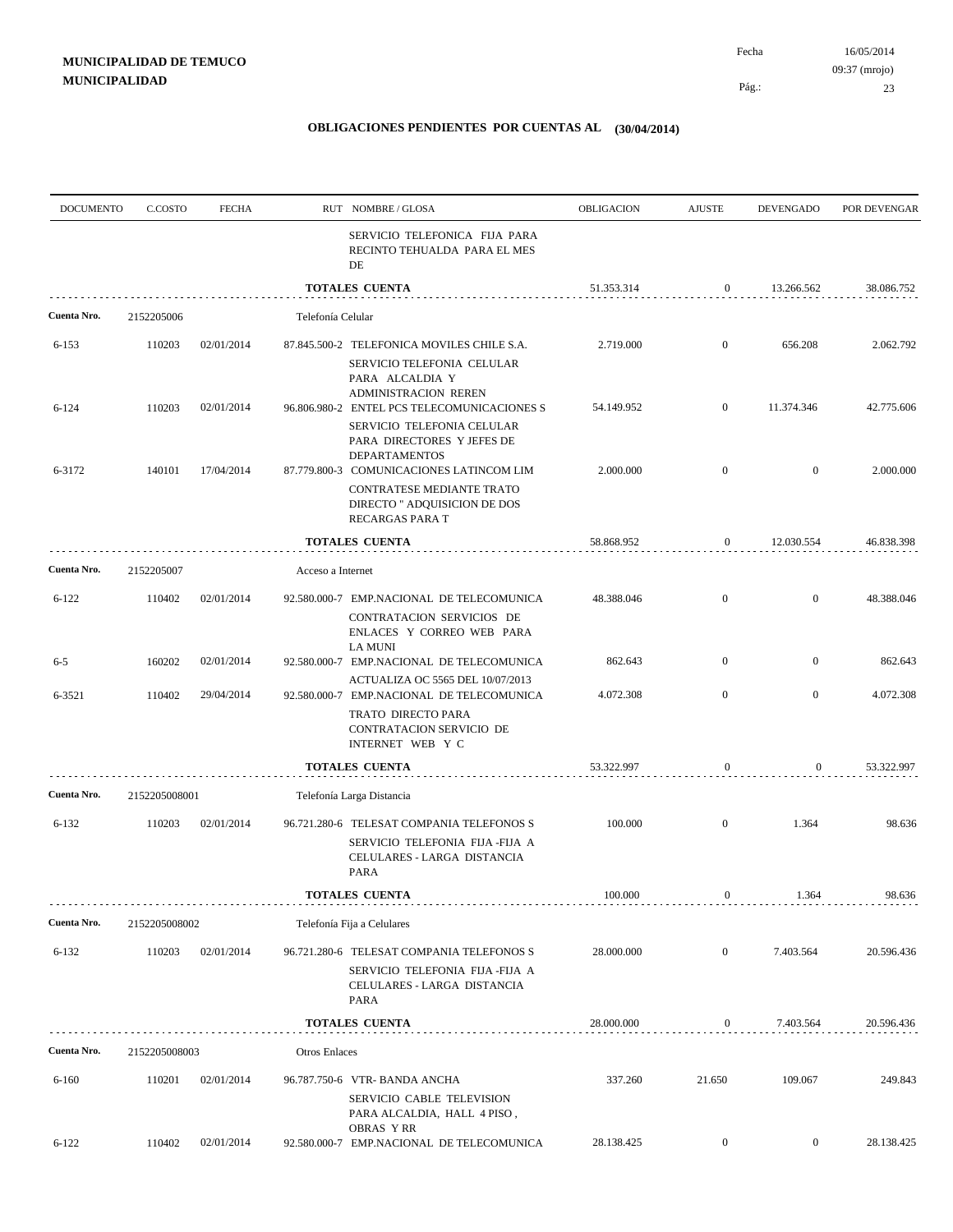| <b>DOCUMENTO</b> | C.COSTO       | <b>FECHA</b> |                      | RUT NOMBRE/GLOSA                                                                                                      | OBLIGACION | <b>AJUSTE</b>    | DEVENGADO        | POR DEVENGAR |
|------------------|---------------|--------------|----------------------|-----------------------------------------------------------------------------------------------------------------------|------------|------------------|------------------|--------------|
|                  |               |              |                      | SERVICIO TELEFONICA FIJA PARA<br>RECINTO TEHUALDA PARA EL MES<br>DE                                                   |            |                  |                  |              |
|                  |               |              |                      | <b>TOTALES CUENTA</b>                                                                                                 | 51.353.314 | $\boldsymbol{0}$ | 13.266.562       | 38.086.752   |
| Cuenta Nro.      | 2152205006    |              | Telefonía Celular    |                                                                                                                       |            |                  |                  |              |
| $6 - 153$        | 110203        | 02/01/2014   |                      | 87.845.500-2 TELEFONICA MOVILES CHILE S.A.<br>SERVICIO TELEFONIA CELULAR<br>PARA ALCALDIA Y                           | 2.719.000  | $\mathbf{0}$     | 656.208          | 2.062.792    |
| $6 - 124$        | 110203        | 02/01/2014   |                      | <b>ADMINISTRACION REREN</b><br>96.806.980-2 ENTEL PCS TELECOMUNICACIONES S<br>SERVICIO TELEFONIA CELULAR              | 54.149.952 | $\mathbf{0}$     | 11.374.346       | 42.775.606   |
| 6-3172           | 140101        | 17/04/2014   |                      | PARA DIRECTORES Y JEFES DE<br><b>DEPARTAMENTOS</b><br>87.779.800-3 COMUNICACIONES LATINCOM LIM                        | 2.000.000  | $\mathbf{0}$     | $\bf{0}$         | 2.000.000    |
|                  |               |              |                      | CONTRATESE MEDIANTE TRATO<br>DIRECTO " ADQUISICION DE DOS<br>RECARGAS PARA T                                          |            |                  |                  |              |
|                  |               |              |                      | <b>TOTALES CUENTA</b>                                                                                                 | 58.868.952 | $\boldsymbol{0}$ | 12.030.554       | 46.838.398   |
| Cuenta Nro.      | 2152205007    |              | Acceso a Internet    |                                                                                                                       |            |                  |                  |              |
| $6 - 122$        | 110402        | 02/01/2014   |                      | 92.580.000-7 EMP.NACIONAL DE TELECOMUNICA<br>CONTRATACION SERVICIOS DE<br>ENLACES Y CORREO WEB PARA<br><b>LA MUNI</b> | 48.388.046 | $\mathbf{0}$     | $\mathbf{0}$     | 48.388.046   |
| $6 - 5$          | 160202        | 02/01/2014   |                      | 92.580.000-7 EMP.NACIONAL DE TELECOMUNICA<br>ACTUALIZA OC 5565 DEL 10/07/2013                                         | 862.643    | $\mathbf{0}$     | $\boldsymbol{0}$ | 862.643      |
| 6-3521           | 110402        | 29/04/2014   |                      | 92.580.000-7 EMP.NACIONAL DE TELECOMUNICA<br>TRATO DIRECTO PARA<br>CONTRATACION SERVICIO DE<br>INTERNET WEB Y C       | 4.072.308  | $\mathbf{0}$     | $\bf{0}$         | 4.072.308    |
|                  |               |              |                      | <b>TOTALES CUENTA</b>                                                                                                 | 53.322.997 | 0                | 0                | 53.322.997   |
| Cuenta Nro.      | 2152205008001 |              |                      | Telefonía Larga Distancia                                                                                             |            |                  |                  |              |
| $6 - 132$        | 110203        | 02/01/2014   |                      | 96.721.280-6 TELESAT COMPANIA TELEFONOS S<br>SERVICIO TELEFONIA FIJA -FIJA A<br>CELULARES - LARGA DISTANCIA<br>PARA   | 100.000    | $\mathbf{0}$     | 1.364            | 98.636       |
|                  |               |              |                      | TOTALES CUENTA                                                                                                        | 100.000    | $\bf{0}$         | 1.364            | 98.636       |
| Cuenta Nro.      | 2152205008002 |              |                      | Telefonía Fija a Celulares                                                                                            |            |                  |                  |              |
| $6 - 132$        | 110203        | 02/01/2014   |                      | 96.721.280-6 TELESAT COMPANIA TELEFONOS S<br>SERVICIO TELEFONIA FIJA -FIJA A<br>CELULARES - LARGA DISTANCIA<br>PARA   | 28.000.000 | $\mathbf{0}$     | 7.403.564        | 20.596.436   |
|                  |               |              |                      | TOTALES CUENTA                                                                                                        | 28.000.000 | $\boldsymbol{0}$ | 7.403.564        | 20.596.436   |
| Cuenta Nro.      | 2152205008003 |              | <b>Otros Enlaces</b> |                                                                                                                       |            |                  |                  |              |
| $6 - 160$        | 110201        | 02/01/2014   |                      | 96.787.750-6 VTR- BANDA ANCHA<br>SERVICIO CABLE TELEVISION<br>PARA ALCALDIA, HALL 4 PISO,                             | 337.260    | 21.650           | 109.067          | 249.843      |
| $6 - 122$        | 110402        | 02/01/2014   |                      | <b>OBRAS YRR</b><br>92.580.000-7 EMP.NACIONAL DE TELECOMUNICA                                                         | 28.138.425 | $\overline{0}$   | $\mathbf{0}$     | 28.138.425   |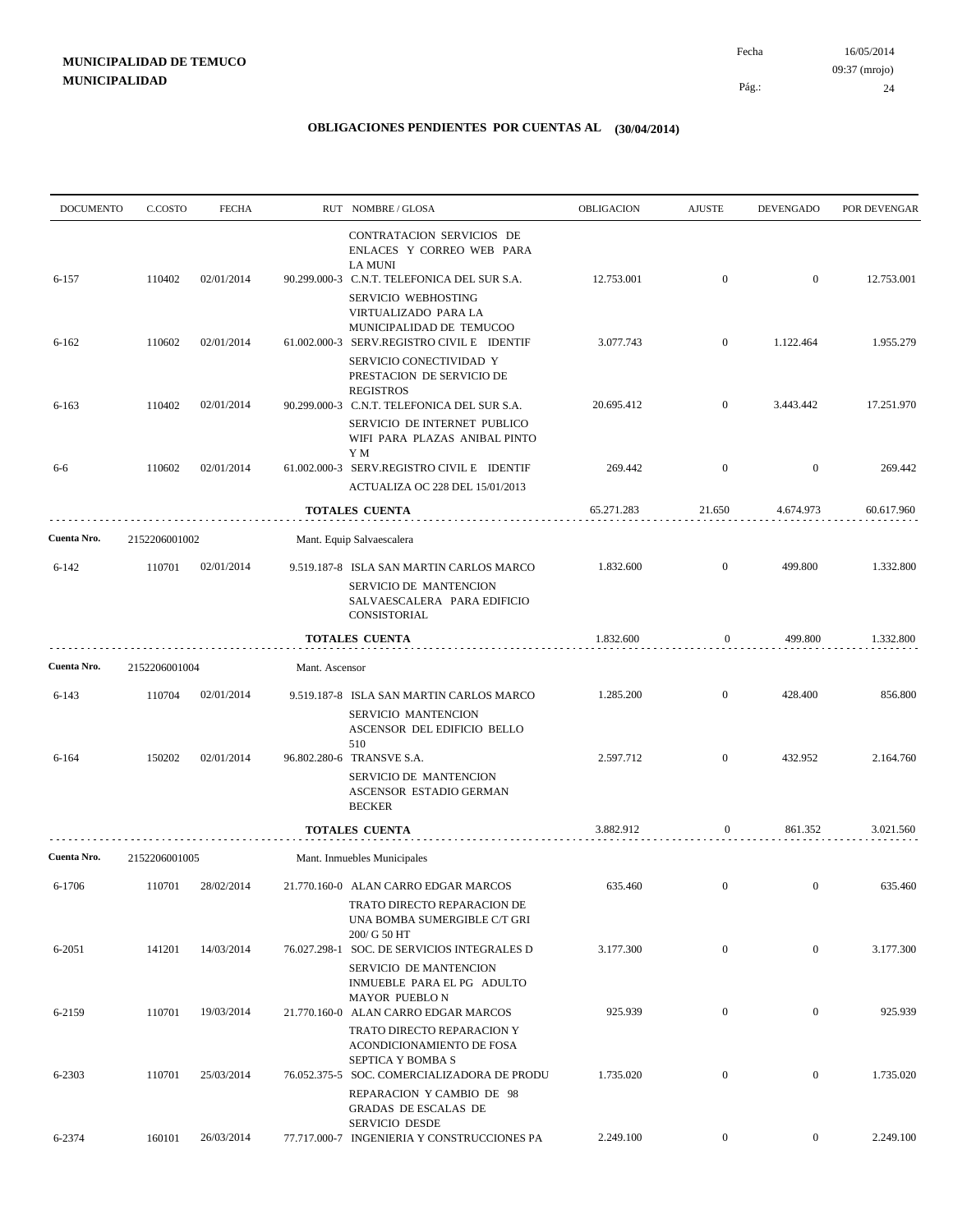| <b>DOCUMENTO</b> | C.COSTO       | <b>FECHA</b> |                | RUT NOMBRE/GLOSA                                                                                                                 | OBLIGACION | <b>AJUSTE</b>    | <b>DEVENGADO</b> | POR DEVENGAR |
|------------------|---------------|--------------|----------------|----------------------------------------------------------------------------------------------------------------------------------|------------|------------------|------------------|--------------|
|                  |               |              |                | CONTRATACION SERVICIOS DE<br>ENLACES Y CORREO WEB PARA<br><b>LA MUNI</b>                                                         |            |                  |                  |              |
| 6-157            | 110402        | 02/01/2014   |                | 90.299.000-3 C.N.T. TELEFONICA DEL SUR S.A.<br>SERVICIO WEBHOSTING<br>VIRTUALIZADO PARA LA                                       | 12.753.001 | $\boldsymbol{0}$ | $\mathbf{0}$     | 12.753.001   |
| $6 - 162$        | 110602        | 02/01/2014   |                | MUNICIPALIDAD DE TEMUCOO<br>61.002.000-3 SERV.REGISTRO CIVIL E IDENTIF<br>SERVICIO CONECTIVIDAD Y<br>PRESTACION DE SERVICIO DE   | 3.077.743  | $\mathbf{0}$     | 1.122.464        | 1.955.279    |
| $6 - 163$        | 110402        | 02/01/2014   |                | <b>REGISTROS</b><br>90.299.000-3 C.N.T. TELEFONICA DEL SUR S.A.<br>SERVICIO DE INTERNET PUBLICO<br>WIFI PARA PLAZAS ANIBAL PINTO | 20.695.412 | $\mathbf{0}$     | 3.443.442        | 17.251.970   |
| 6-6              | 110602        | 02/01/2014   |                | Y M<br>61.002.000-3 SERV.REGISTRO CIVIL E IDENTIF<br>ACTUALIZA OC 228 DEL 15/01/2013                                             | 269.442    | $\mathbf{0}$     | $\mathbf{0}$     | 269.442      |
|                  |               |              |                | TOTALES CUENTA                                                                                                                   | 65.271.283 | 21.650           | 4.674.973        | 60.617.960   |
| Cuenta Nro.      | 2152206001002 |              |                | Mant. Equip Salvaescalera                                                                                                        |            |                  |                  |              |
| $6 - 142$        | 110701        | 02/01/2014   |                | 9.519.187-8 ISLA SAN MARTIN CARLOS MARCO<br>SERVICIO DE MANTENCION<br>SALVAESCALERA PARA EDIFICIO<br>CONSISTORIAL                | 1.832.600  | $\mathbf{0}$     | 499.800          | 1.332.800    |
|                  |               |              |                | <b>TOTALES CUENTA</b>                                                                                                            | 1.832.600  | $\mathbf{0}$     | 499.800          | 1.332.800    |
| Cuenta Nro.      | 2152206001004 |              | Mant. Ascensor |                                                                                                                                  |            |                  |                  |              |
| 6-143            | 110704        | 02/01/2014   |                | 9.519.187-8 ISLA SAN MARTIN CARLOS MARCO<br>SERVICIO MANTENCION<br>ASCENSOR DEL EDIFICIO BELLO<br>510                            | 1.285.200  | $\boldsymbol{0}$ | 428.400          | 856.800      |
| 6-164            | 150202        | 02/01/2014   |                | 96.802.280-6 TRANSVE S.A.<br>SERVICIO DE MANTENCION<br>ASCENSOR ESTADIO GERMAN<br><b>BECKER</b>                                  | 2.597.712  | $\boldsymbol{0}$ | 432.952          | 2.164.760    |
|                  |               |              |                | <b>TOTALES CUENTA</b>                                                                                                            | 3.882.912  | 0                | 861.352          | 3.021.560    |
| Cuenta Nro.      | 2152206001005 |              |                | Mant. Inmuebles Municipales                                                                                                      |            |                  |                  |              |
| 6-1706           | 110701        | 28/02/2014   |                | 21.770.160-0 ALAN CARRO EDGAR MARCOS<br>TRATO DIRECTO REPARACION DE<br>UNA BOMBA SUMERGIBLE C/T GRI                              | 635.460    | $\mathbf{0}$     | $\mathbf{0}$     | 635.460      |
| 6-2051           | 141201        | 14/03/2014   |                | 200/ G 50 HT<br>76.027.298-1 SOC. DE SERVICIOS INTEGRALES D<br>SERVICIO DE MANTENCION                                            | 3.177.300  | $\boldsymbol{0}$ | $\overline{0}$   | 3.177.300    |
| 6-2159           | 110701        | 19/03/2014   |                | INMUEBLE PARA EL PG ADULTO<br><b>MAYOR PUEBLO N</b><br>21.770.160-0 ALAN CARRO EDGAR MARCOS                                      | 925.939    | $\boldsymbol{0}$ | $\overline{0}$   | 925.939      |
| 6-2303           | 110701        | 25/03/2014   |                | TRATO DIRECTO REPARACION Y<br>ACONDICIONAMIENTO DE FOSA<br>SEPTICA Y BOMBA S<br>76.052.375-5 SOC. COMERCIALIZADORA DE PRODU      | 1.735.020  | $\boldsymbol{0}$ | $\mathbf{0}$     | 1.735.020    |
|                  |               |              |                | REPARACION Y CAMBIO DE 98<br>GRADAS DE ESCALAS DE<br>SERVICIO DESDE                                                              |            |                  |                  |              |
| 6-2374           | 160101        | 26/03/2014   |                | 77.717.000-7 INGENIERIA Y CONSTRUCCIONES PA                                                                                      | 2.249.100  | $\overline{0}$   | $\overline{0}$   | 2.249.100    |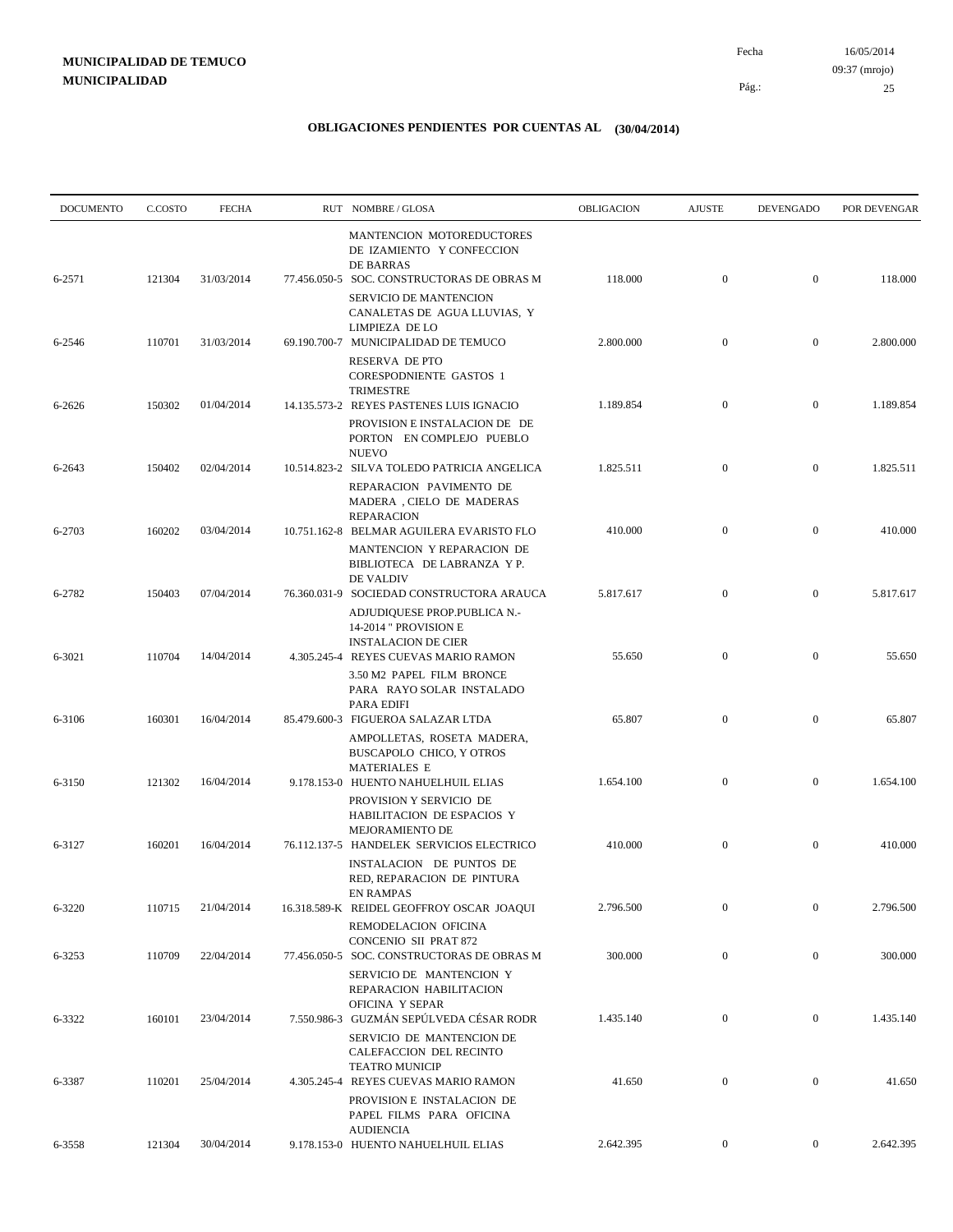| <b>DOCUMENTO</b> | C.COSTO | <b>FECHA</b> | RUT NOMBRE/GLOSA                                                                                                                           | OBLIGACION | <b>AJUSTE</b>    | <b>DEVENGADO</b> | POR DEVENGAR |
|------------------|---------|--------------|--------------------------------------------------------------------------------------------------------------------------------------------|------------|------------------|------------------|--------------|
| 6-2571           | 121304  | 31/03/2014   | MANTENCION MOTOREDUCTORES<br>DE IZAMIENTO Y CONFECCION<br>DE BARRAS<br>77.456.050-5 SOC. CONSTRUCTORAS DE OBRAS M                          | 118.000    | $\boldsymbol{0}$ | $\overline{0}$   | 118.000      |
|                  |         |              | <b>SERVICIO DE MANTENCION</b><br>CANALETAS DE AGUA LLUVIAS, Y<br>LIMPIEZA DE LO                                                            |            |                  |                  |              |
| 6-2546           | 110701  | 31/03/2014   | 69.190.700-7 MUNICIPALIDAD DE TEMUCO<br>RESERVA DE PTO<br><b>CORESPODNIENTE GASTOS 1</b>                                                   | 2.800.000  | $\mathbf{0}$     | $\mathbf{0}$     | 2.800.000    |
| 6-2626           | 150302  | 01/04/2014   | <b>TRIMESTRE</b><br>14.135.573-2 REYES PASTENES LUIS IGNACIO<br>PROVISION E INSTALACION DE DE<br>PORTON EN COMPLEJO PUEBLO<br><b>NUEVO</b> | 1.189.854  | $\mathbf{0}$     | $\mathbf{0}$     | 1.189.854    |
| 6-2643           | 150402  | 02/04/2014   | 10.514.823-2 SILVA TOLEDO PATRICIA ANGELICA<br>REPARACION PAVIMENTO DE<br>MADERA, CIELO DE MADERAS                                         | 1.825.511  | $\mathbf{0}$     | $\mathbf{0}$     | 1.825.511    |
| 6-2703           | 160202  | 03/04/2014   | <b>REPARACION</b><br>10.751.162-8 BELMAR AGUILERA EVARISTO FLO<br>MANTENCION Y REPARACION DE<br>BIBLIOTECA DE LABRANZA Y P.                | 410.000    | $\mathbf{0}$     | $\mathbf{0}$     | 410.000      |
| 6-2782           | 150403  | 07/04/2014   | DE VALDIV<br>76.360.031-9 SOCIEDAD CONSTRUCTORA ARAUCA<br>ADJUDIQUESE PROP.PUBLICA N.-<br>14-2014 " PROVISION E                            | 5.817.617  | $\mathbf{0}$     | $\mathbf{0}$     | 5.817.617    |
| 6-3021           | 110704  | 14/04/2014   | <b>INSTALACION DE CIER</b><br>4.305.245-4 REYES CUEVAS MARIO RAMON<br>3.50 M2 PAPEL FILM BRONCE<br>PARA RAYO SOLAR INSTALADO               | 55.650     | $\mathbf{0}$     | $\mathbf{0}$     | 55.650       |
| 6-3106           | 160301  | 16/04/2014   | PARA EDIFI<br>85.479.600-3 FIGUEROA SALAZAR LTDA<br>AMPOLLETAS, ROSETA MADERA,<br>BUSCAPOLO CHICO, Y OTROS<br><b>MATERIALES E</b>          | 65.807     | $\boldsymbol{0}$ | $\mathbf{0}$     | 65.807       |
| 6-3150           | 121302  | 16/04/2014   | 9.178.153-0 HUENTO NAHUELHUIL ELIAS<br>PROVISION Y SERVICIO DE<br>HABILITACION DE ESPACIOS Y<br>MEJORAMIENTO DE                            | 1.654.100  | $\boldsymbol{0}$ | $\mathbf{0}$     | 1.654.100    |
| 6-3127           | 160201  | 16/04/2014   | 76.112.137-5 HANDELEK SERVICIOS ELECTRICO<br>INSTALACION DE PUNTOS DE<br>RED, REPARACION DE PINTURA<br>EN RAMPAS                           | 410.000    | $\mathbf{0}$     | $\mathbf{0}$     | 410.000      |
| 6-3220           | 110715  | 21/04/2014   | 16.318.589-K REIDEL GEOFFROY OSCAR JOAQUI<br>REMODELACION OFICINA<br>CONCENIO SII PRAT 872                                                 | 2.796.500  | $\mathbf{0}$     | $\boldsymbol{0}$ | 2.796.500    |
| 6-3253           | 110709  | 22/04/2014   | 77.456.050-5 SOC. CONSTRUCTORAS DE OBRAS M<br>SERVICIO DE MANTENCION Y<br>REPARACION HABILITACION<br>OFICINA Y SEPAR                       | 300.000    | $\mathbf{0}$     | $\boldsymbol{0}$ | 300.000      |
| 6-3322           | 160101  | 23/04/2014   | 7.550.986-3 GUZMÁN SEPÚLVEDA CÉSAR RODR<br>SERVICIO DE MANTENCION DE<br>CALEFACCION DEL RECINTO<br><b>TEATRO MUNICIP</b>                   | 1.435.140  | $\mathbf{0}$     | $\boldsymbol{0}$ | 1.435.140    |
| 6-3387           | 110201  | 25/04/2014   | 4.305.245-4 REYES CUEVAS MARIO RAMON<br>PROVISION E INSTALACION DE<br>PAPEL FILMS PARA OFICINA<br><b>AUDIENCIA</b>                         | 41.650     | $\boldsymbol{0}$ | $\boldsymbol{0}$ | 41.650       |
| 6-3558           | 121304  | 30/04/2014   | 9.178.153-0 HUENTO NAHUELHUIL ELIAS                                                                                                        | 2.642.395  | $\overline{0}$   | $\overline{0}$   | 2.642.395    |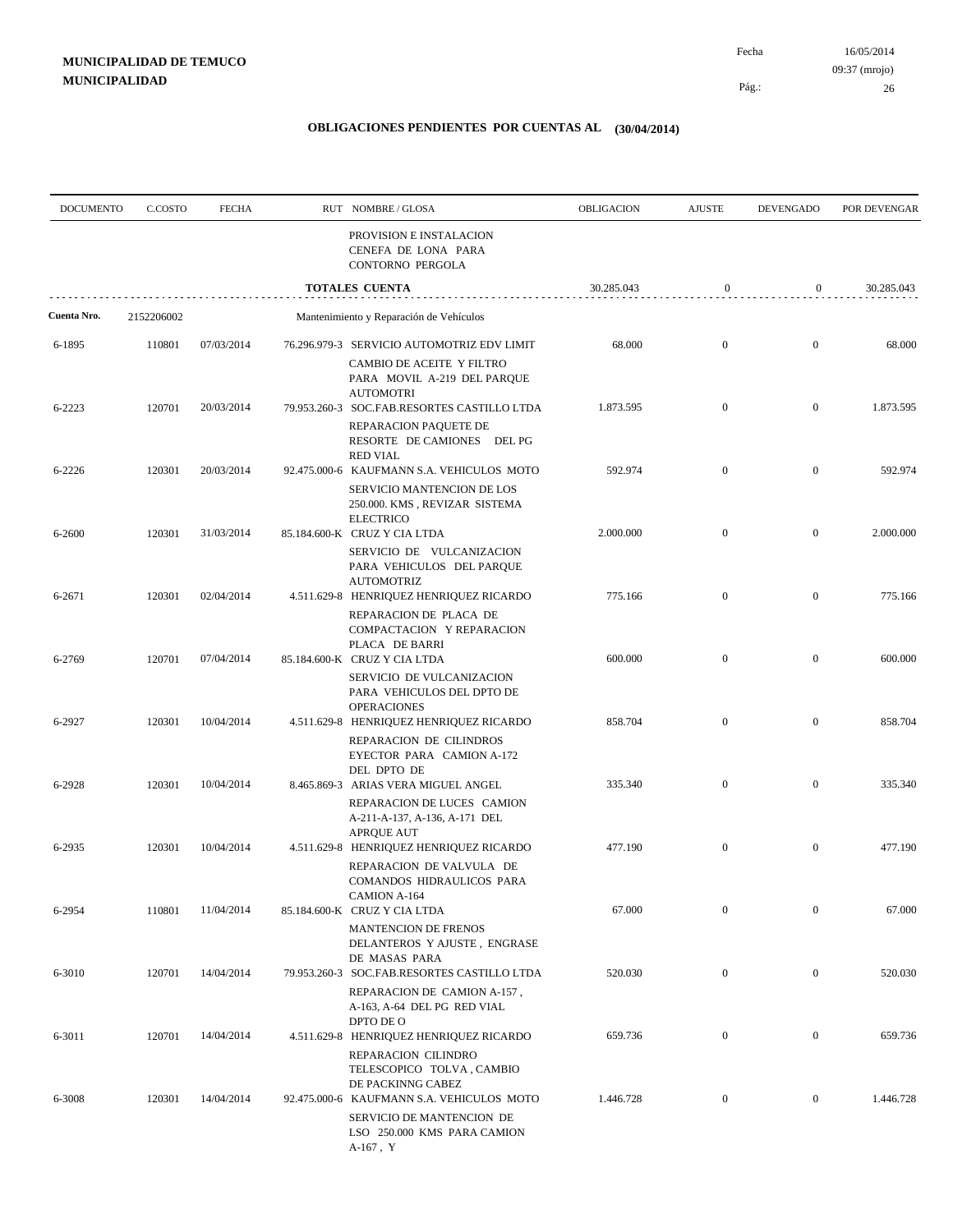Pág.:

Fecha

| <b>DOCUMENTO</b> | C.COSTO    | <b>FECHA</b> | RUT NOMBRE/GLOSA                                                                                                       | OBLIGACION | <b>AJUSTE</b>    | <b>DEVENGADO</b> | POR DEVENGAR |
|------------------|------------|--------------|------------------------------------------------------------------------------------------------------------------------|------------|------------------|------------------|--------------|
|                  |            |              | PROVISION E INSTALACION<br>CENEFA DE LONA PARA<br>CONTORNO PERGOLA                                                     |            |                  |                  |              |
|                  |            |              | <b>TOTALES CUENTA</b>                                                                                                  | 30.285.043 | $\mathbf{0}$     | $\overline{0}$   | 30.285.043   |
| Cuenta Nro.      | 2152206002 |              | Mantenimiento y Reparación de Vehículos                                                                                |            |                  |                  |              |
| 6-1895           | 110801     | 07/03/2014   | 76.296.979-3 SERVICIO AUTOMOTRIZ EDV LIMIT<br>CAMBIO DE ACEITE Y FILTRO<br>PARA MOVIL A-219 DEL PARQUE                 | 68.000     | $\mathbf{0}$     | $\mathbf{0}$     | 68.000       |
| 6-2223           | 120701     | 20/03/2014   | <b>AUTOMOTRI</b><br>79.953.260-3 SOC.FAB.RESORTES CASTILLO LTDA                                                        | 1.873.595  | $\mathbf{0}$     | $\mathbf{0}$     | 1.873.595    |
|                  |            |              | REPARACION PAQUETE DE<br>RESORTE DE CAMIONES DEL PG<br><b>RED VIAL</b>                                                 |            |                  |                  |              |
| 6-2226           | 120301     | 20/03/2014   | 92.475.000-6 KAUFMANN S.A. VEHICULOS MOTO<br>SERVICIO MANTENCION DE LOS<br>250.000. KMS, REVIZAR SISTEMA               | 592.974    | $\mathbf{0}$     | $\overline{0}$   | 592.974      |
| 6-2600           | 120301     | 31/03/2014   | <b>ELECTRICO</b><br>85.184.600-K CRUZ Y CIA LTDA                                                                       | 2.000.000  | $\mathbf{0}$     | $\mathbf{0}$     | 2.000.000    |
| 6-2671           | 120301     | 02/04/2014   | SERVICIO DE VULCANIZACION<br>PARA VEHICULOS DEL PARQUE<br><b>AUTOMOTRIZ</b><br>4.511.629-8 HENRIQUEZ HENRIQUEZ RICARDO | 775.166    | $\mathbf{0}$     | $\overline{0}$   | 775.166      |
|                  |            |              | REPARACION DE PLACA DE<br>COMPACTACION Y REPARACION<br>PLACA DE BARRI                                                  |            |                  |                  |              |
| 6-2769           | 120701     | 07/04/2014   | 85.184.600-K CRUZ Y CIA LTDA<br>SERVICIO DE VULCANIZACION<br>PARA VEHICULOS DEL DPTO DE                                | 600.000    | $\mathbf{0}$     | $\mathbf{0}$     | 600.000      |
| 6-2927           | 120301     | 10/04/2014   | <b>OPERACIONES</b><br>4.511.629-8 HENRIQUEZ HENRIQUEZ RICARDO<br>REPARACION DE CILINDROS                               | 858.704    | $\mathbf{0}$     | $\mathbf{0}$     | 858.704      |
| 6-2928           | 120301     | 10/04/2014   | EYECTOR PARA CAMION A-172<br>DEL DPTO DE<br>8.465.869-3 ARIAS VERA MIGUEL ANGEL                                        | 335.340    | $\boldsymbol{0}$ | $\overline{0}$   | 335.340      |
|                  |            |              | REPARACION DE LUCES CAMION<br>A-211-A-137, A-136, A-171 DEL<br><b>APRQUE AUT</b>                                       |            |                  |                  |              |
| 6-2935           | 120301     | 10/04/2014   | 4.511.629-8 HENRIQUEZ HENRIQUEZ RICARDO<br>REPARACION DE VALVULA DE<br>COMANDOS HIDRAULICOS PARA                       | 477.190    | $\boldsymbol{0}$ | $\mathbf{0}$     | 477.190      |
| 6-2954           | 110801     | 11/04/2014   | CAMION A-164<br>85.184.600-K CRUZ Y CIA LTDA                                                                           | 67.000     | $\mathbf{0}$     | $\mathbf{0}$     | 67.000       |
|                  |            |              | <b>MANTENCION DE FRENOS</b><br>DELANTEROS Y AJUSTE, ENGRASE<br>DE MASAS PARA                                           |            |                  |                  |              |
| 6-3010           | 120701     | 14/04/2014   | 79.953.260-3 SOC.FAB.RESORTES CASTILLO LTDA<br>REPARACION DE CAMION A-157,<br>A-163, A-64 DEL PG RED VIAL              | 520.030    | $\mathbf{0}$     | $\boldsymbol{0}$ | 520.030      |
| 6-3011           | 120701     | 14/04/2014   | DPTO DE O<br>4.511.629-8 HENRIQUEZ HENRIQUEZ RICARDO<br>REPARACION CILINDRO                                            | 659.736    | $\boldsymbol{0}$ | $\mathbf{0}$     | 659.736      |
| 6-3008           | 120301     | 14/04/2014   | TELESCOPICO TOLVA, CAMBIO<br>DE PACKINNG CABEZ<br>92.475.000-6 KAUFMANN S.A. VEHICULOS MOTO                            | 1.446.728  | $\boldsymbol{0}$ | $\bf{0}$         | 1.446.728    |
|                  |            |              | SERVICIO DE MANTENCION DE<br>LSO 250.000 KMS PARA CAMION<br>A-167, Y                                                   |            |                  |                  |              |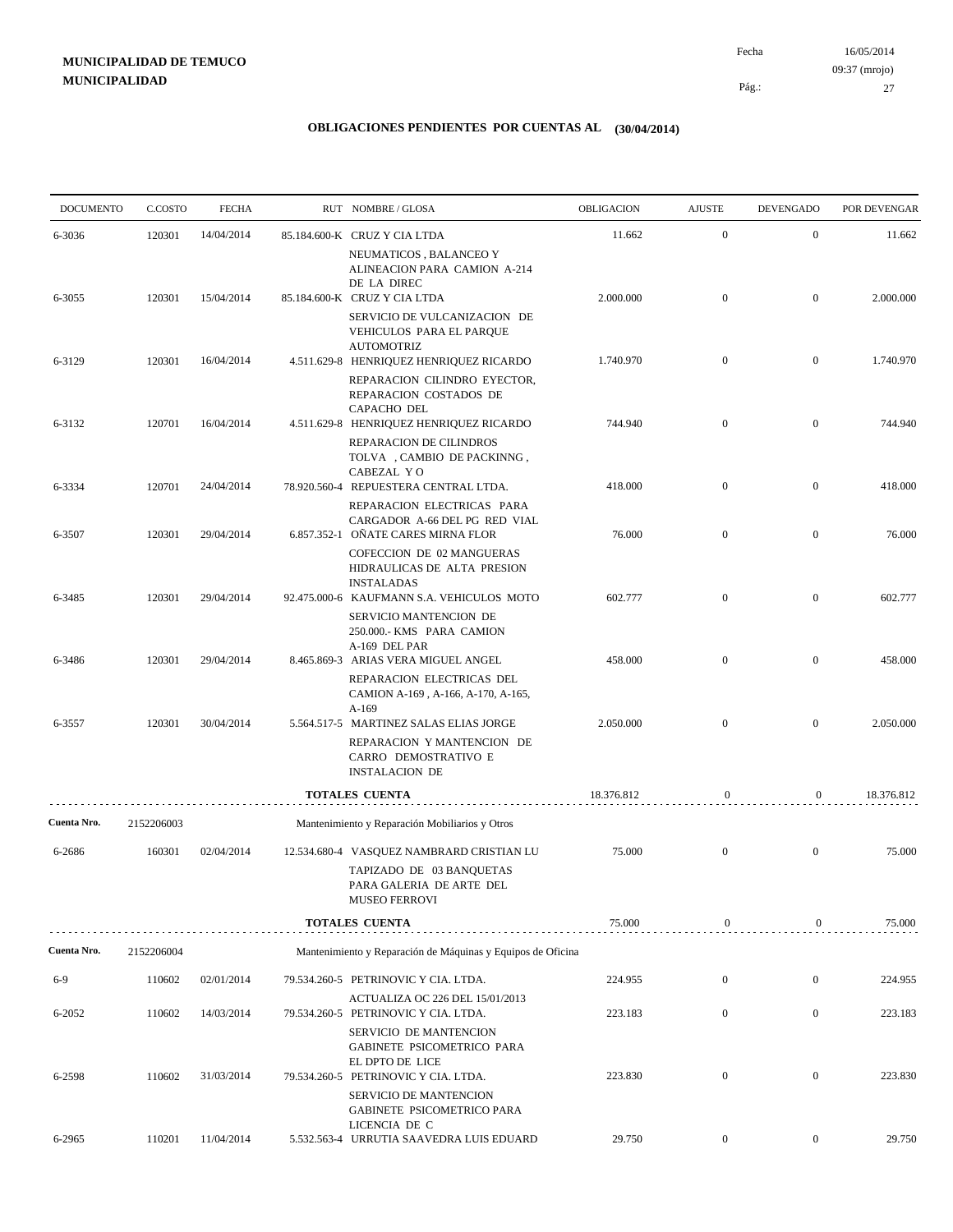| <b>DOCUMENTO</b> | C.COSTO    | <b>FECHA</b> | RUT NOMBRE/GLOSA                                                                                 | OBLIGACION | <b>AJUSTE</b>    | <b>DEVENGADO</b> | POR DEVENGAR |
|------------------|------------|--------------|--------------------------------------------------------------------------------------------------|------------|------------------|------------------|--------------|
| 6-3036           | 120301     | 14/04/2014   | 85.184.600-K CRUZ Y CIA LTDA                                                                     | 11.662     | $\mathbf{0}$     | $\mathbf{0}$     | 11.662       |
|                  |            |              | NEUMATICOS, BALANCEO Y<br>ALINEACION PARA CAMION A-214<br>DE LA DIREC                            |            |                  |                  |              |
| 6-3055           | 120301     | 15/04/2014   | 85.184.600-K CRUZ Y CIA LTDA                                                                     | 2.000.000  | $\mathbf{0}$     | $\mathbf{0}$     | 2.000.000    |
|                  |            |              | SERVICIO DE VULCANIZACION DE<br>VEHICULOS PARA EL PARQUE<br><b>AUTOMOTRIZ</b>                    |            |                  |                  |              |
| 6-3129           | 120301     | 16/04/2014   | 4.511.629-8 HENRIQUEZ HENRIQUEZ RICARDO                                                          | 1.740.970  | $\mathbf{0}$     | $\boldsymbol{0}$ | 1.740.970    |
|                  |            |              | REPARACION CILINDRO EYECTOR,<br>REPARACION COSTADOS DE<br>CAPACHO DEL                            |            |                  |                  |              |
| 6-3132           | 120701     | 16/04/2014   | 4.511.629-8 HENRIQUEZ HENRIQUEZ RICARDO<br>REPARACION DE CILINDROS<br>TOLVA, CAMBIO DE PACKINNG, | 744.940    | $\mathbf{0}$     | $\overline{0}$   | 744.940      |
| 6-3334           | 120701     | 24/04/2014   | CABEZAL YO<br>78.920.560-4 REPUESTERA CENTRAL LTDA.                                              | 418.000    | $\mathbf{0}$     | $\boldsymbol{0}$ | 418.000      |
|                  |            |              | REPARACION ELECTRICAS PARA<br>CARGADOR A-66 DEL PG RED VIAL                                      |            |                  |                  |              |
| 6-3507           | 120301     | 29/04/2014   | 6.857.352-1 OÑATE CARES MIRNA FLOR                                                               | 76.000     | $\overline{0}$   | $\overline{0}$   | 76.000       |
|                  |            |              | COFECCION DE 02 MANGUERAS<br>HIDRAULICAS DE ALTA PRESION<br><b>INSTALADAS</b>                    |            |                  |                  |              |
| 6-3485           | 120301     | 29/04/2014   | 92.475.000-6 KAUFMANN S.A. VEHICULOS MOTO<br>SERVICIO MANTENCION DE<br>250.000.- KMS PARA CAMION | 602.777    | $\overline{0}$   | $\mathbf{0}$     | 602.777      |
| 6-3486           | 120301     | 29/04/2014   | A-169 DEL PAR<br>8.465.869-3 ARIAS VERA MIGUEL ANGEL                                             | 458.000    | $\mathbf{0}$     | $\overline{0}$   | 458.000      |
|                  |            |              | REPARACION ELECTRICAS DEL<br>CAMION A-169, A-166, A-170, A-165,<br>$A-169$                       |            |                  |                  |              |
| 6-3557           | 120301     | 30/04/2014   | 5.564.517-5 MARTINEZ SALAS ELIAS JORGE                                                           | 2.050.000  | $\overline{0}$   | $\mathbf{0}$     | 2.050.000    |
|                  |            |              | REPARACION Y MANTENCION DE<br>CARRO DEMOSTRATIVO E<br><b>INSTALACION DE</b>                      |            |                  |                  |              |
|                  |            |              | <b>TOTALES CUENTA</b>                                                                            | 18.376.812 | $\mathbf{0}$     | $\boldsymbol{0}$ | 18.376.812   |
| Cuenta Nro.      | 2152206003 |              | Mantenimiento y Reparación Mobiliarios y Otros                                                   |            |                  |                  |              |
| 6-2686           | 160301     | 02/04/2014   | 12.534.680-4 VASQUEZ NAMBRARD CRISTIAN LU                                                        | 75.000     | $\mathbf{0}$     | $\mathbf{0}$     | 75.000       |
|                  |            |              | TAPIZADO DE 03 BANQUETAS<br>PARA GALERIA DE ARTE DEL<br>MUSEO FERROVI                            |            |                  |                  |              |
|                  |            |              | <b>TOTALES CUENTA</b>                                                                            | 75.000     | $\boldsymbol{0}$ | $\boldsymbol{0}$ | 75.000       |
| Cuenta Nro.      | 2152206004 |              | Mantenimiento y Reparación de Máquinas y Equipos de Oficina                                      |            |                  |                  |              |
| $6-9$            | 110602     | 02/01/2014   | 79.534.260-5 PETRINOVIC Y CIA. LTDA.                                                             | 224.955    | $\boldsymbol{0}$ | $\mathbf{0}$     | 224.955      |
|                  |            |              | ACTUALIZA OC 226 DEL 15/01/2013                                                                  |            |                  |                  |              |
| 6-2052           | 110602     | 14/03/2014   | 79.534.260-5 PETRINOVIC Y CIA. LTDA.<br>SERVICIO DE MANTENCION<br>GABINETE PSICOMETRICO PARA     | 223.183    | $\boldsymbol{0}$ | $\boldsymbol{0}$ | 223.183      |
| 6-2598           | 110602     | 31/03/2014   | EL DPTO DE LICE<br>79.534.260-5 PETRINOVIC Y CIA. LTDA.                                          | 223.830    | $\mathbf{0}$     | $\boldsymbol{0}$ | 223.830      |
|                  |            |              | SERVICIO DE MANTENCION<br>GABINETE PSICOMETRICO PARA<br>LICENCIA DE C                            |            |                  |                  |              |
| 6-2965           | 110201     | 11/04/2014   | 5.532.563-4 URRUTIA SAAVEDRA LUIS EDUARD                                                         | 29.750     | $\mathbf{0}$     | $\overline{0}$   | 29.750       |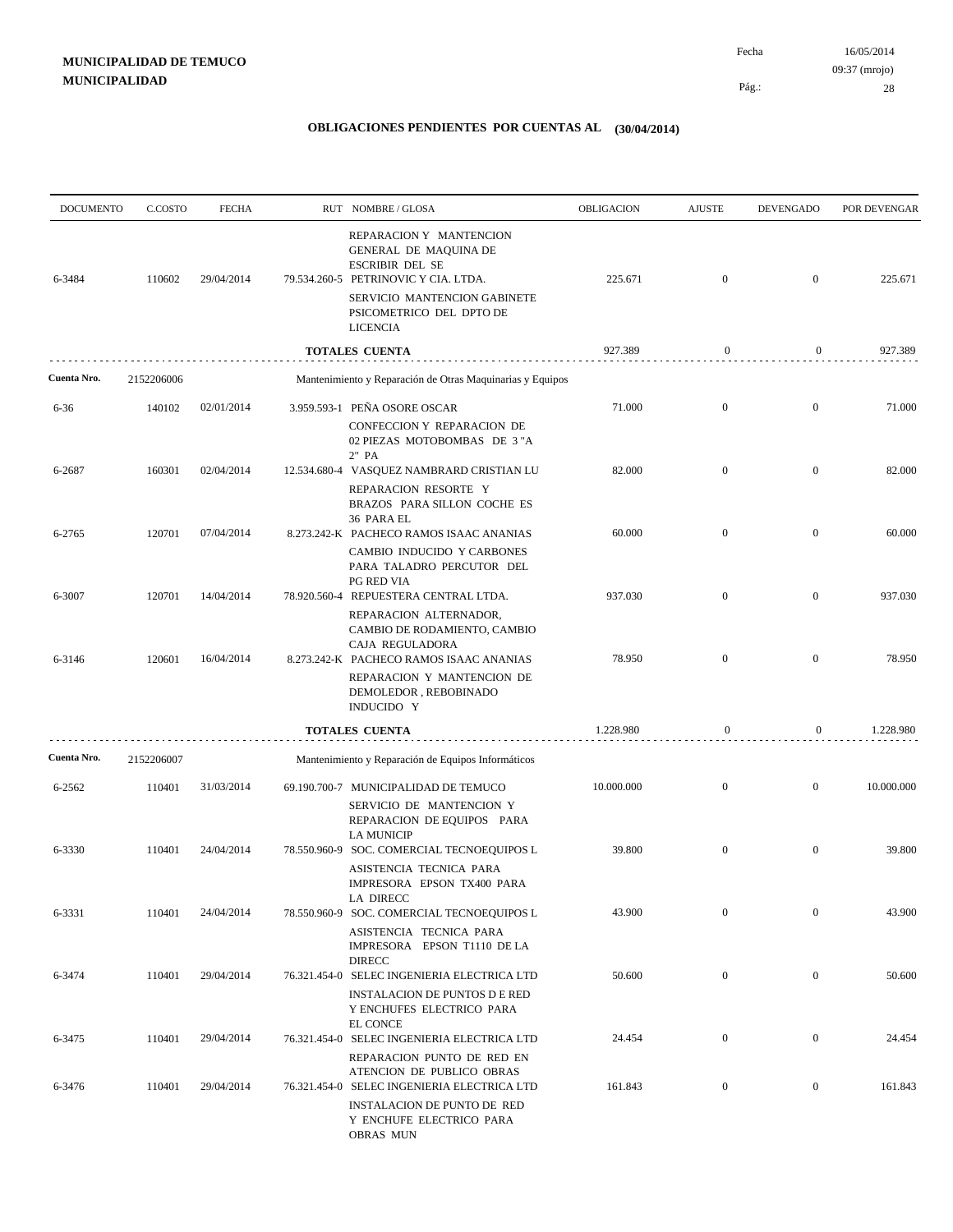| <b>DOCUMENTO</b> | C.COSTO    | <b>FECHA</b> | RUT NOMBRE/GLOSA                                                                                                                                                                                  | OBLIGACION | <b>AJUSTE</b>    | <b>DEVENGADO</b> | POR DEVENGAR |
|------------------|------------|--------------|---------------------------------------------------------------------------------------------------------------------------------------------------------------------------------------------------|------------|------------------|------------------|--------------|
| 6-3484           | 110602     | 29/04/2014   | REPARACION Y MANTENCION<br>GENERAL DE MAQUINA DE<br><b>ESCRIBIR DEL SE</b><br>79.534.260-5 PETRINOVIC Y CIA. LTDA.<br>SERVICIO MANTENCION GABINETE<br>PSICOMETRICO DEL DPTO DE<br><b>LICENCIA</b> | 225.671    | $\boldsymbol{0}$ | $\overline{0}$   | 225.671      |
|                  |            |              | <b>TOTALES CUENTA</b>                                                                                                                                                                             | 927.389    | $\mathbf{0}$     | $\mathbf{0}$     | 927.389      |
| Cuenta Nro.      | 2152206006 |              | Mantenimiento y Reparación de Otras Maquinarias y Equipos                                                                                                                                         |            |                  |                  |              |
| 6-36             | 140102     | 02/01/2014   | 3.959.593-1 PEÑA OSORE OSCAR                                                                                                                                                                      | 71.000     | $\boldsymbol{0}$ | $\overline{0}$   | 71.000       |
|                  |            |              | CONFECCION Y REPARACION DE<br>02 PIEZAS MOTOBOMBAS DE 3"A<br>2" PA                                                                                                                                |            |                  |                  |              |
| 6-2687           | 160301     | 02/04/2014   | 12.534.680-4 VASQUEZ NAMBRARD CRISTIAN LU                                                                                                                                                         | 82.000     | $\mathbf{0}$     | $\mathbf{0}$     | 82.000       |
|                  |            |              | REPARACION RESORTE Y<br>BRAZOS PARA SILLON COCHE ES<br>36 PARA EL                                                                                                                                 |            |                  |                  |              |
| 6-2765           | 120701     | 07/04/2014   | 8.273.242-K PACHECO RAMOS ISAAC ANANIAS                                                                                                                                                           | 60.000     | $\mathbf{0}$     | $\mathbf{0}$     | 60.000       |
|                  |            |              | CAMBIO INDUCIDO Y CARBONES<br>PARA TALADRO PERCUTOR DEL<br><b>PG RED VIA</b>                                                                                                                      |            |                  |                  |              |
| 6-3007           | 120701     | 14/04/2014   | 78.920.560-4 REPUESTERA CENTRAL LTDA.                                                                                                                                                             | 937.030    | $\boldsymbol{0}$ | $\overline{0}$   | 937.030      |
| 6-3146           | 120601     | 16/04/2014   | REPARACION ALTERNADOR,<br>CAMBIO DE RODAMIENTO, CAMBIO<br>CAJA REGULADORA<br>8.273.242-K PACHECO RAMOS ISAAC ANANIAS                                                                              | 78.950     | $\boldsymbol{0}$ | $\mathbf{0}$     | 78.950       |
|                  |            |              | REPARACION Y MANTENCION DE<br>DEMOLEDOR, REBOBINADO<br>INDUCIDO Y                                                                                                                                 |            |                  |                  |              |
|                  |            |              | <b>TOTALES CUENTA</b>                                                                                                                                                                             | 1.228.980  | $\mathbf{0}$     | $\boldsymbol{0}$ | 1.228.980    |
| Cuenta Nro.      | 2152206007 |              | Mantenimiento y Reparación de Equipos Informáticos                                                                                                                                                |            |                  |                  |              |
| 6-2562           | 110401     | 31/03/2014   | 69.190.700-7 MUNICIPALIDAD DE TEMUCO                                                                                                                                                              | 10.000.000 | $\mathbf{0}$     | $\mathbf{0}$     | 10.000.000   |
|                  |            |              | SERVICIO DE MANTENCION Y<br>REPARACION DE EQUIPOS PARA<br><b>LA MUNICIP</b>                                                                                                                       |            |                  |                  |              |
| 6-3330           | 110401     | 24/04/2014   | 78.550.960-9 SOC. COMERCIAL TECNOEQUIPOS L                                                                                                                                                        | 39.800     | $\boldsymbol{0}$ | $\mathbf{0}$     | 39.800       |
|                  |            |              | ASISTENCIA TECNICA PARA<br>IMPRESORA EPSON TX400 PARA<br>LA DIRECC                                                                                                                                |            |                  |                  |              |
| 6-3331           | 110401     | 24/04/2014   | 78.550.960-9 SOC. COMERCIAL TECNOEQUIPOS L                                                                                                                                                        | 43.900     | $\boldsymbol{0}$ | $\boldsymbol{0}$ | 43.900       |
|                  |            |              | ASISTENCIA TECNICA PARA<br>IMPRESORA EPSON T1110 DE LA<br><b>DIRECC</b>                                                                                                                           |            |                  |                  |              |
| 6-3474           | 110401     | 29/04/2014   | 76.321.454-0 SELEC INGENIERIA ELECTRICA LTD                                                                                                                                                       | 50.600     | $\overline{0}$   | $\bf{0}$         | 50.600       |
|                  |            |              | <b>INSTALACION DE PUNTOS D E RED</b><br>Y ENCHUFES ELECTRICO PARA<br>EL CONCE                                                                                                                     |            |                  |                  |              |
| 6-3475           | 110401     | 29/04/2014   | 76.321.454-0 SELEC INGENIERIA ELECTRICA LTD                                                                                                                                                       | 24.454     | $\mathbf{0}$     | $\boldsymbol{0}$ | 24.454       |
| 6-3476           | 110401     | 29/04/2014   | REPARACION PUNTO DE RED EN<br>ATENCION DE PUBLICO OBRAS<br>76.321.454-0 SELEC INGENIERIA ELECTRICA LTD                                                                                            | 161.843    | $\boldsymbol{0}$ | $\boldsymbol{0}$ | 161.843      |
|                  |            |              | INSTALACION DE PUNTO DE RED<br>Y ENCHUFE ELECTRICO PARA<br><b>OBRAS MUN</b>                                                                                                                       |            |                  |                  |              |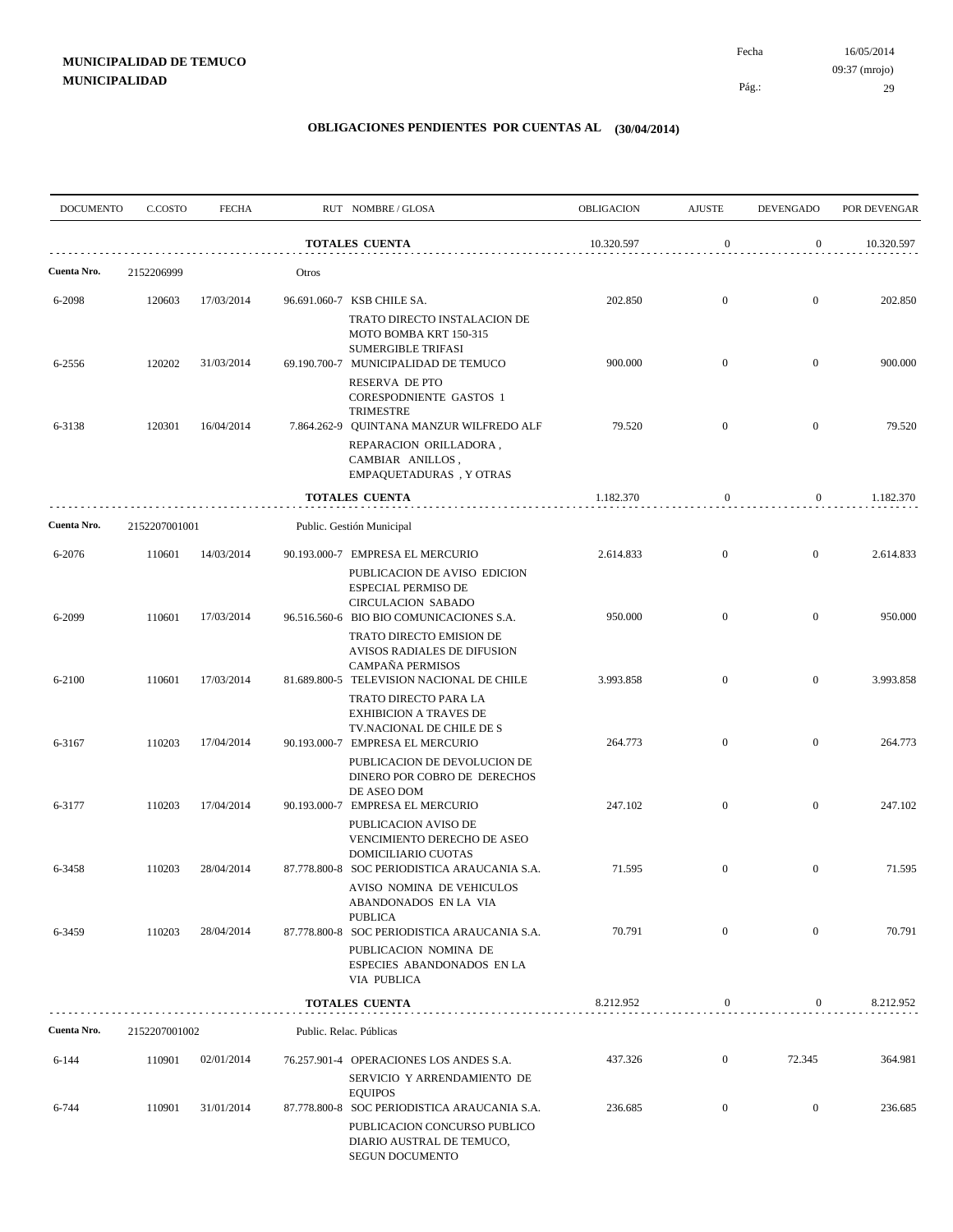| <b>DOCUMENTO</b> | C.COSTO       | <b>FECHA</b> |                | RUT NOMBRE/GLOSA                                                                                                                               | OBLIGACION | <b>AJUSTE</b>    | <b>DEVENGADO</b> | POR DEVENGAR |
|------------------|---------------|--------------|----------------|------------------------------------------------------------------------------------------------------------------------------------------------|------------|------------------|------------------|--------------|
|                  |               |              |                | <b>TOTALES CUENTA</b>                                                                                                                          | 10.320.597 | $\boldsymbol{0}$ | $\overline{0}$   | 10.320.597   |
| Cuenta Nro.      | 2152206999    |              | Otros          |                                                                                                                                                |            |                  |                  |              |
| 6-2098           | 120603        | 17/03/2014   |                | 96.691.060-7 KSB CHILE SA.<br>TRATO DIRECTO INSTALACION DE                                                                                     | 202.850    | $\mathbf{0}$     | $\overline{0}$   | 202.850      |
| 6-2556           | 120202        | 31/03/2014   |                | MOTO BOMBA KRT 150-315<br><b>SUMERGIBLE TRIFASI</b><br>69.190.700-7 MUNICIPALIDAD DE TEMUCO                                                    | 900.000    | $\overline{0}$   | $\overline{0}$   | 900.000      |
|                  |               |              |                | RESERVA DE PTO<br><b>CORESPODNIENTE GASTOS 1</b><br>TRIMESTRE                                                                                  |            |                  |                  |              |
| 6-3138           | 120301        | 16/04/2014   |                | 7.864.262-9 QUINTANA MANZUR WILFREDO ALF<br>REPARACION ORILLADORA,<br>CAMBIAR ANILLOS,<br>EMPAQUETADURAS, Y OTRAS                              | 79.520     | $\mathbf{0}$     | $\overline{0}$   | 79.520       |
|                  |               |              | TOTALES CUENTA |                                                                                                                                                | 1.182.370  | $\boldsymbol{0}$ | 0                | 1.182.370    |
| Cuenta Nro.      | 2152207001001 |              |                | Public. Gestión Municipal                                                                                                                      |            |                  |                  |              |
| 6-2076           | 110601        | 14/03/2014   |                | 90.193.000-7 EMPRESA EL MERCURIO<br>PUBLICACION DE AVISO EDICION<br><b>ESPECIAL PERMISO DE</b>                                                 | 2.614.833  | $\mathbf{0}$     | $\mathbf{0}$     | 2.614.833    |
| 6-2099           | 110601        | 17/03/2014   |                | <b>CIRCULACION SABADO</b><br>96.516.560-6 BIO BIO COMUNICACIONES S.A.<br>TRATO DIRECTO EMISION DE                                              | 950.000    | $\overline{0}$   | $\overline{0}$   | 950.000      |
| 6-2100           | 110601        | 17/03/2014   |                | AVISOS RADIALES DE DIFUSION<br>CAMPAÑA PERMISOS<br>81.689.800-5 TELEVISION NACIONAL DE CHILE                                                   | 3.993.858  | $\overline{0}$   | $\mathbf{0}$     | 3.993.858    |
| 6-3167           | 110203        | 17/04/2014   |                | TRATO DIRECTO PARA LA<br><b>EXHIBICION A TRAVES DE</b><br>TV.NACIONAL DE CHILE DE S<br>90.193.000-7 EMPRESA EL MERCURIO                        | 264.773    | $\mathbf{0}$     | $\overline{0}$   | 264.773      |
|                  |               |              |                | PUBLICACION DE DEVOLUCION DE<br>DINERO POR COBRO DE DERECHOS<br>DE ASEO DOM                                                                    |            |                  |                  |              |
| 6-3177           | 110203        | 17/04/2014   |                | 90.193.000-7 EMPRESA EL MERCURIO<br>PUBLICACION AVISO DE<br>VENCIMIENTO DERECHO DE ASEO                                                        | 247.102    | $\overline{0}$   | $\mathbf{0}$     | 247.102      |
| 6-3458           | 110203        | 28/04/2014   |                | DOMICILIARIO CUOTAS<br>87.778.800-8 SOC PERIODISTICA ARAUCANIA S.A.<br>AVISO NOMINA DE VEHICULOS<br>ABANDONADOS EN LA VIA                      | 71.595     | $\mathbf{0}$     | $\mathbf{0}$     | 71.595       |
| 6-3459           | 110203        | 28/04/2014   |                | <b>PUBLICA</b><br>87.778.800-8 SOC PERIODISTICA ARAUCANIA S.A.<br>PUBLICACION NOMINA DE<br>ESPECIES ABANDONADOS EN LA<br><b>VIA PUBLICA</b>    | 70.791     | $\mathbf{0}$     | $\overline{0}$   | 70.791       |
|                  |               |              |                | <b>TOTALES CUENTA</b>                                                                                                                          | 8.212.952  | $\boldsymbol{0}$ | $\boldsymbol{0}$ | 8.212.952    |
| Cuenta Nro.      | 2152207001002 |              |                | Public. Relac. Públicas                                                                                                                        |            |                  |                  |              |
| 6-144            | 110901        | 02/01/2014   |                | 76.257.901-4 OPERACIONES LOS ANDES S.A.<br>SERVICIO Y ARRENDAMIENTO DE                                                                         | 437.326    | $\mathbf{0}$     | 72.345           | 364.981      |
| 6-744            | 110901        | 31/01/2014   |                | <b>EQUIPOS</b><br>87.778.800-8 SOC PERIODISTICA ARAUCANIA S.A.<br>PUBLICACION CONCURSO PUBLICO<br>DIARIO AUSTRAL DE TEMUCO,<br>SEGUN DOCUMENTO | 236.685    | $\boldsymbol{0}$ | $\boldsymbol{0}$ | 236.685      |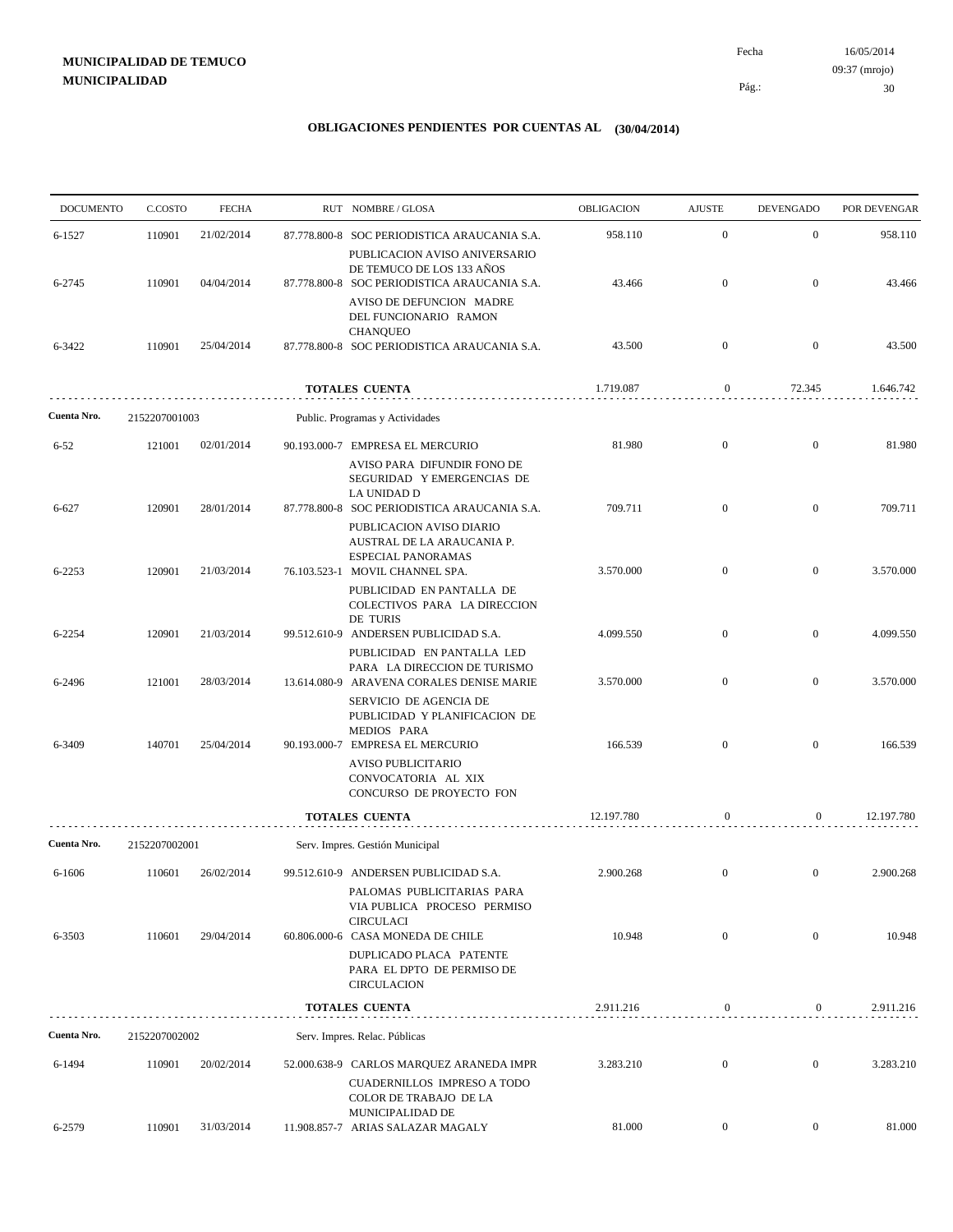| <b>DOCUMENTO</b> | C.COSTO       | <b>FECHA</b> | RUT NOMBRE/GLOSA                                                                                                             | OBLIGACION | <b>AJUSTE</b>    | <b>DEVENGADO</b> | POR DEVENGAR |
|------------------|---------------|--------------|------------------------------------------------------------------------------------------------------------------------------|------------|------------------|------------------|--------------|
| 6-1527           | 110901        | 21/02/2014   | 87.778.800-8 SOC PERIODISTICA ARAUCANIA S.A.<br>PUBLICACION AVISO ANIVERSARIO                                                | 958.110    | $\mathbf{0}$     | $\mathbf{0}$     | 958.110      |
| 6-2745           | 110901        | 04/04/2014   | DE TEMUCO DE LOS 133 AÑOS<br>87.778.800-8 SOC PERIODISTICA ARAUCANIA S.A.<br>AVISO DE DEFUNCION MADRE                        | 43.466     | $\mathbf{0}$     | $\mathbf{0}$     | 43.466       |
| 6-3422           | 110901        | 25/04/2014   | DEL FUNCIONARIO RAMON<br><b>CHANQUEO</b><br>87.778.800-8 SOC PERIODISTICA ARAUCANIA S.A.                                     | 43.500     | $\mathbf{0}$     | $\overline{0}$   | 43.500       |
|                  |               |              | <b>TOTALES CUENTA</b>                                                                                                        | 1.719.087  | $\boldsymbol{0}$ | 72.345           | 1.646.742    |
| Cuenta Nro.      | 2152207001003 |              | Public. Programas y Actividades                                                                                              |            |                  |                  |              |
| $6 - 52$         | 121001        | 02/01/2014   | 90.193.000-7 EMPRESA EL MERCURIO                                                                                             | 81.980     | $\mathbf{0}$     | $\overline{0}$   | 81.980       |
| 6-627            | 120901        | 28/01/2014   | AVISO PARA DIFUNDIR FONO DE<br>SEGURIDAD Y EMERGENCIAS DE<br>LA UNIDAD D<br>87.778.800-8 SOC PERIODISTICA ARAUCANIA S.A.     | 709.711    | $\mathbf{0}$     | $\overline{0}$   | 709.711      |
| 6-2253           | 120901        | 21/03/2014   | PUBLICACION AVISO DIARIO<br>AUSTRAL DE LA ARAUCANIA P.<br><b>ESPECIAL PANORAMAS</b><br>76.103.523-1 MOVIL CHANNEL SPA.       | 3.570.000  | $\overline{0}$   | $\overline{0}$   | 3.570.000    |
| 6-2254           | 120901        | 21/03/2014   | PUBLICIDAD EN PANTALLA DE<br>COLECTIVOS PARA LA DIRECCION<br>DE TURIS<br>99.512.610-9 ANDERSEN PUBLICIDAD S.A.               | 4.099.550  | $\mathbf{0}$     | $\mathbf{0}$     | 4.099.550    |
| 6-2496           | 121001        | 28/03/2014   | PUBLICIDAD EN PANTALLA LED<br>PARA LA DIRECCION DE TURISMO<br>13.614.080-9 ARAVENA CORALES DENISE MARIE                      | 3.570.000  | $\overline{0}$   | $\overline{0}$   | 3.570.000    |
| 6-3409           | 140701        | 25/04/2014   | SERVICIO DE AGENCIA DE<br>PUBLICIDAD Y PLANIFICACION DE<br>MEDIOS PARA<br>90.193.000-7 EMPRESA EL MERCURIO                   | 166.539    | $\overline{0}$   | $\mathbf{0}$     | 166.539      |
|                  |               |              | AVISO PUBLICITARIO<br>CONVOCATORIA AL XIX<br>CONCURSO DE PROYECTO FON                                                        |            |                  |                  |              |
|                  |               |              | TOTALES CUENTA                                                                                                               | 12.197.780 | $\boldsymbol{0}$ | $\overline{0}$   | 12.197.780   |
| Cuenta Nro.      | 2152207002001 |              | Serv. Impres. Gestión Municipal                                                                                              |            |                  |                  |              |
| 6-1606           | 110601        | 26/02/2014   | 99.512.610-9 ANDERSEN PUBLICIDAD S.A.<br>PALOMAS PUBLICITARIAS PARA<br>VIA PUBLICA PROCESO PERMISO<br><b>CIRCULACI</b>       | 2.900.268  | $\overline{0}$   | $\overline{0}$   | 2.900.268    |
| 6-3503           | 110601        | 29/04/2014   | 60.806.000-6 CASA MONEDA DE CHILE<br>DUPLICADO PLACA PATENTE<br>PARA EL DPTO DE PERMISO DE                                   | 10.948     | $\mathbf{0}$     | $\mathbf{0}$     | 10.948       |
|                  |               |              | <b>CIRCULACION</b>                                                                                                           |            |                  |                  |              |
|                  |               |              | <b>TOTALES CUENTA</b>                                                                                                        | 2.911.216  | 0                | $\mathbf{0}$     | 2.911.216    |
| Cuenta Nro.      | 2152207002002 |              | Serv. Impres. Relac. Públicas                                                                                                |            |                  |                  |              |
| 6-1494           | 110901        | 20/02/2014   | 52.000.638-9 CARLOS MARQUEZ ARANEDA IMPR<br><b>CUADERNILLOS IMPRESO A TODO</b><br>COLOR DE TRABAJO DE LA<br>MUNICIPALIDAD DE | 3.283.210  | $\mathbf{0}$     | $\overline{0}$   | 3.283.210    |
| 6-2579           | 110901        | 31/03/2014   | 11.908.857-7 ARIAS SALAZAR MAGALY                                                                                            | 81.000     | $\overline{0}$   | $\overline{0}$   | 81.000       |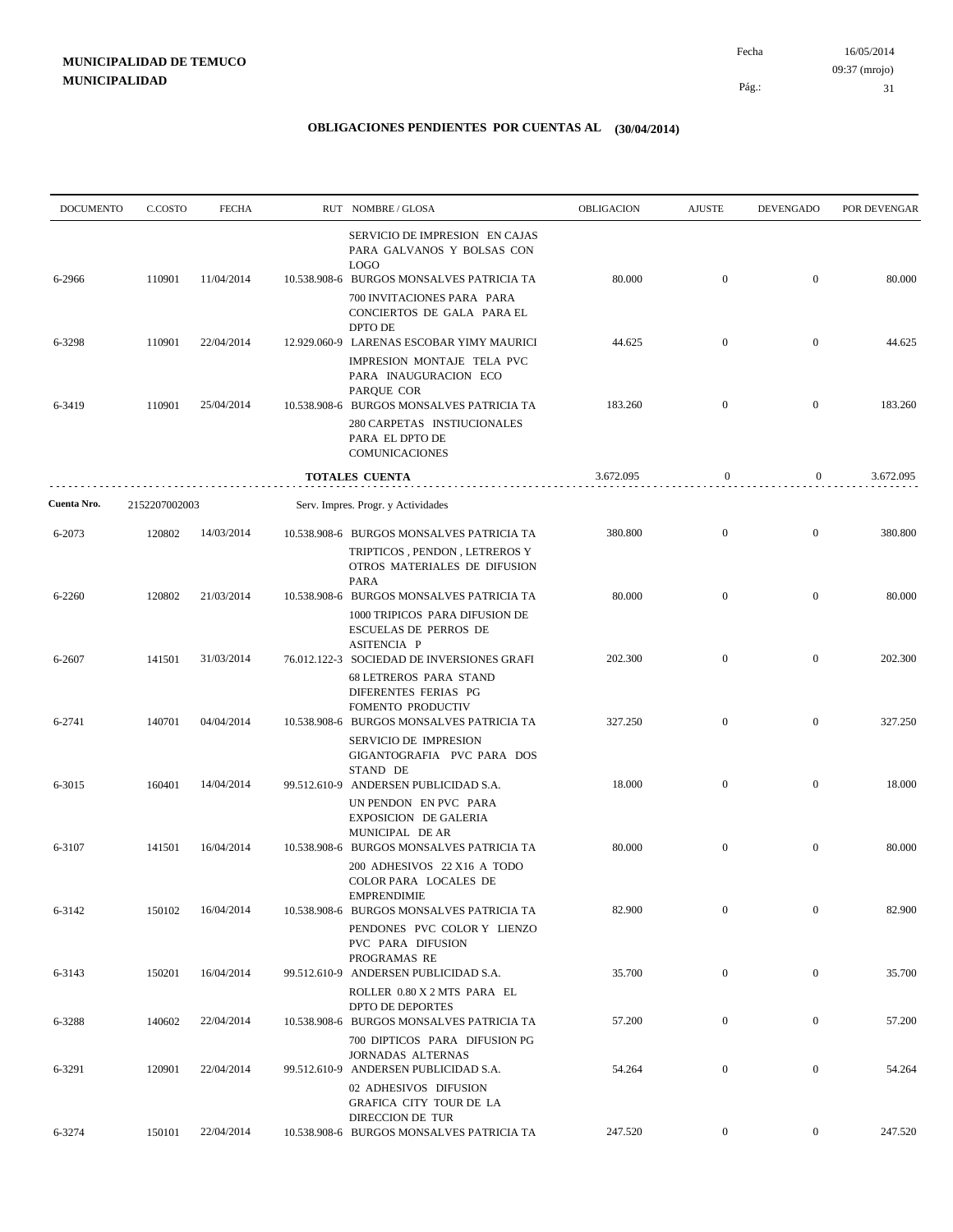| <b>DOCUMENTO</b> | C.COSTO       | <b>FECHA</b> | RUT NOMBRE/GLOSA                                                                                                            | OBLIGACION | <b>AJUSTE</b>    | DEVENGADO        | POR DEVENGAR |
|------------------|---------------|--------------|-----------------------------------------------------------------------------------------------------------------------------|------------|------------------|------------------|--------------|
| 6-2966           | 110901        | 11/04/2014   | SERVICIO DE IMPRESION EN CAJAS<br>PARA GALVANOS Y BOLSAS CON<br><b>LOGO</b><br>10.538.908-6 BURGOS MONSALVES PATRICIA TA    | 80.000     | $\boldsymbol{0}$ | $\overline{0}$   | 80.000       |
|                  |               |              | 700 INVITACIONES PARA PARA<br>CONCIERTOS DE GALA PARA EL<br>DPTO DE                                                         |            |                  |                  |              |
| 6-3298           | 110901        | 22/04/2014   | 12.929.060-9 LARENAS ESCOBAR YIMY MAURICI<br>IMPRESION MONTAJE TELA PVC<br>PARA INAUGURACION ECO                            | 44.625     | $\mathbf{0}$     | $\overline{0}$   | 44.625       |
| 6-3419           | 110901        | 25/04/2014   | PARQUE COR<br>10.538.908-6 BURGOS MONSALVES PATRICIA TA<br>280 CARPETAS INSTIUCIONALES<br>PARA EL DPTO DE<br>COMUNICACIONES | 183.260    | $\overline{0}$   | $\overline{0}$   | 183.260      |
|                  |               |              | <b>TOTALES CUENTA</b>                                                                                                       | 3.672.095  | $\mathbf{0}$     | $\boldsymbol{0}$ | 3.672.095    |
| Cuenta Nro.      | 2152207002003 |              | Serv. Impres. Progr. y Actividades                                                                                          |            |                  |                  |              |
| 6-2073           | 120802        | 14/03/2014   | 10.538.908-6 BURGOS MONSALVES PATRICIA TA<br>TRIPTICOS, PENDON, LETREROS Y<br>OTROS MATERIALES DE DIFUSION<br><b>PARA</b>   | 380.800    | $\mathbf{0}$     | $\mathbf{0}$     | 380.800      |
| 6-2260           | 120802        | 21/03/2014   | 10.538.908-6 BURGOS MONSALVES PATRICIA TA<br>1000 TRIPICOS PARA DIFUSION DE<br><b>ESCUELAS DE PERROS DE</b><br>ASITENCIA P  | 80.000     | $\boldsymbol{0}$ | $\mathbf{0}$     | 80.000       |
| 6-2607           | 141501        | 31/03/2014   | 76.012.122-3 SOCIEDAD DE INVERSIONES GRAFI<br><b>68 LETREROS PARA STAND</b><br>DIFERENTES FERIAS PG<br>FOMENTO PRODUCTIV    | 202.300    | $\mathbf{0}$     | $\mathbf{0}$     | 202.300      |
| 6-2741           | 140701        | 04/04/2014   | 10.538.908-6 BURGOS MONSALVES PATRICIA TA<br>SERVICIO DE IMPRESION<br>GIGANTOGRAFIA PVC PARA DOS<br>STAND DE                | 327.250    | $\boldsymbol{0}$ | $\mathbf{0}$     | 327.250      |
| 6-3015           | 160401        | 14/04/2014   | 99.512.610-9 ANDERSEN PUBLICIDAD S.A.<br>UN PENDON EN PVC PARA<br>EXPOSICION DE GALERIA<br>MUNICIPAL DE AR                  | 18.000     | $\overline{0}$   | $\boldsymbol{0}$ | 18.000       |
| 6-3107           | 141501        | 16/04/2014   | 10.538.908-6 BURGOS MONSALVES PATRICIA TA<br>200 ADHESIVOS 22 X16 A TODO<br>COLOR PARA LOCALES DE<br><b>EMPRENDIMIE</b>     | 80.000     | $\boldsymbol{0}$ | $\mathbf{0}$     | 80.000       |
| 6-3142           | 150102        | 16/04/2014   | 10.538.908-6 BURGOS MONSALVES PATRICIA TA<br>PENDONES PVC COLOR Y LIENZO<br>PVC PARA DIFUSION<br>PROGRAMAS RE               | 82.900     | $\mathbf{0}$     | $\boldsymbol{0}$ | 82.900       |
| 6-3143           | 150201        | 16/04/2014   | 99.512.610-9 ANDERSEN PUBLICIDAD S.A.<br>ROLLER 0.80 X 2 MTS PARA EL<br>DPTO DE DEPORTES                                    | 35.700     | $\boldsymbol{0}$ | $\boldsymbol{0}$ | 35.700       |
| 6-3288           | 140602        | 22/04/2014   | 10.538.908-6 BURGOS MONSALVES PATRICIA TA<br>700 DIPTICOS PARA DIFUSION PG<br><b>JORNADAS ALTERNAS</b>                      | 57.200     | $\boldsymbol{0}$ | $\overline{0}$   | 57.200       |
| 6-3291           | 120901        | 22/04/2014   | 99.512.610-9 ANDERSEN PUBLICIDAD S.A.<br>02 ADHESIVOS DIFUSION<br>GRAFICA CITY TOUR DE LA<br>DIRECCION DE TUR               | 54.264     | $\boldsymbol{0}$ | $\overline{0}$   | 54.264       |
| 6-3274           | 150101        | 22/04/2014   | 10.538.908-6 BURGOS MONSALVES PATRICIA TA                                                                                   | 247.520    | $\overline{0}$   | $\overline{0}$   | 247.520      |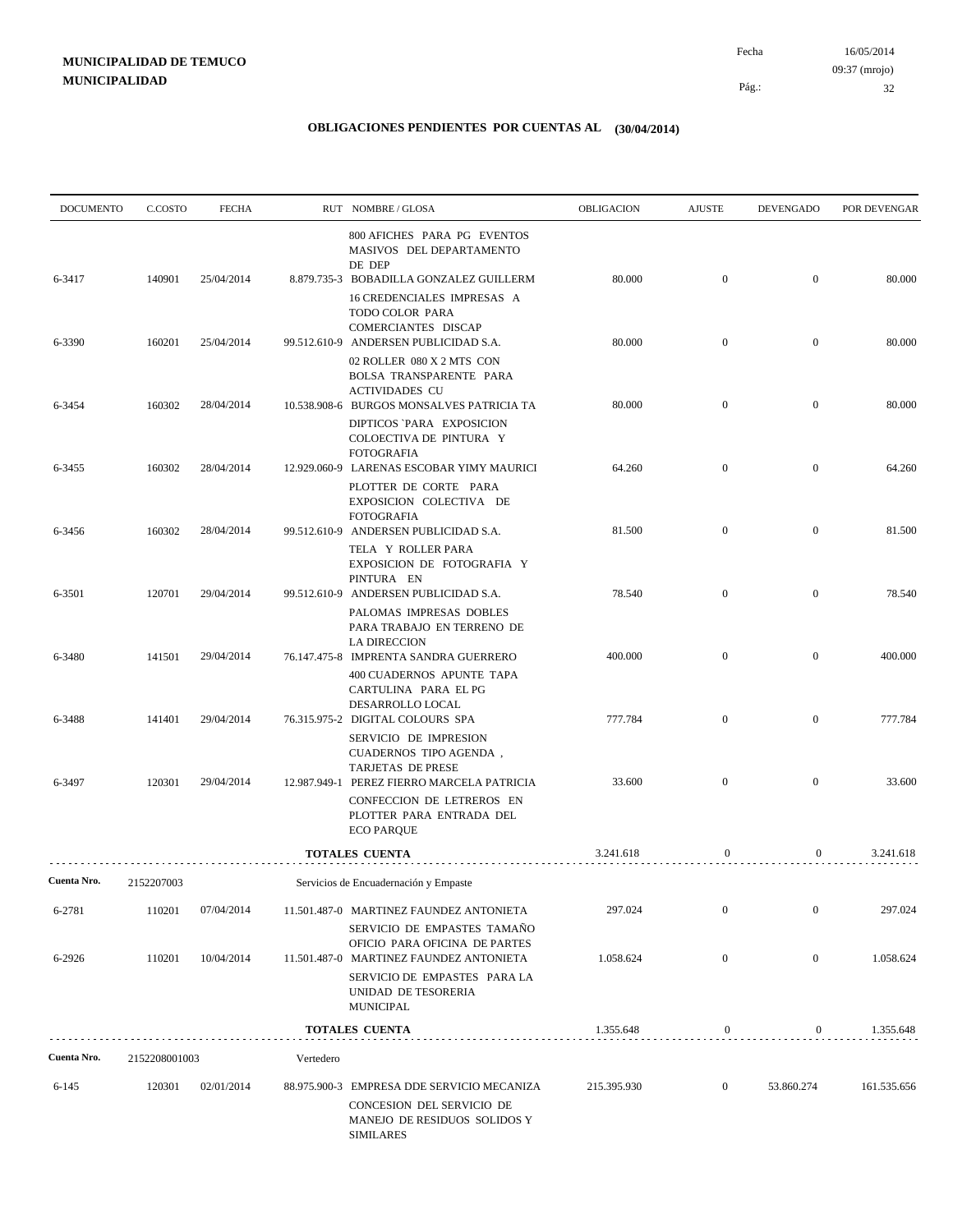| <b>DOCUMENTO</b> | C.COSTO       | <b>FECHA</b> |           | RUT NOMBRE/GLOSA                                                                                                                                    | OBLIGACION  | <b>AJUSTE</b>    | <b>DEVENGADO</b> | POR DEVENGAR |
|------------------|---------------|--------------|-----------|-----------------------------------------------------------------------------------------------------------------------------------------------------|-------------|------------------|------------------|--------------|
| 6-3417           | 140901        | 25/04/2014   |           | 800 AFICHES PARA PG EVENTOS<br>MASIVOS DEL DEPARTAMENTO<br>DE DEP<br>8.879.735-3 BOBADILLA GONZALEZ GUILLERM                                        | 80.000      | $\boldsymbol{0}$ | $\mathbf{0}$     | 80.000       |
|                  |               |              |           | 16 CREDENCIALES IMPRESAS A<br>TODO COLOR PARA<br>COMERCIANTES DISCAP                                                                                |             |                  |                  |              |
| 6-3390           | 160201        | 25/04/2014   |           | 99.512.610-9 ANDERSEN PUBLICIDAD S.A.<br>02 ROLLER 080 X 2 MTS CON<br>BOLSA TRANSPARENTE PARA                                                       | 80.000      | $\boldsymbol{0}$ | $\mathbf{0}$     | 80.000       |
| 6-3454           | 160302        | 28/04/2014   |           | <b>ACTIVIDADES CU</b><br>10.538.908-6 BURGOS MONSALVES PATRICIA TA<br>DIPTICOS `PARA EXPOSICION<br>COLOECTIVA DE PINTURA Y                          | 80.000      | $\mathbf{0}$     | $\mathbf{0}$     | 80.000       |
| 6-3455           | 160302        | 28/04/2014   |           | <b>FOTOGRAFIA</b><br>12.929.060-9 LARENAS ESCOBAR YIMY MAURICI                                                                                      | 64.260      | $\boldsymbol{0}$ | $\boldsymbol{0}$ | 64.260       |
| 6-3456           | 160302        | 28/04/2014   |           | PLOTTER DE CORTE PARA<br>EXPOSICION COLECTIVA DE<br><b>FOTOGRAFIA</b><br>99.512.610-9 ANDERSEN PUBLICIDAD S.A.                                      | 81.500      | $\boldsymbol{0}$ | $\mathbf{0}$     | 81.500       |
|                  |               |              |           | TELA Y ROLLER PARA<br>EXPOSICION DE FOTOGRAFIA Y<br>PINTURA EN                                                                                      |             |                  |                  |              |
| 6-3501           | 120701        | 29/04/2014   |           | 99.512.610-9 ANDERSEN PUBLICIDAD S.A.<br>PALOMAS IMPRESAS DOBLES<br>PARA TRABAJO EN TERRENO DE                                                      | 78.540      | $\boldsymbol{0}$ | $\boldsymbol{0}$ | 78.540       |
| 6-3480           | 141501        | 29/04/2014   |           | <b>LA DIRECCION</b><br>76.147.475-8 IMPRENTA SANDRA GUERRERO<br>400 CUADERNOS APUNTE TAPA<br>CARTULINA PARA EL PG                                   | 400.000     | $\mathbf{0}$     | $\overline{0}$   | 400.000      |
| 6-3488           | 141401        | 29/04/2014   |           | DESARROLLO LOCAL<br>76.315.975-2 DIGITAL COLOURS SPA<br>SERVICIO DE IMPRESION<br>CUADERNOS TIPO AGENDA,                                             | 777.784     | $\mathbf{0}$     | $\mathbf{0}$     | 777.784      |
| 6-3497           | 120301        | 29/04/2014   |           | TARJETAS DE PRESE<br>12.987.949-1 PEREZ FIERRO MARCELA PATRICIA                                                                                     | 33.600      | $\overline{0}$   | $\boldsymbol{0}$ | 33.600       |
|                  |               |              |           | CONFECCION DE LETREROS EN<br>PLOTTER PARA ENTRADA DEL<br><b>ECO PARQUE</b>                                                                          |             |                  |                  |              |
|                  |               |              |           | <b>TOTALES CUENTA</b>                                                                                                                               | 3.241.618   | $\boldsymbol{0}$ | 0                | 3.241.618    |
| Cuenta Nro.      | 2152207003    |              |           | Servicios de Encuadernación y Empaste                                                                                                               |             |                  |                  |              |
| 6-2781           | 110201        | 07/04/2014   |           | 11.501.487-0 MARTINEZ FAUNDEZ ANTONIETA<br>SERVICIO DE EMPASTES TAMAÑO                                                                              | 297.024     | $\overline{0}$   | $\boldsymbol{0}$ | 297.024      |
| 6-2926           | 110201        | 10/04/2014   |           | OFICIO PARA OFICINA DE PARTES<br>11.501.487-0 MARTINEZ FAUNDEZ ANTONIETA<br>SERVICIO DE EMPASTES PARA LA<br>UNIDAD DE TESORERIA<br><b>MUNICIPAL</b> | 1.058.624   | $\overline{0}$   | $\boldsymbol{0}$ | 1.058.624    |
|                  |               |              |           | <b>TOTALES CUENTA</b>                                                                                                                               | 1.355.648   | 0                | $\mathbf{0}$     | 1.355.648    |
| Cuenta Nro.      | 2152208001003 |              | Vertedero |                                                                                                                                                     |             |                  |                  |              |
| $6 - 145$        | 120301        | 02/01/2014   |           | 88.975.900-3 EMPRESA DDE SERVICIO MECANIZA<br>CONCESION DEL SERVICIO DE<br>MANEJO DE RESIDUOS SOLIDOS Y<br><b>SIMILARES</b>                         | 215.395.930 | $\boldsymbol{0}$ | 53.860.274       | 161.535.656  |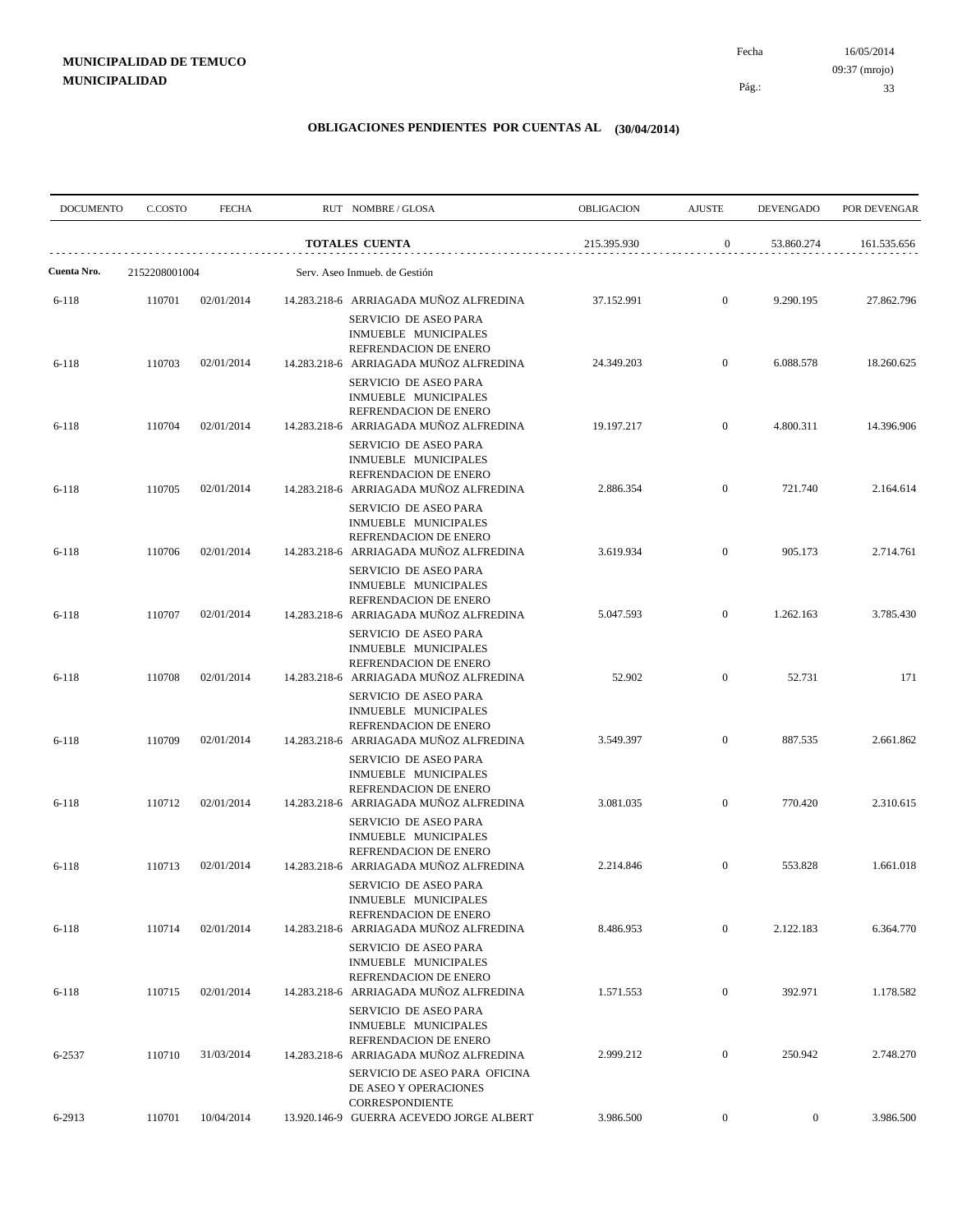| <b>DOCUMENTO</b>       | C.COSTO          | <b>FECHA</b>             |                       | RUT NOMBRE/GLOSA                                                                                                                                           | <b>OBLIGACION</b>                                                                      | <b>AJUSTE</b>                      | <b>DEVENGADO</b>  | POR DEVENGAR     |  |
|------------------------|------------------|--------------------------|-----------------------|------------------------------------------------------------------------------------------------------------------------------------------------------------|----------------------------------------------------------------------------------------|------------------------------------|-------------------|------------------|--|
|                        |                  |                          | <b>TOTALES CUENTA</b> |                                                                                                                                                            | 215.395.930                                                                            | $\mathbf{0}$                       | 53.860.274        | 161.535.656      |  |
| Cuenta Nro.            | 2152208001004    |                          |                       | Serv. Aseo Inmueb. de Gestión                                                                                                                              | $\boldsymbol{0}$<br>9.290.195<br>37.152.991<br>6.088.578<br>24.349.203<br>$\mathbf{0}$ |                                    |                   |                  |  |
| 6-118                  | 110701           | 02/01/2014               |                       | 14.283.218-6 ARRIAGADA MUÑOZ ALFREDINA<br>SERVICIO DE ASEO PARA<br>INMUEBLE MUNICIPALES                                                                    |                                                                                        |                                    |                   | 27.862.796       |  |
| $6 - 118$              | 110703           | 02/01/2014               |                       | REFRENDACION DE ENERO<br>14.283.218-6 ARRIAGADA MUÑOZ ALFREDINA<br>SERVICIO DE ASEO PARA                                                                   |                                                                                        |                                    |                   | 18.260.625       |  |
| 6-118                  | 110704           | 02/01/2014               |                       | INMUEBLE MUNICIPALES<br>REFRENDACION DE ENERO<br>14.283.218-6 ARRIAGADA MUÑOZ ALFREDINA                                                                    | 19.197.217                                                                             | $\boldsymbol{0}$                   | 4.800.311         | 14.396.906       |  |
| 6-118                  | 110705           | 02/01/2014               |                       | SERVICIO DE ASEO PARA<br>INMUEBLE MUNICIPALES<br>REFRENDACION DE ENERO<br>14.283.218-6 ARRIAGADA MUÑOZ ALFREDINA                                           | 2.886.354                                                                              | $\boldsymbol{0}$                   | 721.740           | 2.164.614        |  |
| $6 - 118$              | 110706           | 02/01/2014               |                       | SERVICIO DE ASEO PARA<br>INMUEBLE MUNICIPALES<br>REFRENDACION DE ENERO<br>14.283.218-6 ARRIAGADA MUÑOZ ALFREDINA                                           | 3.619.934                                                                              | $\boldsymbol{0}$                   | 905.173           | 2.714.761        |  |
| 6-118                  | 110707           | 02/01/2014               |                       | SERVICIO DE ASEO PARA<br>INMUEBLE MUNICIPALES<br>REFRENDACION DE ENERO<br>14.283.218-6 ARRIAGADA MUÑOZ ALFREDINA                                           | 5.047.593                                                                              | $\boldsymbol{0}$                   | 1.262.163         | 3.785.430        |  |
|                        |                  |                          |                       | SERVICIO DE ASEO PARA<br>INMUEBLE MUNICIPALES<br>REFRENDACION DE ENERO                                                                                     |                                                                                        |                                    |                   |                  |  |
| $6 - 118$<br>$6 - 118$ | 110708<br>110709 | 02/01/2014<br>02/01/2014 |                       | 14.283.218-6 ARRIAGADA MUÑOZ ALFREDINA<br>SERVICIO DE ASEO PARA<br>INMUEBLE MUNICIPALES<br>REFRENDACION DE ENERO<br>14.283.218-6 ARRIAGADA MUÑOZ ALFREDINA | 52.902<br>3.549.397                                                                    | $\boldsymbol{0}$<br>$\overline{0}$ | 52.731<br>887.535 | 171<br>2.661.862 |  |
|                        |                  |                          |                       | SERVICIO DE ASEO PARA<br>INMUEBLE MUNICIPALES<br>REFRENDACION DE ENERO                                                                                     |                                                                                        |                                    |                   |                  |  |
| $6 - 118$              | 110712           | 02/01/2014               |                       | 14.283.218-6 ARRIAGADA MUÑOZ ALFREDINA<br>SERVICIO DE ASEO PARA<br>INMUEBLE MUNICIPALES<br>REFRENDACION DE ENERO                                           | 3.081.035                                                                              | $\boldsymbol{0}$                   | 770.420           | 2.310.615        |  |
| $6 - 118$              | 110713           | 02/01/2014               |                       | 14.283.218-6 ARRIAGADA MUÑOZ ALFREDINA<br>SERVICIO DE ASEO PARA<br>INMUEBLE MUNICIPALES                                                                    | 2.214.846                                                                              | $\mathbf{0}$                       | 553.828           | 1.661.018        |  |
| $6 - 118$              | 110714           | 02/01/2014               |                       | REFRENDACION DE ENERO<br>14.283.218-6 ARRIAGADA MUÑOZ ALFREDINA<br>SERVICIO DE ASEO PARA                                                                   | 8.486.953                                                                              | $\boldsymbol{0}$                   | 2.122.183         | 6.364.770        |  |
| $6 - 118$              | 110715           | 02/01/2014               |                       | INMUEBLE MUNICIPALES<br>REFRENDACION DE ENERO<br>14.283.218-6 ARRIAGADA MUÑOZ ALFREDINA                                                                    | 1.571.553                                                                              | $\overline{0}$                     | 392.971           | 1.178.582        |  |
| 6-2537                 | 110710           | 31/03/2014               |                       | SERVICIO DE ASEO PARA<br>INMUEBLE MUNICIPALES<br>REFRENDACION DE ENERO<br>14.283.218-6 ARRIAGADA MUÑOZ ALFREDINA                                           | 2.999.212                                                                              | $\boldsymbol{0}$                   | 250.942           | 2.748.270        |  |
|                        |                  |                          |                       | SERVICIO DE ASEO PARA OFICINA<br>DE ASEO Y OPERACIONES<br>CORRESPONDIENTE                                                                                  |                                                                                        |                                    |                   |                  |  |
| 6-2913                 | 110701           | 10/04/2014               |                       | 13.920.146-9 GUERRA ACEVEDO JORGE ALBERT                                                                                                                   | 3.986.500                                                                              | $\overline{0}$                     | $\boldsymbol{0}$  | 3.986.500        |  |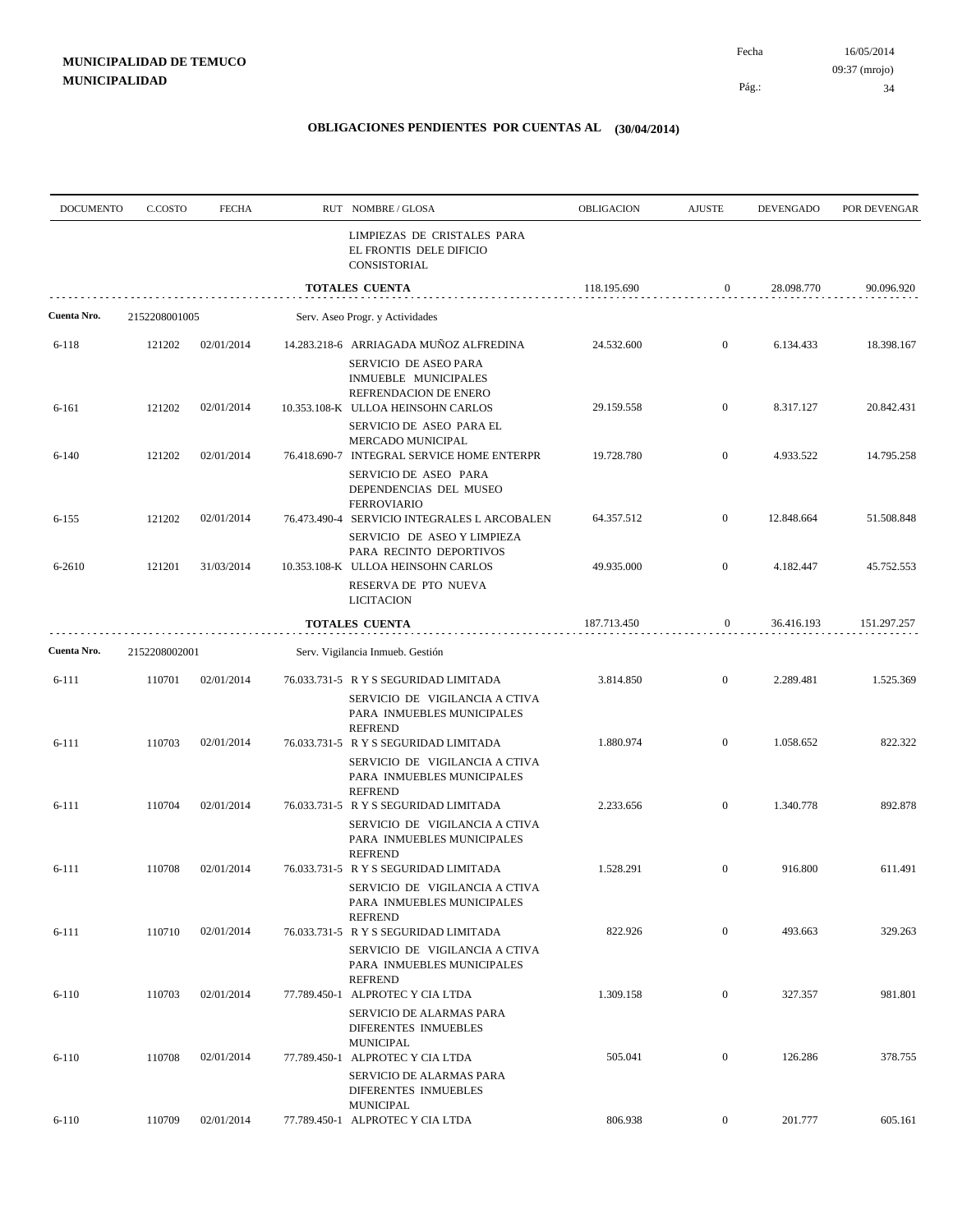Pág.:

| <b>DOCUMENTO</b> | C.COSTO       | <b>FECHA</b> | RUT NOMBRE/GLOSA                                                                                                        | OBLIGACION  | <b>AJUSTE</b>    | <b>DEVENGADO</b> | POR DEVENGAR |
|------------------|---------------|--------------|-------------------------------------------------------------------------------------------------------------------------|-------------|------------------|------------------|--------------|
|                  |               |              | LIMPIEZAS DE CRISTALES PARA<br>EL FRONTIS DELE DIFICIO<br>CONSISTORIAL                                                  |             |                  |                  |              |
|                  |               |              | <b>TOTALES CUENTA</b>                                                                                                   | 118.195.690 | $\boldsymbol{0}$ | 28.098.770       | 90.096.920   |
| Cuenta Nro.      | 2152208001005 |              | Serv. Aseo Progr. y Actividades                                                                                         |             |                  |                  |              |
| 6-118            | 121202        | 02/01/2014   | 14.283.218-6 ARRIAGADA MUÑOZ ALFREDINA                                                                                  | 24.532.600  | $\mathbf{0}$     | 6.134.433        | 18.398.167   |
| 6-161            | 121202        | 02/01/2014   | SERVICIO DE ASEO PARA<br>INMUEBLE MUNICIPALES<br>REFRENDACION DE ENERO<br>10.353.108-K ULLOA HEINSOHN CARLOS            | 29.159.558  | $\boldsymbol{0}$ | 8.317.127        | 20.842.431   |
| $6 - 140$        | 121202        | 02/01/2014   | SERVICIO DE ASEO PARA EL<br>MERCADO MUNICIPAL<br>76.418.690-7 INTEGRAL SERVICE HOME ENTERPR                             | 19.728.780  | $\mathbf{0}$     | 4.933.522        | 14.795.258   |
|                  |               |              | SERVICIO DE ASEO PARA<br>DEPENDENCIAS DEL MUSEO<br><b>FERROVIARIO</b>                                                   |             |                  |                  |              |
| $6 - 155$        | 121202        | 02/01/2014   | 76.473.490-4 SERVICIO INTEGRALES L ARCOBALEN<br>SERVICIO DE ASEO Y LIMPIEZA                                             | 64.357.512  | $\mathbf{0}$     | 12.848.664       | 51.508.848   |
| 6-2610           | 121201        | 31/03/2014   | PARA RECINTO DEPORTIVOS<br>10.353.108-K ULLOA HEINSOHN CARLOS<br>RESERVA DE PTO NUEVA                                   | 49.935.000  | $\boldsymbol{0}$ | 4.182.447        | 45.752.553   |
|                  |               |              | <b>LICITACION</b><br><b>TOTALES CUENTA</b>                                                                              | 187.713.450 | $\boldsymbol{0}$ | 36.416.193       | 151.297.257  |
| Cuenta Nro.      | 2152208002001 |              | Serv. Vigilancia Inmueb. Gestión                                                                                        |             |                  |                  |              |
|                  |               |              |                                                                                                                         |             |                  |                  |              |
| 6-111            | 110701        | 02/01/2014   | 76.033.731-5 R Y S SEGURIDAD LIMITADA<br>SERVICIO DE VIGILANCIA A CTIVA<br>PARA INMUEBLES MUNICIPALES<br><b>REFREND</b> | 3.814.850   | $\mathbf{0}$     | 2.289.481        | 1.525.369    |
| 6-111            | 110703        | 02/01/2014   | 76.033.731-5 R Y S SEGURIDAD LIMITADA<br>SERVICIO DE VIGILANCIA A CTIVA<br>PARA INMUEBLES MUNICIPALES                   | 1.880.974   | $\mathbf{0}$     | 1.058.652        | 822.322      |
| 6-111            | 110704        | 02/01/2014   | <b>REFREND</b><br>76.033.731-5 R Y S SEGURIDAD LIMITADA<br>SERVICIO DE VIGILANCIA A CTIVA<br>PARA INMUEBLES MUNICIPALES | 2.233.656   | $\mathbf{0}$     | 1.340.778        | 892.878      |
| 6-111            | 110708        | 02/01/2014   | <b>REFREND</b><br>76.033.731-5 R Y S SEGURIDAD LIMITADA<br>SERVICIO DE VIGILANCIA A CTIVA<br>PARA INMUEBLES MUNICIPALES | 1.528.291   | $\mathbf{0}$     | 916.800          | 611.491      |
| 6-111            | 110710        | 02/01/2014   | <b>REFREND</b><br>76.033.731-5 R Y S SEGURIDAD LIMITADA<br>SERVICIO DE VIGILANCIA A CTIVA                               | 822.926     | $\overline{0}$   | 493.663          | 329.263      |
| $6 - 110$        | 110703        | 02/01/2014   | PARA INMUEBLES MUNICIPALES<br><b>REFREND</b><br>77.789.450-1 ALPROTEC Y CIA LTDA                                        | 1.309.158   | $\boldsymbol{0}$ | 327.357          | 981.801      |
| $6 - 110$        | 110708        | 02/01/2014   | SERVICIO DE ALARMAS PARA<br>DIFERENTES INMUEBLES<br><b>MUNICIPAL</b><br>77.789.450-1 ALPROTEC Y CIA LTDA                | 505.041     | $\boldsymbol{0}$ | 126.286          | 378.755      |
|                  |               |              | SERVICIO DE ALARMAS PARA<br>DIFERENTES INMUEBLES<br><b>MUNICIPAL</b>                                                    |             |                  |                  |              |
| $6 - 110$        | 110709        | 02/01/2014   | 77.789.450-1 ALPROTEC Y CIA LTDA                                                                                        | 806.938     | $\overline{0}$   | 201.777          | 605.161      |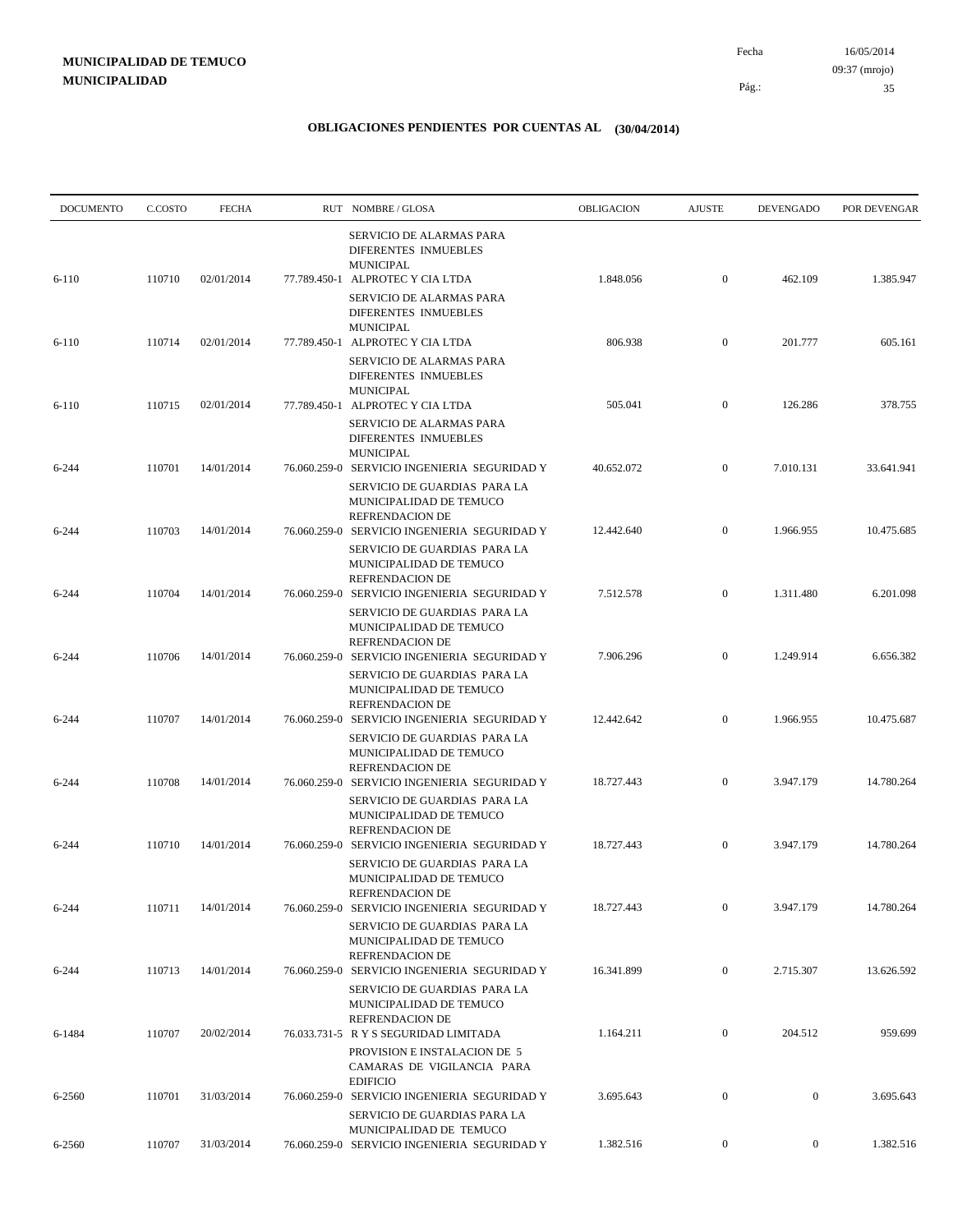| <b>DOCUMENTO</b> | C.COSTO | <b>FECHA</b> |              | RUT NOMBRE/GLOSA                                                                                                                  | <b>OBLIGACION</b> | <b>AJUSTE</b>    | <b>DEVENGADO</b> | POR DEVENGAR |
|------------------|---------|--------------|--------------|-----------------------------------------------------------------------------------------------------------------------------------|-------------------|------------------|------------------|--------------|
| $6-110$          | 110710  | 02/01/2014   |              | SERVICIO DE ALARMAS PARA<br>DIFERENTES INMUEBLES<br>MUNICIPAL<br>77.789.450-1 ALPROTEC Y CIA LTDA                                 | 1.848.056         | $\mathbf{0}$     | 462.109          | 1.385.947    |
|                  |         |              |              | SERVICIO DE ALARMAS PARA<br>DIFERENTES INMUEBLES<br>MUNICIPAL                                                                     |                   |                  |                  |              |
| $6-110$          | 110714  | 02/01/2014   |              | 77.789.450-1 ALPROTEC Y CIA LTDA<br>SERVICIO DE ALARMAS PARA<br>DIFERENTES INMUEBLES                                              | 806.938           | $\overline{0}$   | 201.777          | 605.161      |
| $6-110$          | 110715  | 02/01/2014   |              | <b>MUNICIPAL</b><br>77.789.450-1 ALPROTEC Y CIA LTDA<br>SERVICIO DE ALARMAS PARA                                                  | 505.041           | $\mathbf{0}$     | 126.286          | 378.755      |
| $6 - 244$        | 110701  | 14/01/2014   |              | DIFERENTES INMUEBLES<br><b>MUNICIPAL</b><br>76.060.259-0 SERVICIO INGENIERIA SEGURIDAD Y                                          | 40.652.072        | $\mathbf{0}$     | 7.010.131        | 33.641.941   |
| $6 - 244$        | 110703  | 14/01/2014   | 76.060.259-0 | SERVICIO DE GUARDIAS PARA LA<br>MUNICIPALIDAD DE TEMUCO<br>REFRENDACION DE<br>SERVICIO INGENIERIA SEGURIDAD Y                     | 12.442.640        | $\mathbf{0}$     | 1.966.955        | 10.475.685   |
|                  | 110704  | 14/01/2014   |              | SERVICIO DE GUARDIAS PARA LA<br>MUNICIPALIDAD DE TEMUCO<br><b>REFRENDACION DE</b><br>76.060.259-0 SERVICIO INGENIERIA SEGURIDAD Y |                   | $\mathbf{0}$     | 1.311.480        |              |
| $6 - 244$        |         |              |              | SERVICIO DE GUARDIAS PARA LA<br>MUNICIPALIDAD DE TEMUCO<br>REFRENDACION DE                                                        | 7.512.578         |                  |                  | 6.201.098    |
| $6 - 244$        | 110706  | 14/01/2014   |              | 76.060.259-0 SERVICIO INGENIERIA SEGURIDAD Y<br>SERVICIO DE GUARDIAS PARA LA<br>MUNICIPALIDAD DE TEMUCO<br><b>REFRENDACION DE</b> | 7.906.296         | $\mathbf{0}$     | 1.249.914        | 6.656.382    |
| 6-244            | 110707  | 14/01/2014   |              | 76.060.259-0 SERVICIO INGENIERIA SEGURIDAD Y<br>SERVICIO DE GUARDIAS PARA LA<br>MUNICIPALIDAD DE TEMUCO<br>REFRENDACION DE        | 12.442.642        | $\mathbf{0}$     | 1.966.955        | 10.475.687   |
| 6-244            | 110708  | 14/01/2014   |              | 76.060.259-0 SERVICIO INGENIERIA SEGURIDAD Y<br>SERVICIO DE GUARDIAS PARA LA<br>MUNICIPALIDAD DE TEMUCO                           | 18.727.443        | $\mathbf{0}$     | 3.947.179        | 14.780.264   |
| $6 - 244$        | 110710  | 14/01/2014   |              | <b>REFRENDACION DE</b><br>76.060.259-0 SERVICIO INGENIERIA SEGURIDAD Y<br>SERVICIO DE GUARDIAS PARA LA<br>MUNICIPALIDAD DE TEMUCO | 18.727.443        | $\mathbf{0}$     | 3.947.179        | 14.780.264   |
| $6 - 244$        | 110711  | 14/01/2014   |              | REFRENDACION DE<br>76.060.259-0 SERVICIO INGENIERIA SEGURIDAD Y<br>SERVICIO DE GUARDIAS PARA LA<br>MUNICIPALIDAD DE TEMUCO        | 18.727.443        | $\mathbf{0}$     | 3.947.179        | 14.780.264   |
| $6 - 244$        | 110713  | 14/01/2014   |              | REFRENDACION DE<br>76.060.259-0 SERVICIO INGENIERIA SEGURIDAD Y<br>SERVICIO DE GUARDIAS PARA LA                                   | 16.341.899        | $\mathbf{0}$     | 2.715.307        | 13.626.592   |
| 6-1484           | 110707  | 20/02/2014   |              | MUNICIPALIDAD DE TEMUCO<br>REFRENDACION DE<br>76.033.731-5 R Y S SEGURIDAD LIMITADA                                               | 1.164.211         | $\overline{0}$   | 204.512          | 959.699      |
| 6-2560           | 110701  | 31/03/2014   |              | PROVISION E INSTALACION DE 5<br>CAMARAS DE VIGILANCIA PARA<br><b>EDIFICIO</b><br>76.060.259-0 SERVICIO INGENIERIA SEGURIDAD Y     | 3.695.643         | $\mathbf{0}$     | $\mathbf{0}$     | 3.695.643    |
|                  |         |              |              | SERVICIO DE GUARDIAS PARA LA<br>MUNICIPALIDAD DE TEMUCO                                                                           |                   |                  |                  |              |
| 6-2560           | 110707  | 31/03/2014   |              | 76.060.259-0 SERVICIO INGENIERIA SEGURIDAD Y                                                                                      | 1.382.516         | $\boldsymbol{0}$ | $\boldsymbol{0}$ | 1.382.516    |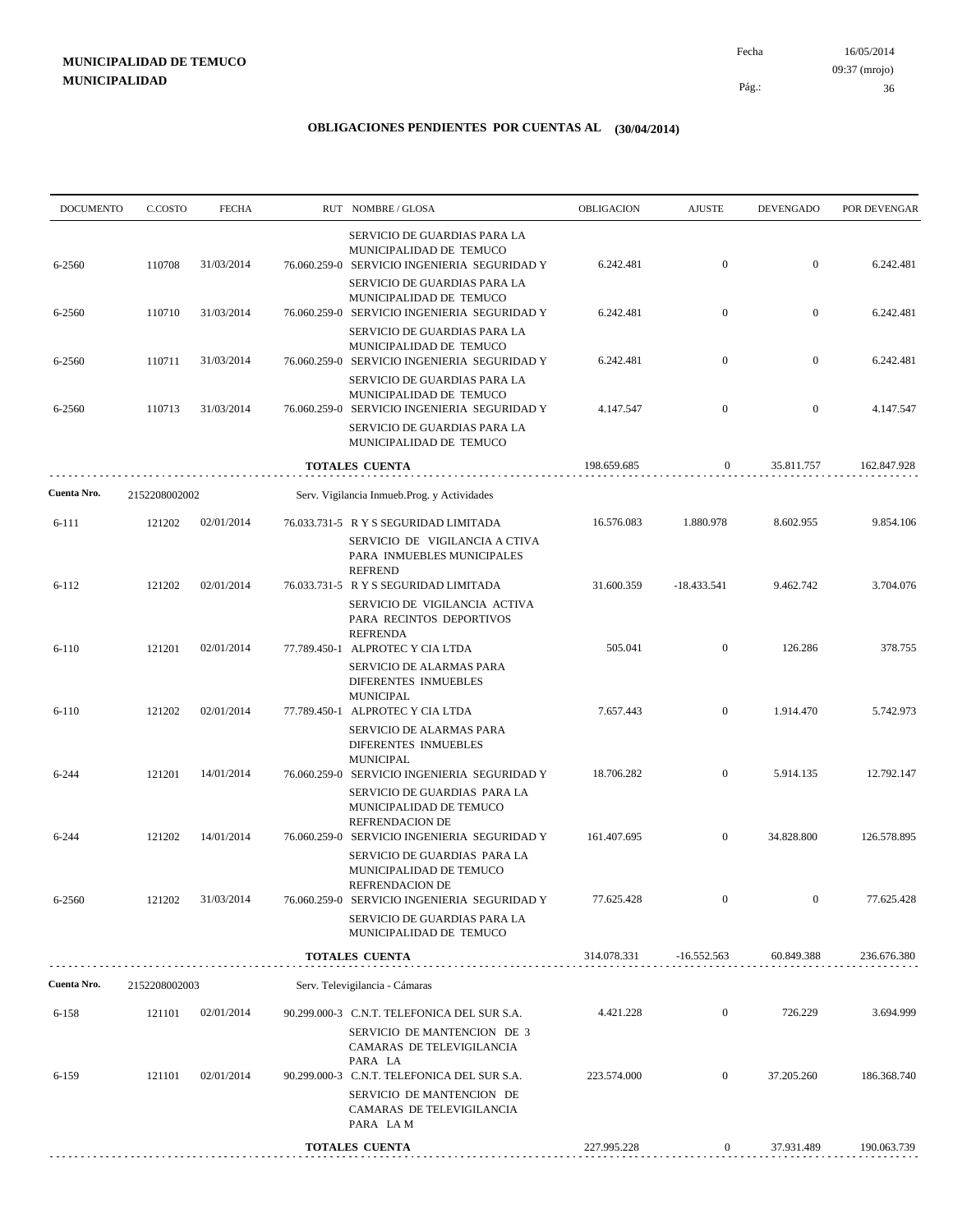# **MUNICIPALIDAD DE TEMUCO MUNICIPALIDAD**

16/05/2014 36 Pág.: Fecha 09:37 (mrojo)

| <b>DOCUMENTO</b> | C.COSTO       | <b>FECHA</b> |              | RUT NOMBRE/GLOSA                                                                                                             | OBLIGACION  | <b>AJUSTE</b>    | <b>DEVENGADO</b> | POR DEVENGAR |
|------------------|---------------|--------------|--------------|------------------------------------------------------------------------------------------------------------------------------|-------------|------------------|------------------|--------------|
|                  |               |              |              | SERVICIO DE GUARDIAS PARA LA<br>MUNICIPALIDAD DE TEMUCO                                                                      |             |                  |                  |              |
| 6-2560           | 110708        | 31/03/2014   |              | 76.060.259-0 SERVICIO INGENIERIA SEGURIDAD Y<br>SERVICIO DE GUARDIAS PARA LA                                                 | 6.242.481   | $\mathbf{0}$     | $\mathbf{0}$     | 6.242.481    |
| 6-2560           | 110710        | 31/03/2014   |              | MUNICIPALIDAD DE TEMUCO<br>76.060.259-0 SERVICIO INGENIERIA SEGURIDAD Y                                                      | 6.242.481   | $\boldsymbol{0}$ | $\mathbf{0}$     | 6.242.481    |
| 6-2560           | 110711        | 31/03/2014   |              | SERVICIO DE GUARDIAS PARA LA<br>MUNICIPALIDAD DE TEMUCO<br>76.060.259-0 SERVICIO INGENIERIA SEGURIDAD Y                      | 6.242.481   | $\boldsymbol{0}$ | $\boldsymbol{0}$ | 6.242.481    |
|                  |               |              |              | SERVICIO DE GUARDIAS PARA LA<br>MUNICIPALIDAD DE TEMUCO                                                                      |             |                  |                  |              |
| 6-2560           | 110713        | 31/03/2014   |              | 76.060.259-0 SERVICIO INGENIERIA SEGURIDAD Y<br>SERVICIO DE GUARDIAS PARA LA                                                 | 4.147.547   | $\boldsymbol{0}$ | $\boldsymbol{0}$ | 4.147.547    |
|                  |               |              |              | MUNICIPALIDAD DE TEMUCO                                                                                                      |             |                  |                  |              |
|                  |               |              |              | TOTALES CUENTA                                                                                                               | 198.659.685 | $\boldsymbol{0}$ | 35.811.757       | 162.847.928  |
| Cuenta Nro.      | 2152208002002 |              |              | Serv. Vigilancia Inmueb.Prog. y Actividades                                                                                  |             |                  |                  |              |
| 6-111            | 121202        | 02/01/2014   |              | 76.033.731-5 R Y S SEGURIDAD LIMITADA<br>SERVICIO DE VIGILANCIA A CTIVA<br>PARA INMUEBLES MUNICIPALES<br><b>REFREND</b>      | 16.576.083  | 1.880.978        | 8.602.955        | 9.854.106    |
| $6-112$          | 121202        | 02/01/2014   |              | 76.033.731-5 R Y S SEGURIDAD LIMITADA<br>SERVICIO DE VIGILANCIA ACTIVA<br>PARA RECINTOS DEPORTIVOS<br><b>REFRENDA</b>        | 31.600.359  | $-18.433.541$    | 9.462.742        | 3.704.076    |
| $6-110$          | 121201        | 02/01/2014   |              | 77.789.450-1 ALPROTEC Y CIA LTDA<br>SERVICIO DE ALARMAS PARA<br>DIFERENTES INMUEBLES<br><b>MUNICIPAL</b>                     | 505.041     | $\boldsymbol{0}$ | 126.286          | 378.755      |
| $6-110$          | 121202        | 02/01/2014   | 77.789.450-1 | ALPROTEC Y CIA LTDA<br>SERVICIO DE ALARMAS PARA<br>DIFERENTES INMUEBLES<br><b>MUNICIPAL</b>                                  | 7.657.443   | $\mathbf{0}$     | 1.914.470        | 5.742.973    |
| 6-244            | 121201        | 14/01/2014   |              | 76.060.259-0 SERVICIO INGENIERIA SEGURIDAD Y<br>SERVICIO DE GUARDIAS PARA LA<br>MUNICIPALIDAD DE TEMUCO<br>REFRENDACION DE   | 18.706.282  | $\mathbf{0}$     | 5.914.135        | 12.792.147   |
| 6-244            | 121202        | 14/01/2014   |              | 76.060.259-0 SERVICIO INGENIERIA SEGURIDAD Y<br>SERVICIO DE GUARDIAS PARA LA<br>MUNICIPALIDAD DE TEMUCO                      | 161.407.695 | $\mathbf{0}$     | 34.828.800       | 126.578.895  |
| 6-2560           | 121202        | 31/03/2014   |              | REFRENDACION DE<br>76.060.259-0 SERVICIO INGENIERIA SEGURIDAD Y<br>SERVICIO DE GUARDIAS PARA LA<br>MUNICIPALIDAD DE TEMUCO   | 77.625.428  | $\boldsymbol{0}$ | $\mathbf{0}$     | 77.625.428   |
|                  |               |              |              | <b>TOTALES CUENTA</b>                                                                                                        | 314.078.331 | $-16.552.563$    | 60.849.388       | 236.676.380  |
| Cuenta Nro.      | 2152208002003 |              |              | Serv. Televigilancia - Cámaras                                                                                               |             |                  |                  |              |
| 6-158            | 121101        | 02/01/2014   |              | 90.299.000-3 C.N.T. TELEFONICA DEL SUR S.A.<br>SERVICIO DE MANTENCION DE 3<br>CAMARAS DE TELEVIGILANCIA                      | 4.421.228   | $\overline{0}$   | 726.229          | 3.694.999    |
| 6-159            | 121101        | 02/01/2014   |              | PARA LA<br>90.299.000-3 C.N.T. TELEFONICA DEL SUR S.A.<br>SERVICIO DE MANTENCION DE<br>CAMARAS DE TELEVIGILANCIA<br>PARA LAM | 223.574.000 | $\mathbf{0}$     | 37.205.260       | 186.368.740  |
|                  |               |              |              | TOTALES CUENTA                                                                                                               | 227.995.228 | 0                | 37.931.489       | 190.063.739  |
|                  |               |              |              |                                                                                                                              |             |                  |                  |              |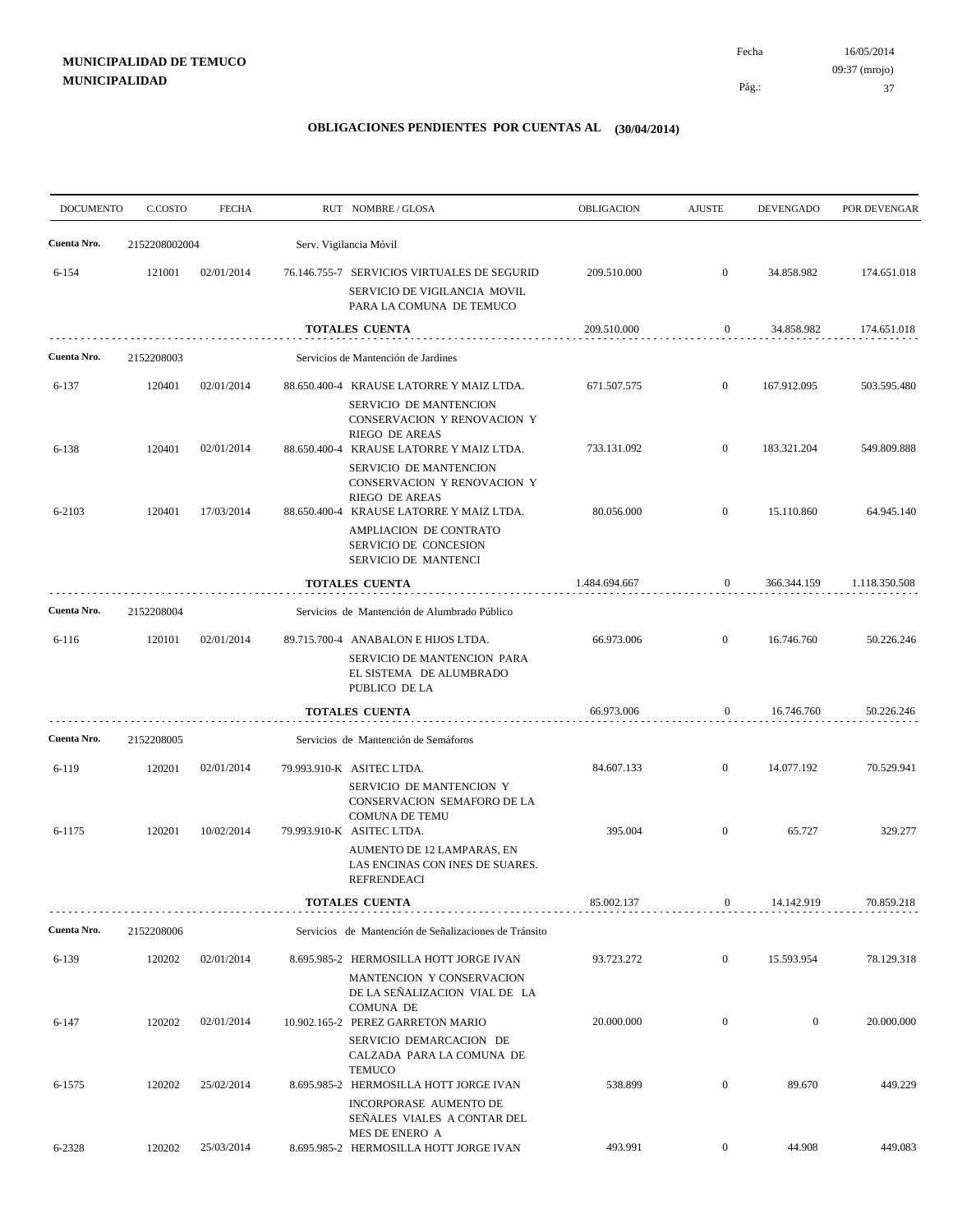# **MUNICIPALIDAD DE TEMUCO MUNICIPALIDAD**

16/05/2014 37 Pág.: Fecha 09:37 (mrojo)

| <b>DOCUMENTO</b> | C.COSTO       | <b>FECHA</b> | RUT NOMBRE/GLOSA                                                                                                           | <b>OBLIGACION</b> | <b>AJUSTE</b>    | <b>DEVENGADO</b> | POR DEVENGAR  |
|------------------|---------------|--------------|----------------------------------------------------------------------------------------------------------------------------|-------------------|------------------|------------------|---------------|
| Cuenta Nro.      | 2152208002004 |              | Serv. Vigilancia Móvil                                                                                                     |                   |                  |                  |               |
| $6 - 154$        | 121001        | 02/01/2014   | 76.146.755-7 SERVICIOS VIRTUALES DE SEGURID<br>SERVICIO DE VIGILANCIA MOVIL<br>PARA LA COMUNA DE TEMUCO                    | 209.510.000       | $\overline{0}$   | 34.858.982       | 174.651.018   |
|                  |               |              | <b>TOTALES CUENTA</b>                                                                                                      | 209.510.000       | $\mathbf{0}$     | 34.858.982       | 174.651.018   |
| Cuenta Nro.      | 2152208003    |              | Servicios de Mantención de Jardines                                                                                        |                   |                  |                  |               |
| 6-137            | 120401        | 02/01/2014   | 88.650.400-4 KRAUSE LATORRE Y MAIZ LTDA.<br>SERVICIO DE MANTENCION<br>CONSERVACION Y RENOVACION Y<br>RIEGO DE AREAS        | 671.507.575       | $\mathbf{0}$     | 167.912.095      | 503.595.480   |
| 6-138            | 120401        | 02/01/2014   | 88.650.400-4 KRAUSE LATORRE Y MAIZ LTDA.<br>SERVICIO DE MANTENCION<br>CONSERVACION Y RENOVACION Y<br><b>RIEGO DE AREAS</b> | 733.131.092       | $\overline{0}$   | 183.321.204      | 549.809.888   |
| 6-2103           | 120401        | 17/03/2014   | 88.650.400-4 KRAUSE LATORRE Y MAIZ LTDA.<br>AMPLIACION DE CONTRATO<br>SERVICIO DE CONCESION<br>SERVICIO DE MANTENCI        | 80.056.000        | $\mathbf{0}$     | 15.110.860       | 64.945.140    |
|                  |               |              | <b>TOTALES CUENTA</b>                                                                                                      | 1.484.694.667     | $\mathbf{0}$     | 366.344.159      | 1.118.350.508 |
| Cuenta Nro.      | 2152208004    |              | Servicios de Mantención de Alumbrado Público                                                                               |                   |                  |                  |               |
| $6 - 116$        | 120101        | 02/01/2014   | 89.715.700-4 ANABALON E HIJOS LTDA.<br>SERVICIO DE MANTENCION PARA<br>EL SISTEMA DE ALUMBRADO<br>PUBLICO DE LA             | 66.973.006        | $\overline{0}$   | 16.746.760       | 50.226.246    |
|                  |               |              | <b>TOTALES CUENTA</b>                                                                                                      | 66.973.006        | $\mathbf{0}$     | 16.746.760       | 50.226.246    |
| Cuenta Nro.      | 2152208005    |              | Servicios de Mantención de Semáforos                                                                                       |                   |                  |                  |               |
| 6-119            | 120201        | 02/01/2014   | 79.993.910-K ASITEC LTDA.<br>SERVICIO DE MANTENCION Y<br>CONSERVACION SEMAFORO DE LA<br><b>COMUNA DE TEMU</b>              | 84.607.133        | $\mathbf{0}$     | 14.077.192       | 70.529.941    |
| 6-1175           | 120201        | 10/02/2014   | 79.993.910-K ASITEC LTDA.<br>AUMENTO DE 12 LAMPARAS, EN<br>LAS ENCINAS CON INES DE SUARES.<br><b>REFRENDEACI</b>           | 395.004           | $\boldsymbol{0}$ | 65.727           | 329.277       |
|                  |               |              | TOTALES CUENTA                                                                                                             | 85.002.137        | $\bf{0}$         | 14.142.919       | 70.859.218    |
| Cuenta Nro.      | 2152208006    |              | Servicios de Mantención de Señalizaciones de Tránsito                                                                      |                   |                  |                  |               |
| 6-139            | 120202        | 02/01/2014   | 8.695.985-2 HERMOSILLA HOTT JORGE IVAN<br>MANTENCION Y CONSERVACION<br>DE LA SEÑALIZACION VIAL DE LA                       | 93.723.272        | $\overline{0}$   | 15.593.954       | 78.129.318    |
| $6 - 147$        | 120202        | 02/01/2014   | <b>COMUNA DE</b><br>10.902.165-2 PEREZ GARRETON MARIO<br>SERVICIO DEMARCACION DE<br>CALZADA PARA LA COMUNA DE              | 20.000.000        | $\mathbf{0}$     | $\mathbf{0}$     | 20.000.000    |
| 6-1575           | 120202        | 25/02/2014   | <b>TEMUCO</b><br>8.695.985-2 HERMOSILLA HOTT JORGE IVAN<br>INCORPORASE AUMENTO DE<br>SENALES VIALES A CONTAR DEL           | 538.899           | $\boldsymbol{0}$ | 89.670           | 449.229       |
| 6-2328           | 120202        | 25/03/2014   | MES DE ENERO A<br>8.695.985-2 HERMOSILLA HOTT JORGE IVAN                                                                   | 493.991           | $\overline{0}$   | 44.908           | 449.083       |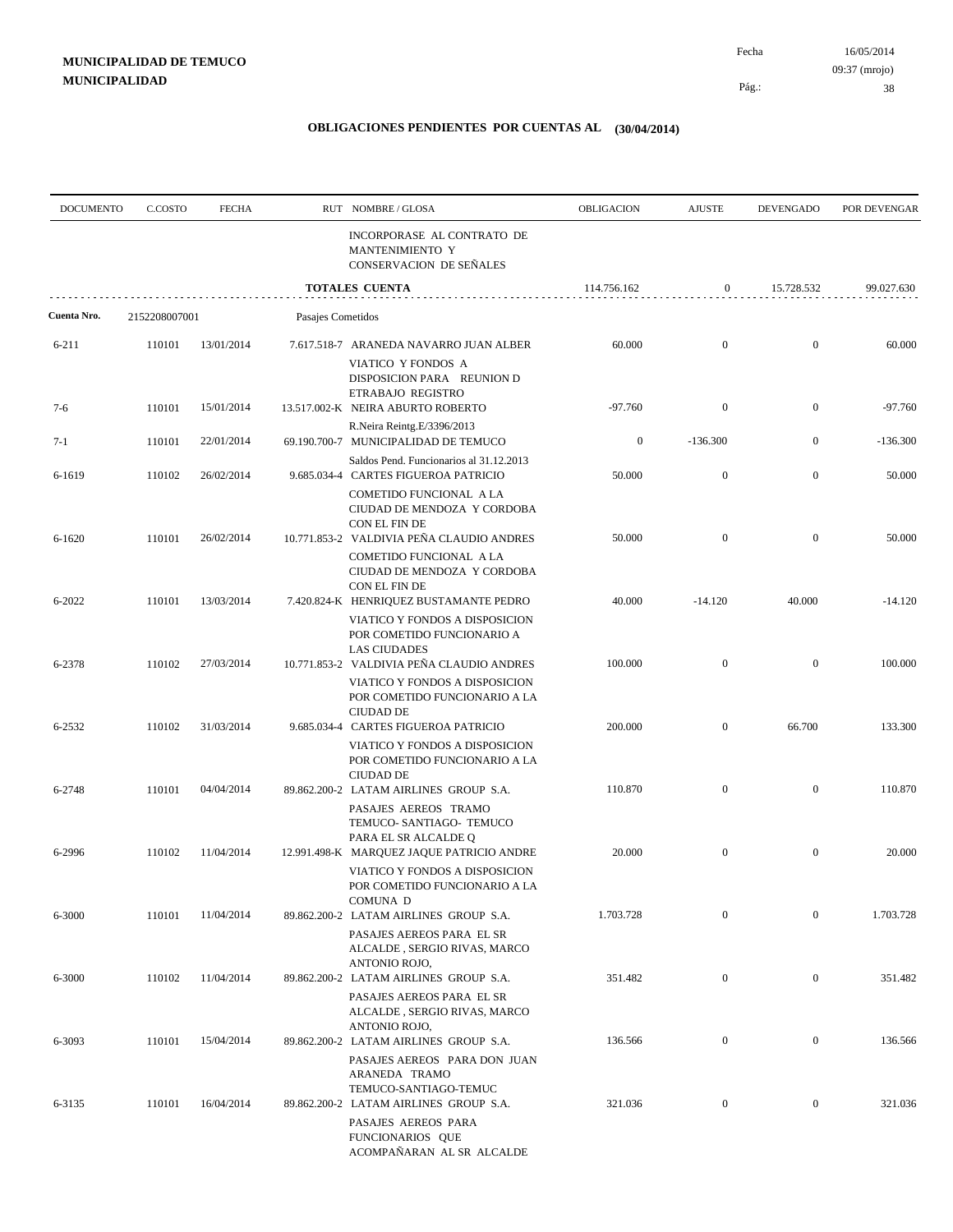Pág.:

Fecha

| <b>DOCUMENTO</b> | C.COSTO       | <b>FECHA</b> |                   | RUT NOMBRE/GLOSA                                                                                                                        | OBLIGACION       | <b>AJUSTE</b>    | <b>DEVENGADO</b> | POR DEVENGAR |
|------------------|---------------|--------------|-------------------|-----------------------------------------------------------------------------------------------------------------------------------------|------------------|------------------|------------------|--------------|
|                  |               |              |                   | INCORPORASE AL CONTRATO DE<br>MANTENIMIENTO Y<br><b>CONSERVACION DE SEÑALES</b>                                                         |                  |                  |                  |              |
|                  |               |              |                   | <b>TOTALES CUENTA</b>                                                                                                                   | 114.756.162      | $\boldsymbol{0}$ | 15.728.532       | 99.027.630   |
| Cuenta Nro.      | 2152208007001 |              | Pasajes Cometidos |                                                                                                                                         |                  |                  |                  |              |
| 6-211            | 110101        | 13/01/2014   |                   | 7.617.518-7 ARANEDA NAVARRO JUAN ALBER<br>VIATICO Y FONDOS A<br>DISPOSICION PARA REUNION D                                              | 60.000           | $\mathbf{0}$     | $\mathbf{0}$     | 60.000       |
| $7-6$            | 110101        | 15/01/2014   |                   | ETRABAJO REGISTRO<br>13.517.002-K NEIRA ABURTO ROBERTO                                                                                  | $-97.760$        | $\boldsymbol{0}$ | $\mathbf{0}$     | $-97.760$    |
| $7-1$            | 110101        | 22/01/2014   |                   | R.Neira Reintg.E/3396/2013<br>69.190.700-7 MUNICIPALIDAD DE TEMUCO                                                                      | $\boldsymbol{0}$ | $-136.300$       | $\mathbf{0}$     | $-136.300$   |
| 6-1619           | 110102        | 26/02/2014   |                   | Saldos Pend. Funcionarios al 31.12.2013<br>9.685.034-4 CARTES FIGUEROA PATRICIO                                                         | 50.000           | $\mathbf{0}$     | $\mathbf{0}$     | 50.000       |
| $6 - 1620$       | 110101        | 26/02/2014   |                   | COMETIDO FUNCIONAL A LA<br>CIUDAD DE MENDOZA Y CORDOBA<br>CON EL FIN DE<br>10.771.853-2 VALDIVIA PEÑA CLAUDIO ANDRES                    | 50.000           | $\boldsymbol{0}$ | $\mathbf{0}$     | 50.000       |
| 6-2022           | 110101        | 13/03/2014   |                   | COMETIDO FUNCIONAL A LA<br>CIUDAD DE MENDOZA Y CORDOBA<br>CON EL FIN DE<br>7.420.824-K HENRIQUEZ BUSTAMANTE PEDRO                       | 40.000           | $-14.120$        | 40.000           | $-14.120$    |
|                  |               |              |                   | VIATICO Y FONDOS A DISPOSICION<br>POR COMETIDO FUNCIONARIO A<br><b>LAS CIUDADES</b>                                                     |                  |                  |                  |              |
| 6-2378           | 110102        | 27/03/2014   |                   | 10.771.853-2 VALDIVIA PEÑA CLAUDIO ANDRES<br>VIATICO Y FONDOS A DISPOSICION<br>POR COMETIDO FUNCIONARIO A LA<br><b>CIUDAD DE</b>        | 100.000          | $\mathbf{0}$     | $\mathbf{0}$     | 100.000      |
| 6-2532           | 110102        | 31/03/2014   |                   | 9.685.034-4 CARTES FIGUEROA PATRICIO<br>VIATICO Y FONDOS A DISPOSICION<br>POR COMETIDO FUNCIONARIO A LA<br><b>CIUDAD DE</b>             | 200.000          | $\mathbf{0}$     | 66.700           | 133.300      |
| 6-2748           | 110101        | 04/04/2014   |                   | 89.862.200-2 LATAM AIRLINES GROUP S.A.<br>PASAJES AEREOS TRAMO<br>TEMUCO- SANTIAGO- TEMUCO                                              | 110.870          | $\mathbf{0}$     | $\mathbf{0}$     | 110.870      |
| 6-2996           | 110102        | 11/04/2014   |                   | PARA EL SR ALCALDE Q<br>12.991.498-K MARQUEZ JAQUE PATRICIO ANDRE<br>VIATICO Y FONDOS A DISPOSICION                                     | 20.000           | $\mathbf{0}$     | $\mathbf{0}$     | 20.000       |
| 6-3000           | 110101        | 11/04/2014   |                   | POR COMETIDO FUNCIONARIO A LA<br>COMUNA D<br>89.862.200-2 LATAM AIRLINES GROUP S.A.                                                     | 1.703.728        | $\mathbf{0}$     | $\boldsymbol{0}$ | 1.703.728    |
| 6-3000           | 110102        | 11/04/2014   |                   | PASAJES AEREOS PARA EL SR<br>ALCALDE, SERGIO RIVAS, MARCO<br>ANTONIO ROJO,<br>89.862.200-2 LATAM AIRLINES GROUP S.A.                    | 351.482          | $\boldsymbol{0}$ | $\mathbf{0}$     | 351.482      |
|                  |               |              |                   | PASAJES AEREOS PARA EL SR<br>ALCALDE, SERGIO RIVAS, MARCO<br>ANTONIO ROJO,                                                              |                  |                  |                  |              |
| 6-3093           | 110101        | 15/04/2014   |                   | 89.862.200-2 LATAM AIRLINES GROUP S.A.<br>PASAJES AEREOS PARA DON JUAN<br>ARANEDA TRAMO                                                 | 136.566          | $\mathbf{0}$     | $\boldsymbol{0}$ | 136.566      |
| 6-3135           | 110101        | 16/04/2014   |                   | TEMUCO-SANTIAGO-TEMUC<br>89.862.200-2 LATAM AIRLINES GROUP S.A.<br>PASAJES AEREOS PARA<br>FUNCIONARIOS QUE<br>ACOMPAÑARAN AL SR ALCALDE | 321.036          | $\mathbf{0}$     | $\mathbf{0}$     | 321.036      |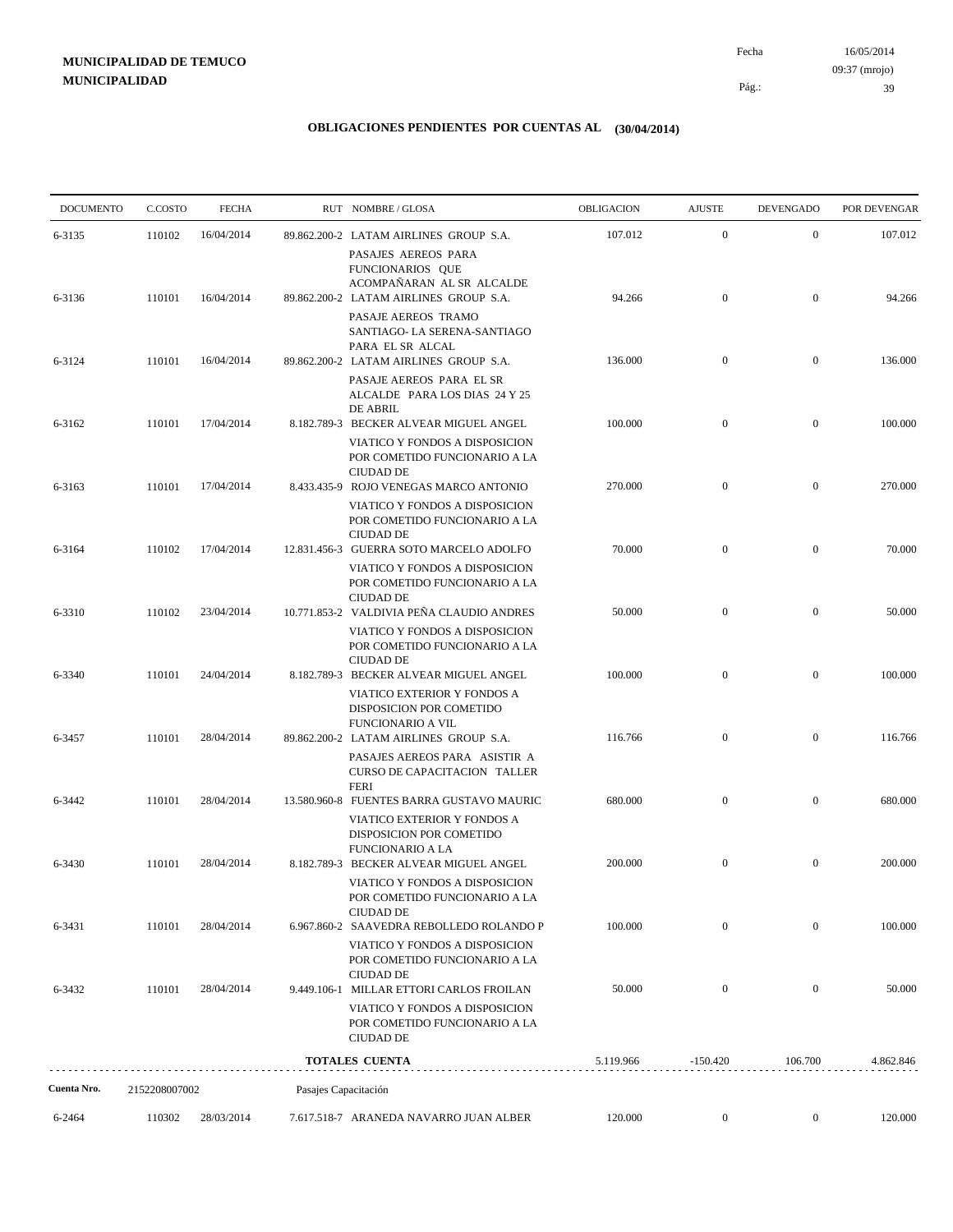# **MUNICIPALIDAD DE TEMUCO MUNICIPALIDAD**

16/05/2014 39 Pág.: Fecha 09:37 (mrojo)

| <b>DOCUMENTO</b> | C.COSTO       | <b>FECHA</b> |                      | RUT NOMBRE/GLOSA                                                                                           | <b>OBLIGACION</b> | <b>AJUSTE</b>    | <b>DEVENGADO</b> | POR DEVENGAR |
|------------------|---------------|--------------|----------------------|------------------------------------------------------------------------------------------------------------|-------------------|------------------|------------------|--------------|
| 6-3135           | 110102        | 16/04/2014   |                      | 89.862.200-2 LATAM AIRLINES GROUP S.A.                                                                     | 107.012           | $\boldsymbol{0}$ | $\mathbf{0}$     | 107.012      |
|                  |               |              |                      | PASAJES AEREOS PARA<br>FUNCIONARIOS QUE<br>ACOMPAÑARAN AL SR ALCALDE                                       |                   |                  |                  |              |
| 6-3136           | 110101        | 16/04/2014   |                      | 89.862.200-2 LATAM AIRLINES GROUP S.A.<br>PASAJE AEREOS TRAMO<br>SANTIAGO- LA SERENA-SANTIAGO              | 94.266            | $\boldsymbol{0}$ | $\overline{0}$   | 94.266       |
| 6-3124           | 110101        | 16/04/2014   |                      | PARA EL SR ALCAL<br>89.862.200-2 LATAM AIRLINES GROUP S.A.                                                 | 136.000           | $\boldsymbol{0}$ | $\mathbf{0}$     | 136.000      |
|                  |               |              |                      | PASAJE AEREOS PARA EL SR<br>ALCALDE PARA LOS DIAS 24 Y 25<br><b>DE ABRIL</b>                               |                   |                  |                  |              |
| 6-3162           | 110101        | 17/04/2014   |                      | 8.182.789-3 BECKER ALVEAR MIGUEL ANGEL                                                                     | 100.000           | $\boldsymbol{0}$ | $\mathbf{0}$     | 100.000      |
|                  |               |              |                      | VIATICO Y FONDOS A DISPOSICION<br>POR COMETIDO FUNCIONARIO A LA<br><b>CIUDAD DE</b>                        |                   |                  |                  |              |
| 6-3163           | 110101        | 17/04/2014   |                      | 8.433.435-9 ROJO VENEGAS MARCO ANTONIO<br>VIATICO Y FONDOS A DISPOSICION                                   | 270.000           | $\boldsymbol{0}$ | $\boldsymbol{0}$ | 270.000      |
|                  |               |              |                      | POR COMETIDO FUNCIONARIO A LA<br><b>CIUDAD DE</b>                                                          |                   |                  |                  |              |
| 6-3164           | 110102        | 17/04/2014   |                      | 12.831.456-3 GUERRA SOTO MARCELO ADOLFO<br>VIATICO Y FONDOS A DISPOSICION<br>POR COMETIDO FUNCIONARIO A LA | 70.000            | $\boldsymbol{0}$ | $\mathbf{0}$     | 70.000       |
| 6-3310           | 110102        | 23/04/2014   |                      | <b>CIUDAD DE</b><br>10.771.853-2 VALDIVIA PEÑA CLAUDIO ANDRES                                              | 50.000            | $\boldsymbol{0}$ | $\boldsymbol{0}$ | 50.000       |
|                  |               |              |                      | VIATICO Y FONDOS A DISPOSICION<br>POR COMETIDO FUNCIONARIO A LA<br><b>CIUDAD DE</b>                        |                   |                  |                  |              |
| 6-3340           | 110101        | 24/04/2014   |                      | 8.182.789-3 BECKER ALVEAR MIGUEL ANGEL                                                                     | 100.000           | $\overline{0}$   | $\boldsymbol{0}$ | 100.000      |
|                  |               |              |                      | VIATICO EXTERIOR Y FONDOS A<br>DISPOSICION POR COMETIDO<br><b>FUNCIONARIO A VIL</b>                        |                   |                  |                  |              |
| 6-3457           | 110101        | 28/04/2014   |                      | 89.862.200-2 LATAM AIRLINES GROUP S.A.<br>PASAJES AEREOS PARA ASISTIR A                                    | 116.766           | $\boldsymbol{0}$ | $\mathbf{0}$     | 116.766      |
|                  |               |              |                      | CURSO DE CAPACITACION TALLER<br><b>FERI</b>                                                                |                   |                  |                  |              |
| 6-3442           | 110101        | 28/04/2014   |                      | 13.580.960-8 FUENTES BARRA GUSTAVO MAURIC<br>VIATICO EXTERIOR Y FONDOS A<br>DISPOSICION POR COMETIDO       | 680.000           | $\overline{0}$   | $\mathbf{0}$     | 680.000      |
| 6-3430           | 110101        | 28/04/2014   |                      | <b>FUNCIONARIO A LA</b><br>8.182.789-3 BECKER ALVEAR MIGUEL ANGEL                                          | 200.000           | $\mathbf{0}$     | $\mathbf{0}$     | 200.000      |
|                  |               |              |                      | VIATICO Y FONDOS A DISPOSICION<br>POR COMETIDO FUNCIONARIO A LA<br><b>CIUDAD DE</b>                        |                   |                  |                  |              |
| 6-3431           | 110101        | 28/04/2014   |                      | 6.967.860-2 SAAVEDRA REBOLLEDO ROLANDO P                                                                   | 100.000           | $\mathbf{0}$     | $\mathbf{0}$     | 100.000      |
|                  |               |              |                      | VIATICO Y FONDOS A DISPOSICION<br>POR COMETIDO FUNCIONARIO A LA<br><b>CIUDAD DE</b>                        |                   |                  |                  |              |
| 6-3432           | 110101        | 28/04/2014   |                      | 9.449.106-1 MILLAR ETTORI CARLOS FROILAN                                                                   | 50.000            | $\boldsymbol{0}$ | $\boldsymbol{0}$ | 50.000       |
|                  |               |              |                      | VIATICO Y FONDOS A DISPOSICION<br>POR COMETIDO FUNCIONARIO A LA<br><b>CIUDAD DE</b>                        |                   |                  |                  |              |
|                  |               |              |                      | TOTALES CUENTA                                                                                             | 5.119.966         | $-150.420$       | 106.700          | 4.862.846    |
| Cuenta Nro.      | 2152208007002 |              | Pasajes Capacitación |                                                                                                            |                   |                  |                  |              |
| 6-2464           | 110302        | 28/03/2014   |                      | 7.617.518-7 ARANEDA NAVARRO JUAN ALBER                                                                     | 120.000           | $\mathbf{0}$     | $\boldsymbol{0}$ | 120.000      |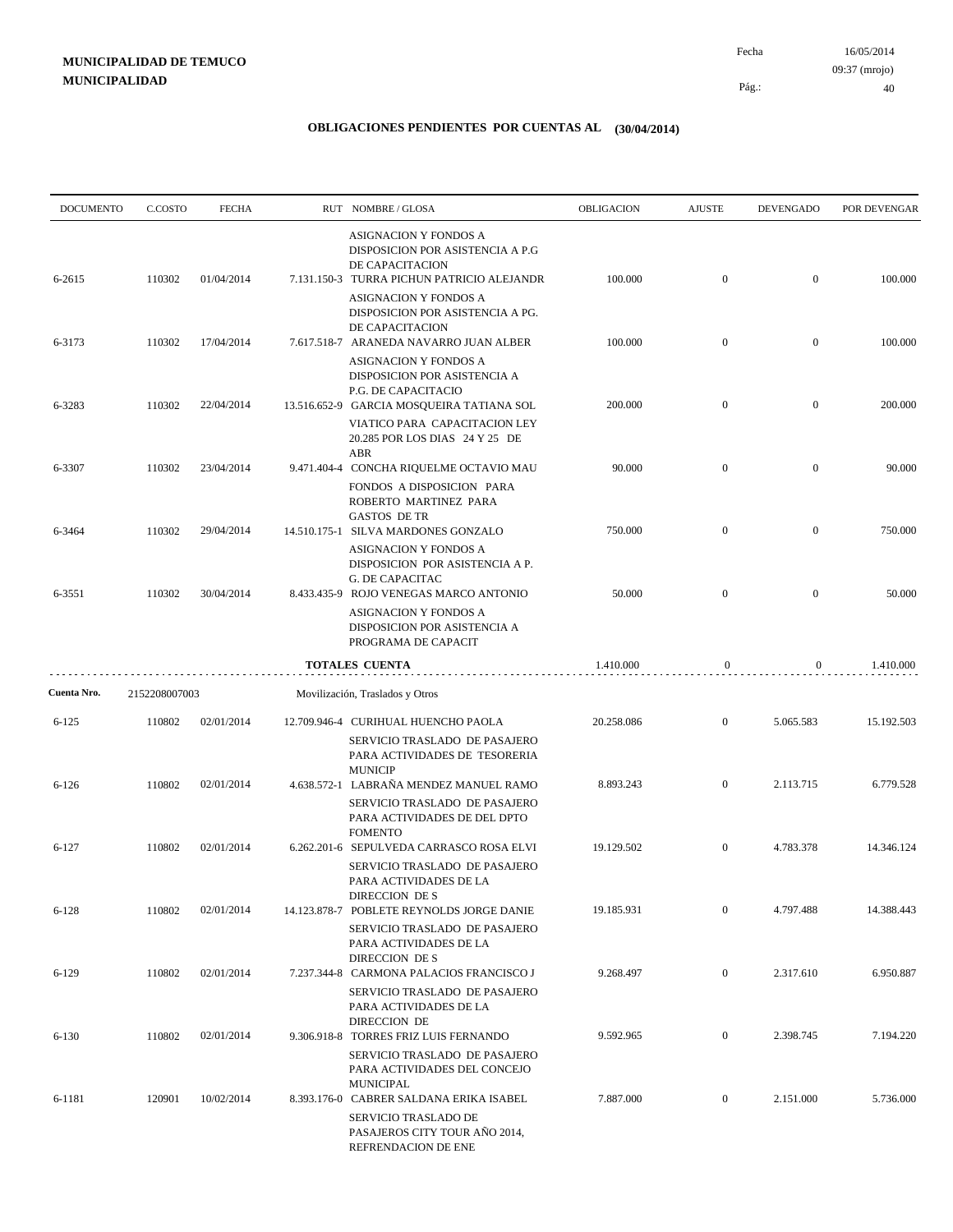| <b>DOCUMENTO</b> | C.COSTO       | <b>FECHA</b> | RUT NOMBRE/GLOSA                                                                                                                         | OBLIGACION | <b>AJUSTE</b>    | <b>DEVENGADO</b> | POR DEVENGAR |
|------------------|---------------|--------------|------------------------------------------------------------------------------------------------------------------------------------------|------------|------------------|------------------|--------------|
| 6-2615           | 110302        | 01/04/2014   | ASIGNACION Y FONDOS A<br>DISPOSICION POR ASISTENCIA A P.G<br>DE CAPACITACION<br>7.131.150-3 TURRA PICHUN PATRICIO ALEJANDR               | 100.000    | $\boldsymbol{0}$ | $\boldsymbol{0}$ | 100.000      |
|                  |               |              | ASIGNACION Y FONDOS A<br>DISPOSICION POR ASISTENCIA A PG.<br>DE CAPACITACION                                                             |            |                  |                  |              |
| 6-3173           | 110302        | 17/04/2014   | 7.617.518-7 ARANEDA NAVARRO JUAN ALBER<br>ASIGNACION Y FONDOS A<br>DISPOSICION POR ASISTENCIA A                                          | 100.000    | $\boldsymbol{0}$ | $\boldsymbol{0}$ | 100.000      |
| 6-3283           | 110302        | 22/04/2014   | P.G. DE CAPACITACIO<br>13.516.652-9 GARCIA MOSQUEIRA TATIANA SOL<br>VIATICO PARA CAPACITACION LEY<br>20.285 POR LOS DIAS 24 Y 25 DE      | 200.000    | $\overline{0}$   | $\overline{0}$   | 200.000      |
| 6-3307           | 110302        | 23/04/2014   | ABR<br>9.471.404-4 CONCHA RIQUELME OCTAVIO MAU<br>FONDOS A DISPOSICION PARA<br>ROBERTO MARTINEZ PARA                                     | 90.000     | $\boldsymbol{0}$ | $\overline{0}$   | 90.000       |
| 6-3464           | 110302        | 29/04/2014   | <b>GASTOS DE TR</b><br>14.510.175-1 SILVA MARDONES GONZALO<br>ASIGNACION Y FONDOS A                                                      | 750.000    | $\mathbf{0}$     | $\overline{0}$   | 750.000      |
| 6-3551           | 110302        | 30/04/2014   | DISPOSICION POR ASISTENCIA A P.<br><b>G. DE CAPACITAC</b><br>8.433.435-9 ROJO VENEGAS MARCO ANTONIO<br>ASIGNACION Y FONDOS A             | 50.000     | $\overline{0}$   | $\overline{0}$   | 50.000       |
|                  |               |              | DISPOSICION POR ASISTENCIA A<br>PROGRAMA DE CAPACIT                                                                                      |            |                  |                  |              |
| Cuenta Nro.      | 2152208007003 |              | <b>TOTALES CUENTA</b><br>Movilización, Traslados y Otros                                                                                 | 1.410.000  | $\mathbf{0}$     | $\overline{0}$   | 1.410.000    |
| $6 - 125$        | 110802        | 02/01/2014   | 12.709.946-4 CURIHUAL HUENCHO PAOLA<br>SERVICIO TRASLADO DE PASAJERO<br>PARA ACTIVIDADES DE TESORERIA                                    | 20.258.086 | $\boldsymbol{0}$ | 5.065.583        | 15.192.503   |
| $6 - 126$        | 110802        | 02/01/2014   | <b>MUNICIP</b><br>4.638.572-1 LABRAÑA MENDEZ MANUEL RAMO<br>SERVICIO TRASLADO DE PASAJERO<br>PARA ACTIVIDADES DE DEL DPTO                | 8.893.243  | $\mathbf{0}$     | 2.113.715        | 6.779.528    |
| $6 - 127$        | 110802        | 02/01/2014   | <b>FOMENTO</b><br>6.262.201-6 SEPULVEDA CARRASCO ROSA ELVI<br>SERVICIO TRASLADO DE PASAJERO<br>PARA ACTIVIDADES DE LA                    | 19.129.502 | $\overline{0}$   | 4.783.378        | 14.346.124   |
| $6 - 128$        | 110802        | 02/01/2014   | DIRECCION DE S<br>14.123.878-7 POBLETE REYNOLDS JORGE DANIE<br>SERVICIO TRASLADO DE PASAJERO<br>PARA ACTIVIDADES DE LA<br>DIRECCION DE S | 19.185.931 | $\boldsymbol{0}$ | 4.797.488        | 14.388.443   |
| $6 - 129$        | 110802        | 02/01/2014   | 7.237.344-8 CARMONA PALACIOS FRANCISCO J<br>SERVICIO TRASLADO DE PASAJERO<br>PARA ACTIVIDADES DE LA<br>DIRECCION DE                      | 9.268.497  | $\boldsymbol{0}$ | 2.317.610        | 6.950.887    |
| $6 - 130$        | 110802        | 02/01/2014   | 9.306.918-8 TORRES FRIZ LUIS FERNANDO<br>SERVICIO TRASLADO DE PASAJERO<br>PARA ACTIVIDADES DEL CONCEJO<br><b>MUNICIPAL</b>               | 9.592.965  | $\mathbf{0}$     | 2.398.745        | 7.194.220    |
| 6-1181           | 120901        | 10/02/2014   | 8.393.176-0 CABRER SALDANA ERIKA ISABEL<br>SERVICIO TRASLADO DE<br>PASAJEROS CITY TOUR AÑO 2014,<br>REFRENDACION DE ENE                  | 7.887.000  | $\mathbf{0}$     | 2.151.000        | 5.736.000    |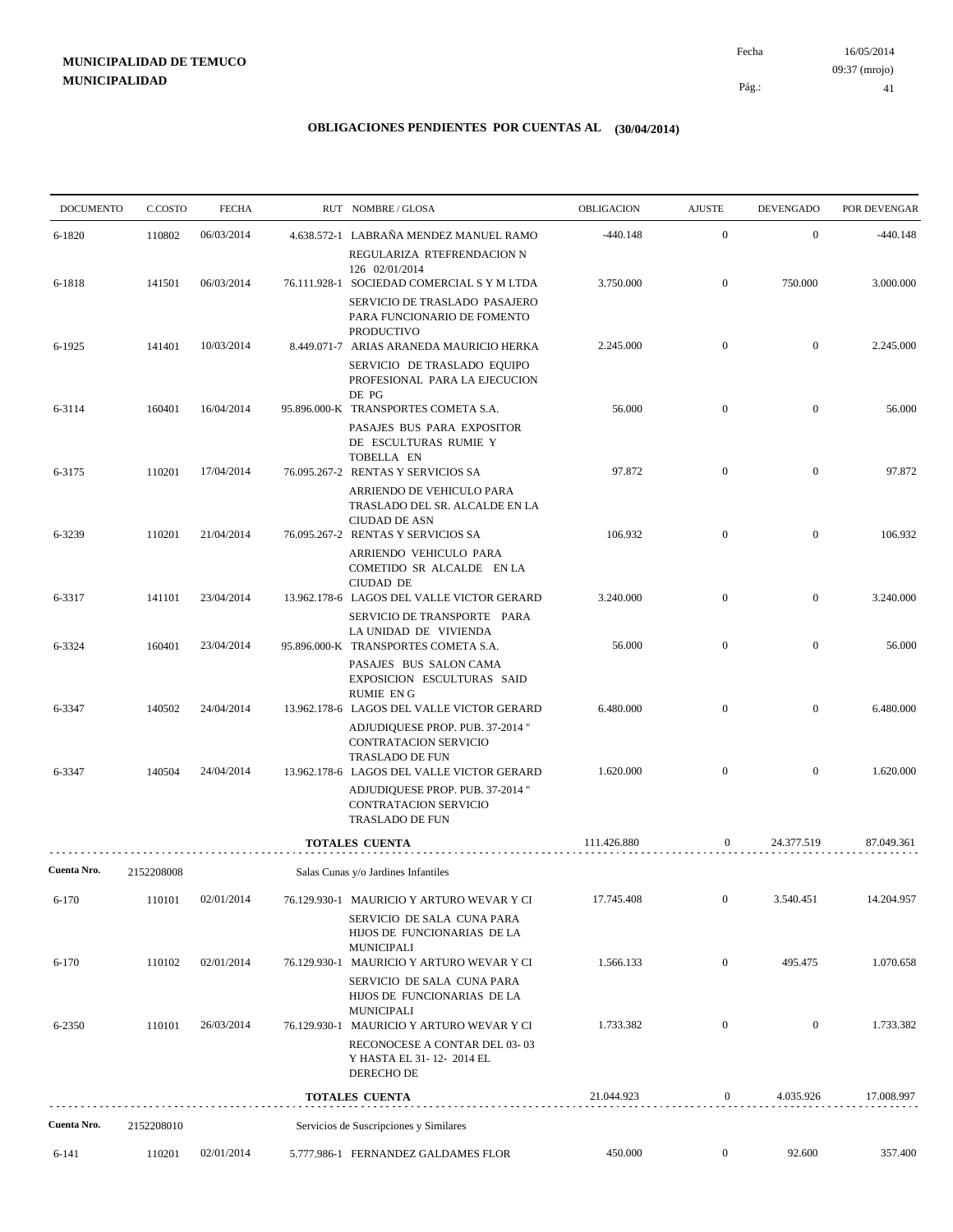# **MUNICIPALIDAD DE TEMUCO MUNICIPALIDAD**

16/05/2014 41 Pág.: Fecha 09:37 (mrojo)

| <b>DOCUMENTO</b> | C.COSTO    | <b>FECHA</b> | RUT NOMBRE/GLOSA                                                                                                                                           | OBLIGACION  | <b>AJUSTE</b>    | <b>DEVENGADO</b> | POR DEVENGAR |
|------------------|------------|--------------|------------------------------------------------------------------------------------------------------------------------------------------------------------|-------------|------------------|------------------|--------------|
| 6-1820           | 110802     | 06/03/2014   | 4.638.572-1 LABRAÑA MENDEZ MANUEL RAMO                                                                                                                     | $-440.148$  | $\boldsymbol{0}$ | $\mathbf{0}$     | $-440.148$   |
| 6-1818           | 141501     | 06/03/2014   | REGULARIZA RTEFRENDACION N<br>126 02/01/2014<br>76.111.928-1 SOCIEDAD COMERCIAL S Y M LTDA<br>SERVICIO DE TRASLADO PASAJERO<br>PARA FUNCIONARIO DE FOMENTO | 3.750.000   | $\boldsymbol{0}$ | 750.000          | 3.000.000    |
| 6-1925           | 141401     | 10/03/2014   | <b>PRODUCTIVO</b><br>8.449.071-7 ARIAS ARANEDA MAURICIO HERKA<br>SERVICIO DE TRASLADO EQUIPO                                                               | 2.245.000   | $\boldsymbol{0}$ | $\mathbf{0}$     | 2.245.000    |
| 6-3114           | 160401     | 16/04/2014   | PROFESIONAL PARA LA EJECUCION<br>DE PG<br>95.896.000-K TRANSPORTES COMETA S.A.                                                                             | 56.000      | $\boldsymbol{0}$ | $\boldsymbol{0}$ | 56.000       |
| 6-3175           | 110201     | 17/04/2014   | PASAJES BUS PARA EXPOSITOR<br>DE ESCULTURAS RUMIE Y<br>TOBELLA EN<br>76.095.267-2 RENTAS Y SERVICIOS SA                                                    | 97.872      | $\boldsymbol{0}$ | $\boldsymbol{0}$ | 97.872       |
|                  |            |              | ARRIENDO DE VEHICULO PARA<br>TRASLADO DEL SR. ALCALDE EN LA<br><b>CIUDAD DE ASN</b>                                                                        |             |                  |                  |              |
| 6-3239           | 110201     | 21/04/2014   | 76.095.267-2 RENTAS Y SERVICIOS SA<br>ARRIENDO VEHICULO PARA<br>COMETIDO SR ALCALDE EN LA<br><b>CIUDAD DE</b>                                              | 106.932     | $\mathbf{0}$     | $\mathbf{0}$     | 106.932      |
| 6-3317           | 141101     | 23/04/2014   | 13.962.178-6 LAGOS DEL VALLE VICTOR GERARD<br>SERVICIO DE TRANSPORTE PARA<br>LA UNIDAD DE VIVIENDA                                                         | 3.240.000   | $\boldsymbol{0}$ | $\boldsymbol{0}$ | 3.240.000    |
| 6-3324           | 160401     | 23/04/2014   | 95.896.000-K TRANSPORTES COMETA S.A.<br>PASAJES BUS SALON CAMA<br>EXPOSICION ESCULTURAS SAID<br><b>RUMIE ENG</b>                                           | 56.000      | $\boldsymbol{0}$ | $\mathbf{0}$     | 56.000       |
| 6-3347           | 140502     | 24/04/2014   | 13.962.178-6 LAGOS DEL VALLE VICTOR GERARD<br>ADJUDIQUESE PROP. PUB. 37-2014 "<br>CONTRATACION SERVICIO                                                    | 6.480.000   | $\boldsymbol{0}$ | $\overline{0}$   | 6.480.000    |
| 6-3347           | 140504     | 24/04/2014   | <b>TRASLADO DE FUN</b><br>13.962.178-6 LAGOS DEL VALLE VICTOR GERARD<br>ADJUDIQUESE PROP. PUB. 37-2014 "<br>CONTRATACION SERVICIO<br>TRASLADO DE FUN       | 1.620.000   | $\boldsymbol{0}$ | $\mathbf{0}$     | 1.620.000    |
|                  |            |              | <b>TOTALES CUENTA</b>                                                                                                                                      | 111.426.880 | $\mathbf{0}$     | 24.377.519       | 87.049.361   |
| Cuenta Nro.      | 2152208008 |              | Salas Cunas y/o Jardines Infantiles                                                                                                                        |             |                  |                  |              |
| 6-170            | 110101     | 02/01/2014   | 76.129.930-1 MAURICIO Y ARTURO WEVAR Y CI<br>SERVICIO DE SALA CUNA PARA<br>HIJOS DE FUNCIONARIAS DE LA                                                     | 17.745.408  | $\boldsymbol{0}$ | 3.540.451        | 14.204.957   |
| $6 - 170$        | 110102     | 02/01/2014   | <b>MUNICIPALI</b><br>76.129.930-1 MAURICIO Y ARTURO WEVAR Y CI<br>SERVICIO DE SALA CUNA PARA<br>HIJOS DE FUNCIONARIAS DE LA                                | 1.566.133   | $\boldsymbol{0}$ | 495.475          | 1.070.658    |
| 6-2350           | 110101     | 26/03/2014   | <b>MUNICIPALI</b><br>76.129.930-1 MAURICIO Y ARTURO WEVAR Y CI<br>RECONOCESE A CONTAR DEL 03-03                                                            | 1.733.382   | $\boldsymbol{0}$ | $\boldsymbol{0}$ | 1.733.382    |
|                  |            |              | Y HASTA EL 31-12-2014 EL<br>DERECHO DE                                                                                                                     |             |                  |                  |              |
|                  |            |              | TOTALES CUENTA                                                                                                                                             | 21.044.923  | 0                | 4.035.926        | 17.008.997   |
| Cuenta Nro.      | 2152208010 |              | Servicios de Suscripciones y Similares                                                                                                                     |             |                  |                  |              |
| 6-141            | 110201     | 02/01/2014   | 5.777.986-1 FERNANDEZ GALDAMES FLOR                                                                                                                        | 450.000     | $\mathbf{0}$     | 92.600           | 357.400      |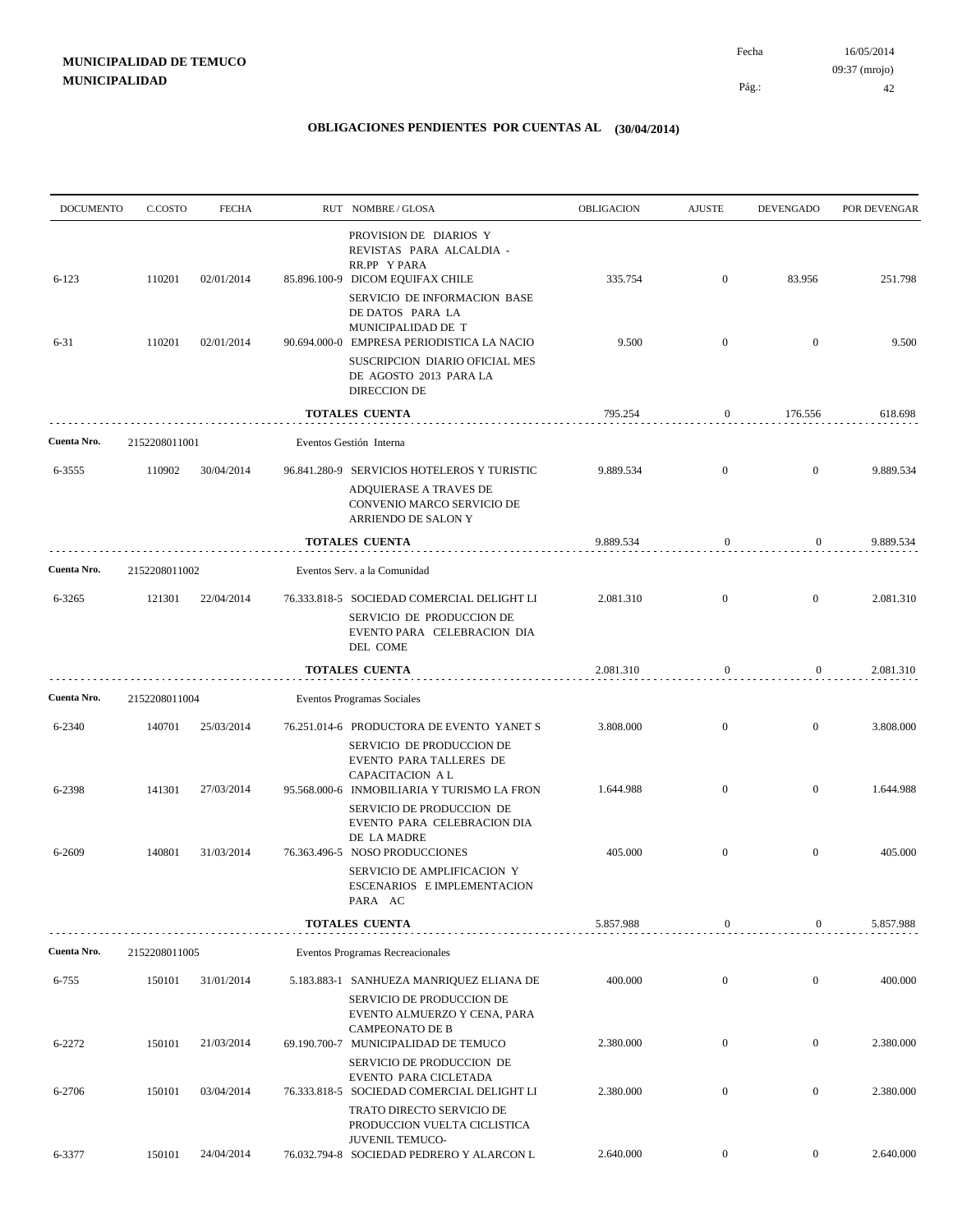| <b>DOCUMENTO</b> | C.COSTO       | <b>FECHA</b> | RUT NOMBRE/GLOSA                                                                                                                                       | <b>OBLIGACION</b> | <b>AJUSTE</b>    | <b>DEVENGADO</b> | POR DEVENGAR |
|------------------|---------------|--------------|--------------------------------------------------------------------------------------------------------------------------------------------------------|-------------------|------------------|------------------|--------------|
| $6 - 123$        | 110201        | 02/01/2014   | PROVISION DE DIARIOS Y<br>REVISTAS PARA ALCALDIA -<br>RR.PP Y PARA<br>85.896.100-9 DICOM EQUIFAX CHILE                                                 | 335.754           | $\boldsymbol{0}$ | 83.956           | 251.798      |
| $6 - 31$         | 110201        | 02/01/2014   | SERVICIO DE INFORMACION BASE<br>DE DATOS PARA LA<br>MUNICIPALIDAD DE T<br>90.694.000-0 EMPRESA PERIODISTICA LA NACIO<br>SUSCRIPCION DIARIO OFICIAL MES | 9.500             | $\mathbf{0}$     | $\overline{0}$   | 9.500        |
|                  |               |              | DE AGOSTO 2013 PARA LA<br><b>DIRECCION DE</b>                                                                                                          |                   |                  |                  |              |
|                  |               |              | TOTALES CUENTA                                                                                                                                         | 795.254           | $\mathbf{0}$     | 176.556          | 618.698      |
| Cuenta Nro.      | 2152208011001 |              | Eventos Gestión Interna                                                                                                                                |                   |                  |                  |              |
| 6-3555           | 110902        | 30/04/2014   | 96.841.280-9 SERVICIOS HOTELEROS Y TURISTIC<br>ADQUIERASE A TRAVES DE<br>CONVENIO MARCO SERVICIO DE<br>ARRIENDO DE SALON Y                             | 9.889.534         | $\mathbf{0}$     | $\overline{0}$   | 9.889.534    |
|                  |               |              | TOTALES CUENTA                                                                                                                                         | 9.889.534         | $\mathbf{0}$     | $\overline{0}$   | 9.889.534    |
| Cuenta Nro.      | 2152208011002 |              | Eventos Serv. a la Comunidad                                                                                                                           |                   |                  |                  |              |
| 6-3265           | 121301        | 22/04/2014   | 76.333.818-5 SOCIEDAD COMERCIAL DELIGHT LI<br>SERVICIO DE PRODUCCION DE<br>EVENTO PARA CELEBRACION DIA<br>DEL COME                                     | 2.081.310         | $\overline{0}$   | $\mathbf{0}$     | 2.081.310    |
|                  |               |              | TOTALES CUENTA                                                                                                                                         | 2.081.310         | $\mathbf{0}$     | $\boldsymbol{0}$ | 2.081.310    |
| Cuenta Nro.      | 2152208011004 |              | Eventos Programas Sociales                                                                                                                             |                   |                  |                  |              |
| 6-2340           | 140701        | 25/03/2014   | 76.251.014-6 PRODUCTORA DE EVENTO YANET S<br>SERVICIO DE PRODUCCION DE<br>EVENTO PARA TALLERES DE                                                      | 3.808.000         | $\overline{0}$   | $\overline{0}$   | 3.808.000    |
| 6-2398           | 141301        | 27/03/2014   | CAPACITACION A L<br>95.568.000-6 INMOBILIARIA Y TURISMO LA FRON<br>SERVICIO DE PRODUCCION DE<br>EVENTO PARA CELEBRACION DIA                            | 1.644.988         | $\mathbf{0}$     | $\overline{0}$   | 1.644.988    |
| 6-2609           | 140801        | 31/03/2014   | DE LA MADRE<br>76.363.496-5 NOSO PRODUCCIONES<br>SERVICIO DE AMPLIFICACION Y<br>ESCENARIOS E IMPLEMENTACION<br>PARA AC                                 | 405.000           | $\boldsymbol{0}$ | $\mathbf{0}$     | 405.000      |
|                  |               |              | <b>TOTALES CUENTA</b>                                                                                                                                  | 5.857.988         | $\boldsymbol{0}$ | $\mathbf{0}$     | 5.857.988    |
| Cuenta Nro.      | 2152208011005 |              | Eventos Programas Recreacionales                                                                                                                       |                   |                  |                  |              |
| 6-755            | 150101        | 31/01/2014   | 5.183.883-1 SANHUEZA MANRIQUEZ ELIANA DE                                                                                                               | 400.000           | $\boldsymbol{0}$ | $\overline{0}$   | 400.000      |
| 6-2272           | 150101        | 21/03/2014   | SERVICIO DE PRODUCCION DE<br>EVENTO ALMUERZO Y CENA, PARA<br><b>CAMPEONATO DE B</b><br>69.190.700-7 MUNICIPALIDAD DE TEMUCO                            | 2.380.000         | $\boldsymbol{0}$ | $\boldsymbol{0}$ | 2.380.000    |
| 6-2706           | 150101        | 03/04/2014   | SERVICIO DE PRODUCCION DE<br>EVENTO PARA CICLETADA<br>76.333.818-5 SOCIEDAD COMERCIAL DELIGHT LI<br>TRATO DIRECTO SERVICIO DE                          | 2.380.000         | $\overline{0}$   | $\boldsymbol{0}$ | 2.380.000    |
| 6-3377           | 150101        | 24/04/2014   | PRODUCCION VUELTA CICLISTICA<br>JUVENIL TEMUCO-<br>76.032.794-8 SOCIEDAD PEDRERO Y ALARCON L                                                           | 2.640.000         | $\boldsymbol{0}$ | $\boldsymbol{0}$ | 2.640.000    |
|                  |               |              |                                                                                                                                                        |                   |                  |                  |              |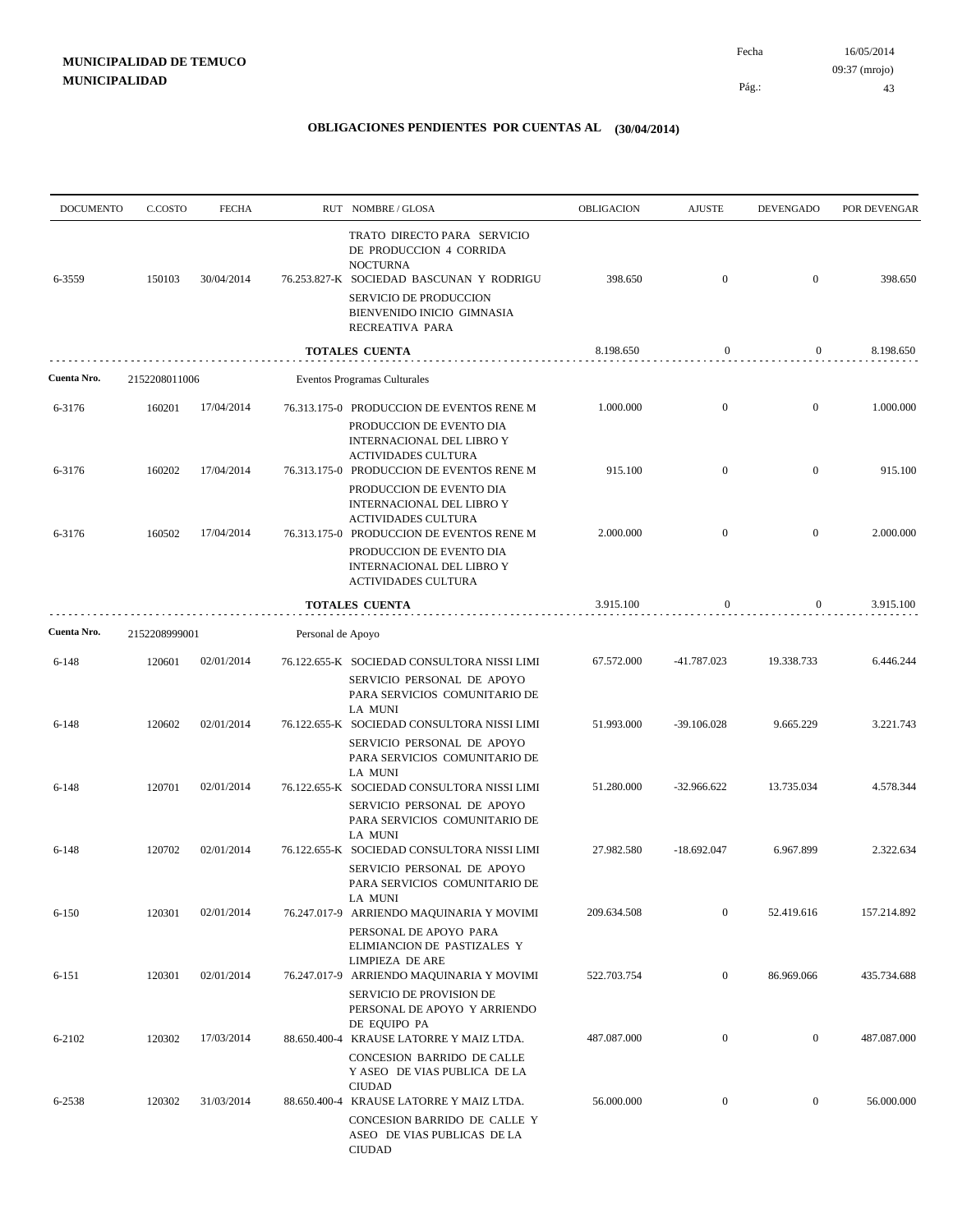| <b>DOCUMENTO</b> | C.COSTO       | <b>FECHA</b> |                   | RUT NOMBRE/GLOSA                                                                                                                                                              | <b>OBLIGACION</b> | <b>AJUSTE</b>    | <b>DEVENGADO</b> | POR DEVENGAR |
|------------------|---------------|--------------|-------------------|-------------------------------------------------------------------------------------------------------------------------------------------------------------------------------|-------------------|------------------|------------------|--------------|
| 6-3559           | 150103        | 30/04/2014   |                   | TRATO DIRECTO PARA SERVICIO<br>DE PRODUCCION 4 CORRIDA<br><b>NOCTURNA</b><br>76.253.827-K SOCIEDAD BASCUNAN Y RODRIGU<br>SERVICIO DE PRODUCCION<br>BIENVENIDO INICIO GIMNASIA | 398.650           | $\boldsymbol{0}$ | $\overline{0}$   | 398.650      |
|                  |               |              |                   | RECREATIVA PARA                                                                                                                                                               |                   |                  |                  |              |
|                  |               |              |                   | TOTALES CUENTA                                                                                                                                                                | 8.198.650         | $\mathbf{0}$     | $\mathbf{0}$     | 8.198.650    |
| Cuenta Nro.      | 2152208011006 |              |                   | Eventos Programas Culturales                                                                                                                                                  |                   |                  |                  |              |
| 6-3176           | 160201        | 17/04/2014   |                   | 76.313.175-0 PRODUCCION DE EVENTOS RENE M<br>PRODUCCION DE EVENTO DIA<br>INTERNACIONAL DEL LIBRO Y<br><b>ACTIVIDADES CULTURA</b>                                              | 1.000.000         | $\boldsymbol{0}$ | $\mathbf{0}$     | 1.000.000    |
| 6-3176           | 160202        | 17/04/2014   |                   | 76.313.175-0 PRODUCCION DE EVENTOS RENE M                                                                                                                                     | 915.100           | $\mathbf{0}$     | $\mathbf{0}$     | 915.100      |
| 6-3176           | 160502        | 17/04/2014   |                   | PRODUCCION DE EVENTO DIA<br>INTERNACIONAL DEL LIBRO Y<br><b>ACTIVIDADES CULTURA</b><br>76.313.175-0 PRODUCCION DE EVENTOS RENE M<br>PRODUCCION DE EVENTO DIA                  | 2.000.000         | $\boldsymbol{0}$ | $\mathbf{0}$     | 2.000.000    |
|                  |               |              |                   | INTERNACIONAL DEL LIBRO Y<br><b>ACTIVIDADES CULTURA</b>                                                                                                                       |                   |                  |                  |              |
|                  |               |              |                   | <b>TOTALES CUENTA</b>                                                                                                                                                         | 3.915.100         | 0                | $\boldsymbol{0}$ | 3.915.100    |
| Cuenta Nro.      | 2152208999001 |              | Personal de Apoyo |                                                                                                                                                                               |                   |                  |                  |              |
| 6-148            | 120601        | 02/01/2014   |                   | 76.122.655-K SOCIEDAD CONSULTORA NISSI LIMI<br>SERVICIO PERSONAL DE APOYO<br>PARA SERVICIOS COMUNITARIO DE                                                                    | 67.572.000        | -41.787.023      | 19.338.733       | 6.446.244    |
| 6-148            | 120602        | 02/01/2014   |                   | LA MUNI<br>76.122.655-K SOCIEDAD CONSULTORA NISSI LIMI<br>SERVICIO PERSONAL DE APOYO<br>PARA SERVICIOS COMUNITARIO DE                                                         | 51.993.000        | -39.106.028      | 9.665.229        | 3.221.743    |
| $6 - 148$        | 120701        | 02/01/2014   |                   | LA MUNI<br>76.122.655-K SOCIEDAD CONSULTORA NISSI LIMI<br>SERVICIO PERSONAL DE APOYO<br>PARA SERVICIOS COMUNITARIO DE                                                         | 51.280.000        | -32.966.622      | 13.735.034       | 4.578.344    |
| $6 - 148$        | 120702        | 02/01/2014   |                   | LA MUNI<br>76.122.655-K SOCIEDAD CONSULTORA NISSI LIMI<br>SERVICIO PERSONAL DE APOYO<br>PARA SERVICIOS COMUNITARIO DE                                                         | 27.982.580        | $-18.692.047$    | 6.967.899        | 2.322.634    |
| $6 - 150$        | 120301        | 02/01/2014   |                   | LA MUNI<br>76.247.017-9 ARRIENDO MAQUINARIA Y MOVIMI<br>PERSONAL DE APOYO PARA                                                                                                | 209.634.508       | $\mathbf{0}$     | 52.419.616       | 157.214.892  |
| 6-151            | 120301        | 02/01/2014   |                   | ELIMIANCION DE PASTIZALES Y<br>LIMPIEZA DE ARE<br>76.247.017-9 ARRIENDO MAQUINARIA Y MOVIMI                                                                                   | 522.703.754       | $\overline{0}$   | 86.969.066       | 435.734.688  |
| 6-2102           | 120302        | 17/03/2014   |                   | SERVICIO DE PROVISION DE<br>PERSONAL DE APOYO Y ARRIENDO<br>DE EQUIPO PA<br>88.650.400-4 KRAUSE LATORRE Y MAIZ LTDA.                                                          | 487.087.000       | $\mathbf{0}$     | $\mathbf{0}$     | 487.087.000  |
|                  |               |              |                   | CONCESION BARRIDO DE CALLE<br>Y ASEO DE VIAS PUBLICA DE LA<br><b>CIUDAD</b>                                                                                                   |                   |                  |                  |              |
| 6-2538           | 120302        | 31/03/2014   |                   | 88.650.400-4 KRAUSE LATORRE Y MAIZ LTDA.<br>CONCESION BARRIDO DE CALLE Y<br>ASEO DE VIAS PUBLICAS DE LA<br><b>CIUDAD</b>                                                      | 56.000.000        | $\boldsymbol{0}$ | $\boldsymbol{0}$ | 56.000.000   |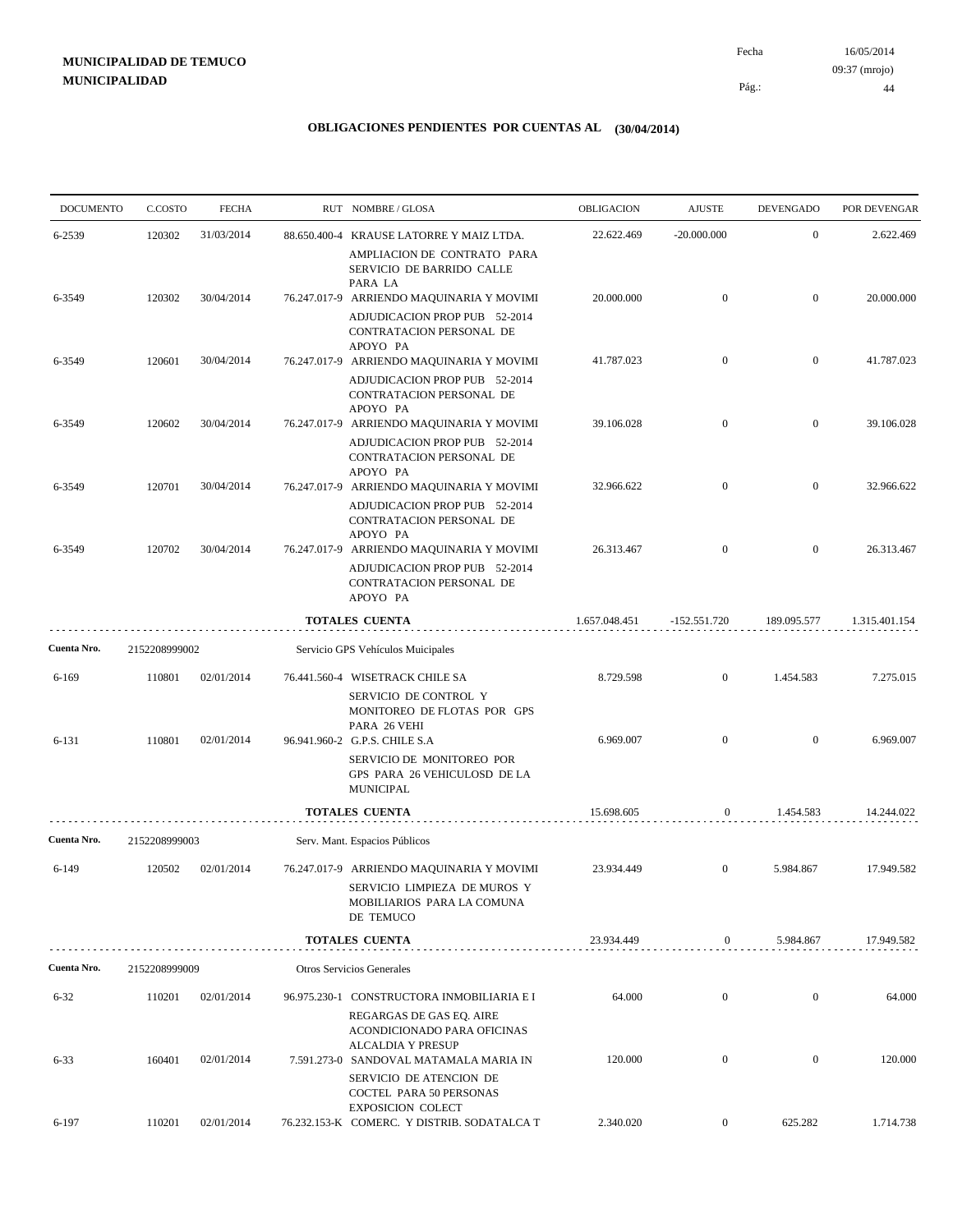# **MUNICIPALIDAD DE TEMUCO MUNICIPALIDAD**

16/05/2014 44 Pág.: Fecha 09:37 (mrojo)

| <b>DOCUMENTO</b> | C.COSTO       | <b>FECHA</b> | RUT NOMBRE/GLOSA                                                                                                     | OBLIGACION    | <b>AJUSTE</b>    | <b>DEVENGADO</b> | POR DEVENGAR  |
|------------------|---------------|--------------|----------------------------------------------------------------------------------------------------------------------|---------------|------------------|------------------|---------------|
| 6-2539           | 120302        | 31/03/2014   | 88.650.400-4 KRAUSE LATORRE Y MAIZ LTDA.                                                                             | 22.622.469    | $-20.000.000$    | $\mathbf{0}$     | 2.622.469     |
|                  |               |              | AMPLIACION DE CONTRATO PARA<br>SERVICIO DE BARRIDO CALLE                                                             |               |                  |                  |               |
| 6-3549           | 120302        | 30/04/2014   | PARA LA<br>76.247.017-9 ARRIENDO MAQUINARIA Y MOVIMI                                                                 | 20.000.000    | $\mathbf{0}$     | $\overline{0}$   | 20.000.000    |
|                  |               |              | ADJUDICACION PROP PUB 52-2014<br>CONTRATACION PERSONAL DE<br>APOYO PA                                                |               |                  |                  |               |
| 6-3549           | 120601        | 30/04/2014   | 76.247.017-9 ARRIENDO MAQUINARIA Y MOVIMI                                                                            | 41.787.023    | $\mathbf{0}$     | $\bf{0}$         | 41.787.023    |
|                  |               |              | ADJUDICACION PROP PUB 52-2014<br>CONTRATACION PERSONAL DE<br>APOYO PA                                                |               |                  |                  |               |
| 6-3549           | 120602        | 30/04/2014   | 76.247.017-9 ARRIENDO MAQUINARIA Y MOVIMI                                                                            | 39.106.028    | $\overline{0}$   | $\overline{0}$   | 39.106.028    |
|                  |               |              | ADJUDICACION PROP PUB 52-2014<br>CONTRATACION PERSONAL DE<br>APOYO PA                                                |               |                  |                  |               |
| 6-3549           | 120701        | 30/04/2014   | 76.247.017-9 ARRIENDO MAQUINARIA Y MOVIMI                                                                            | 32.966.622    | $\mathbf{0}$     | $\overline{0}$   | 32.966.622    |
|                  |               | 30/04/2014   | ADJUDICACION PROP PUB 52-2014<br>CONTRATACION PERSONAL DE<br>APOYO PA                                                | 26.313.467    | $\mathbf{0}$     | $\mathbf{0}$     | 26.313.467    |
| 6-3549           | 120702        |              | 76.247.017-9 ARRIENDO MAQUINARIA Y MOVIMI<br>ADJUDICACION PROP PUB 52-2014<br>CONTRATACION PERSONAL DE<br>APOYO PA   |               |                  |                  |               |
|                  |               |              | <b>TOTALES CUENTA</b>                                                                                                | 1.657.048.451 | $-152.551.720$   | 189.095.577      | 1.315.401.154 |
| Cuenta Nro.      | 2152208999002 |              | Servicio GPS Vehículos Muicipales                                                                                    |               |                  |                  |               |
| $6 - 169$        | 110801        | 02/01/2014   | 76.441.560-4 WISETRACK CHILE SA                                                                                      | 8.729.598     | $\mathbf{0}$     | 1.454.583        | 7.275.015     |
| 6-131            | 110801        | 02/01/2014   | SERVICIO DE CONTROL Y<br>MONITOREO DE FLOTAS POR GPS<br>PARA 26 VEHI<br>96.941.960-2 G.P.S. CHILE S.A                | 6.969.007     | $\overline{0}$   | $\mathbf{0}$     | 6.969.007     |
|                  |               |              | SERVICIO DE MONITOREO POR<br>GPS PARA 26 VEHICULOSD DE LA<br><b>MUNICIPAL</b>                                        |               |                  |                  |               |
|                  |               |              | <b>TOTALES CUENTA</b>                                                                                                | 15.698.605    | $\mathbf{0}$     | 1.454.583        | 14.244.022    |
| Cuenta Nro.      | 2152208999003 |              | Serv. Mant. Espacios Públicos                                                                                        |               |                  |                  |               |
| $6-149$          | 120502        | 02/01/2014   | 76.247.017-9 ARRIENDO MAQUINARIA Y MOVIMI<br>SERVICIO LIMPIEZA DE MUROS Y<br>MOBILIARIOS PARA LA COMUNA<br>DE TEMUCO | 23.934.449    | $\mathbf{0}$     | 5.984.867        | 17.949.582    |
|                  |               |              | <b>TOTALES CUENTA</b>                                                                                                | 23.934.449    | $\mathbf{0}$     | 5.984.867        | 17.949.582    |
| Cuenta Nro.      | 2152208999009 |              | Otros Servicios Generales                                                                                            |               |                  |                  |               |
| $6 - 32$         | 110201        | 02/01/2014   | 96.975.230-1 CONSTRUCTORA INMOBILIARIA E I                                                                           | 64.000        | $\boldsymbol{0}$ | $\mathbf{0}$     | 64.000        |
|                  |               |              | REGARGAS DE GAS EO. AIRE<br>ACONDICIONADO PARA OFICINAS<br><b>ALCALDIA Y PRESUP</b>                                  |               |                  |                  |               |
| $6 - 33$         | 160401        | 02/01/2014   | 7.591.273-0 SANDOVAL MATAMALA MARIA IN<br>SERVICIO DE ATENCION DE<br>COCTEL PARA 50 PERSONAS                         | 120.000       | $\mathbf{0}$     | $\boldsymbol{0}$ | 120.000       |
| 6-197            | 110201        | 02/01/2014   | <b>EXPOSICION COLECT</b><br>76.232.153-K COMERC. Y DISTRIB. SODATALCA T                                              | 2.340.020     | $\boldsymbol{0}$ | 625.282          | 1.714.738     |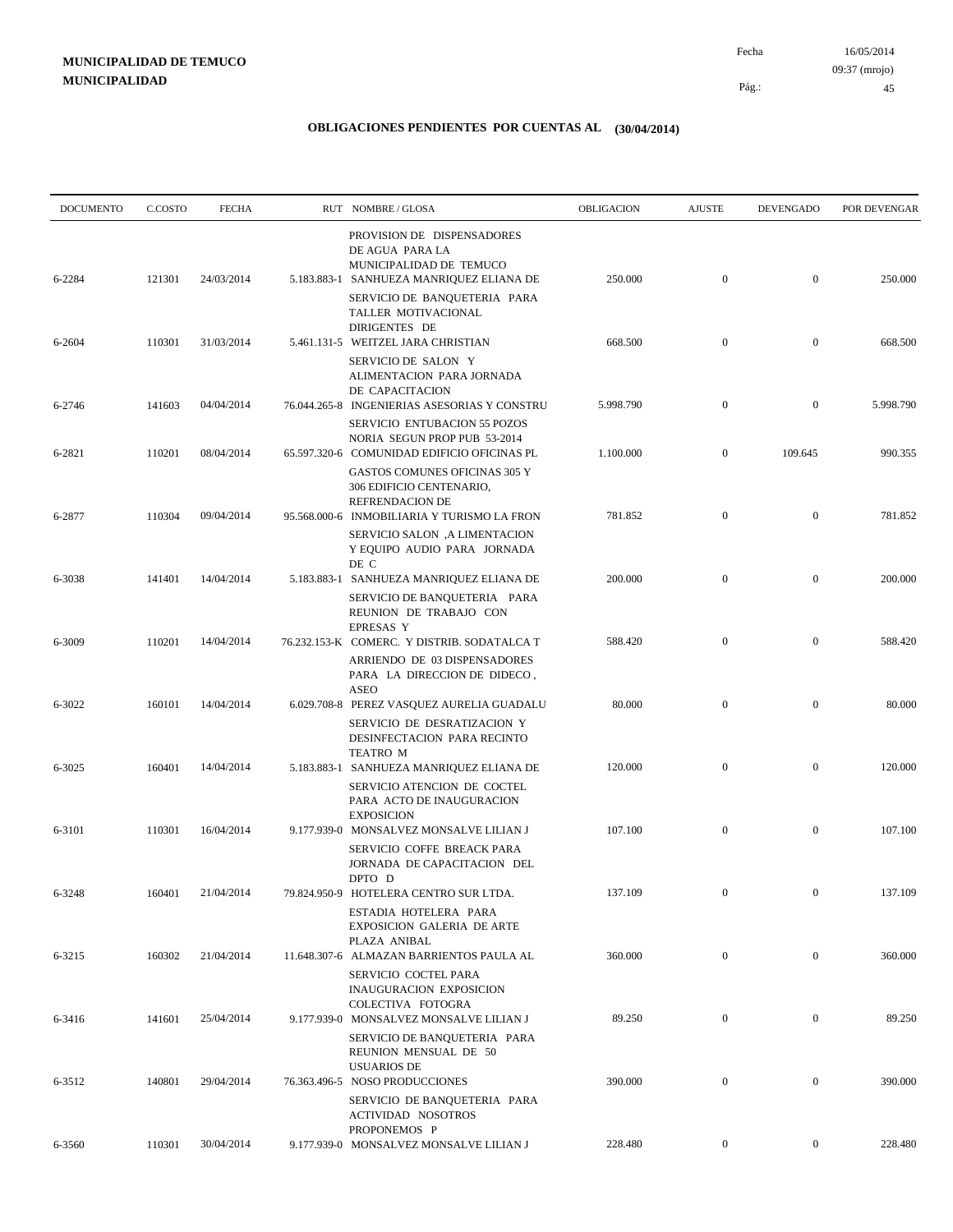| <b>DOCUMENTO</b> | C.COSTO | <b>FECHA</b> | RUT NOMBRE/GLOSA                                                                                                           | <b>OBLIGACION</b> | <b>AJUSTE</b>    | <b>DEVENGADO</b> | POR DEVENGAR |
|------------------|---------|--------------|----------------------------------------------------------------------------------------------------------------------------|-------------------|------------------|------------------|--------------|
| 6-2284           | 121301  | 24/03/2014   | PROVISION DE DISPENSADORES<br>DE AGUA PARA LA<br>MUNICIPALIDAD DE TEMUCO<br>5.183.883-1 SANHUEZA MANRIQUEZ ELIANA DE       | 250.000           | $\boldsymbol{0}$ | $\mathbf{0}$     | 250.000      |
|                  |         |              | SERVICIO DE BANQUETERIA PARA<br>TALLER MOTIVACIONAL<br>DIRIGENTES DE                                                       |                   |                  |                  |              |
| 6-2604           | 110301  | 31/03/2014   | 5.461.131-5 WEITZEL JARA CHRISTIAN<br>SERVICIO DE SALON Y<br>ALIMENTACION PARA JORNADA<br>DE CAPACITACION                  | 668.500           | $\mathbf{0}$     | $\mathbf{0}$     | 668.500      |
| 6-2746           | 141603  | 04/04/2014   | 76.044.265-8 INGENIERIAS ASESORIAS Y CONSTRU<br>SERVICIO ENTUBACION 55 POZOS<br>NORIA SEGUN PROP PUB 53-2014               | 5.998.790         | $\mathbf{0}$     | $\mathbf{0}$     | 5.998.790    |
| 6-2821           | 110201  | 08/04/2014   | 65.597.320-6 COMUNIDAD EDIFICIO OFICINAS PL<br>GASTOS COMUNES OFICINAS 305 Y<br>306 EDIFICIO CENTENARIO,                   | 1.100.000         | $\bf{0}$         | 109.645          | 990.355      |
| 6-2877           | 110304  | 09/04/2014   | <b>REFRENDACION DE</b><br>95.568.000-6 INMOBILIARIA Y TURISMO LA FRON<br>SERVICIO SALON, A LIMENTACION                     | 781.852           | $\mathbf{0}$     | $\mathbf{0}$     | 781.852      |
| 6-3038           | 141401  | 14/04/2014   | Y EQUIPO AUDIO PARA JORNADA<br>DE C<br>5.183.883-1 SANHUEZA MANRIQUEZ ELIANA DE                                            | 200.000           | $\mathbf{0}$     | $\mathbf{0}$     | 200.000      |
|                  |         |              | SERVICIO DE BANQUETERIA PARA<br>REUNION DE TRABAJO CON<br><b>EPRESAS Y</b>                                                 |                   |                  |                  |              |
| 6-3009           | 110201  | 14/04/2014   | 76.232.153-K COMERC. Y DISTRIB. SODATALCA T<br>ARRIENDO DE 03 DISPENSADORES<br>PARA LA DIRECCION DE DIDECO,<br><b>ASEO</b> | 588.420           | $\mathbf{0}$     | $\mathbf{0}$     | 588.420      |
| 6-3022           | 160101  | 14/04/2014   | 6.029.708-8 PEREZ VASQUEZ AURELIA GUADALU<br>SERVICIO DE DESRATIZACION Y<br>DESINFECTACION PARA RECINTO                    | 80.000            | $\mathbf{0}$     | $\mathbf{0}$     | 80.000       |
| 6-3025           | 160401  | 14/04/2014   | TEATRO M<br>5.183.883-1 SANHUEZA MANRIQUEZ ELIANA DE<br>SERVICIO ATENCION DE COCTEL<br>PARA ACTO DE INAUGURACION           | 120.000           | $\mathbf{0}$     | $\mathbf{0}$     | 120.000      |
| 6-3101           | 110301  | 16/04/2014   | <b>EXPOSICION</b><br>9.177.939-0 MONSALVEZ MONSALVE LILIAN J<br>SERVICIO COFFE BREACK PARA                                 | 107.100           | $\boldsymbol{0}$ | $\mathbf{0}$     | 107.100      |
| 6-3248           | 160401  | 21/04/2014   | JORNADA DE CAPACITACION DEL<br>DPTO D<br>79.824.950-9 HOTELERA CENTRO SUR LTDA.                                            | 137.109           | $\overline{0}$   | $\overline{0}$   | 137.109      |
|                  |         |              | ESTADIA HOTELERA PARA<br><b>EXPOSICION GALERIA DE ARTE</b><br>PLAZA ANIBAL                                                 |                   |                  |                  |              |
| 6-3215           | 160302  | 21/04/2014   | 11.648.307-6 ALMAZAN BARRIENTOS PAULA AL<br>SERVICIO COCTEL PARA<br><b>INAUGURACION EXPOSICION</b>                         | 360.000           | $\mathbf{0}$     | $\overline{0}$   | 360.000      |
| 6-3416           | 141601  | 25/04/2014   | COLECTIVA FOTOGRA<br>9.177.939-0 MONSALVEZ MONSALVE LILIAN J<br>SERVICIO DE BANQUETERIA PARA                               | 89.250            | $\mathbf{0}$     | $\mathbf{0}$     | 89.250       |
| 6-3512           | 140801  | 29/04/2014   | REUNION MENSUAL DE 50<br><b>USUARIOS DE</b><br>76.363.496-5 NOSO PRODUCCIONES                                              | 390.000           | $\boldsymbol{0}$ | $\overline{0}$   | 390.000      |
|                  |         |              | SERVICIO DE BANQUETERIA PARA<br><b>ACTIVIDAD NOSOTROS</b><br>PROPONEMOS P                                                  |                   |                  |                  |              |
| 6-3560           | 110301  | 30/04/2014   | 9.177.939-0 MONSALVEZ MONSALVE LILIAN J                                                                                    | 228.480           | $\overline{0}$   | $\overline{0}$   | 228.480      |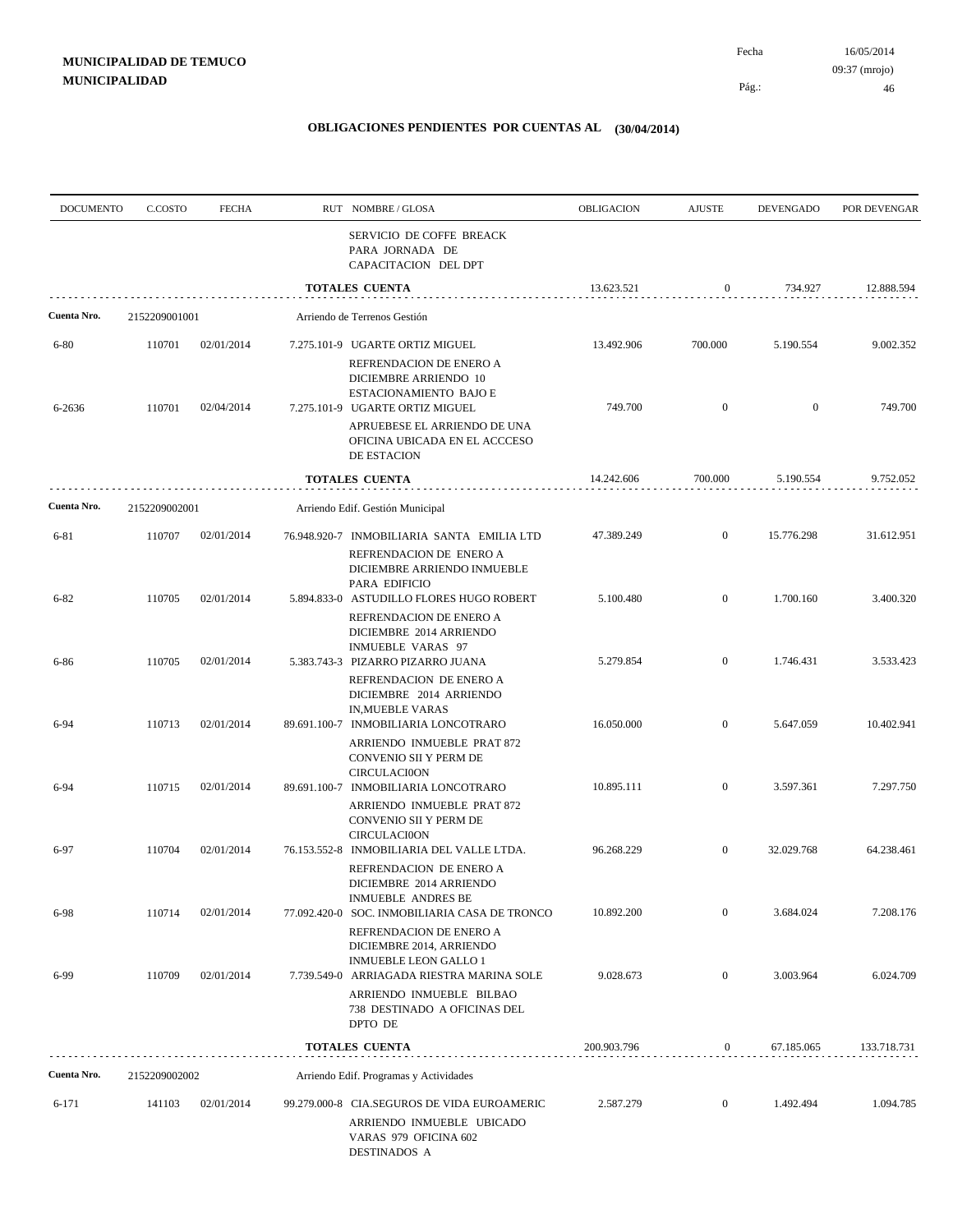Pág.:

| <b>DOCUMENTO</b> | C.COSTO       | <b>FECHA</b> | RUT NOMBRE/GLOSA                                                                                                       | OBLIGACION  | <b>AJUSTE</b>    | <b>DEVENGADO</b> | POR DEVENGAR |
|------------------|---------------|--------------|------------------------------------------------------------------------------------------------------------------------|-------------|------------------|------------------|--------------|
|                  |               |              | SERVICIO DE COFFE BREACK<br>PARA JORNADA DE<br>CAPACITACION DEL DPT                                                    |             |                  |                  |              |
|                  |               |              | <b>TOTALES CUENTA</b>                                                                                                  | 13.623.521  | $\mathbf{0}$     | 734.927          | 12.888.594   |
| Cuenta Nro.      | 2152209001001 |              | Arriendo de Terrenos Gestión                                                                                           |             |                  |                  |              |
| $6 - 80$         | 110701        | 02/01/2014   | 7.275.101-9 UGARTE ORTIZ MIGUEL                                                                                        | 13.492.906  | 700.000          | 5.190.554        | 9.002.352    |
| 6-2636           | 110701        | 02/04/2014   | REFRENDACION DE ENERO A<br>DICIEMBRE ARRIENDO 10<br>ESTACIONAMIENTO BAJO E<br>7.275.101-9 UGARTE ORTIZ MIGUEL          | 749.700     | $\mathbf{0}$     | $\overline{0}$   | 749.700      |
|                  |               |              | APRUEBESE EL ARRIENDO DE UNA<br>OFICINA UBICADA EN EL ACCCESO<br>DE ESTACION                                           |             |                  |                  |              |
|                  |               |              | <b>TOTALES CUENTA</b>                                                                                                  | 14.242.606  | 700.000          | 5.190.554        | 9.752.052    |
| Cuenta Nro.      | 2152209002001 |              | Arriendo Edif. Gestión Municipal                                                                                       |             |                  |                  |              |
| 6-81             | 110707        | 02/01/2014   | 76.948.920-7 INMOBILIARIA SANTA EMILIA LTD                                                                             | 47.389.249  | $\mathbf{0}$     | 15.776.298       | 31.612.951   |
| $6 - 82$         | 110705        | 02/01/2014   | REFRENDACION DE ENERO A<br>DICIEMBRE ARRIENDO INMUEBLE<br>PARA EDIFICIO<br>5.894.833-0 ASTUDILLO FLORES HUGO ROBERT    | 5.100.480   | $\mathbf{0}$     | 1.700.160        | 3.400.320    |
|                  |               |              | REFRENDACION DE ENERO A<br>DICIEMBRE 2014 ARRIENDO<br><b>INMUEBLE VARAS 97</b>                                         |             |                  |                  |              |
| 6-86             | 110705        | 02/01/2014   | 5.383.743-3 PIZARRO PIZARRO JUANA<br>REFRENDACION DE ENERO A<br>DICIEMBRE 2014 ARRIENDO<br><b>IN, MUEBLE VARAS</b>     | 5.279.854   | $\mathbf{0}$     | 1.746.431        | 3.533.423    |
| 6-94             | 110713        | 02/01/2014   | 89.691.100-7 INMOBILIARIA LONCOTRARO<br>ARRIENDO INMUEBLE PRAT 872<br>CONVENIO SII Y PERM DE                           | 16.050.000  | $\overline{0}$   | 5.647.059        | 10.402.941   |
| 6-94             | 110715        | 02/01/2014   | <b>CIRCULACIOON</b><br>89.691.100-7 INMOBILIARIA LONCOTRARO<br>ARRIENDO INMUEBLE PRAT 872<br>CONVENIO SII Y PERM DE    | 10.895.111  | $\mathbf{0}$     | 3.597.361        | 7.297.750    |
| 6-97             | 110704        | 02/01/2014   | <b>CIRCULACI0ON</b><br>76.153.552-8 INMOBILIARIA DEL VALLE LTDA.<br>REFRENDACION DE ENERO A<br>DICIEMBRE 2014 ARRIENDO | 96.268.229  | $\mathbf{0}$     | 32.029.768       | 64.238.461   |
| 6-98             | 110714        | 02/01/2014   | INMUEBLE ANDRES BE<br>77.092.420-0 SOC. INMOBILIARIA CASA DE TRONCO                                                    | 10.892.200  | $\mathbf{0}$     | 3.684.024        | 7.208.176    |
|                  |               |              | REFRENDACION DE ENERO A<br>DICIEMBRE 2014, ARRIENDO<br><b>INMUEBLE LEON GALLO 1</b>                                    |             |                  |                  |              |
| 6-99             | 110709        | 02/01/2014   | 7.739.549-0 ARRIAGADA RIESTRA MARINA SOLE<br>ARRIENDO INMUEBLE BILBAO<br>738 DESTINADO A OFICINAS DEL<br>DPTO DE       | 9.028.673   | $\mathbf{0}$     | 3.003.964        | 6.024.709    |
|                  |               |              | <b>TOTALES CUENTA</b>                                                                                                  | 200.903.796 | $\boldsymbol{0}$ | 67.185.065       | 133.718.731  |
| Cuenta Nro.      | 2152209002002 |              | Arriendo Edif. Programas y Actividades                                                                                 |             |                  |                  |              |
| 6-171            | 141103        | 02/01/2014   | 99.279.000-8 CIA.SEGUROS DE VIDA EUROAMERIC<br>ARRIENDO INMUEBLE UBICADO<br>VARAS 979 OFICINA 602<br>DESTINADOS A      | 2.587.279   | $\mathbf{0}$     | 1.492.494        | 1.094.785    |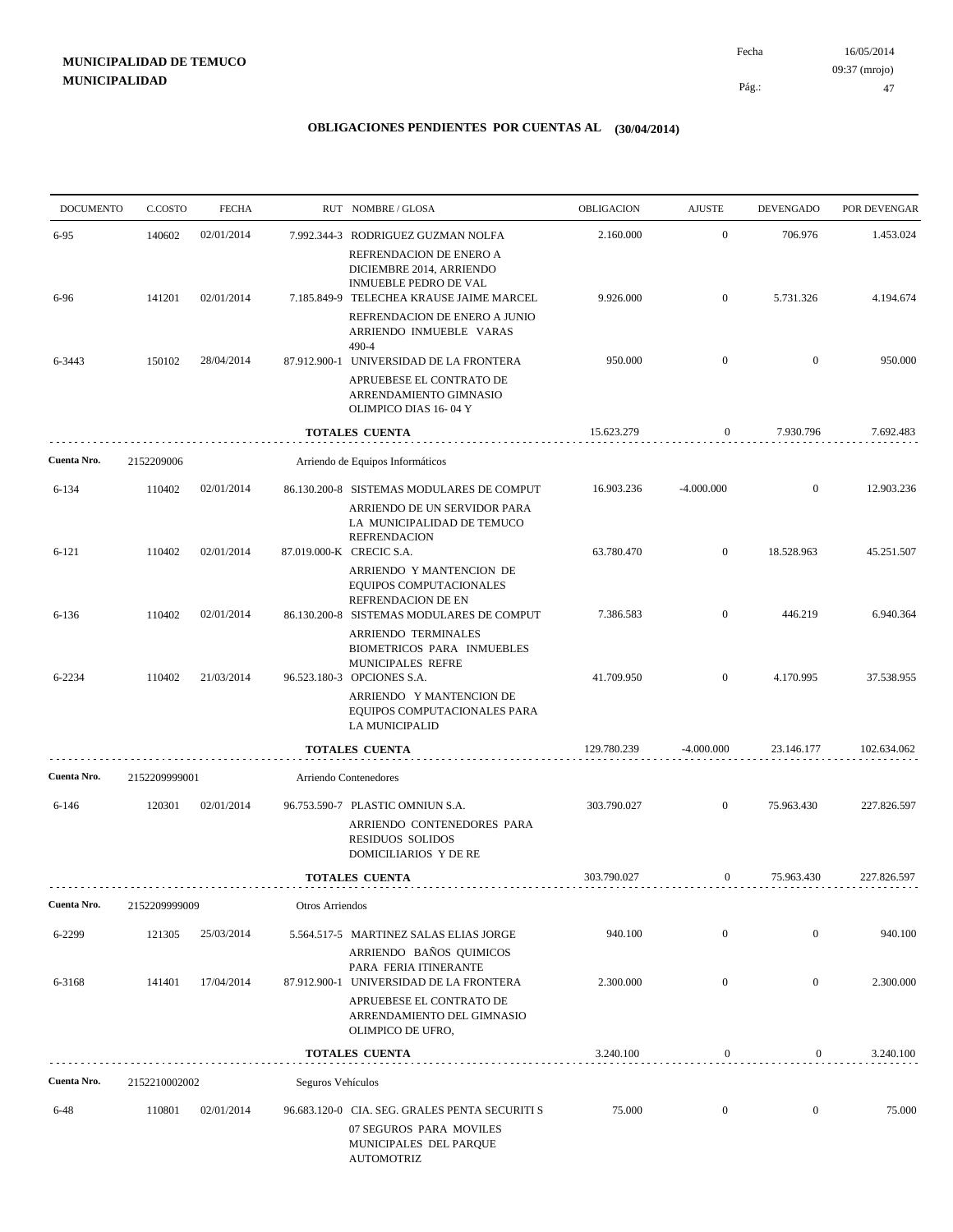16/05/2014 47 Pág.: Fecha 09:37 (mrojo)

| <b>DOCUMENTO</b> | C.COSTO       | <b>FECHA</b> |                   | RUT NOMBRE/GLOSA                                                                                                                | OBLIGACION  | <b>AJUSTE</b>    | <b>DEVENGADO</b> | POR DEVENGAR |
|------------------|---------------|--------------|-------------------|---------------------------------------------------------------------------------------------------------------------------------|-------------|------------------|------------------|--------------|
| 6-95             | 140602        | 02/01/2014   |                   | 7.992.344-3 RODRIGUEZ GUZMAN NOLFA                                                                                              | 2.160.000   | $\boldsymbol{0}$ | 706.976          | 1.453.024    |
| 6-96             | 141201        | 02/01/2014   |                   | REFRENDACION DE ENERO A<br>DICIEMBRE 2014, ARRIENDO<br><b>INMUEBLE PEDRO DE VAL</b><br>7.185.849-9 TELECHEA KRAUSE JAIME MARCEL | 9.926.000   | $\mathbf{0}$     | 5.731.326        | 4.194.674    |
|                  |               |              |                   | REFRENDACION DE ENERO A JUNIO<br>ARRIENDO INMUEBLE VARAS                                                                        |             |                  |                  |              |
| 6-3443           | 150102        | 28/04/2014   |                   | 490-4<br>87.912.900-1 UNIVERSIDAD DE LA FRONTERA                                                                                | 950.000     | $\mathbf{0}$     | $\mathbf{0}$     | 950.000      |
|                  |               |              |                   | APRUEBESE EL CONTRATO DE<br>ARRENDAMIENTO GIMNASIO<br>OLIMPICO DIAS 16-04 Y                                                     |             |                  |                  |              |
|                  |               |              |                   | <b>TOTALES CUENTA</b>                                                                                                           | 15.623.279  | $\mathbf{0}$     | 7.930.796        | 7.692.483    |
| Cuenta Nro.      | 2152209006    |              |                   | Arriendo de Equipos Informáticos                                                                                                |             |                  |                  |              |
| $6 - 134$        | 110402        | 02/01/2014   |                   | 86.130.200-8 SISTEMAS MODULARES DE COMPUT<br>ARRIENDO DE UN SERVIDOR PARA<br>LA MUNICIPALIDAD DE TEMUCO<br><b>REFRENDACION</b>  | 16.903.236  | $-4.000.000$     | $\mathbf{0}$     | 12.903.236   |
| $6 - 121$        | 110402        | 02/01/2014   |                   | 87.019.000-K CRECIC S.A.<br>ARRIENDO Y MANTENCION DE<br>EQUIPOS COMPUTACIONALES<br>REFRENDACION DE EN                           | 63.780.470  | $\mathbf{0}$     | 18.528.963       | 45.251.507   |
| $6 - 136$        | 110402        | 02/01/2014   |                   | 86.130.200-8 SISTEMAS MODULARES DE COMPUT<br><b>ARRIENDO TERMINALES</b>                                                         | 7.386.583   | $\overline{0}$   | 446.219          | 6.940.364    |
| 6-2234           | 110402        | 21/03/2014   |                   | BIOMETRICOS PARA INMUEBLES<br>MUNICIPALES REFRE<br>96.523.180-3 OPCIONES S.A.                                                   | 41.709.950  | $\mathbf{0}$     | 4.170.995        | 37.538.955   |
|                  |               |              |                   | ARRIENDO Y MANTENCION DE<br>EQUIPOS COMPUTACIONALES PARA<br>LA MUNICIPALID                                                      |             |                  |                  |              |
|                  |               |              |                   | <b>TOTALES CUENTA</b>                                                                                                           | 129.780.239 | $-4.000.000$     | 23.146.177       | 102.634.062  |
| Cuenta Nro.      | 2152209999001 |              |                   | Arriendo Contenedores                                                                                                           |             |                  |                  |              |
| $6 - 146$        | 120301        | 02/01/2014   |                   | 96.753.590-7 PLASTIC OMNIUN S.A.                                                                                                | 303.790.027 | $\mathbf{0}$     | 75.963.430       | 227.826.597  |
|                  |               |              |                   | ARRIENDO CONTENEDORES PARA<br><b>RESIDUOS SOLIDOS</b><br>DOMICILIARIOS Y DE RE                                                  |             |                  |                  |              |
|                  |               |              |                   | <b>TOTALES CUENTA</b>                                                                                                           | 303.790.027 | $\boldsymbol{0}$ | 75.963.430       | 227.826.597  |
| Cuenta Nro.      | 2152209999009 |              | Otros Arriendos   |                                                                                                                                 |             |                  |                  |              |
| 6-2299           | 121305        | 25/03/2014   |                   | 5.564.517-5 MARTINEZ SALAS ELIAS JORGE<br>ARRIENDO BAÑOS QUIMICOS                                                               | 940.100     | $\boldsymbol{0}$ | $\mathbf{0}$     | 940.100      |
| 6-3168           | 141401        | 17/04/2014   |                   | PARA FERIA ITINERANTE<br>87.912.900-1 UNIVERSIDAD DE LA FRONTERA                                                                | 2.300.000   | $\mathbf{0}$     | $\boldsymbol{0}$ | 2.300.000    |
|                  |               |              |                   | APRUEBESE EL CONTRATO DE<br>ARRENDAMIENTO DEL GIMNASIO<br>OLIMPICO DE UFRO,                                                     |             |                  |                  |              |
|                  |               |              |                   | <b>TOTALES CUENTA</b>                                                                                                           | 3.240.100   | $\boldsymbol{0}$ | $\boldsymbol{0}$ | 3.240.100    |
| Cuenta Nro.      | 2152210002002 |              | Seguros Vehículos |                                                                                                                                 |             |                  |                  |              |
| 6-48             | 110801        | 02/01/2014   |                   | 96.683.120-0 CIA. SEG. GRALES PENTA SECURITI S<br>07 SEGUROS PARA MOVILES<br>MUNICIPALES DEL PARQUE<br>AUTOMOTRIZ               | 75.000      | $\boldsymbol{0}$ | $\boldsymbol{0}$ | 75.000       |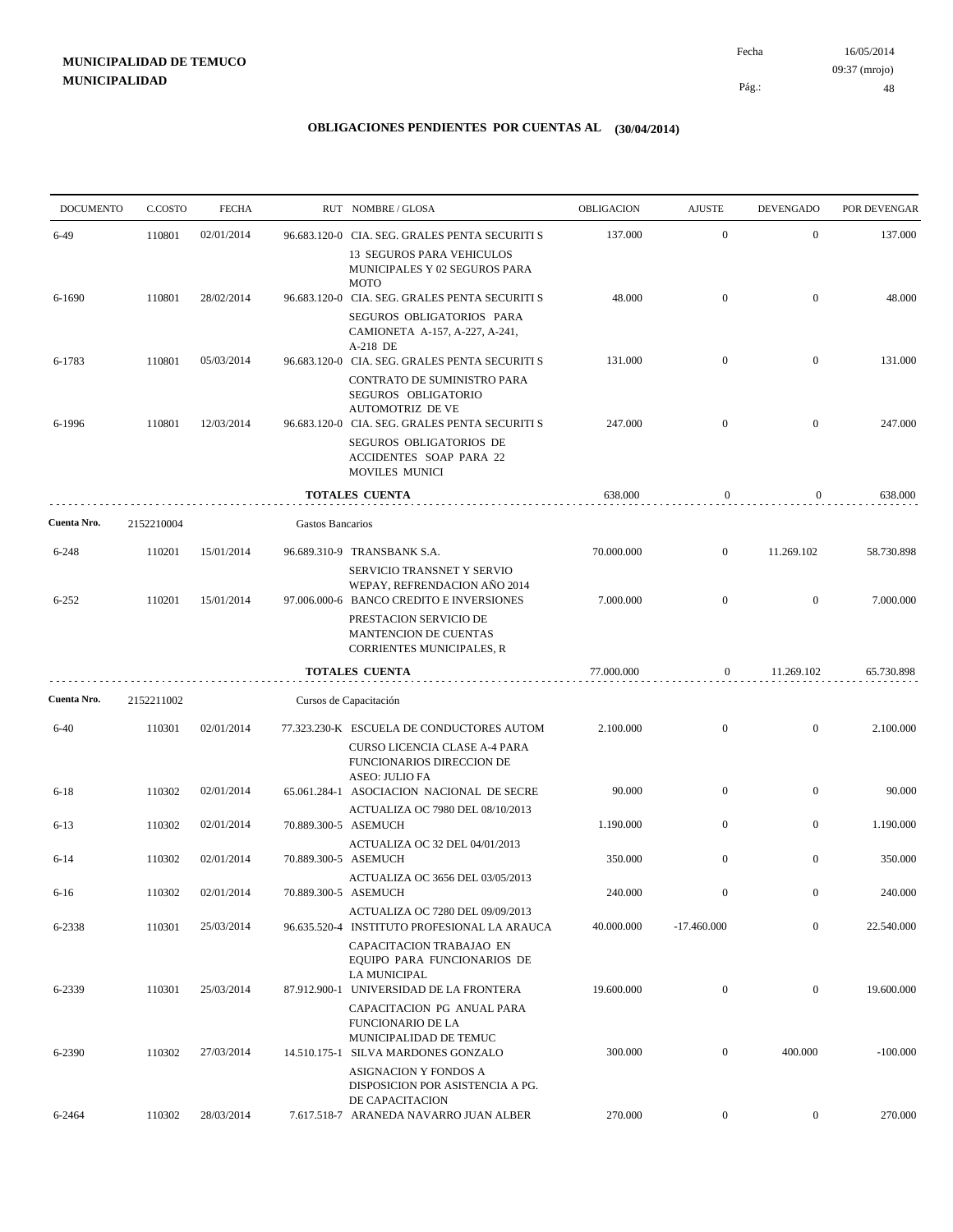| <b>DOCUMENTO</b> | C.COSTO    | <b>FECHA</b> |                      | RUT NOMBRE/GLOSA                                                                                                          | OBLIGACION | <b>AJUSTE</b>    | <b>DEVENGADO</b> | POR DEVENGAR |
|------------------|------------|--------------|----------------------|---------------------------------------------------------------------------------------------------------------------------|------------|------------------|------------------|--------------|
| $6-49$           | 110801     | 02/01/2014   |                      | 96.683.120-0 CIA. SEG. GRALES PENTA SECURITI S                                                                            | 137.000    | $\mathbf{0}$     | $\mathbf{0}$     | 137.000      |
|                  |            |              |                      | 13 SEGUROS PARA VEHICULOS<br>MUNICIPALES Y 02 SEGUROS PARA<br><b>MOTO</b>                                                 |            |                  |                  |              |
| 6-1690           | 110801     | 28/02/2014   |                      | 96.683.120-0 CIA. SEG. GRALES PENTA SECURITI S                                                                            | 48.000     | $\mathbf{0}$     | $\mathbf{0}$     | 48.000       |
|                  |            |              |                      | SEGUROS OBLIGATORIOS PARA<br>CAMIONETA A-157, A-227, A-241,<br>A-218 DE                                                   |            |                  |                  |              |
| 6-1783           | 110801     | 05/03/2014   |                      | 96.683.120-0 CIA. SEG. GRALES PENTA SECURITI S<br>CONTRATO DE SUMINISTRO PARA<br>SEGUROS OBLIGATORIO                      | 131.000    | $\overline{0}$   | $\overline{0}$   | 131.000      |
| 6-1996           | 110801     | 12/03/2014   |                      | <b>AUTOMOTRIZ DE VE</b><br>96.683.120-0 CIA. SEG. GRALES PENTA SECURITI S                                                 | 247.000    | $\mathbf{0}$     | $\mathbf{0}$     | 247.000      |
|                  |            |              |                      | SEGUROS OBLIGATORIOS DE<br>ACCIDENTES SOAP PARA 22<br>MOVILES MUNICI                                                      |            |                  |                  |              |
|                  |            |              |                      | <b>TOTALES CUENTA</b>                                                                                                     | 638.000    | $\boldsymbol{0}$ | $\overline{0}$   | 638.000      |
| Cuenta Nro.      | 2152210004 |              | Gastos Bancarios     |                                                                                                                           |            |                  |                  |              |
| $6 - 248$        | 110201     | 15/01/2014   |                      | 96.689.310-9 TRANSBANK S.A.                                                                                               | 70.000.000 | $\mathbf{0}$     | 11.269.102       | 58.730.898   |
| $6 - 252$        | 110201     | 15/01/2014   |                      | SERVICIO TRANSNET Y SERVIO<br>WEPAY, REFRENDACION AÑO 2014<br>97.006.000-6 BANCO CREDITO E INVERSIONES                    | 7.000.000  | $\mathbf{0}$     | $\boldsymbol{0}$ | 7.000.000    |
|                  |            |              |                      | PRESTACION SERVICIO DE<br>MANTENCION DE CUENTAS<br><b>CORRIENTES MUNICIPALES, R</b>                                       |            |                  |                  |              |
|                  |            |              |                      | <b>TOTALES CUENTA</b>                                                                                                     | 77.000.000 | $\boldsymbol{0}$ | 11.269.102       | 65.730.898   |
| Cuenta Nro.      | 2152211002 |              |                      | Cursos de Capacitación                                                                                                    |            |                  |                  |              |
| $6 - 40$         | 110301     | 02/01/2014   |                      | 77.323.230-K ESCUELA DE CONDUCTORES AUTOM<br>CURSO LICENCIA CLASE A-4 PARA<br>FUNCIONARIOS DIRECCION DE                   | 2.100.000  | $\mathbf{0}$     | $\boldsymbol{0}$ | 2.100.000    |
| $6 - 18$         | 110302     | 02/01/2014   |                      | ASEO: JULIO FA<br>65.061.284-1 ASOCIACION NACIONAL DE SECRE                                                               | 90.000     | $\mathbf{0}$     | $\bf{0}$         | 90.000       |
| $6 - 13$         | 110302     | 02/01/2014   |                      | ACTUALIZA OC 7980 DEL 08/10/2013<br>70.889.300-5 ASEMUCH                                                                  | 1.190.000  | $\overline{0}$   | $\mathbf{0}$     | 1.190.000    |
| $6 - 14$         | 110302     | 02/01/2014   | 70.889.300-5 ASEMUCH | ACTUALIZA OC 32 DEL 04/01/2013                                                                                            | 350.000    | $\overline{0}$   | $\boldsymbol{0}$ | 350.000      |
| $6-16$           | 110302     | 02/01/2014   |                      | ACTUALIZA OC 3656 DEL 03/05/2013<br>70.889.300-5 ASEMUCH                                                                  | 240.000    | $\overline{0}$   | $\Omega$         | 240.000      |
| 6-2338           | 110301     | 25/03/2014   |                      | ACTUALIZA OC 7280 DEL 09/09/2013<br>96.635.520-4 INSTITUTO PROFESIONAL LA ARAUCA                                          | 40.000.000 | $-17.460.000$    | $\boldsymbol{0}$ | 22.540.000   |
| 6-2339           | 110301     | 25/03/2014   |                      | CAPACITACION TRABAJAO EN<br>EQUIPO PARA FUNCIONARIOS DE<br><b>LA MUNICIPAL</b><br>87.912.900-1 UNIVERSIDAD DE LA FRONTERA | 19.600.000 | $\boldsymbol{0}$ | $\mathbf{0}$     | 19.600.000   |
|                  |            |              |                      | CAPACITACION PG ANUAL PARA<br><b>FUNCIONARIO DE LA</b><br>MUNICIPALIDAD DE TEMUC                                          |            |                  |                  |              |
| 6-2390           | 110302     | 27/03/2014   |                      | 14.510.175-1 SILVA MARDONES GONZALO<br>ASIGNACION Y FONDOS A                                                              | 300.000    | $\boldsymbol{0}$ | 400.000          | $-100.000$   |
| 6-2464           | 110302     | 28/03/2014   |                      | DISPOSICION POR ASISTENCIA A PG.<br>DE CAPACITACION<br>7.617.518-7 ARANEDA NAVARRO JUAN ALBER                             | 270.000    | $\overline{0}$   | $\overline{0}$   | 270.000      |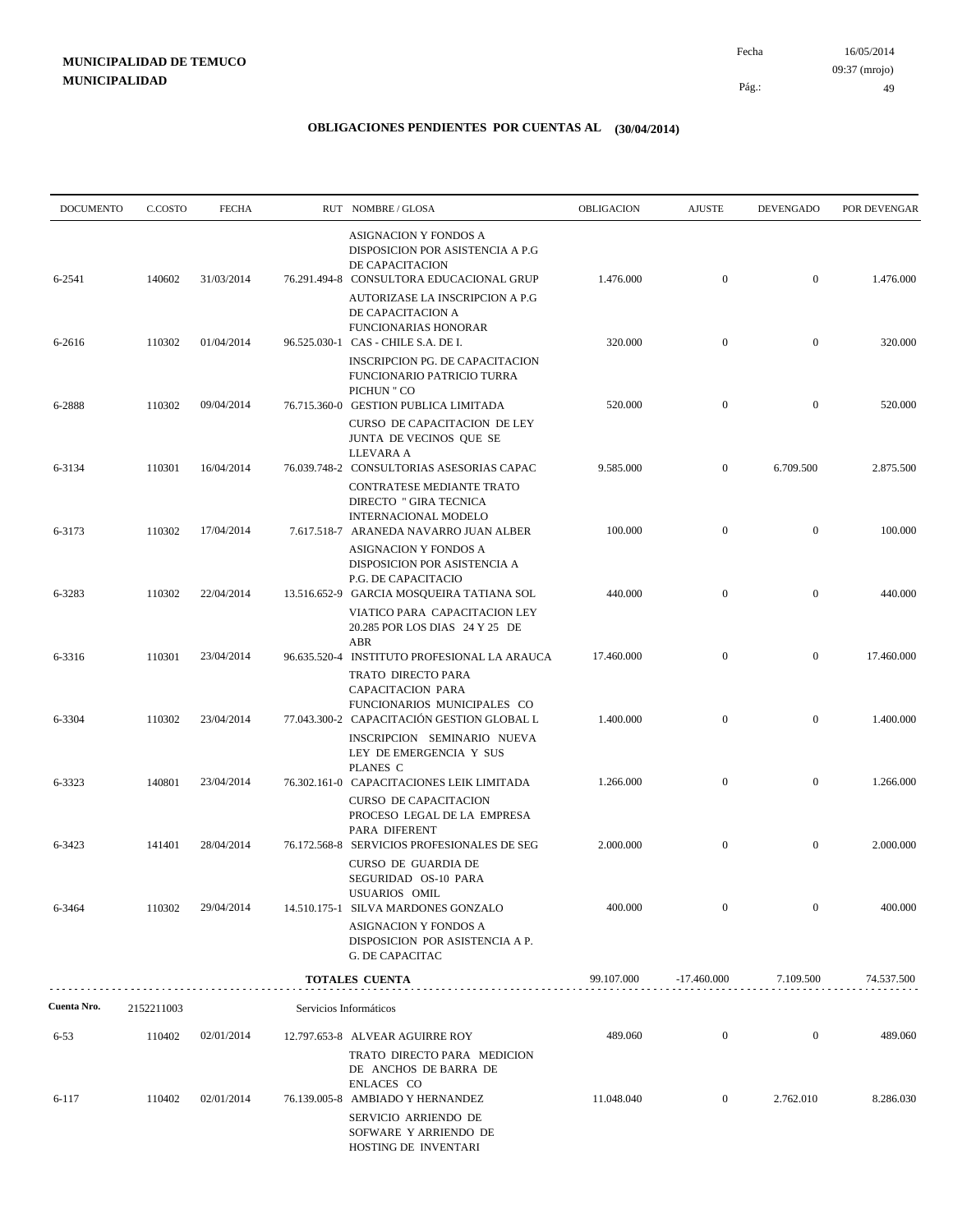| <b>DOCUMENTO</b> | C.COSTO    | <b>FECHA</b> | RUT NOMBRE/GLOSA                                                                                                                         | OBLIGACION | <b>AJUSTE</b>    | <b>DEVENGADO</b> | POR DEVENGAR |
|------------------|------------|--------------|------------------------------------------------------------------------------------------------------------------------------------------|------------|------------------|------------------|--------------|
| 6-2541           | 140602     | 31/03/2014   | ASIGNACION Y FONDOS A<br>DISPOSICION POR ASISTENCIA A P.G<br>DE CAPACITACION<br>76.291.494-8 CONSULTORA EDUCACIONAL GRUP                 | 1.476.000  | $\boldsymbol{0}$ | $\overline{0}$   | 1.476.000    |
|                  |            |              | AUTORIZASE LA INSCRIPCION A P.G<br>DE CAPACITACION A<br><b>FUNCIONARIAS HONORAR</b>                                                      |            |                  |                  |              |
| 6-2616           | 110302     | 01/04/2014   | 96.525.030-1 CAS - CHILE S.A. DE I.<br><b>INSCRIPCION PG. DE CAPACITACION</b><br><b>FUNCIONARIO PATRICIO TURRA</b>                       | 320.000    | $\boldsymbol{0}$ | $\mathbf{0}$     | 320.000      |
| 6-2888           | 110302     | 09/04/2014   | PICHUN " CO<br>76.715.360-0 GESTION PUBLICA LIMITADA<br>CURSO DE CAPACITACION DE LEY<br>JUNTA DE VECINOS QUE SE                          | 520.000    | $\overline{0}$   | $\overline{0}$   | 520.000      |
| 6-3134           | 110301     | 16/04/2014   | LLEVARA A<br>76.039.748-2 CONSULTORIAS ASESORIAS CAPAC<br>CONTRATESE MEDIANTE TRATO                                                      | 9.585.000  | $\mathbf{0}$     | 6.709.500        | 2.875.500    |
| 6-3173           | 110302     | 17/04/2014   | DIRECTO " GIRA TECNICA<br>INTERNACIONAL MODELO<br>7.617.518-7 ARANEDA NAVARRO JUAN ALBER                                                 | 100.000    | $\boldsymbol{0}$ | $\mathbf{0}$     | 100.000      |
| 6-3283           | 110302     | 22/04/2014   | ASIGNACION Y FONDOS A<br>DISPOSICION POR ASISTENCIA A<br>P.G. DE CAPACITACIO<br>13.516.652-9 GARCIA MOSQUEIRA TATIANA SOL                | 440.000    | $\boldsymbol{0}$ | $\mathbf{0}$     | 440.000      |
|                  |            |              | VIATICO PARA CAPACITACION LEY<br>20.285 POR LOS DIAS 24 Y 25 DE<br>ABR                                                                   | 17.460.000 | $\boldsymbol{0}$ | $\mathbf{0}$     | 17.460.000   |
| 6-3316           | 110301     | 23/04/2014   | 96.635.520-4 INSTITUTO PROFESIONAL LA ARAUCA<br>TRATO DIRECTO PARA<br>CAPACITACION PARA<br>FUNCIONARIOS MUNICIPALES CO                   |            |                  |                  |              |
| 6-3304           | 110302     | 23/04/2014   | 77.043.300-2 CAPACITACIÓN GESTION GLOBAL L<br>INSCRIPCION SEMINARIO NUEVA<br>LEY DE EMERGENCIA Y SUS                                     | 1.400.000  | $\boldsymbol{0}$ | $\mathbf{0}$     | 1.400.000    |
| 6-3323           | 140801     | 23/04/2014   | PLANES C<br>76.302.161-0 CAPACITACIONES LEIK LIMITADA<br><b>CURSO DE CAPACITACION</b><br>PROCESO LEGAL DE LA EMPRESA                     | 1.266.000  | $\boldsymbol{0}$ | $\mathbf{0}$     | 1.266.000    |
| 6-3423           | 141401     | 28/04/2014   | PARA DIFERENT<br>76.172.568-8 SERVICIOS PROFESIONALES DE SEG<br><b>CURSO DE GUARDIA DE</b>                                               | 2.000.000  | $\boldsymbol{0}$ | $\mathbf{0}$     | 2.000.000    |
| 6-3464           | 110302     | 29/04/2014   | SEGURIDAD OS-10 PARA<br>USUARIOS OMIL<br>14.510.175-1 SILVA MARDONES GONZALO<br>ASIGNACION Y FONDOS A<br>DISPOSICION POR ASISTENCIA A P. | 400.000    | $\mathbf{0}$     | $\boldsymbol{0}$ | 400.000      |
|                  |            |              | G. DE CAPACITAC<br>TOTALES CUENTA                                                                                                        | 99.107.000 | $-17.460.000$    | 7.109.500        | 74.537.500   |
|                  |            |              |                                                                                                                                          |            |                  |                  |              |
| Cuenta Nro.      | 2152211003 |              | Servicios Informáticos                                                                                                                   |            |                  |                  |              |
| $6 - 53$         | 110402     | 02/01/2014   | 12.797.653-8 ALVEAR AGUIRRE ROY<br>TRATO DIRECTO PARA MEDICION<br>DE ANCHOS DE BARRA DE<br>ENLACES CO                                    | 489.060    | $\boldsymbol{0}$ | $\boldsymbol{0}$ | 489.060      |
| 6-117            | 110402     | 02/01/2014   | 76.139.005-8 AMBIADO Y HERNANDEZ<br>SERVICIO ARRIENDO DE<br>SOFWARE Y ARRIENDO DE<br>HOSTING DE INVENTARI                                | 11.048.040 | $\mathbf{0}$     | 2.762.010        | 8.286.030    |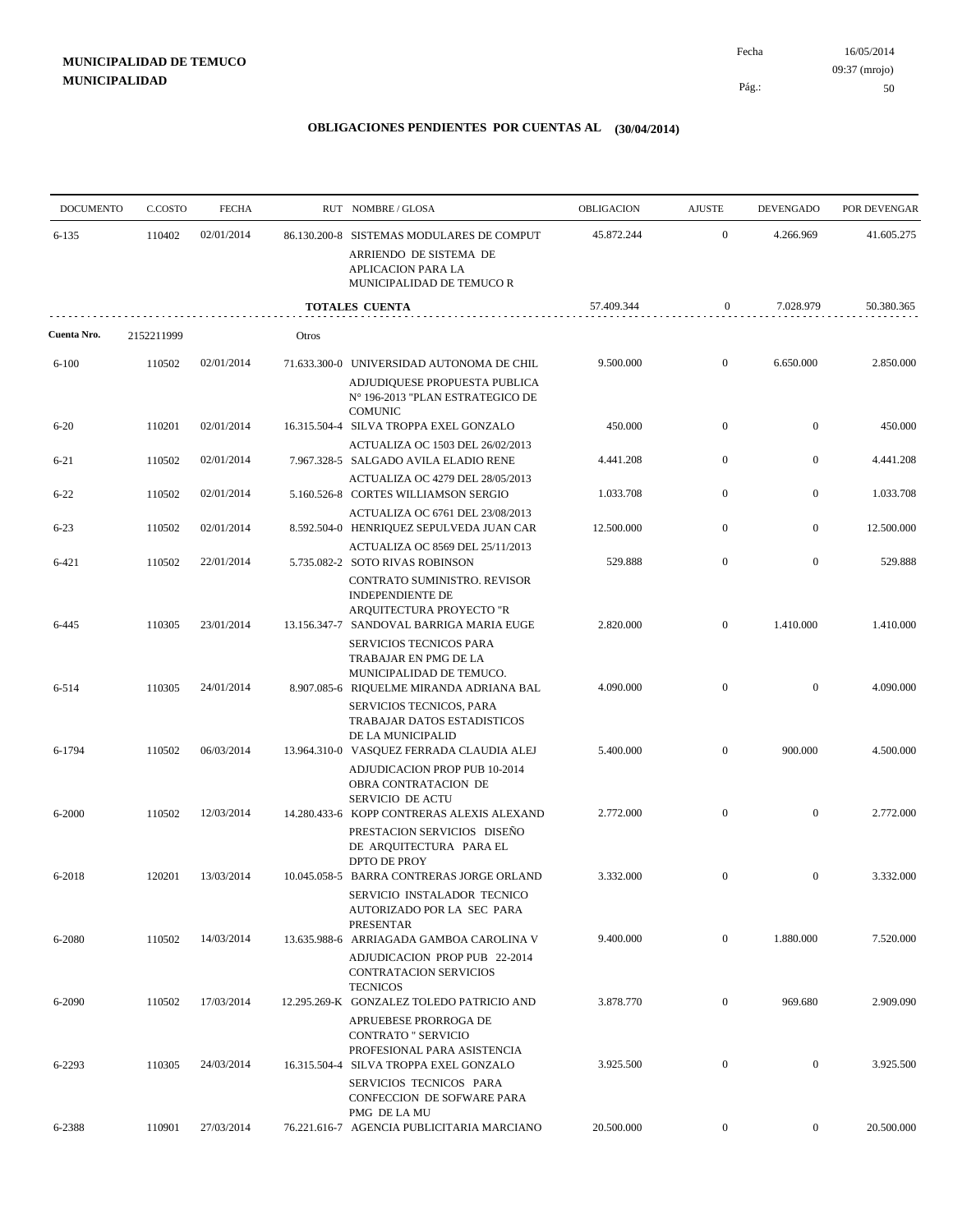| <b>DOCUMENTO</b> | C.COSTO    | <b>FECHA</b> |       | RUT NOMBRE/GLOSA                                                                                                                 | <b>OBLIGACION</b> | <b>AJUSTE</b>    | <b>DEVENGADO</b> | POR DEVENGAR                                                                                                                                                                                                |
|------------------|------------|--------------|-------|----------------------------------------------------------------------------------------------------------------------------------|-------------------|------------------|------------------|-------------------------------------------------------------------------------------------------------------------------------------------------------------------------------------------------------------|
| $6 - 135$        | 110402     | 02/01/2014   |       | 86.130.200-8 SISTEMAS MODULARES DE COMPUT<br>ARRIENDO DE SISTEMA DE<br>APLICACION PARA LA<br>MUNICIPALIDAD DE TEMUCO R           | 45.872.244        | $\boldsymbol{0}$ | 4.266.969        | 41.605.275<br>50.380.365<br>2.850.000<br>450.000<br>4.441.208<br>1.033.708<br>12.500.000<br>529.888<br>1.410.000<br>4.090.000<br>4.500.000<br>2.772.000<br>3.332.000<br>7.520.000<br>2.909.090<br>3.925.500 |
|                  |            |              |       | <b>TOTALES CUENTA</b>                                                                                                            | 57.409.344        | 0                | 7.028.979        |                                                                                                                                                                                                             |
| Cuenta Nro.      | 2152211999 |              | Otros |                                                                                                                                  |                   |                  |                  |                                                                                                                                                                                                             |
| $6 - 100$        | 110502     | 02/01/2014   |       | 71.633.300-0 UNIVERSIDAD AUTONOMA DE CHIL<br>ADJUDIQUESE PROPUESTA PUBLICA<br>N° 196-2013 "PLAN ESTRATEGICO DE<br><b>COMUNIC</b> | 9.500.000         | $\mathbf{0}$     | 6.650.000        |                                                                                                                                                                                                             |
| $6 - 20$         | 110201     | 02/01/2014   |       | 16.315.504-4 SILVA TROPPA EXEL GONZALO                                                                                           | 450.000           | $\boldsymbol{0}$ | $\mathbf{0}$     |                                                                                                                                                                                                             |
| $6 - 21$         | 110502     | 02/01/2014   |       | ACTUALIZA OC 1503 DEL 26/02/2013<br>7.967.328-5 SALGADO AVILA ELADIO RENE                                                        | 4.441.208         | $\overline{0}$   | $\overline{0}$   |                                                                                                                                                                                                             |
| $6 - 22$         | 110502     | 02/01/2014   |       | ACTUALIZA OC 4279 DEL 28/05/2013<br>5.160.526-8 CORTES WILLIAMSON SERGIO                                                         | 1.033.708         | $\overline{0}$   | $\boldsymbol{0}$ |                                                                                                                                                                                                             |
| $6 - 23$         | 110502     | 02/01/2014   |       | ACTUALIZA OC 6761 DEL 23/08/2013<br>8.592.504-0 HENRIQUEZ SEPULVEDA JUAN CAR                                                     | 12.500.000        | $\boldsymbol{0}$ | $\boldsymbol{0}$ |                                                                                                                                                                                                             |
| 6-421            | 110502     | 22/01/2014   |       | ACTUALIZA OC 8569 DEL 25/11/2013<br>5.735.082-2 SOTO RIVAS ROBINSON                                                              | 529.888           | $\mathbf{0}$     | $\mathbf{0}$     |                                                                                                                                                                                                             |
| 6-445            | 110305     | 23/01/2014   |       | CONTRATO SUMINISTRO. REVISOR<br>INDEPENDIENTE DE<br>ARQUITECTURA PROYECTO "R<br>13.156.347-7 SANDOVAL BARRIGA MARIA EUGE         | 2.820.000         | $\boldsymbol{0}$ | 1.410.000        |                                                                                                                                                                                                             |
| 6-514            | 110305     | 24/01/2014   |       | SERVICIOS TECNICOS PARA<br>TRABAJAR EN PMG DE LA<br>MUNICIPALIDAD DE TEMUCO.<br>8.907.085-6 RIQUELME MIRANDA ADRIANA BAL         | 4.090.000         | $\mathbf{0}$     | $\overline{0}$   |                                                                                                                                                                                                             |
| 6-1794           | 110502     | 06/03/2014   |       | SERVICIOS TECNICOS, PARA<br>TRABAJAR DATOS ESTADISTICOS<br>DE LA MUNICIPALID<br>13.964.310-0 VASQUEZ FERRADA CLAUDIA ALEJ        | 5.400.000         | $\boldsymbol{0}$ | 900.000          |                                                                                                                                                                                                             |
|                  |            |              |       | ADJUDICACION PROP PUB 10-2014<br>OBRA CONTRATACION DE<br><b>SERVICIO DE ACTU</b>                                                 |                   |                  |                  |                                                                                                                                                                                                             |
| 6-2000           | 110502     | 12/03/2014   |       | 14.280.433-6 KOPP CONTRERAS ALEXIS ALEXAND<br>PRESTACION SERVICIOS DISEÑO<br>DE ARQUITECTURA PARA EL                             | 2.772.000         | $\boldsymbol{0}$ | $\mathbf{0}$     |                                                                                                                                                                                                             |
| 6-2018           | 120201     | 13/03/2014   |       | DPTO DE PROY<br>10.045.058-5 BARRA CONTRERAS JORGE ORLAND<br>SERVICIO INSTALADOR TECNICO                                         | 3.332.000         | $\boldsymbol{0}$ | $\mathbf{0}$     |                                                                                                                                                                                                             |
| 6-2080           | 110502     | 14/03/2014   |       | AUTORIZADO POR LA SEC PARA<br><b>PRESENTAR</b><br>13.635.988-6 ARRIAGADA GAMBOA CAROLINA V                                       | 9.400.000         | $\overline{0}$   | 1.880.000        |                                                                                                                                                                                                             |
| 6-2090           | 110502     | 17/03/2014   |       | ADJUDICACION PROP PUB 22-2014<br><b>CONTRATACION SERVICIOS</b><br><b>TECNICOS</b><br>12.295.269-K GONZALEZ TOLEDO PATRICIO AND   | 3.878.770         | $\mathbf{0}$     | 969.680          |                                                                                                                                                                                                             |
|                  |            |              |       | APRUEBESE PRORROGA DE<br><b>CONTRATO " SERVICIO</b><br>PROFESIONAL PARA ASISTENCIA                                               |                   |                  |                  |                                                                                                                                                                                                             |
| 6-2293           | 110305     | 24/03/2014   |       | 16.315.504-4 SILVA TROPPA EXEL GONZALO<br>SERVICIOS TECNICOS PARA<br>CONFECCION DE SOFWARE PARA                                  | 3.925.500         | $\boldsymbol{0}$ | $\mathbf{0}$     |                                                                                                                                                                                                             |
| 6-2388           | 110901     | 27/03/2014   |       | PMG DE LA MU<br>76.221.616-7 AGENCIA PUBLICITARIA MARCIANO                                                                       | 20.500.000        | $\overline{0}$   | $\overline{0}$   | 20.500.000                                                                                                                                                                                                  |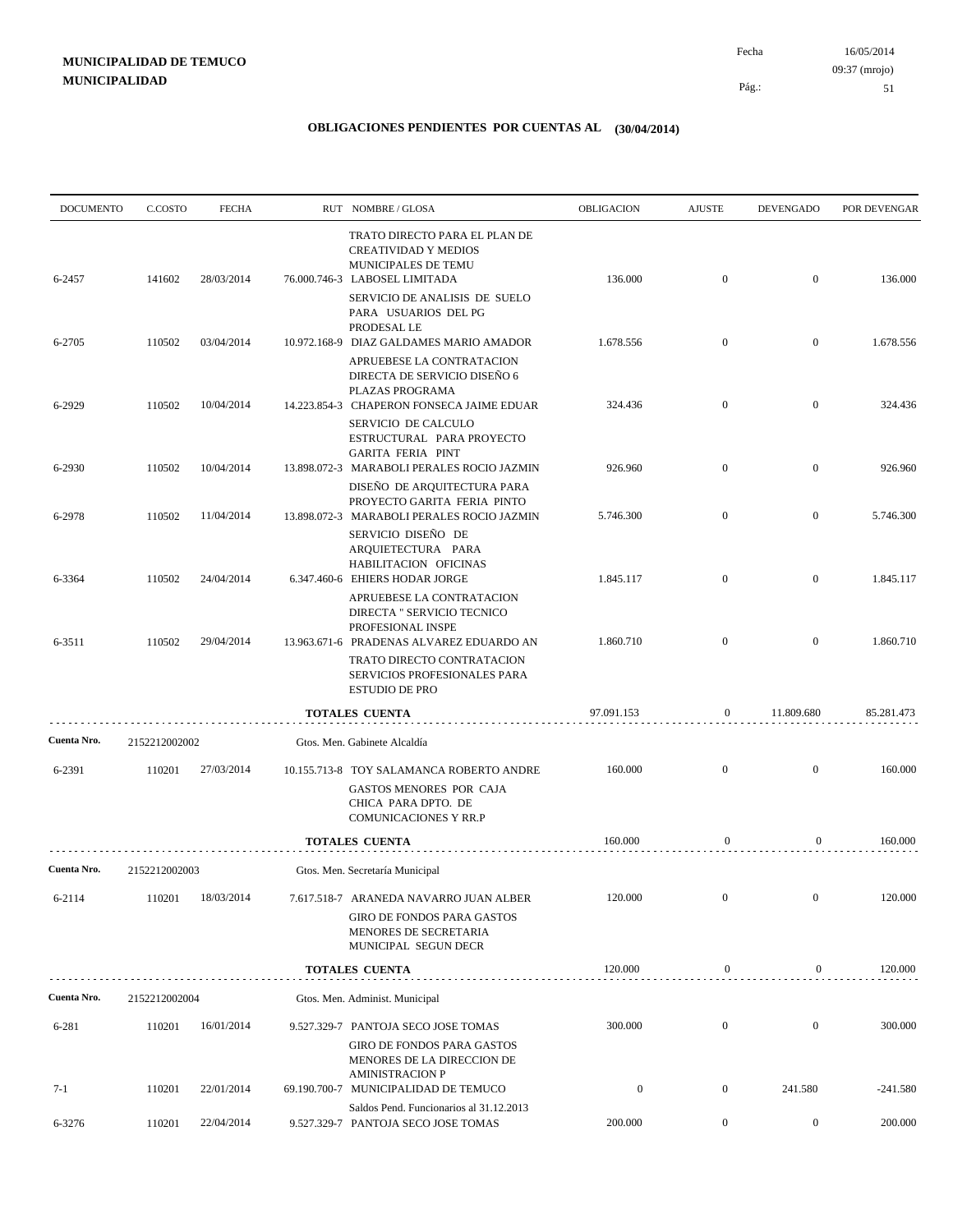| <b>DOCUMENTO</b> | C.COSTO       | <b>FECHA</b> | RUT NOMBRE/GLOSA                                                                                                         | OBLIGACION       | <b>AJUSTE</b>    | <b>DEVENGADO</b> | POR DEVENGAR |
|------------------|---------------|--------------|--------------------------------------------------------------------------------------------------------------------------|------------------|------------------|------------------|--------------|
| 6-2457           | 141602        | 28/03/2014   | TRATO DIRECTO PARA EL PLAN DE<br><b>CREATIVIDAD Y MEDIOS</b><br>MUNICIPALES DE TEMU<br>76.000.746-3 LABOSEL LIMITADA     | 136.000          | $\mathbf{0}$     | $\overline{0}$   | 136.000      |
|                  |               |              | SERVICIO DE ANALISIS DE SUELO<br>PARA USUARIOS DEL PG<br>PRODESAL LE                                                     |                  |                  |                  |              |
| 6-2705           | 110502        | 03/04/2014   | 10.972.168-9 DIAZ GALDAMES MARIO AMADOR<br>APRUEBESE LA CONTRATACION<br>DIRECTA DE SERVICIO DISEÑO 6                     | 1.678.556        | $\mathbf{0}$     | $\boldsymbol{0}$ | 1.678.556    |
| 6-2929           | 110502        | 10/04/2014   | PLAZAS PROGRAMA<br>14.223.854-3 CHAPERON FONSECA JAIME EDUAR<br>SERVICIO DE CALCULO                                      | 324.436          | $\mathbf{0}$     | $\overline{0}$   | 324.436      |
| 6-2930           | 110502        | 10/04/2014   | ESTRUCTURAL PARA PROYECTO<br><b>GARITA FERIA PINT</b><br>13.898.072-3 MARABOLI PERALES ROCIO JAZMIN                      | 926.960          | $\mathbf{0}$     | $\boldsymbol{0}$ | 926.960      |
| 6-2978           | 110502        | 11/04/2014   | DISEÑO DE ARQUITECTURA PARA<br>PROYECTO GARITA FERIA PINTO<br>13.898.072-3 MARABOLI PERALES ROCIO JAZMIN                 | 5.746.300        | $\overline{0}$   | $\boldsymbol{0}$ | 5.746.300    |
| 6-3364           | 110502        | 24/04/2014   | SERVICIO DISEÑO DE<br>ARQUIETECTURA PARA<br>HABILITACION OFICINAS<br>6.347.460-6 EHIERS HODAR JORGE                      | 1.845.117        | $\overline{0}$   | $\overline{0}$   | 1.845.117    |
| 6-3511           | 110502        | 29/04/2014   | APRUEBESE LA CONTRATACION<br>DIRECTA " SERVICIO TECNICO<br>PROFESIONAL INSPE<br>13.963.671-6 PRADENAS ALVAREZ EDUARDO AN | 1.860.710        | $\mathbf{0}$     | $\overline{0}$   | 1.860.710    |
|                  |               |              | TRATO DIRECTO CONTRATACION<br>SERVICIOS PROFESIONALES PARA<br><b>ESTUDIO DE PRO</b>                                      |                  |                  |                  |              |
|                  |               |              | <b>TOTALES CUENTA</b>                                                                                                    | 97.091.153       | $\mathbf{0}$     | 11.809.680       | 85.281.473   |
| Cuenta Nro.      | 2152212002002 |              | Gtos. Men. Gabinete Alcaldía                                                                                             |                  |                  |                  |              |
| 6-2391           | 110201        | 27/03/2014   | 10.155.713-8 TOY SALAMANCA ROBERTO ANDRE<br>GASTOS MENORES POR CAJA<br>CHICA PARA DPTO. DE<br>COMUNICACIONES Y RR.P      | 160.000          | $\mathbf{0}$     | $\boldsymbol{0}$ | 160.000      |
|                  |               |              | TOTALES CUENTA                                                                                                           | 160.000          | $\mathbf{0}$     | $\mathbf{0}$     | 160.000      |
| Cuenta Nro.      | 2152212002003 |              | Gtos. Men. Secretaría Municipal                                                                                          |                  |                  |                  |              |
| 6-2114           | 110201        | 18/03/2014   | 7.617.518-7 ARANEDA NAVARRO JUAN ALBER<br><b>GIRO DE FONDOS PARA GASTOS</b><br>MENORES DE SECRETARIA                     | 120.000          | $\boldsymbol{0}$ | $\boldsymbol{0}$ | 120.000      |
|                  |               |              | MUNICIPAL SEGUN DECR<br><b>TOTALES CUENTA</b>                                                                            | 120.000          | $\boldsymbol{0}$ | $\boldsymbol{0}$ | 120.000      |
| Cuenta Nro.      | 2152212002004 |              | Gtos. Men. Administ. Municipal                                                                                           |                  |                  |                  |              |
| 6-281            | 110201        | 16/01/2014   | 9.527.329-7 PANTOJA SECO JOSE TOMAS<br><b>GIRO DE FONDOS PARA GASTOS</b><br>MENORES DE LA DIRECCION DE                   | 300.000          | $\boldsymbol{0}$ | $\mathbf{0}$     | 300.000      |
| $7-1$            | 110201        | 22/01/2014   | <b>AMINISTRACION P</b><br>69.190.700-7 MUNICIPALIDAD DE TEMUCO                                                           | $\boldsymbol{0}$ | $\boldsymbol{0}$ | 241.580          | $-241.580$   |
| 6-3276           | 110201        | 22/04/2014   | Saldos Pend. Funcionarios al 31.12.2013<br>9.527.329-7 PANTOJA SECO JOSE TOMAS                                           | 200.000          | $\boldsymbol{0}$ | $\overline{0}$   | 200.000      |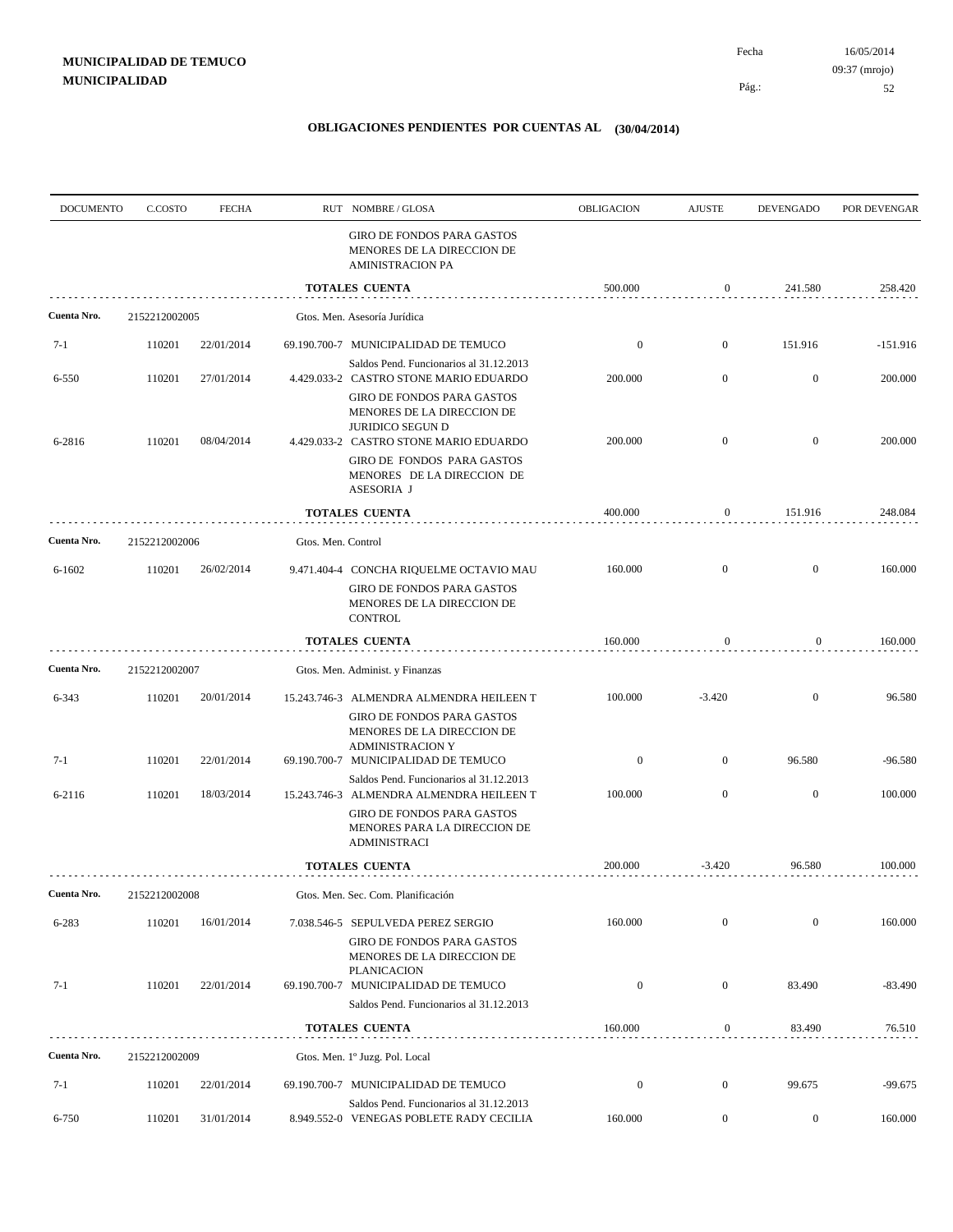| <b>DOCUMENTO</b> | C.COSTO       | <b>FECHA</b> |                    | RUT NOMBRE/GLOSA                                                                                                                                            | OBLIGACION       | <b>AJUSTE</b>    | <b>DEVENGADO</b> | POR DEVENGAR |
|------------------|---------------|--------------|--------------------|-------------------------------------------------------------------------------------------------------------------------------------------------------------|------------------|------------------|------------------|--------------|
|                  |               |              |                    | GIRO DE FONDOS PARA GASTOS<br>MENORES DE LA DIRECCION DE<br><b>AMINISTRACION PA</b>                                                                         |                  |                  |                  |              |
|                  |               |              |                    | <b>TOTALES CUENTA</b>                                                                                                                                       | 500.000          | 0                | 241.580          | 258.420      |
| Cuenta Nro.      | 2152212002005 |              |                    | Gtos. Men. Asesoría Jurídica                                                                                                                                |                  |                  |                  |              |
| $7-1$            | 110201        | 22/01/2014   |                    | 69.190.700-7 MUNICIPALIDAD DE TEMUCO                                                                                                                        | $\boldsymbol{0}$ | $\mathbf{0}$     | 151.916          | $-151.916$   |
| 6-550            | 110201        | 27/01/2014   |                    | Saldos Pend. Funcionarios al 31.12.2013<br>4.429.033-2 CASTRO STONE MARIO EDUARDO<br>GIRO DE FONDOS PARA GASTOS                                             | 200.000          | $\mathbf{0}$     | $\mathbf{0}$     | 200.000      |
| 6-2816           | 110201        | 08/04/2014   |                    | MENORES DE LA DIRECCION DE<br><b>JURIDICO SEGUN D</b><br>4.429.033-2 CASTRO STONE MARIO EDUARDO<br>GIRO DE FONDOS PARA GASTOS<br>MENORES DE LA DIRECCION DE | 200.000          | $\mathbf{0}$     | $\mathbf{0}$     | 200.000      |
|                  |               |              |                    | ASESORIA J                                                                                                                                                  |                  |                  | 151.916          |              |
|                  |               |              |                    | <b>TOTALES CUENTA</b>                                                                                                                                       | 400.000          | 0                |                  | 248.084      |
| Cuenta Nro.      | 2152212002006 |              | Gtos. Men. Control |                                                                                                                                                             |                  |                  |                  |              |
| $6 - 1602$       | 110201        | 26/02/2014   |                    | 9.471.404-4 CONCHA RIQUELME OCTAVIO MAU<br>GIRO DE FONDOS PARA GASTOS<br>MENORES DE LA DIRECCION DE<br><b>CONTROL</b>                                       | 160.000          | $\mathbf{0}$     | $\mathbf{0}$     | 160.000      |
|                  |               |              |                    | <b>TOTALES CUENTA</b>                                                                                                                                       | 160.000          | $\mathbf{0}$     | $\overline{0}$   | 160.000      |
| Cuenta Nro.      | 2152212002007 |              |                    | Gtos. Men. Administ. y Finanzas                                                                                                                             |                  |                  |                  |              |
| 6-343            | 110201        | 20/01/2014   |                    | 15.243.746-3 ALMENDRA ALMENDRA HEILEEN T                                                                                                                    | 100.000          | $-3.420$         | $\mathbf{0}$     | 96.580       |
|                  | 110201        | 22/01/2014   |                    | GIRO DE FONDOS PARA GASTOS<br>MENORES DE LA DIRECCION DE<br><b>ADMINISTRACION Y</b>                                                                         | $\boldsymbol{0}$ | $\mathbf{0}$     | 96.580           | $-96.580$    |
| $7-1$            |               |              |                    | 69.190.700-7 MUNICIPALIDAD DE TEMUCO<br>Saldos Pend. Funcionarios al 31.12.2013                                                                             |                  |                  |                  |              |
| 6-2116           | 110201        | 18/03/2014   |                    | 15.243.746-3 ALMENDRA ALMENDRA HEILEEN T<br>GIRO DE FONDOS PARA GASTOS<br>MENORES PARA LA DIRECCION DE<br><b>ADMINISTRACI</b>                               | 100.000          | $\boldsymbol{0}$ | $\mathbf{0}$     | 100.000      |
|                  |               |              |                    | <b>TOTALES CUENTA</b>                                                                                                                                       | 200.000          | $-3.420$         | 96.580           | 100.000      |
| Cuenta Nro.      | 2152212002008 |              |                    | Gtos. Men. Sec. Com. Planificación                                                                                                                          |                  |                  |                  |              |
| 6-283            | 110201        | 16/01/2014   |                    | 7.038.546-5 SEPULVEDA PEREZ SERGIO<br>GIRO DE FONDOS PARA GASTOS                                                                                            | 160.000          | $\boldsymbol{0}$ | $\mathbf{0}$     | 160.000      |
| $7-1$            | 110201        | 22/01/2014   |                    | MENORES DE LA DIRECCION DE<br><b>PLANICACION</b><br>69.190.700-7 MUNICIPALIDAD DE TEMUCO                                                                    | $\boldsymbol{0}$ | $\overline{0}$   | 83.490           | $-83.490$    |
|                  |               |              |                    | Saldos Pend. Funcionarios al 31.12.2013                                                                                                                     |                  |                  |                  |              |
|                  |               |              |                    | <b>TOTALES CUENTA</b>                                                                                                                                       | 160.000          | $\boldsymbol{0}$ | 83.490           | 76.510       |
| Cuenta Nro.      | 2152212002009 |              |                    | Gtos. Men. 1º Juzg. Pol. Local                                                                                                                              |                  |                  |                  |              |
| $7-1$            | 110201        | 22/01/2014   |                    | 69.190.700-7 MUNICIPALIDAD DE TEMUCO                                                                                                                        | $\boldsymbol{0}$ | $\boldsymbol{0}$ | 99.675           | $-99.675$    |
| 6-750            | 110201        | 31/01/2014   |                    | Saldos Pend. Funcionarios al 31.12.2013<br>8.949.552-0 VENEGAS POBLETE RADY CECILIA                                                                         | 160.000          | $\boldsymbol{0}$ | $\boldsymbol{0}$ | 160.000      |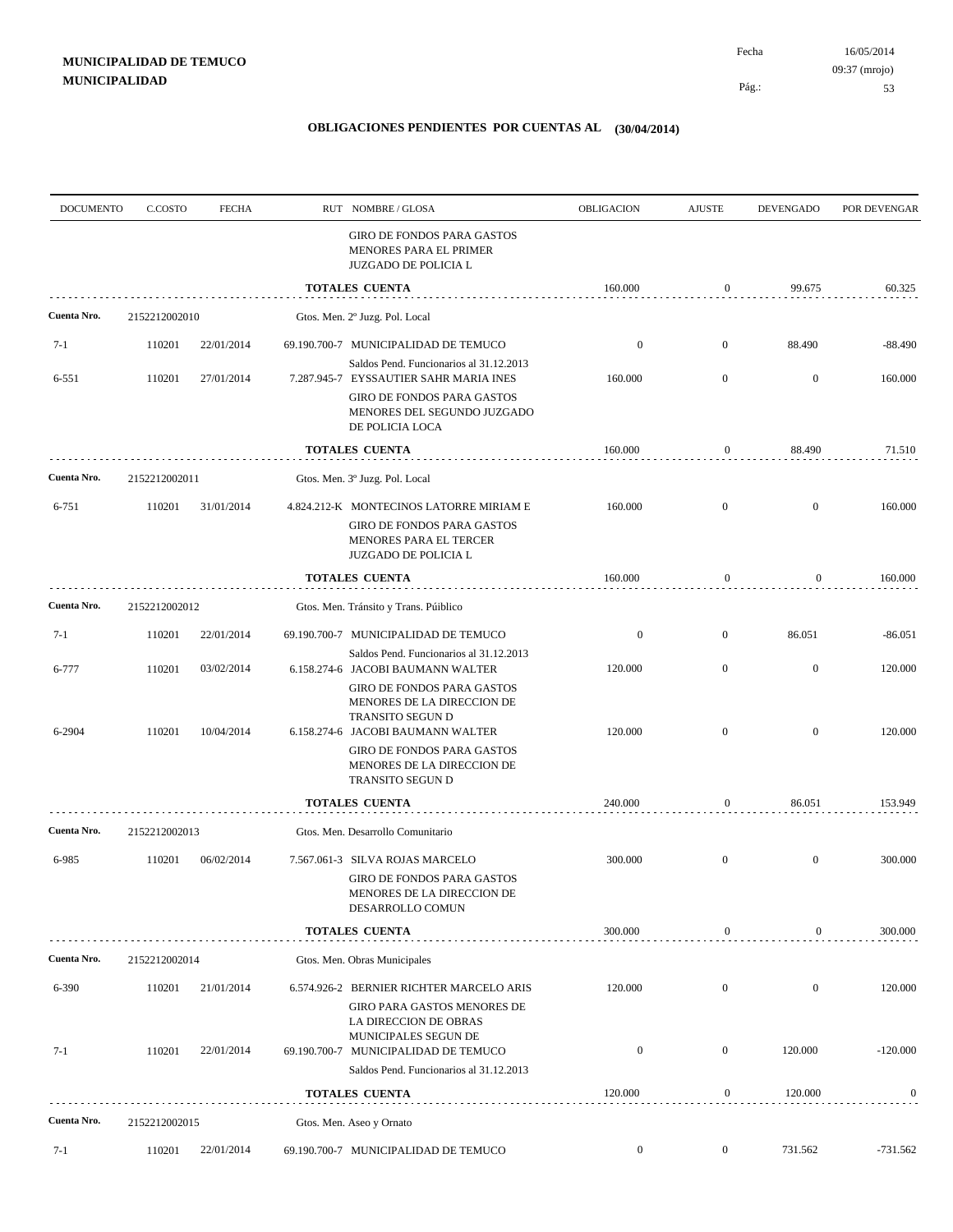| <b>DOCUMENTO</b> | C.COSTO       | <b>FECHA</b> | RUT NOMBRE/GLOSA                                                                                                       | OBLIGACION       | <b>AJUSTE</b>    | DEVENGADO        | POR DEVENGAR |
|------------------|---------------|--------------|------------------------------------------------------------------------------------------------------------------------|------------------|------------------|------------------|--------------|
|                  |               |              | GIRO DE FONDOS PARA GASTOS<br>MENORES PARA EL PRIMER<br>JUZGADO DE POLICIA L                                           |                  |                  |                  |              |
|                  |               |              | <b>TOTALES CUENTA</b>                                                                                                  | 160.000          | $\boldsymbol{0}$ | 99.675           | 60.325       |
| Cuenta Nro.      | 2152212002010 |              | Gtos. Men. 2º Juzg. Pol. Local                                                                                         |                  |                  |                  |              |
| $7-1$            | 110201        | 22/01/2014   | 69.190.700-7 MUNICIPALIDAD DE TEMUCO                                                                                   | $\boldsymbol{0}$ | $\mathbf{0}$     | 88.490           | -88.490      |
| 6-551            | 110201        | 27/01/2014   | Saldos Pend. Funcionarios al 31.12.2013<br>7.287.945-7 EYSSAUTIER SAHR MARIA INES                                      | 160.000          | $\mathbf{0}$     | $\boldsymbol{0}$ | 160.000      |
|                  |               |              | GIRO DE FONDOS PARA GASTOS<br>MENORES DEL SEGUNDO JUZGADO<br>DE POLICIA LOCA                                           |                  |                  |                  |              |
|                  |               |              | <b>TOTALES CUENTA</b>                                                                                                  | 160.000          | 0                | 88.490           | 71.510       |
| Cuenta Nro.      | 2152212002011 |              | Gtos. Men. 3º Juzg. Pol. Local                                                                                         |                  |                  |                  |              |
| 6-751            | 110201        | 31/01/2014   | 4.824.212-K MONTECINOS LATORRE MIRIAM E                                                                                | 160.000          | $\mathbf{0}$     | $\boldsymbol{0}$ | 160.000      |
|                  |               |              | GIRO DE FONDOS PARA GASTOS<br>MENORES PARA EL TERCER<br><b>JUZGADO DE POLICIA L</b>                                    |                  |                  |                  |              |
|                  |               |              | TOTALES CUENTA                                                                                                         | 160.000          | $\boldsymbol{0}$ | 0                | 160.000      |
| Cuenta Nro.      | 2152212002012 |              | Gtos. Men. Tránsito y Trans. Púiblico                                                                                  |                  |                  |                  |              |
| $7-1$            | 110201        | 22/01/2014   | 69.190.700-7 MUNICIPALIDAD DE TEMUCO                                                                                   | $\boldsymbol{0}$ | $\mathbf{0}$     | 86.051           | $-86.051$    |
| 6-777            | 110201        | 03/02/2014   | Saldos Pend. Funcionarios al 31.12.2013<br>6.158.274-6 JACOBI BAUMANN WALTER                                           | 120.000          | $\mathbf{0}$     | $\mathbf{0}$     | 120.000      |
| 6-2904           | 110201        | 10/04/2014   | GIRO DE FONDOS PARA GASTOS<br>MENORES DE LA DIRECCION DE<br>TRANSITO SEGUN D<br>6.158.274-6 JACOBI BAUMANN WALTER      | 120.000          | $\mathbf{0}$     | $\mathbf{0}$     | 120.000      |
|                  |               |              | GIRO DE FONDOS PARA GASTOS<br>MENORES DE LA DIRECCION DE<br>TRANSITO SEGUN D                                           |                  |                  |                  |              |
|                  |               |              | <b>TOTALES CUENTA</b>                                                                                                  | 240.000          | $\boldsymbol{0}$ | 86.051           | 153.949      |
| Cuenta Nro.      | 2152212002013 |              | Gtos. Men. Desarrollo Comunitario                                                                                      |                  |                  |                  |              |
| 6-985            | 110201        | 06/02/2014   | 7.567.061-3 SILVA ROJAS MARCELO<br><b>GIRO DE FONDOS PARA GASTOS</b><br>MENORES DE LA DIRECCION DE<br>DESARROLLO COMUN | 300.000          | $\boldsymbol{0}$ | $\mathbf{0}$     | 300.000      |
|                  |               |              | <b>TOTALES CUENTA</b>                                                                                                  | 300.000          | 0                | $\boldsymbol{0}$ | 300.000      |
| Cuenta Nro.      | 2152212002014 |              | Gtos. Men. Obras Municipales                                                                                           |                  |                  |                  |              |
| 6-390            | 110201        | 21/01/2014   | 6.574.926-2 BERNIER RICHTER MARCELO ARIS                                                                               | 120.000          | $\mathbf{0}$     | $\mathbf{0}$     | 120.000      |
|                  |               |              | GIRO PARA GASTOS MENORES DE<br>LA DIRECCION DE OBRAS<br>MUNICIPALES SEGUN DE                                           |                  |                  |                  |              |
| $7-1$            | 110201        | 22/01/2014   | 69.190.700-7 MUNICIPALIDAD DE TEMUCO<br>Saldos Pend. Funcionarios al 31.12.2013                                        | $\boldsymbol{0}$ | $\boldsymbol{0}$ | 120.000          | $-120.000$   |
|                  |               |              | <b>TOTALES CUENTA</b>                                                                                                  | 120.000          | 0                | 120.000          | $\bf{0}$     |
| Cuenta Nro.      | 2152212002015 |              | Gtos. Men. Aseo y Ornato                                                                                               |                  |                  |                  |              |
| $7-1$            | 110201        | 22/01/2014   | 69.190.700-7 MUNICIPALIDAD DE TEMUCO                                                                                   | $\boldsymbol{0}$ | $\mathbf{0}$     | 731.562          | $-731.562$   |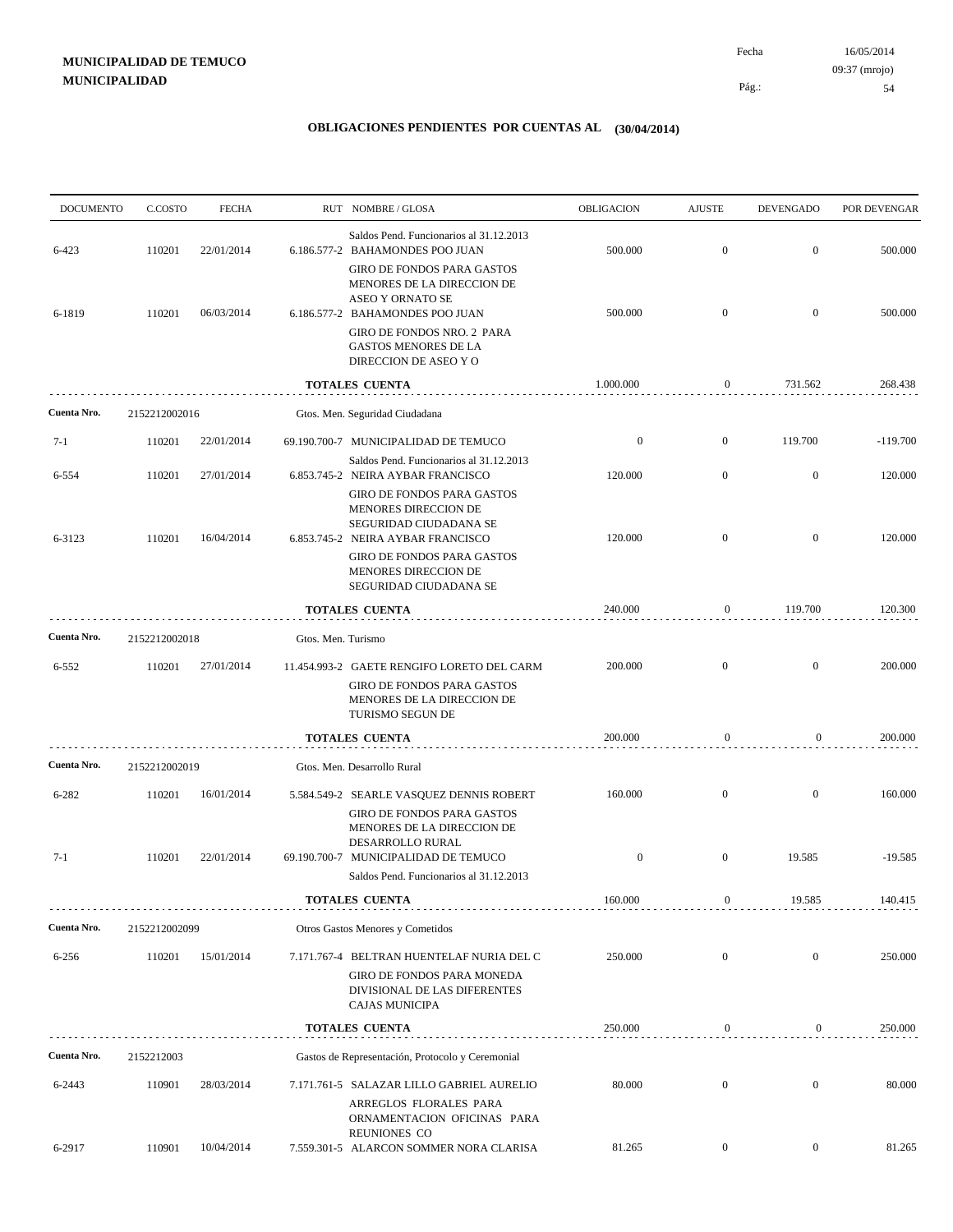| <b>DOCUMENTO</b> | C.COSTO       | <b>FECHA</b> |                    | RUT NOMBRE/GLOSA                                                                                                                                                             | OBLIGACION       | <b>AJUSTE</b>    | <b>DEVENGADO</b> | POR DEVENGAR |
|------------------|---------------|--------------|--------------------|------------------------------------------------------------------------------------------------------------------------------------------------------------------------------|------------------|------------------|------------------|--------------|
| 6-423            | 110201        | 22/01/2014   |                    | Saldos Pend. Funcionarios al 31.12.2013<br>6.186.577-2 BAHAMONDES POO JUAN                                                                                                   | 500.000          | $\mathbf{0}$     | $\boldsymbol{0}$ | 500.000      |
| 6-1819           | 110201        | 06/03/2014   |                    | <b>GIRO DE FONDOS PARA GASTOS</b><br>MENORES DE LA DIRECCION DE<br>ASEO Y ORNATO SE<br>6.186.577-2 BAHAMONDES POO JUAN<br>GIRO DE FONDOS NRO. 2 PARA<br>GASTOS MENORES DE LA | 500.000          | $\mathbf{0}$     | $\overline{0}$   | 500.000      |
|                  |               |              |                    | DIRECCION DE ASEO Y O                                                                                                                                                        |                  |                  |                  |              |
|                  |               |              |                    | <b>TOTALES CUENTA</b>                                                                                                                                                        | 1.000.000        | 0                | 731.562          | 268.438      |
| Cuenta Nro.      | 2152212002016 |              |                    | Gtos. Men. Seguridad Ciudadana                                                                                                                                               |                  |                  |                  |              |
| $7-1$            | 110201        | 22/01/2014   |                    | 69.190.700-7 MUNICIPALIDAD DE TEMUCO                                                                                                                                         | $\boldsymbol{0}$ | $\mathbf{0}$     | 119.700          | $-119.700$   |
| 6-554            | 110201        | 27/01/2014   |                    | Saldos Pend. Funcionarios al 31.12.2013<br>6.853.745-2 NEIRA AYBAR FRANCISCO                                                                                                 | 120.000          | $\mathbf{0}$     | $\mathbf{0}$     | 120.000      |
| 6-3123           | 110201        | 16/04/2014   |                    | <b>GIRO DE FONDOS PARA GASTOS</b><br>MENORES DIRECCION DE<br>SEGURIDAD CIUDADANA SE<br>6.853.745-2 NEIRA AYBAR FRANCISCO<br><b>GIRO DE FONDOS PARA GASTOS</b>                | 120.000          | $\overline{0}$   | $\mathbf{0}$     | 120.000      |
|                  |               |              |                    | MENORES DIRECCION DE<br>SEGURIDAD CIUDADANA SE                                                                                                                               |                  |                  |                  |              |
|                  |               |              |                    | <b>TOTALES CUENTA</b>                                                                                                                                                        | 240.000          | 0                | 119.700          | 120.300      |
| Cuenta Nro.      | 2152212002018 |              | Gtos. Men. Turismo |                                                                                                                                                                              |                  |                  |                  |              |
| 6-552            | 110201        | 27/01/2014   |                    | 11.454.993-2 GAETE RENGIFO LORETO DEL CARM                                                                                                                                   | 200.000          | $\mathbf{0}$     | $\overline{0}$   | 200.000      |
|                  |               |              |                    | <b>GIRO DE FONDOS PARA GASTOS</b><br>MENORES DE LA DIRECCION DE<br>TURISMO SEGUN DE                                                                                          |                  |                  |                  |              |
|                  |               |              |                    | TOTALES CUENTA                                                                                                                                                               | 200.000          | $\boldsymbol{0}$ | $\mathbf{0}$     | 200.000      |
| Cuenta Nro.      | 2152212002019 |              |                    | Gtos. Men. Desarrollo Rural                                                                                                                                                  |                  |                  |                  |              |
| 6-282            | 110201        | 16/01/2014   |                    | 5.584.549-2 SEARLE VASQUEZ DENNIS ROBERT                                                                                                                                     | 160.000          | $\overline{0}$   | $\mathbf{0}$     | 160.000      |
|                  |               |              |                    | <b>GIRO DE FONDOS PARA GASTOS</b><br>MENORES DE LA DIRECCION DE<br>DESARROLLO RURAL                                                                                          |                  |                  |                  |              |
| $7-1$            | 110201        | 22/01/2014   |                    | 69.190.700-7 MUNICIPALIDAD DE TEMUCO<br>Saldos Pend. Funcionarios al 31.12.2013                                                                                              | $\boldsymbol{0}$ | $\overline{0}$   | 19.585           | $-19.585$    |
|                  |               |              |                    | <b>TOTALES CUENTA</b>                                                                                                                                                        | 160.000          | $\boldsymbol{0}$ | 19.585           | 140.415      |
| Cuenta Nro.      | 2152212002099 |              |                    | Otros Gastos Menores y Cometidos                                                                                                                                             |                  |                  |                  |              |
| 6-256            | 110201        | 15/01/2014   |                    | 7.171.767-4 BELTRAN HUENTELAF NURIA DEL C                                                                                                                                    | 250.000          | $\boldsymbol{0}$ | $\mathbf{0}$     | 250.000      |
|                  |               |              |                    | <b>GIRO DE FONDOS PARA MONEDA</b><br>DIVISIONAL DE LAS DIFERENTES<br>CAJAS MUNICIPA                                                                                          |                  |                  |                  |              |
|                  |               |              |                    | <b>TOTALES CUENTA</b>                                                                                                                                                        | 250.000          | $\boldsymbol{0}$ | $\overline{0}$   | 250.000      |
| Cuenta Nro.      | 2152212003    |              |                    | Gastos de Representación, Protocolo y Ceremonial                                                                                                                             |                  |                  |                  |              |
| 6-2443           | 110901        | 28/03/2014   |                    | 7.171.761-5 SALAZAR LILLO GABRIEL AURELIO<br>ARREGLOS FLORALES PARA<br>ORNAMENTACION OFICINAS PARA                                                                           | 80.000           | $\mathbf{0}$     | $\mathbf{0}$     | 80.000       |
| 6-2917           | 110901        | 10/04/2014   |                    | REUNIONES CO<br>7.559.301-5 ALARCON SOMMER NORA CLARISA                                                                                                                      | 81.265           | $\boldsymbol{0}$ | $\overline{0}$   | 81.265       |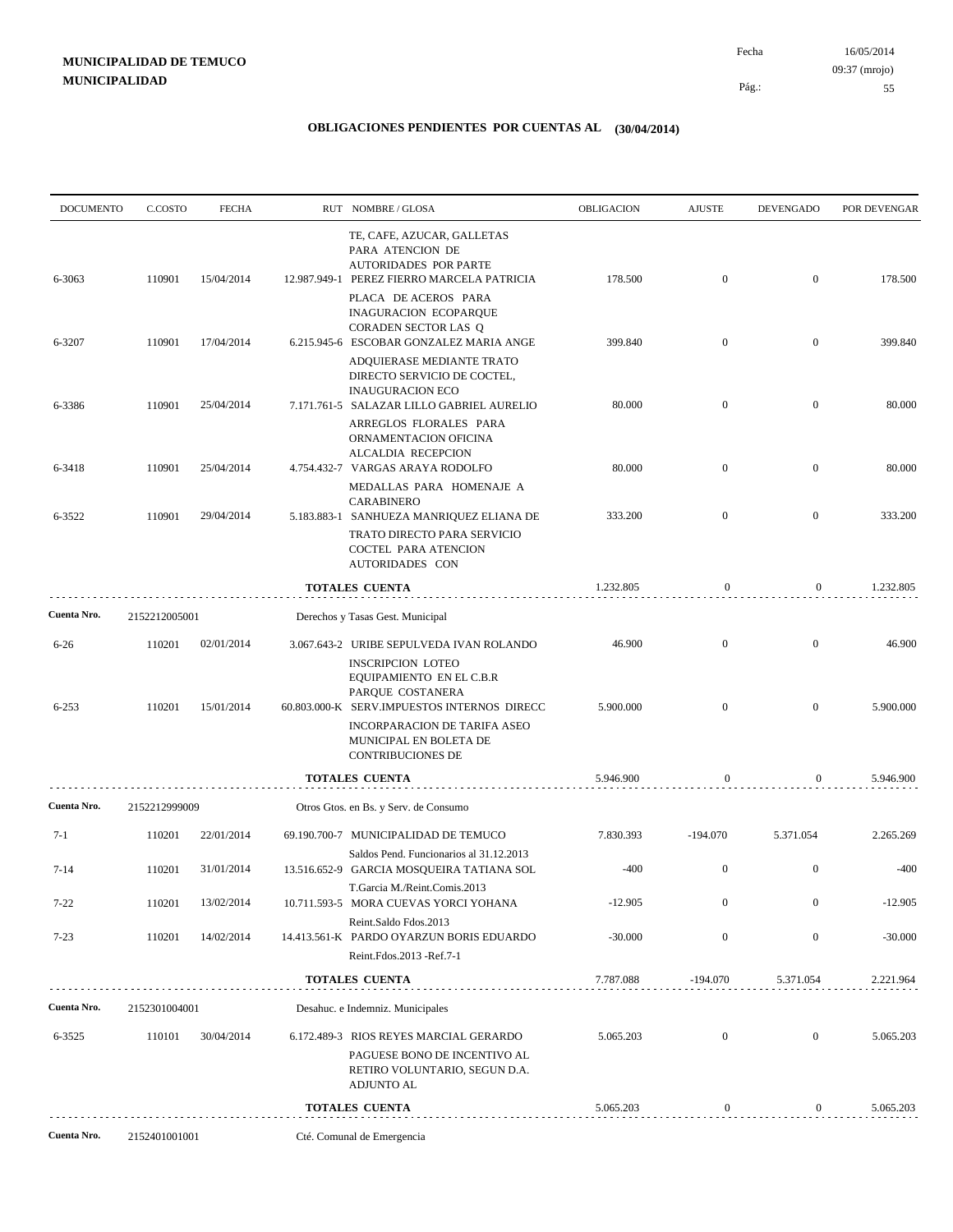| <b>DOCUMENTO</b>     | C.COSTO          | <b>FECHA</b>             | RUT NOMBRE/GLOSA                                                                                                                        | OBLIGACION        | <b>AJUSTE</b>                | <b>DEVENGADO</b>                   | POR DEVENGAR        |
|----------------------|------------------|--------------------------|-----------------------------------------------------------------------------------------------------------------------------------------|-------------------|------------------------------|------------------------------------|---------------------|
| 6-3063               | 110901           | 15/04/2014               | TE, CAFE, AZUCAR, GALLETAS<br>PARA ATENCION DE<br><b>AUTORIDADES POR PARTE</b><br>12.987.949-1 PEREZ FIERRO MARCELA PATRICIA            | 178.500           | $\mathbf{0}$                 | $\boldsymbol{0}$                   | 178.500             |
|                      |                  |                          | PLACA DE ACEROS PARA<br><b>INAGURACION ECOPARQUE</b><br>CORADEN SECTOR LAS Q                                                            |                   |                              |                                    |                     |
| 6-3207               | 110901           | 17/04/2014               | 6.215.945-6 ESCOBAR GONZALEZ MARIA ANGE<br>ADQUIERASE MEDIANTE TRATO<br>DIRECTO SERVICIO DE COCTEL,                                     | 399.840           | $\mathbf{0}$                 | $\boldsymbol{0}$                   | 399.840             |
| 6-3386               | 110901           | 25/04/2014               | <b>INAUGURACION ECO</b><br>7.171.761-5 SALAZAR LILLO GABRIEL AURELIO<br>ARREGLOS FLORALES PARA                                          | 80.000            | $\mathbf{0}$                 | $\mathbf{0}$                       | 80.000              |
| 6-3418               | 110901           | 25/04/2014               | ORNAMENTACION OFICINA<br>ALCALDIA RECEPCION<br>4.754.432-7 VARGAS ARAYA RODOLFO<br>MEDALLAS PARA HOMENAJE A                             | 80.000            | $\mathbf{0}$                 | $\mathbf{0}$                       | 80.000              |
| 6-3522               | 110901           | 29/04/2014               | <b>CARABINERO</b><br>5.183.883-1 SANHUEZA MANRIQUEZ ELIANA DE<br>TRATO DIRECTO PARA SERVICIO<br>COCTEL PARA ATENCION<br>AUTORIDADES CON | 333.200           | $\mathbf{0}$                 | $\mathbf{0}$                       | 333.200             |
|                      |                  |                          | TOTALES CUENTA                                                                                                                          | 1.232.805         | $\boldsymbol{0}$             | $\mathbf{0}$                       | 1.232.805           |
| Cuenta Nro.          | 2152212005001    |                          | Derechos y Tasas Gest. Municipal                                                                                                        |                   |                              |                                    |                     |
| $6 - 26$             | 110201           | 02/01/2014               | 3.067.643-2 URIBE SEPULVEDA IVAN ROLANDO<br><b>INSCRIPCION LOTEO</b><br>EQUIPAMIENTO EN EL C.B.R                                        | 46.900            | $\mathbf{0}$                 | $\overline{0}$                     | 46.900              |
| $6 - 253$            | 110201           | 15/01/2014               | PARQUE COSTANERA<br>60.803.000-K SERV.IMPUESTOS INTERNOS DIRECC                                                                         | 5.900.000         | $\overline{0}$               | $\mathbf{0}$                       | 5.900.000           |
|                      |                  |                          | INCORPARACION DE TARIFA ASEO<br>MUNICIPAL EN BOLETA DE<br><b>CONTRIBUCIONES DE</b>                                                      |                   |                              |                                    |                     |
|                      |                  |                          | <b>TOTALES CUENTA</b>                                                                                                                   | 5.946.900         | $\boldsymbol{0}$             | 0                                  | 5.946.900           |
| Cuenta Nro.          | 2152212999009    |                          | Otros Gtos. en Bs. y Serv. de Consumo                                                                                                   |                   |                              |                                    |                     |
| 7-1                  | 110201           | 22/01/2014               | 69.190.700-7 MUNICIPALIDAD DE TEMUCO<br>Saldos Pend. Funcionarios al 31.12.2013                                                         | 7.830.393         | $-194.070$                   | 5.371.054                          | 2.265.269           |
| $7 - 14$<br>$7 - 22$ | 110201<br>110201 | 31/01/2014<br>13/02/2014 | 13.516.652-9 GARCIA MOSQUEIRA TATIANA SOL<br>T.Garcia M./Reint.Comis.2013<br>10.711.593-5 MORA CUEVAS YORCI YOHANA                      | -400<br>$-12.905$ | $\mathbf{0}$<br>$\mathbf{0}$ | $\overline{0}$<br>$\boldsymbol{0}$ | $-400$<br>$-12.905$ |
| $7-23$               | 110201           | 14/02/2014               | Reint.Saldo Fdos.2013<br>14.413.561-K PARDO OYARZUN BORIS EDUARDO                                                                       | $-30.000$         | $\mathbf{0}$                 | $\boldsymbol{0}$                   | $-30.000$           |
|                      |                  |                          | Reint.Fdos.2013 - Ref.7-1<br>TOTALES CUENTA                                                                                             | 7.787.088         | -194.070                     | 5.371.054                          | 2.221.964           |
| Cuenta Nro.          | 2152301004001    |                          |                                                                                                                                         |                   |                              |                                    |                     |
|                      |                  |                          | Desahuc. e Indemniz. Municipales                                                                                                        |                   |                              |                                    |                     |
| 6-3525               | 110101           | 30/04/2014               | 6.172.489-3 RIOS REYES MARCIAL GERARDO<br>PAGUESE BONO DE INCENTIVO AL<br>RETIRO VOLUNTARIO, SEGUN D.A.<br><b>ADJUNTO AL</b>            | 5.065.203         | $\mathbf{0}$                 | $\mathbf{0}$                       | 5.065.203           |
|                      |                  |                          | <b>TOTALES CUENTA</b>                                                                                                                   | 5.065.203         | $\boldsymbol{0}$             | $\overline{0}$                     | 5.065.203           |
| Cuenta Nro.          | 2152401001001    |                          | Cté. Comunal de Emergencia                                                                                                              |                   |                              |                                    |                     |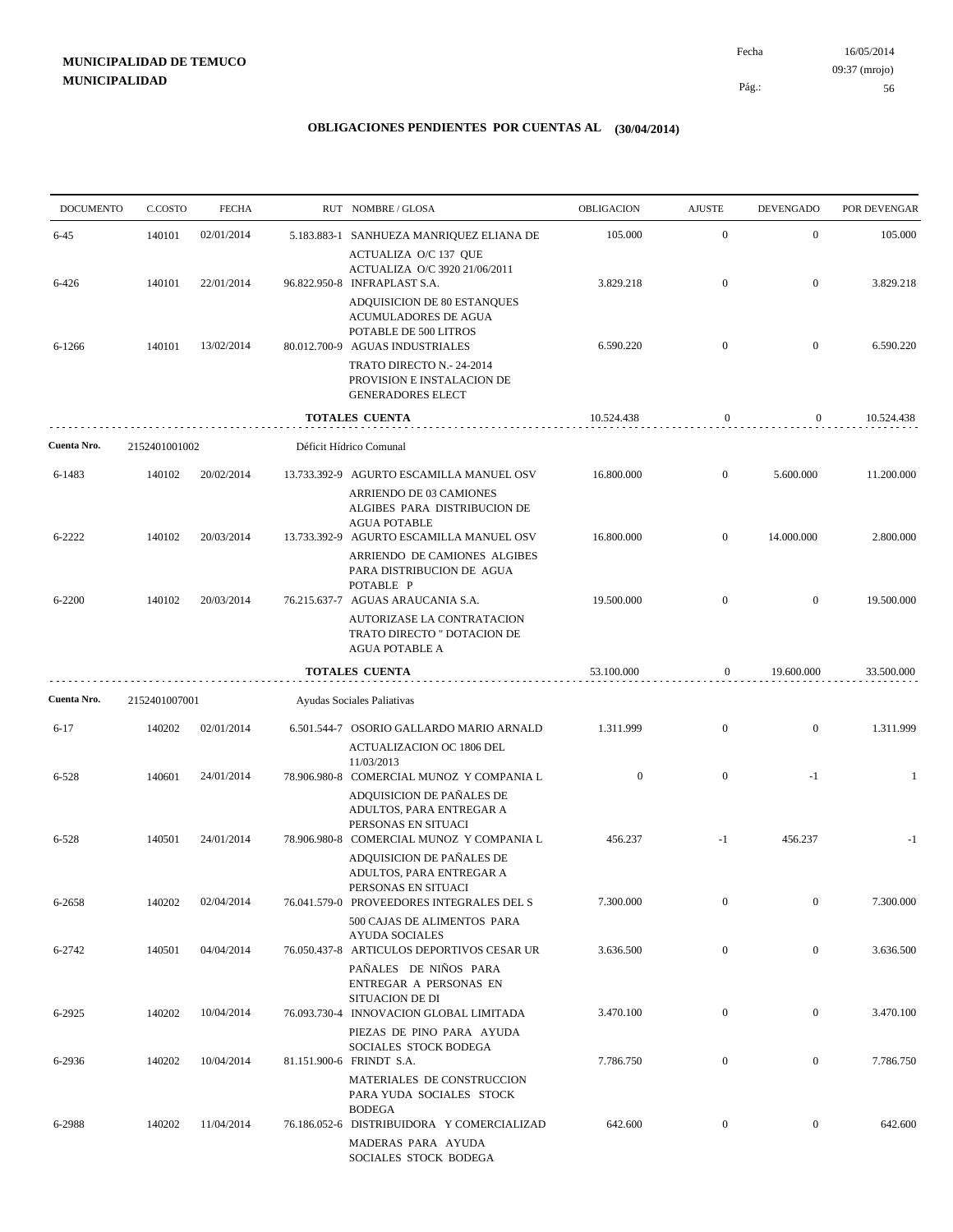# **MUNICIPALIDAD DE TEMUCO MUNICIPALIDAD**

16/05/2014 56 Pág.: Fecha 09:37 (mrojo)

| <b>DOCUMENTO</b> | C.COSTO       | <b>FECHA</b> | RUT NOMBRE/GLOSA                                                                                                                                                           | OBLIGACION       | <b>AJUSTE</b>    | <b>DEVENGADO</b> | POR DEVENGAR |
|------------------|---------------|--------------|----------------------------------------------------------------------------------------------------------------------------------------------------------------------------|------------------|------------------|------------------|--------------|
| $6 - 45$         | 140101        | 02/01/2014   | 5.183.883-1 SANHUEZA MANRIQUEZ ELIANA DE                                                                                                                                   | 105.000          | $\mathbf{0}$     | $\mathbf{0}$     | 105.000      |
| 6-426            | 140101        | 22/01/2014   | ACTUALIZA O/C 137 QUE<br>ACTUALIZA O/C 3920 21/06/2011<br>96.822.950-8 INFRAPLAST S.A.                                                                                     | 3.829.218        | $\mathbf{0}$     | $\boldsymbol{0}$ | 3.829.218    |
| 6-1266           | 140101        | 13/02/2014   | ADQUISICION DE 80 ESTANQUES<br>ACUMULADORES DE AGUA<br>POTABLE DE 500 LITROS<br>80.012.700-9 AGUAS INDUSTRIALES<br>TRATO DIRECTO N.- 24-2014<br>PROVISION E INSTALACION DE | 6.590.220        | $\mathbf{0}$     | $\boldsymbol{0}$ | 6.590.220    |
|                  |               |              | <b>GENERADORES ELECT</b>                                                                                                                                                   | 10.524.438       |                  |                  |              |
|                  |               |              | <b>TOTALES CUENTA</b>                                                                                                                                                      |                  | $\boldsymbol{0}$ | $\mathbf{0}$     | 10.524.438   |
| Cuenta Nro.      | 2152401001002 |              | Déficit Hídrico Comunal                                                                                                                                                    |                  |                  |                  |              |
| 6-1483           | 140102        | 20/02/2014   | 13.733.392-9 AGURTO ESCAMILLA MANUEL OSV<br>ARRIENDO DE 03 CAMIONES<br>ALGIBES PARA DISTRIBUCION DE<br><b>AGUA POTABLE</b>                                                 | 16.800.000       | $\mathbf{0}$     | 5.600.000        | 11.200.000   |
| 6-2222           | 140102        | 20/03/2014   | 13.733.392-9 AGURTO ESCAMILLA MANUEL OSV<br>ARRIENDO DE CAMIONES ALGIBES<br>PARA DISTRIBUCION DE AGUA<br>POTABLE P                                                         | 16.800.000       | $\mathbf{0}$     | 14.000.000       | 2.800.000    |
| 6-2200           | 140102        | 20/03/2014   | 76.215.637-7 AGUAS ARAUCANIA S.A.<br>AUTORIZASE LA CONTRATACION<br>TRATO DIRECTO " DOTACION DE<br><b>AGUA POTABLE A</b>                                                    | 19.500.000       | $\mathbf{0}$     | $\boldsymbol{0}$ | 19.500.000   |
|                  |               |              | TOTALES CUENTA                                                                                                                                                             | 53.100.000       | $\mathbf{0}$     | 19.600.000       | 33.500.000   |
| Cuenta Nro.      | 2152401007001 |              | Ayudas Sociales Paliativas                                                                                                                                                 |                  |                  |                  |              |
| $6 - 17$         | 140202        | 02/01/2014   | 6.501.544-7 OSORIO GALLARDO MARIO ARNALD<br><b>ACTUALIZACION OC 1806 DEL</b><br>11/03/2013                                                                                 | 1.311.999        | $\mathbf{0}$     | $\mathbf{0}$     | 1.311.999    |
| $6 - 528$        | 140601        | 24/01/2014   | 78.906.980-8 COMERCIAL MUNOZ Y COMPANIA L<br>ADQUISICION DE PAÑALES DE<br>ADULTOS, PARA ENTREGAR A<br>PERSONAS EN SITUACI                                                  | $\boldsymbol{0}$ | $\overline{0}$   | $-1$             | -1           |
| 6-528            | 140501        | 24/01/2014   | 78.906.980-8 COMERCIAL MUNOZ Y COMPANIA L<br>ADQUISICION DE PAÑALES DE<br>ADULTOS, PARA ENTREGAR A<br>PERSONAS EN SITUACI                                                  | 456.237          | $-1$             | 456.237          | $-1$         |
| 6-2658           | 140202        | 02/04/2014   | 76.041.579-0 PROVEEDORES INTEGRALES DEL S<br>500 CAJAS DE ALIMENTOS PARA<br><b>AYUDA SOCIALES</b>                                                                          | 7.300.000        | $\mathbf{0}$     | $\overline{0}$   | 7.300.000    |
| 6-2742           | 140501        | 04/04/2014   | 76.050.437-8 ARTICULOS DEPORTIVOS CESAR UR<br>PAÑALES DE NIÑOS PARA<br>ENTREGAR A PERSONAS EN<br>SITUACION DE DI                                                           | 3.636.500        | $\boldsymbol{0}$ | $\overline{0}$   | 3.636.500    |
| 6-2925           | 140202        | 10/04/2014   | 76.093.730-4 INNOVACION GLOBAL LIMITADA<br>PIEZAS DE PINO PARA AYUDA<br>SOCIALES STOCK BODEGA                                                                              | 3.470.100        | $\boldsymbol{0}$ | $\overline{0}$   | 3.470.100    |
| 6-2936           | 140202        | 10/04/2014   | 81.151.900-6 FRINDT S.A.<br>MATERIALES DE CONSTRUCCION<br>PARA YUDA SOCIALES STOCK                                                                                         | 7.786.750        | $\boldsymbol{0}$ | $\overline{0}$   | 7.786.750    |
| 6-2988           | 140202        | 11/04/2014   | <b>BODEGA</b><br>76.186.052-6 DISTRIBUIDORA Y COMERCIALIZAD<br>MADERAS PARA AYUDA<br>SOCIALES STOCK BODEGA                                                                 | 642.600          | $\boldsymbol{0}$ | $\overline{0}$   | 642.600      |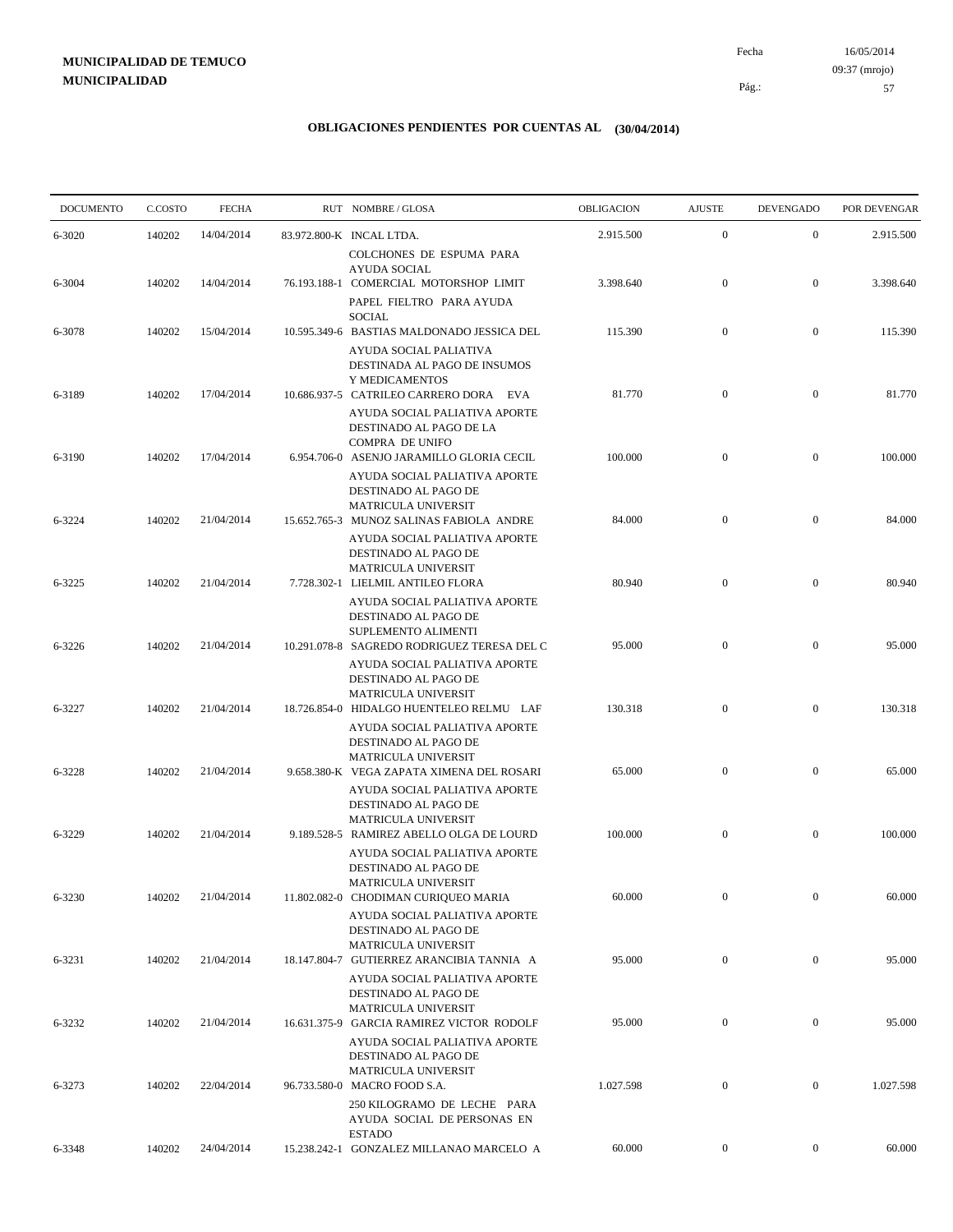# **MUNICIPALIDAD DE TEMUCO MUNICIPALIDAD**

16/05/2014 57 Pág.: Fecha 09:37 (mrojo)

| <b>DOCUMENTO</b> | C.COSTO | <b>FECHA</b> | RUT NOMBRE/GLOSA                                                                                                                 | OBLIGACION | <b>AJUSTE</b>    | <b>DEVENGADO</b> | POR DEVENGAR |
|------------------|---------|--------------|----------------------------------------------------------------------------------------------------------------------------------|------------|------------------|------------------|--------------|
| 6-3020           | 140202  | 14/04/2014   | 83.972.800-K INCAL LTDA.                                                                                                         | 2.915.500  | $\boldsymbol{0}$ | $\mathbf{0}$     | 2.915.500    |
| 6-3004           | 140202  | 14/04/2014   | COLCHONES DE ESPUMA PARA<br>AYUDA SOCIAL<br>76.193.188-1 COMERCIAL MOTORSHOP LIMIT<br>PAPEL FIELTRO PARA AYUDA                   | 3.398.640  | $\mathbf{0}$     | $\mathbf{0}$     | 3.398.640    |
| 6-3078           | 140202  | 15/04/2014   | <b>SOCIAL</b><br>10.595.349-6 BASTIAS MALDONADO JESSICA DEL<br>AYUDA SOCIAL PALIATIVA                                            | 115.390    | $\boldsymbol{0}$ | $\boldsymbol{0}$ | 115.390      |
| 6-3189           | 140202  | 17/04/2014   | DESTINADA AL PAGO DE INSUMOS<br>Y MEDICAMENTOS<br>10.686.937-5 CATRILEO CARRERO DORA EVA<br>AYUDA SOCIAL PALIATIVA APORTE        | 81.770     | $\mathbf{0}$     | $\mathbf{0}$     | 81.770       |
| 6-3190           | 140202  | 17/04/2014   | DESTINADO AL PAGO DE LA<br><b>COMPRA DE UNIFO</b><br>6.954.706-0 ASENJO JARAMILLO GLORIA CECIL                                   | 100.000    | $\mathbf{0}$     | $\mathbf{0}$     | 100.000      |
| 6-3224           | 140202  | 21/04/2014   | AYUDA SOCIAL PALIATIVA APORTE<br>DESTINADO AL PAGO DE<br><b>MATRICULA UNIVERSIT</b><br>15.652.765-3 MUNOZ SALINAS FABIOLA ANDRE  | 84.000     | $\boldsymbol{0}$ | $\mathbf{0}$     | 84.000       |
| 6-3225           | 140202  | 21/04/2014   | AYUDA SOCIAL PALIATIVA APORTE<br>DESTINADO AL PAGO DE<br><b>MATRICULA UNIVERSIT</b><br>7.728.302-1 LIELMIL ANTILEO FLORA         | 80.940     | $\mathbf{0}$     | $\mathbf{0}$     | 80.940       |
| 6-3226           | 140202  | 21/04/2014   | AYUDA SOCIAL PALIATIVA APORTE<br>DESTINADO AL PAGO DE<br>SUPLEMENTO ALIMENTI<br>10.291.078-8 SAGREDO RODRIGUEZ TERESA DEL C      | 95.000     | $\mathbf{0}$     | $\mathbf{0}$     | 95.000       |
|                  |         |              | AYUDA SOCIAL PALIATIVA APORTE<br>DESTINADO AL PAGO DE<br><b>MATRICULA UNIVERSIT</b>                                              |            |                  |                  |              |
| 6-3227           | 140202  | 21/04/2014   | 18.726.854-0 HIDALGO HUENTELEO RELMU LAF<br>AYUDA SOCIAL PALIATIVA APORTE<br>DESTINADO AL PAGO DE<br><b>MATRICULA UNIVERSIT</b>  | 130.318    | $\mathbf{0}$     | $\mathbf{0}$     | 130.318      |
| 6-3228           | 140202  | 21/04/2014   | 9.658.380-K VEGA ZAPATA XIMENA DEL ROSARI<br>AYUDA SOCIAL PALIATIVA APORTE<br>DESTINADO AL PAGO DE                               | 65.000     | $\mathbf{0}$     | $\mathbf{0}$     | 65.000       |
| 6-3229           | 140202  | 21/04/2014   | <b>MATRICULA UNIVERSIT</b><br>9.189.528-5 RAMIREZ ABELLO OLGA DE LOURD<br>AYUDA SOCIAL PALIATIVA APORTE<br>DESTINADO AL PAGO DE  | 100.000    | $\mathbf{0}$     | $\mathbf{0}$     | 100.000      |
| 6-3230           | 140202  | 21/04/2014   | <b>MATRICULA UNIVERSIT</b><br>11.802.082-0 CHODIMAN CURIQUEO MARIA<br>AYUDA SOCIAL PALIATIVA APORTE                              | 60.000     | $\boldsymbol{0}$ | $\mathbf{0}$     | 60.000       |
| 6-3231           | 140202  | 21/04/2014   | DESTINADO AL PAGO DE<br><b>MATRICULA UNIVERSIT</b><br>18.147.804-7 GUTIERREZ ARANCIBIA TANNIA A                                  | 95.000     | $\boldsymbol{0}$ | $\overline{0}$   | 95.000       |
| 6-3232           | 140202  | 21/04/2014   | AYUDA SOCIAL PALIATIVA APORTE<br>DESTINADO AL PAGO DE<br><b>MATRICULA UNIVERSIT</b><br>16.631.375-9 GARCIA RAMIREZ VICTOR RODOLF | 95.000     | $\boldsymbol{0}$ | $\boldsymbol{0}$ | 95.000       |
| 6-3273           | 140202  | 22/04/2014   | AYUDA SOCIAL PALIATIVA APORTE<br>DESTINADO AL PAGO DE<br>MATRICULA UNIVERSIT<br>96.733.580-0 MACRO FOOD S.A.                     | 1.027.598  | $\mathbf{0}$     | $\mathbf{0}$     | 1.027.598    |
|                  |         |              | 250 KILOGRAMO DE LECHE PARA<br>AYUDA SOCIAL DE PERSONAS EN<br><b>ESTADO</b>                                                      |            |                  |                  |              |
| 6-3348           | 140202  | 24/04/2014   | 15.238.242-1 GONZALEZ MILLANAO MARCELO A                                                                                         | 60.000     | $\boldsymbol{0}$ | $\boldsymbol{0}$ | 60.000       |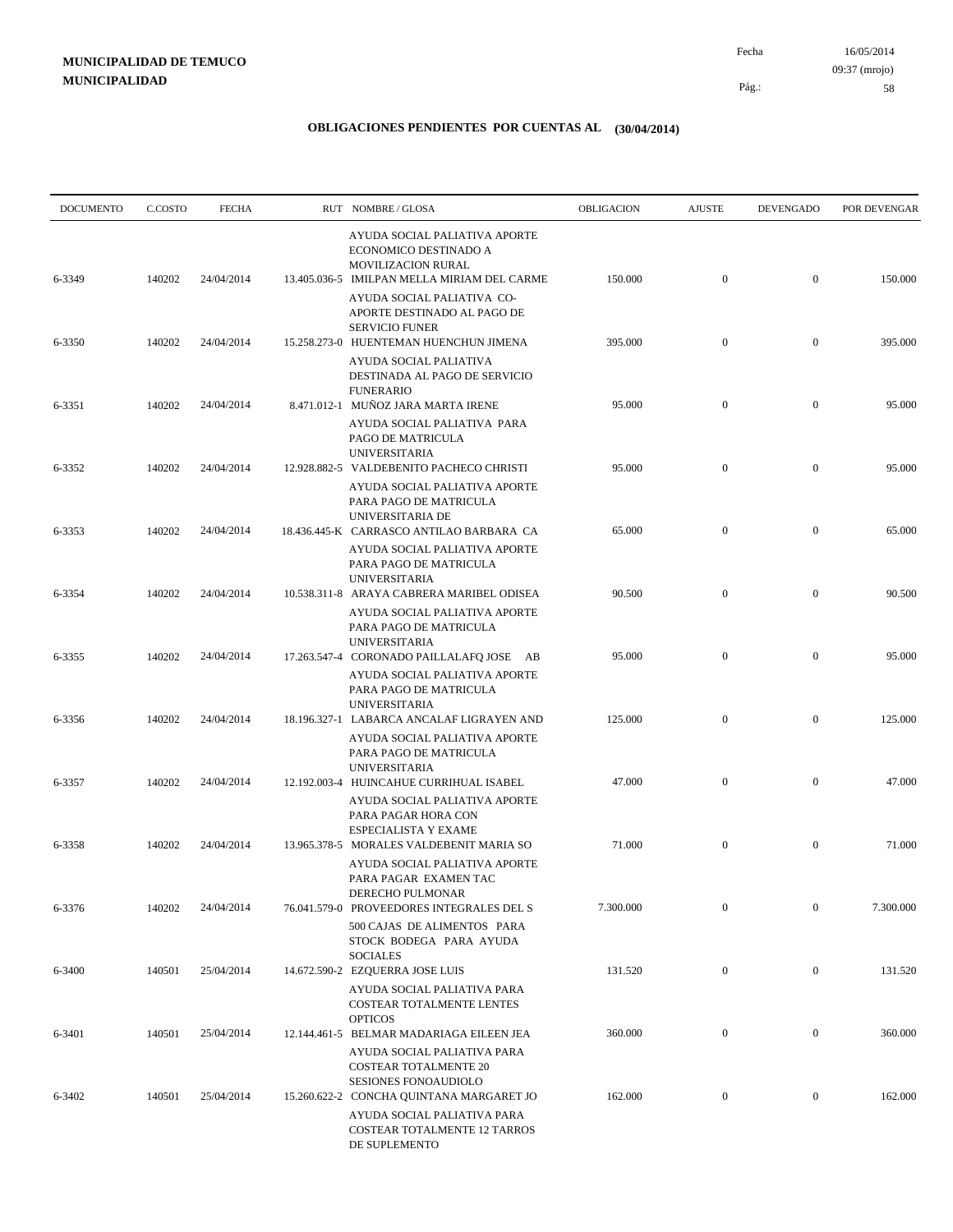| <b>DOCUMENTO</b> | C.COSTO | <b>FECHA</b> | RUT NOMBRE/GLOSA                                                                                                                   | OBLIGACION | <b>AJUSTE</b>    | <b>DEVENGADO</b> | POR DEVENGAR |
|------------------|---------|--------------|------------------------------------------------------------------------------------------------------------------------------------|------------|------------------|------------------|--------------|
| 6-3349           | 140202  | 24/04/2014   | AYUDA SOCIAL PALIATIVA APORTE<br>ECONOMICO DESTINADO A<br><b>MOVILIZACION RURAL</b><br>13.405.036-5 IMILPAN MELLA MIRIAM DEL CARME | 150.000    | $\boldsymbol{0}$ | $\mathbf{0}$     | 150.000      |
|                  |         |              | AYUDA SOCIAL PALIATIVA CO-<br>APORTE DESTINADO AL PAGO DE<br><b>SERVICIO FUNER</b>                                                 |            |                  |                  |              |
| 6-3350           | 140202  | 24/04/2014   | 15.258.273-0 HUENTEMAN HUENCHUN JIMENA<br>AYUDA SOCIAL PALIATIVA<br>DESTINADA AL PAGO DE SERVICIO<br><b>FUNERARIO</b>              | 395.000    | $\mathbf{0}$     | $\mathbf{0}$     | 395.000      |
| 6-3351           | 140202  | 24/04/2014   | 8.471.012-1 MUÑOZ JARA MARTA IRENE<br>AYUDA SOCIAL PALIATIVA PARA<br>PAGO DE MATRICULA                                             | 95.000     | $\mathbf{0}$     | $\mathbf{0}$     | 95.000       |
| 6-3352           | 140202  | 24/04/2014   | <b>UNIVERSITARIA</b><br>12.928.882-5 VALDEBENITO PACHECO CHRISTI<br>AYUDA SOCIAL PALIATIVA APORTE<br>PARA PAGO DE MATRICULA        | 95.000     | $\mathbf{0}$     | $\mathbf{0}$     | 95.000       |
| 6-3353           | 140202  | 24/04/2014   | UNIVERSITARIA DE<br>18.436.445-K CARRASCO ANTILAO BARBARA CA<br>AYUDA SOCIAL PALIATIVA APORTE                                      | 65.000     | $\mathbf{0}$     | $\mathbf{0}$     | 65.000       |
| 6-3354           | 140202  | 24/04/2014   | PARA PAGO DE MATRICULA<br><b>UNIVERSITARIA</b><br>10.538.311-8 ARAYA CABRERA MARIBEL ODISEA                                        | 90.500     | $\mathbf{0}$     | $\mathbf{0}$     | 90.500       |
| 6-3355           | 140202  | 24/04/2014   | AYUDA SOCIAL PALIATIVA APORTE<br>PARA PAGO DE MATRICULA<br><b>UNIVERSITARIA</b><br>17.263.547-4 CORONADO PAILLALAFQ JOSE AB        | 95.000     | $\mathbf{0}$     | $\mathbf{0}$     | 95.000       |
|                  |         |              | AYUDA SOCIAL PALIATIVA APORTE<br>PARA PAGO DE MATRICULA<br><b>UNIVERSITARIA</b>                                                    |            |                  |                  |              |
| 6-3356           | 140202  | 24/04/2014   | 18.196.327-1 LABARCA ANCALAF LIGRAYEN AND<br>AYUDA SOCIAL PALIATIVA APORTE<br>PARA PAGO DE MATRICULA                               | 125.000    | $\mathbf{0}$     | $\mathbf{0}$     | 125.000      |
| 6-3357           | 140202  | 24/04/2014   | <b>UNIVERSITARIA</b><br>12.192.003-4 HUINCAHUE CURRIHUAL ISABEL<br>AYUDA SOCIAL PALIATIVA APORTE<br>PARA PAGAR HORA CON            | 47.000     | $\boldsymbol{0}$ | $\mathbf{0}$     | 47.000       |
| 6-3358           | 140202  | 24/04/2014   | <b>ESPECIALISTA Y EXAME</b><br>13.965.378-5 MORALES VALDEBENIT MARIA SO<br>AYUDA SOCIAL PALIATIVA APORTE                           | 71.000     | $\boldsymbol{0}$ | $\mathbf{0}$     | 71.000       |
| 6-3376           | 140202  | 24/04/2014   | PARA PAGAR EXAMENTAC<br>DERECHO PULMONAR<br>76.041.579-0 PROVEEDORES INTEGRALES DEL S                                              | 7.300.000  | $\mathbf{0}$     | $\mathbf{0}$     | 7.300.000    |
|                  |         | 25/04/2014   | 500 CAJAS DE ALIMENTOS PARA<br>STOCK BODEGA PARA AYUDA<br><b>SOCIALES</b>                                                          | 131.520    | $\boldsymbol{0}$ | $\boldsymbol{0}$ | 131.520      |
| 6-3400           | 140501  |              | 14.672.590-2 EZQUERRA JOSE LUIS<br>AYUDA SOCIAL PALIATIVA PARA<br>COSTEAR TOTALMENTE LENTES<br><b>OPTICOS</b>                      |            |                  |                  |              |
| 6-3401           | 140501  | 25/04/2014   | 12.144.461-5 BELMAR MADARIAGA EILEEN JEA<br>AYUDA SOCIAL PALIATIVA PARA<br><b>COSTEAR TOTALMENTE 20</b>                            | 360.000    | $\boldsymbol{0}$ | $\boldsymbol{0}$ | 360.000      |
| 6-3402           | 140501  | 25/04/2014   | SESIONES FONOAUDIOLO<br>15.260.622-2 CONCHA QUINTANA MARGARET JO<br>AYUDA SOCIAL PALIATIVA PARA                                    | 162.000    | $\boldsymbol{0}$ | $\boldsymbol{0}$ | 162.000      |
|                  |         |              | COSTEAR TOTALMENTE 12 TARROS<br>DE SUPLEMENTO                                                                                      |            |                  |                  |              |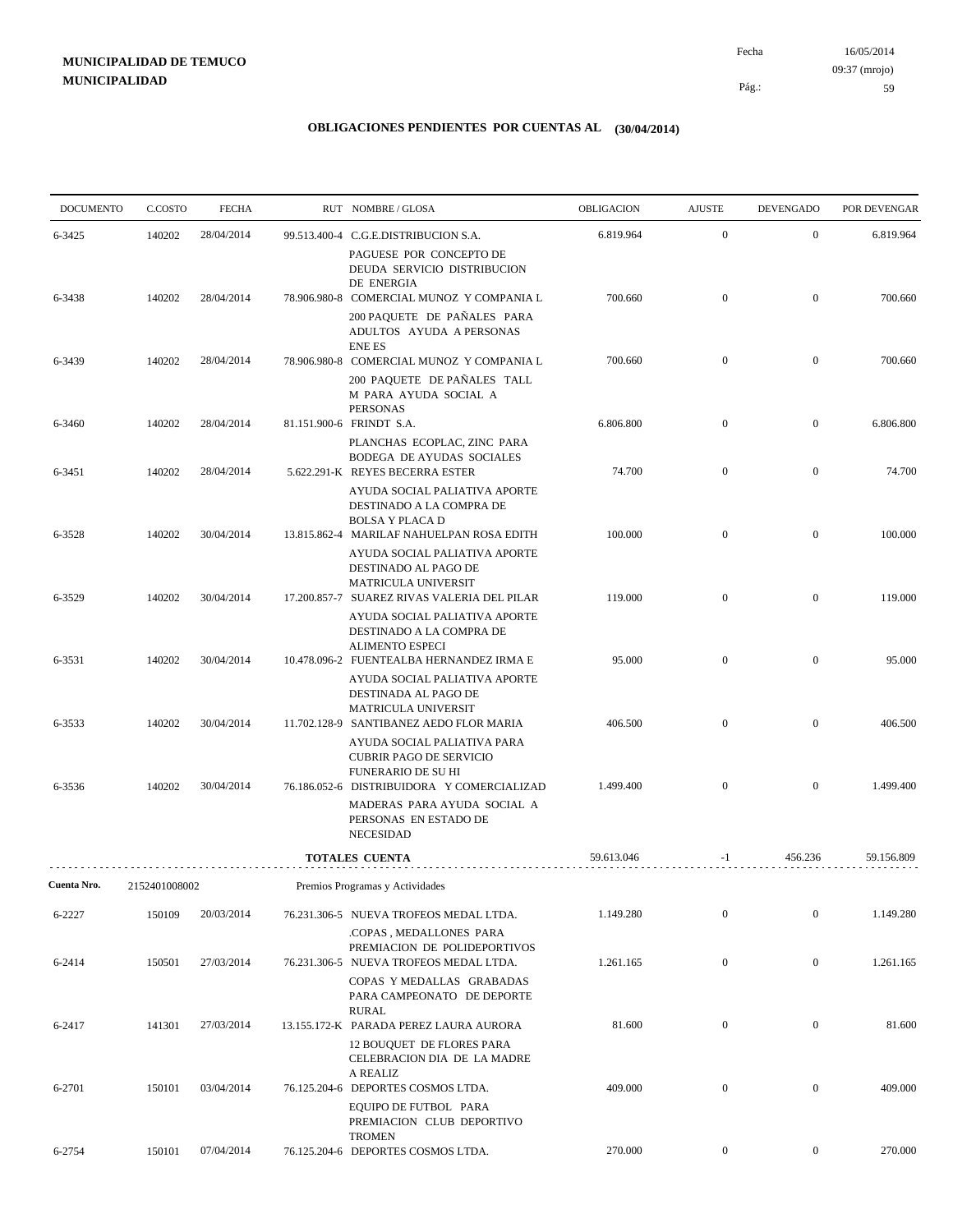16/05/2014 59 Pág.: Fecha 09:37 (mrojo)

| <b>DOCUMENTO</b> | C.COSTO       | <b>FECHA</b> | RUT NOMBRE/GLOSA                                                                                                         | OBLIGACION | <b>AJUSTE</b>    | <b>DEVENGADO</b> | POR DEVENGAR |
|------------------|---------------|--------------|--------------------------------------------------------------------------------------------------------------------------|------------|------------------|------------------|--------------|
| 6-3425           | 140202        | 28/04/2014   | 99.513.400-4 C.G.E.DISTRIBUCION S.A.                                                                                     | 6.819.964  | $\boldsymbol{0}$ | $\mathbf{0}$     | 6.819.964    |
|                  |               |              | PAGUESE POR CONCEPTO DE<br>DEUDA SERVICIO DISTRIBUCION<br>DE ENERGIA                                                     |            |                  |                  |              |
| 6-3438           | 140202        | 28/04/2014   | 78.906.980-8 COMERCIAL MUNOZ Y COMPANIA L                                                                                | 700.660    | $\boldsymbol{0}$ | $\mathbf{0}$     | 700.660      |
|                  |               |              | 200 PAQUETE DE PAÑALES PARA<br>ADULTOS AYUDA A PERSONAS<br><b>ENE ES</b>                                                 |            |                  |                  |              |
| 6-3439           | 140202        | 28/04/2014   | 78.906.980-8 COMERCIAL MUNOZ Y COMPANIA L                                                                                | 700.660    | $\mathbf{0}$     | $\mathbf{0}$     | 700.660      |
|                  |               |              | 200 PAQUETE DE PAÑALES TALL<br>M PARA AYUDA SOCIAL A<br><b>PERSONAS</b>                                                  |            |                  |                  |              |
| 6-3460           | 140202        | 28/04/2014   | 81.151.900-6 FRINDT S.A.                                                                                                 | 6.806.800  | $\mathbf{0}$     | $\mathbf{0}$     | 6.806.800    |
| 6-3451           | 140202        | 28/04/2014   | PLANCHAS ECOPLAC, ZINC PARA<br>BODEGA DE AYUDAS SOCIALES<br>5.622.291-K REYES BECERRA ESTER                              | 74.700     | $\mathbf{0}$     | $\mathbf{0}$     | 74.700       |
|                  |               |              | AYUDA SOCIAL PALIATIVA APORTE<br>DESTINADO A LA COMPRA DE                                                                |            |                  |                  |              |
| 6-3528           | 140202        | 30/04/2014   | <b>BOLSA Y PLACA D</b><br>13.815.862-4 MARILAF NAHUELPAN ROSA EDITH                                                      | 100.000    | $\mathbf{0}$     | $\mathbf{0}$     | 100.000      |
|                  |               |              | AYUDA SOCIAL PALIATIVA APORTE<br>DESTINADO AL PAGO DE<br><b>MATRICULA UNIVERSIT</b>                                      |            |                  |                  |              |
| 6-3529           | 140202        | 30/04/2014   | 17.200.857-7 SUAREZ RIVAS VALERIA DEL PILAR                                                                              | 119.000    | $\mathbf{0}$     | $\mathbf{0}$     | 119.000      |
|                  |               |              | AYUDA SOCIAL PALIATIVA APORTE<br>DESTINADO A LA COMPRA DE<br><b>ALIMENTO ESPECI</b>                                      |            |                  |                  |              |
| 6-3531           | 140202        | 30/04/2014   | 10.478.096-2 FUENTEALBA HERNANDEZ IRMA E<br>AYUDA SOCIAL PALIATIVA APORTE<br>DESTINADA AL PAGO DE<br>MATRICULA UNIVERSIT | 95.000     | $\mathbf{0}$     | $\mathbf{0}$     | 95.000       |
| 6-3533           | 140202        | 30/04/2014   | 11.702.128-9 SANTIBANEZ AEDO FLOR MARIA<br>AYUDA SOCIAL PALIATIVA PARA                                                   | 406.500    | $\mathbf{0}$     | $\overline{0}$   | 406.500      |
| 6-3536           | 140202        | 30/04/2014   | <b>CUBRIR PAGO DE SERVICIO</b><br><b>FUNERARIO DE SU HI</b><br>76.186.052-6 DISTRIBUIDORA Y COMERCIALIZAD                | 1.499.400  | $\mathbf{0}$     | $\mathbf{0}$     | 1.499.400    |
|                  |               |              | MADERAS PARA AYUDA SOCIAL A<br>PERSONAS EN ESTADO DE<br><b>NECESIDAD</b>                                                 |            |                  |                  |              |
|                  |               |              | <b>TOTALES CUENTA</b>                                                                                                    | 59.613.046 | $-1$             | 456.236          | 59.156.809   |
| Cuenta Nro.      | 2152401008002 |              | Premios Programas y Actividades                                                                                          |            |                  |                  |              |
| 6-2227           | 150109        | 20/03/2014   | 76.231.306-5 NUEVA TROFEOS MEDAL LTDA.                                                                                   | 1.149.280  | $\mathbf{0}$     | $\mathbf{0}$     | 1.149.280    |
| 6-2414           | 150501        | 27/03/2014   | COPAS, MEDALLONES PARA<br>PREMIACION DE POLIDEPORTIVOS<br>76.231.306-5 NUEVA TROFEOS MEDAL LTDA.                         | 1.261.165  | $\boldsymbol{0}$ | $\mathbf{0}$     | 1.261.165    |
|                  |               |              | COPAS Y MEDALLAS GRABADAS<br>PARA CAMPEONATO DE DEPORTE                                                                  |            |                  |                  |              |
| 6-2417           | 141301        | 27/03/2014   | <b>RURAL</b><br>13.155.172-K PARADA PEREZ LAURA AURORA                                                                   | 81.600     | $\boldsymbol{0}$ | $\bf{0}$         | 81.600       |
|                  |               |              | <b>12 BOUQUET DE FLORES PARA</b><br>CELEBRACION DIA DE LA MADRE                                                          |            |                  |                  |              |
| 6-2701           | 150101        | 03/04/2014   | A REALIZ<br>76.125.204-6 DEPORTES COSMOS LTDA.                                                                           | 409.000    | $\mathbf{0}$     | $\mathbf{0}$     | 409.000      |
|                  |               |              | EQUIPO DE FUTBOL PARA<br>PREMIACION CLUB DEPORTIVO<br><b>TROMEN</b>                                                      |            |                  |                  |              |
| 6-2754           | 150101        | 07/04/2014   | 76.125.204-6 DEPORTES COSMOS LTDA.                                                                                       | 270.000    | $\overline{0}$   | $\bf{0}$         | 270.000      |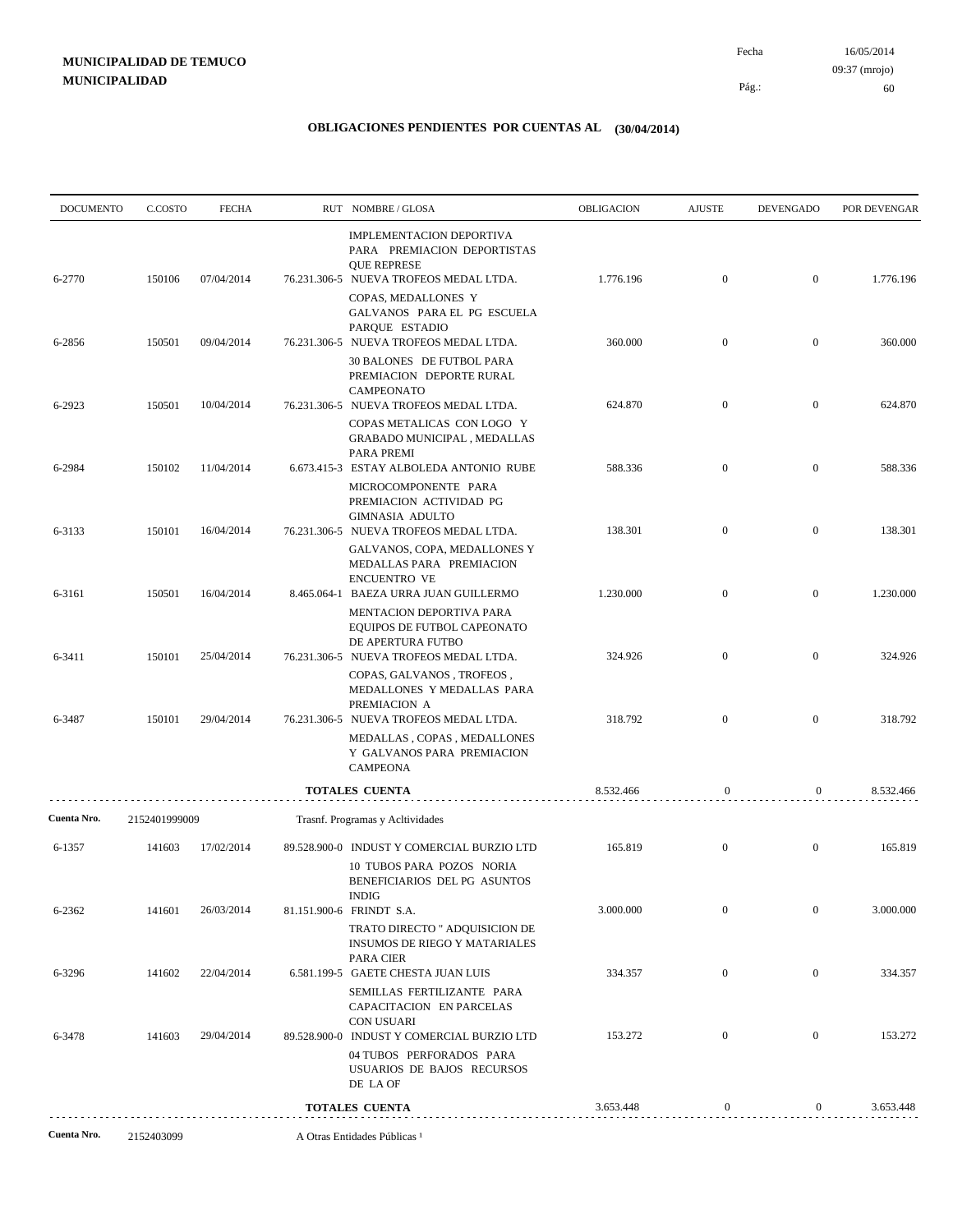| <b>DOCUMENTO</b> | C.COSTO       | <b>FECHA</b> |                                  | RUT NOMBRE/GLOSA                                                                                                                | OBLIGACION | <b>AJUSTE</b>    | DEVENGADO        | POR DEVENGAR |
|------------------|---------------|--------------|----------------------------------|---------------------------------------------------------------------------------------------------------------------------------|------------|------------------|------------------|--------------|
| 6-2770           | 150106        | 07/04/2014   |                                  | IMPLEMENTACION DEPORTIVA<br>PARA PREMIACION DEPORTISTAS<br><b>QUE REPRESE</b><br>76.231.306-5 NUEVA TROFEOS MEDAL LTDA.         | 1.776.196  | $\boldsymbol{0}$ | $\overline{0}$   | 1.776.196    |
|                  |               |              |                                  | COPAS, MEDALLONES Y<br>GALVANOS PARA EL PG ESCUELA<br>PARQUE ESTADIO                                                            |            |                  |                  |              |
| 6-2856           | 150501        | 09/04/2014   |                                  | 76.231.306-5 NUEVA TROFEOS MEDAL LTDA.<br>30 BALONES DE FUTBOL PARA<br>PREMIACION DEPORTE RURAL<br><b>CAMPEONATO</b>            | 360.000    | $\overline{0}$   | $\mathbf{0}$     | 360.000      |
| 6-2923           | 150501        | 10/04/2014   |                                  | 76.231.306-5 NUEVA TROFEOS MEDAL LTDA.<br>COPAS METALICAS CON LOGO Y<br>GRABADO MUNICIPAL, MEDALLAS                             | 624.870    | $\overline{0}$   | $\mathbf{0}$     | 624.870      |
| 6-2984           | 150102        | 11/04/2014   |                                  | PARA PREMI<br>6.673.415-3 ESTAY ALBOLEDA ANTONIO RUBE                                                                           | 588.336    | $\boldsymbol{0}$ | $\overline{0}$   | 588.336      |
|                  |               |              |                                  | MICROCOMPONENTE PARA<br>PREMIACION ACTIVIDAD PG<br><b>GIMNASIA ADULTO</b>                                                       |            |                  |                  |              |
| 6-3133           | 150101        | 16/04/2014   |                                  | 76.231.306-5 NUEVA TROFEOS MEDAL LTDA.<br>GALVANOS, COPA, MEDALLONES Y<br>MEDALLAS PARA PREMIACION<br><b>ENCUENTRO VE</b>       | 138.301    | $\boldsymbol{0}$ | $\mathbf{0}$     | 138.301      |
| 6-3161           | 150501        | 16/04/2014   |                                  | 8.465.064-1 BAEZA URRA JUAN GUILLERMO<br><b>MENTACION DEPORTIVA PARA</b><br>EQUIPOS DE FUTBOL CAPEONATO                         | 1.230.000  | $\overline{0}$   | $\mathbf{0}$     | 1.230.000    |
| 6-3411           | 150101        | 25/04/2014   |                                  | DE APERTURA FUTBO<br>76.231.306-5 NUEVA TROFEOS MEDAL LTDA.<br>COPAS, GALVANOS, TROFEOS,<br>MEDALLONES Y MEDALLAS PARA          | 324.926    | $\boldsymbol{0}$ | $\mathbf{0}$     | 324.926      |
| 6-3487           | 150101        | 29/04/2014   |                                  | PREMIACION A<br>76.231.306-5 NUEVA TROFEOS MEDAL LTDA.<br>MEDALLAS, COPAS, MEDALLONES<br>Y GALVANOS PARA PREMIACION<br>CAMPEONA | 318.792    | $\boldsymbol{0}$ | $\mathbf{0}$     | 318.792      |
|                  |               |              |                                  | <b>TOTALES CUENTA</b>                                                                                                           | 8.532.466  | $\mathbf{0}$     | $\boldsymbol{0}$ | 8.532.466    |
| Cuenta Nro.      | 2152401999009 |              | Trasnf. Programas y Acltividades |                                                                                                                                 |            |                  |                  |              |
| 6-1357           | 141603        | 17/02/2014   |                                  | 89.528.900-0 INDUST Y COMERCIAL BURZIO LTD<br>10 TUBOS PARA POZOS NORIA<br>BENEFICIARIOS DEL PG ASUNTOS<br><b>INDIG</b>         | 165.819    | $\boldsymbol{0}$ | $\mathbf{0}$     | 165.819      |
| 6-2362           | 141601        | 26/03/2014   |                                  | 81.151.900-6 FRINDT S.A.<br>TRATO DIRECTO " ADQUISICION DE<br><b>INSUMOS DE RIEGO Y MATARIALES</b>                              | 3.000.000  | $\mathbf{0}$     | $\boldsymbol{0}$ | 3.000.000    |
| 6-3296           | 141602        | 22/04/2014   |                                  | PARA CIER<br>6.581.199-5 GAETE CHESTA JUAN LUIS<br>SEMILLAS FERTILIZANTE PARA                                                   | 334.357    | $\boldsymbol{0}$ | $\mathbf{0}$     | 334.357      |
| 6-3478           | 141603        | 29/04/2014   |                                  | CAPACITACION EN PARCELAS<br><b>CON USUARI</b><br>89.528.900-0 INDUST Y COMERCIAL BURZIO LTD<br>04 TUBOS PERFORADOS PARA         | 153.272    | $\boldsymbol{0}$ | $\mathbf{0}$     | 153.272      |
|                  |               |              |                                  | USUARIOS DE BAJOS RECURSOS<br>DE LA OF                                                                                          |            |                  |                  |              |
|                  |               |              |                                  | <b>TOTALES CUENTA</b>                                                                                                           | 3.653.448  | 0                | $\overline{0}$   | 3.653.448    |
| Cuenta Nro.      | 2152403099    |              |                                  | A Otras Entidades Públicas <sup>1</sup>                                                                                         |            |                  |                  |              |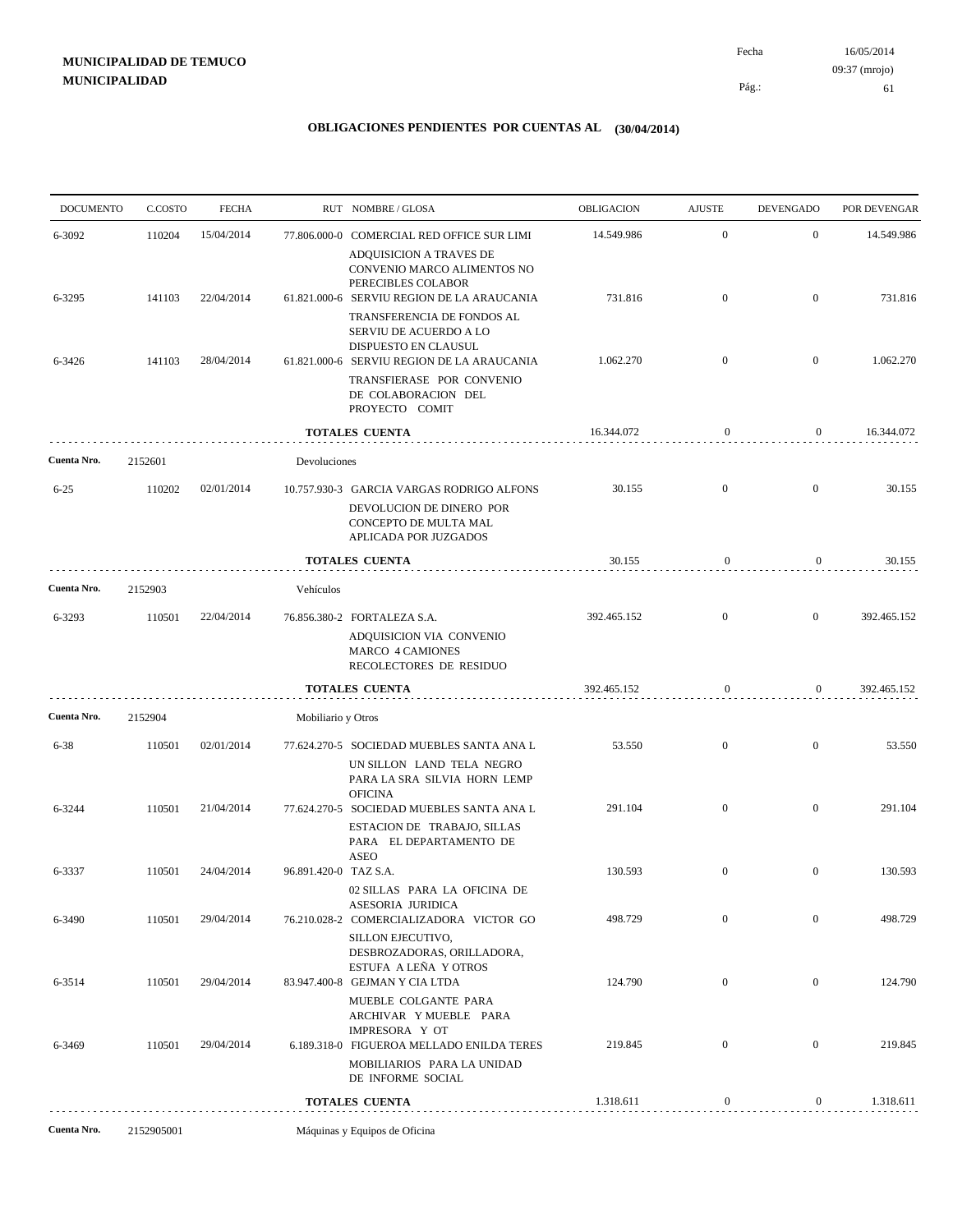| <b>DOCUMENTO</b> | C.COSTO | <b>FECHA</b> |                       | RUT NOMBRE/GLOSA                                                                                       | <b>OBLIGACION</b> | <b>AJUSTE</b>    | <b>DEVENGADO</b> | POR DEVENGAR |
|------------------|---------|--------------|-----------------------|--------------------------------------------------------------------------------------------------------|-------------------|------------------|------------------|--------------|
| 6-3092           | 110204  | 15/04/2014   |                       | 77.806.000-0 COMERCIAL RED OFFICE SUR LIMI                                                             | 14.549.986        | $\overline{0}$   | $\mathbf{0}$     | 14.549.986   |
|                  |         |              |                       | ADQUISICION A TRAVES DE<br>CONVENIO MARCO ALIMENTOS NO<br>PERECIBLES COLABOR                           |                   |                  |                  |              |
| 6-3295           | 141103  | 22/04/2014   |                       | 61.821.000-6 SERVIU REGION DE LA ARAUCANIA<br>TRANSFERENCIA DE FONDOS AL                               | 731.816           | $\boldsymbol{0}$ | $\overline{0}$   | 731.816      |
| 6-3426           | 141103  | 28/04/2014   |                       | SERVIU DE ACUERDO A LO<br>DISPUESTO EN CLAUSUL<br>61.821.000-6 SERVIU REGION DE LA ARAUCANIA           | 1.062.270         | $\boldsymbol{0}$ | $\mathbf{0}$     | 1.062.270    |
|                  |         |              |                       | TRANSFIERASE POR CONVENIO<br>DE COLABORACION DEL<br>PROYECTO COMIT                                     |                   |                  |                  |              |
|                  |         |              |                       | <b>TOTALES CUENTA</b>                                                                                  | 16.344.072        | $\mathbf{0}$     | $\mathbf{0}$     | 16.344.072   |
| Cuenta Nro.      | 2152601 |              | Devoluciones          |                                                                                                        |                   |                  |                  |              |
| $6 - 25$         | 110202  | 02/01/2014   |                       | 10.757.930-3 GARCIA VARGAS RODRIGO ALFONS                                                              | 30.155            | $\overline{0}$   | $\overline{0}$   | 30.155       |
|                  |         |              |                       | DEVOLUCION DE DINERO POR<br>CONCEPTO DE MULTA MAL<br>APLICADA POR JUZGADOS                             |                   |                  |                  |              |
|                  |         |              |                       | <b>TOTALES CUENTA</b>                                                                                  | 30.155            | $\boldsymbol{0}$ | $\overline{0}$   | 30.155       |
| Cuenta Nro.      | 2152903 |              | Vehículos             |                                                                                                        |                   |                  |                  |              |
| 6-3293           | 110501  | 22/04/2014   |                       | 76.856.380-2 FORTALEZA S.A.                                                                            | 392.465.152       | $\overline{0}$   | $\overline{0}$   | 392.465.152  |
|                  |         |              |                       | ADQUISICION VIA CONVENIO<br><b>MARCO 4 CAMIONES</b><br>RECOLECTORES DE RESIDUO                         |                   |                  |                  |              |
|                  |         |              |                       | <b>TOTALES CUENTA</b>                                                                                  | 392.465.152       | $\boldsymbol{0}$ | $\overline{0}$   | 392.465.152  |
| Cuenta Nro.      | 2152904 |              | Mobiliario y Otros    |                                                                                                        |                   |                  |                  |              |
| $6 - 38$         | 110501  | 02/01/2014   |                       | 77.624.270-5 SOCIEDAD MUEBLES SANTA ANA L<br>UN SILLON LAND TELA NEGRO<br>PARA LA SRA SILVIA HORN LEMP | 53.550            | $\overline{0}$   | $\overline{0}$   | 53.550       |
| 6-3244           | 110501  | 21/04/2014   |                       | <b>OFICINA</b><br>77.624.270-5 SOCIEDAD MUEBLES SANTA ANA L                                            | 291.104           | $\boldsymbol{0}$ | $\overline{0}$   | 291.104      |
|                  |         |              |                       | ESTACION DE TRABAJO, SILLAS<br>PARA EL DEPARTAMENTO DE                                                 |                   |                  |                  |              |
| 6-3337           | 110501  | 24/04/2014   | 96.891.420-0 TAZ S.A. | <b>ASEO</b>                                                                                            | 130.593           | $\boldsymbol{0}$ | $\overline{0}$   | 130.593      |
|                  |         |              |                       | 02 SILLAS PARA LA OFICINA DE<br><b>ASESORIA JURIDICA</b>                                               |                   |                  |                  |              |
|                  |         |              |                       |                                                                                                        |                   |                  | $\mathbf{0}$     | 498.729      |
| 6-3490           | 110501  | 29/04/2014   |                       | 76.210.028-2 COMERCIALIZADORA VICTOR GO<br>SILLON EJECUTIVO,<br>DESBROZADORAS, ORILLADORA,             | 498.729           | $\overline{0}$   |                  |              |
| 6-3514           | 110501  | 29/04/2014   |                       | ESTUFA A LEÑA Y OTROS<br>83.947.400-8 GEJMAN Y CIA LTDA                                                | 124.790           | $\boldsymbol{0}$ | $\mathbf{0}$     | 124.790      |
|                  |         |              |                       | MUEBLE COLGANTE PARA<br>ARCHIVAR YMUEBLE PARA<br>IMPRESORA Y OT                                        |                   |                  |                  |              |
| 6-3469           | 110501  | 29/04/2014   |                       | 6.189.318-0 FIGUEROA MELLADO ENILDA TERES<br>MOBILIARIOS PARA LA UNIDAD                                | 219.845           | $\boldsymbol{0}$ | $\mathbf{0}$     | 219.845      |
|                  |         |              |                       | DE INFORME SOCIAL<br>TOTALES CUENTA                                                                    | 1.318.611         | $\boldsymbol{0}$ | $\overline{0}$   | 1.318.611    |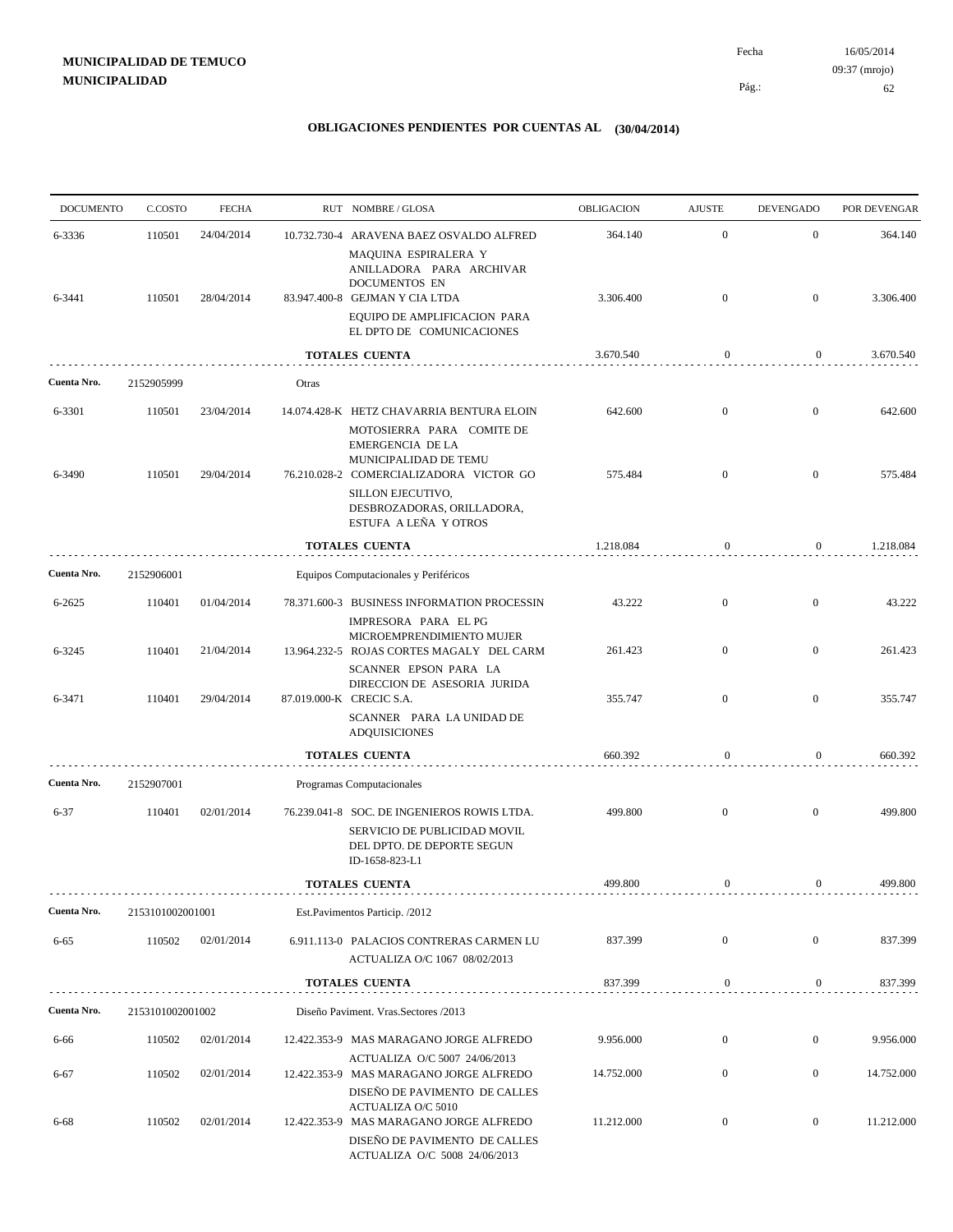| <b>DOCUMENTO</b> | C.COSTO          | <b>FECHA</b> |       | RUT NOMBRE/GLOSA                                                                                                                              | OBLIGACION | <b>AJUSTE</b>    | <b>DEVENGADO</b> | POR DEVENGAR |
|------------------|------------------|--------------|-------|-----------------------------------------------------------------------------------------------------------------------------------------------|------------|------------------|------------------|--------------|
| 6-3336           | 110501           | 24/04/2014   |       | 10.732.730-4 ARAVENA BAEZ OSVALDO ALFRED<br>MAQUINA ESPIRALERA Y<br>ANILLADORA PARA ARCHIVAR                                                  | 364.140    | $\mathbf{0}$     | $\mathbf{0}$     | 364.140      |
| 6-3441           | 110501           | 28/04/2014   |       | DOCUMENTOS EN<br>83.947.400-8 GEJMAN Y CIA LTDA<br>EQUIPO DE AMPLIFICACION PARA                                                               | 3.306.400  | $\mathbf{0}$     | $\mathbf{0}$     | 3.306.400    |
|                  |                  |              |       | EL DPTO DE COMUNICACIONES                                                                                                                     |            |                  |                  |              |
|                  |                  |              |       | <b>TOTALES CUENTA</b>                                                                                                                         | 3.670.540  | $\boldsymbol{0}$ | $\mathbf{0}$     | 3.670.540    |
| Cuenta Nro.      | 2152905999       |              | Otras |                                                                                                                                               |            |                  |                  |              |
| 6-3301           | 110501           | 23/04/2014   |       | 14.074.428-K HETZ CHAVARRIA BENTURA ELOIN                                                                                                     | 642.600    | $\mathbf{0}$     | $\boldsymbol{0}$ | 642.600      |
| 6-3490           | 110501           | 29/04/2014   |       | MOTOSIERRA PARA COMITE DE<br><b>EMERGENCIA DE LA</b><br>MUNICIPALIDAD DE TEMU<br>76.210.028-2 COMERCIALIZADORA VICTOR GO<br>SILLON EJECUTIVO, | 575.484    | $\mathbf{0}$     | $\mathbf{0}$     | 575.484      |
|                  |                  |              |       | DESBROZADORAS, ORILLADORA,<br>ESTUFA A LEÑA Y OTROS                                                                                           |            |                  |                  |              |
|                  |                  |              |       | <b>TOTALES CUENTA</b>                                                                                                                         | 1.218.084  | $\mathbf{0}$     | $\overline{0}$   | 1.218.084    |
| Cuenta Nro.      | 2152906001       |              |       | Equipos Computacionales y Periféricos                                                                                                         |            |                  |                  |              |
| 6-2625           | 110401           | 01/04/2014   |       | 78.371.600-3 BUSINESS INFORMATION PROCESSIN<br>IMPRESORA PARA EL PG                                                                           | 43.222     | $\mathbf{0}$     | $\bf{0}$         | 43.222       |
| 6-3245           | 110401           | 21/04/2014   |       | MICROEMPRENDIMIENTO MUJER<br>13.964.232-5 ROJAS CORTES MAGALY DEL CARM<br>SCANNER EPSON PARA LA                                               | 261.423    | $\mathbf{0}$     | $\overline{0}$   | 261.423      |
| 6-3471           | 110401           | 29/04/2014   |       | DIRECCION DE ASESORIA JURIDA<br>87.019.000-K CRECIC S.A.                                                                                      | 355.747    | $\mathbf{0}$     | $\mathbf{0}$     | 355.747      |
|                  |                  |              |       | SCANNER PARA LA UNIDAD DE<br><b>ADQUISICIONES</b>                                                                                             |            |                  |                  |              |
|                  |                  |              |       | <b>TOTALES CUENTA</b>                                                                                                                         | 660.392    | $\boldsymbol{0}$ | 0                | 660.392      |
| Cuenta Nro.      | 2152907001       |              |       | Programas Computacionales                                                                                                                     |            |                  |                  |              |
| $6 - 37$         | 110401           | 02/01/2014   |       | 76.239.041-8 SOC. DE INGENIEROS ROWIS LTDA.<br>SERVICIO DE PUBLICIDAD MOVIL<br>DEL DPTO. DE DEPORTE SEGUN<br>ID-1658-823-L1                   | 499.800    | $\overline{0}$   | $\overline{0}$   | 499.800      |
|                  |                  |              |       | <b>TOTALES CUENTA</b>                                                                                                                         | 499.800    | $\mathbf{0}$     | $\overline{0}$   | 499.800      |
| Cuenta Nro.      | 2153101002001001 |              |       | Est.Pavimentos Particip. /2012                                                                                                                |            |                  |                  |              |
| 6-65             | 110502           | 02/01/2014   |       | 6.911.113-0 PALACIOS CONTRERAS CARMEN LU<br>ACTUALIZA O/C 1067 08/02/2013                                                                     | 837.399    | $\mathbf{0}$     | $\overline{0}$   | 837.399      |
|                  |                  |              |       | <b>TOTALES CUENTA</b>                                                                                                                         | 837.399    | 0                | 0                | 837.399      |
| Cuenta Nro.      | 2153101002001002 |              |       | Diseño Paviment. Vras. Sectores /2013                                                                                                         |            |                  |                  |              |
| 6-66             | 110502           | 02/01/2014   |       | 12.422.353-9 MAS MARAGANO JORGE ALFREDO                                                                                                       | 9.956.000  | $\boldsymbol{0}$ | $\overline{0}$   | 9.956.000    |
| 6-67             | 110502           | 02/01/2014   |       | ACTUALIZA O/C 5007 24/06/2013<br>12.422.353-9 MAS MARAGANO JORGE ALFREDO                                                                      | 14.752.000 | $\mathbf{0}$     | $\overline{0}$   | 14.752.000   |
| $6 - 68$         | 110502           | 02/01/2014   |       | DISEÑO DE PAVIMENTO DE CALLES<br>ACTUALIZA O/C 5010<br>12.422.353-9 MAS MARAGANO JORGE ALFREDO                                                | 11.212.000 | $\mathbf{0}$     | $\overline{0}$   | 11.212.000   |
|                  |                  |              |       | DISEÑO DE PAVIMENTO DE CALLES<br>ACTUALIZA O/C 5008 24/06/2013                                                                                |            |                  |                  |              |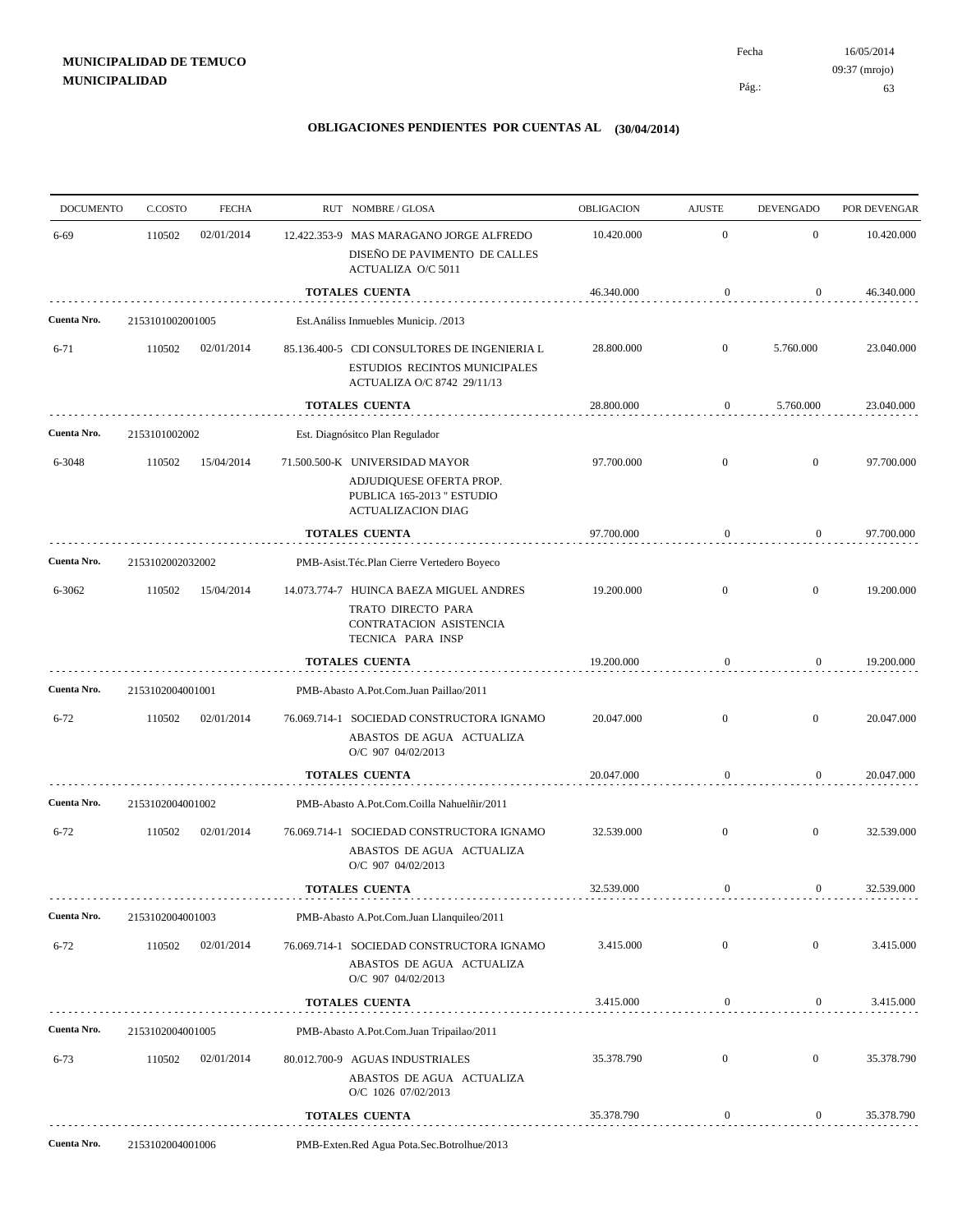| <b>DOCUMENTO</b> | C.COSTO          | <b>FECHA</b> |                                            | RUT NOMBRE/GLOSA                                                                                                      | OBLIGACION | <b>AJUSTE</b>    | <b>DEVENGADO</b> | POR DEVENGAR |
|------------------|------------------|--------------|--------------------------------------------|-----------------------------------------------------------------------------------------------------------------------|------------|------------------|------------------|--------------|
| $6 - 69$         | 110502           | 02/01/2014   |                                            | 12.422.353-9 MAS MARAGANO JORGE ALFREDO<br>DISEÑO DE PAVIMENTO DE CALLES<br>ACTUALIZA O/C 5011                        | 10.420.000 | $\mathbf{0}$     | $\mathbf{0}$     | 10.420.000   |
|                  |                  |              |                                            | <b>TOTALES CUENTA</b>                                                                                                 | 46.340.000 | $\boldsymbol{0}$ | $\boldsymbol{0}$ | 46.340.000   |
| Cuenta Nro.      | 2153101002001005 |              |                                            | Est. Análiss Inmuebles Municip. /2013                                                                                 |            |                  |                  |              |
| $6 - 71$         | 110502           | 02/01/2014   |                                            | 85.136.400-5 CDI CONSULTORES DE INGENIERIA L                                                                          | 28.800.000 | $\mathbf{0}$     | 5.760.000        | 23.040.000   |
|                  |                  |              |                                            | ESTUDIOS RECINTOS MUNICIPALES<br>ACTUALIZA O/C 8742 29/11/13                                                          |            |                  |                  |              |
|                  |                  |              |                                            | <b>TOTALES CUENTA</b>                                                                                                 | 28.800.000 | $\boldsymbol{0}$ | 5.760.000        | 23.040.000   |
| Cuenta Nro.      | 2153101002002    |              |                                            | Est. Diagnósitco Plan Regulador                                                                                       |            |                  |                  |              |
| 6-3048           | 110502           | 15/04/2014   |                                            | 71.500.500-K UNIVERSIDAD MAYOR<br>ADJUDIQUESE OFERTA PROP.<br>PUBLICA 165-2013 " ESTUDIO<br><b>ACTUALIZACION DIAG</b> | 97.700.000 | $\mathbf{0}$     | $\mathbf{0}$     | 97.700.000   |
|                  |                  |              |                                            | <b>TOTALES CUENTA</b>                                                                                                 | 97.700.000 | $\boldsymbol{0}$ | $\boldsymbol{0}$ | 97.700.000   |
| Cuenta Nro.      | 2153102002032002 |              | PMB-Asist.Téc.Plan Cierre Vertedero Boyeco |                                                                                                                       |            |                  |                  |              |
| 6-3062           | 110502           | 15/04/2014   |                                            | 14.073.774-7 HUINCA BAEZA MIGUEL ANDRES<br>TRATO DIRECTO PARA<br>CONTRATACION ASISTENCIA<br>TECNICA PARA INSP         | 19.200.000 | $\mathbf{0}$     | $\mathbf{0}$     | 19.200.000   |
|                  |                  |              |                                            | <b>TOTALES CUENTA</b>                                                                                                 | 19.200.000 | 0                | 0                | 19.200.000   |
| Cuenta Nro.      | 2153102004001001 |              |                                            | PMB-Abasto A.Pot.Com.Juan Paillao/2011                                                                                |            |                  |                  |              |
| $6 - 72$         | 110502           | 02/01/2014   |                                            | 76.069.714-1 SOCIEDAD CONSTRUCTORA IGNAMO<br>ABASTOS DE AGUA ACTUALIZA<br>O/C 907 04/02/2013                          | 20.047.000 | $\mathbf{0}$     | $\mathbf{0}$     | 20.047.000   |
|                  |                  |              |                                            | <b>TOTALES CUENTA</b>                                                                                                 | 20.047.000 | $\boldsymbol{0}$ | $\boldsymbol{0}$ | 20.047.000   |
| Cuenta Nro.      | 2153102004001002 |              |                                            | PMB-Abasto A.Pot.Com.Coilla Nahuelñir/2011                                                                            |            |                  |                  |              |
| $6 - 72$         | 110502           | 02/01/2014   |                                            | 76.069.714-1 SOCIEDAD CONSTRUCTORA IGNAMO<br>ABASTOS DE AGUA ACTUALIZA<br>O/C 907 04/02/2013                          | 32.539.000 | $\mathbf{0}$     | $\mathbf{0}$     | 32.539.000   |
|                  |                  |              |                                            | <b>TOTALES CUENTA</b>                                                                                                 | 32.539.000 | $\boldsymbol{0}$ | $\boldsymbol{0}$ | 32.539.000   |
| Cuenta Nro.      | 2153102004001003 |              |                                            | PMB-Abasto A.Pot.Com.Juan Llanquileo/2011                                                                             |            |                  |                  |              |
| $6 - 72$         | 110502           | 02/01/2014   |                                            | 76.069.714-1 SOCIEDAD CONSTRUCTORA IGNAMO<br>ABASTOS DE AGUA ACTUALIZA<br>O/C 907 04/02/2013                          | 3.415.000  | $\mathbf{0}$     | $\mathbf{0}$     | 3.415.000    |
|                  |                  |              | <b>TOTALES CUENTA</b>                      |                                                                                                                       | 3.415.000  | $\boldsymbol{0}$ | $\boldsymbol{0}$ | 3.415.000    |
| Cuenta Nro.      | 2153102004001005 |              |                                            | PMB-Abasto A.Pot.Com.Juan Tripailao/2011                                                                              |            |                  |                  |              |
| $6 - 73$         | 110502           | 02/01/2014   |                                            | 80.012.700-9 AGUAS INDUSTRIALES<br>ABASTOS DE AGUA ACTUALIZA<br>O/C 1026 07/02/2013                                   | 35.378.790 | $\mathbf{0}$     | $\overline{0}$   | 35.378.790   |
|                  |                  |              |                                            | <b>TOTALES CUENTA</b>                                                                                                 | 35.378.790 | 0                | $\boldsymbol{0}$ | 35.378.790   |
| Cuenta Nro.      | 2153102004001006 |              |                                            | PMB-Exten.Red Agua Pota.Sec.Botrolhue/2013                                                                            |            |                  |                  |              |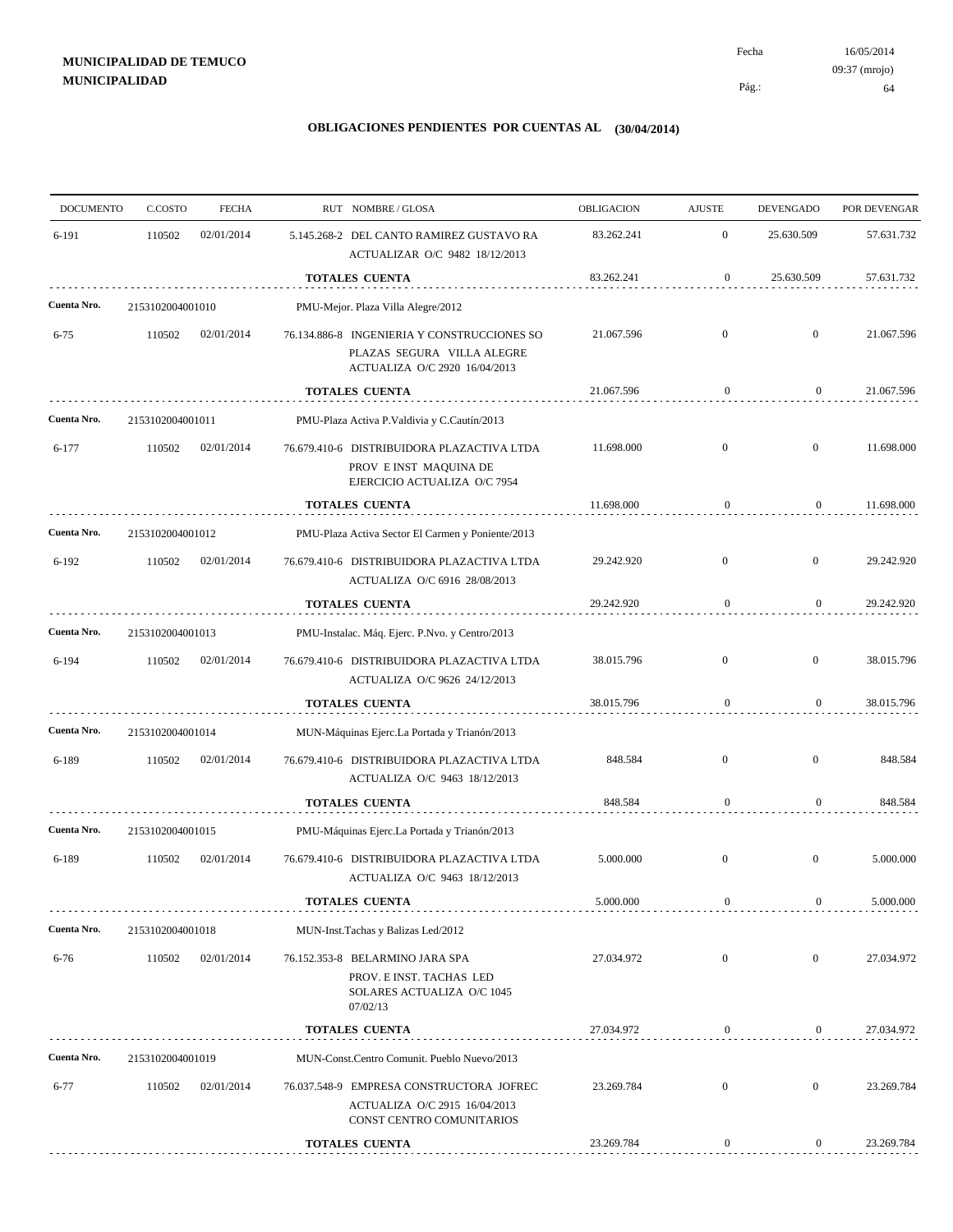| $\mathbf{0}$<br>02/01/2014<br>83.262.241<br>25.630.509<br>6-191<br>110502<br>5.145.268-2 DEL CANTO RAMIREZ GUSTAVO RA<br>ACTUALIZAR O/C 9482 18/12/2013<br>TOTALES CUENTA<br>83.262.241<br>0<br>25.630.509<br>Cuenta Nro.<br>PMU-Mejor. Plaza Villa Alegre/2012<br>2153102004001010<br>$\mathbf{0}$<br>$\mathbf{0}$<br>$6 - 75$<br>110502<br>02/01/2014<br>76.134.886-8 INGENIERIA Y CONSTRUCCIONES SO<br>21.067.596<br>PLAZAS SEGURA VILLA ALEGRE<br>ACTUALIZA O/C 2920 16/04/2013<br>21.067.596<br>TOTALES CUENTA<br>$\boldsymbol{0}$<br>$\boldsymbol{0}$<br>Cuenta Nro.<br>2153102004001011<br>PMU-Plaza Activa P. Valdivia y C. Cautín/2013<br>$\overline{0}$<br>$\mathbf{0}$<br>02/01/2014<br>11.698.000<br>6-177<br>110502<br>76.679.410-6 DISTRIBUIDORA PLAZACTIVA LTDA<br>PROV E INST MAQUINA DE<br>EJERCICIO ACTUALIZA O/C 7954<br><b>TOTALES CUENTA</b><br>11.698.000<br>$\boldsymbol{0}$<br>0<br>Cuenta Nro.<br>PMU-Plaza Activa Sector El Carmen y Poniente/2013<br>2153102004001012<br>$6 - 192$<br>110502<br>02/01/2014<br>76.679.410-6 DISTRIBUIDORA PLAZACTIVA LTDA<br>29.242.920<br>$\overline{0}$<br>$\mathbf{0}$<br>ACTUALIZA O/C 6916 28/08/2013<br><b>TOTALES CUENTA</b><br>$\boldsymbol{0}$<br>$\overline{0}$<br>29.242.920<br>Cuenta Nro.<br>2153102004001013<br>PMU-Instalac. Máq. Ejerc. P.Nvo. y Centro/2013<br>$\mathbf{0}$<br>$\boldsymbol{0}$<br>6-194<br>110502<br>02/01/2014<br>76.679.410-6 DISTRIBUIDORA PLAZACTIVA LTDA<br>38.015.796<br>ACTUALIZA O/C 9626 24/12/2013<br>38.015.796<br>$\boldsymbol{0}$<br><b>TOTALES CUENTA</b><br>$\mathbf{0}$<br>Cuenta Nro.<br>MUN-Máquinas Ejerc.La Portada y Trianón/2013<br>2153102004001014<br>848.584<br>$\mathbf{0}$<br>$\mathbf{0}$<br>110502<br>02/01/2014<br>76.679.410-6 DISTRIBUIDORA PLAZACTIVA LTDA<br>6-189<br>ACTUALIZA O/C 9463 18/12/2013<br>848.584<br>TOTALES CUENTA<br>$\mathbf{0}$<br>0<br>Cuenta Nro.<br>2153102004001015<br>PMU-Máquinas Ejerc.La Portada y Trianón/2013<br>110502<br>02/01/2014<br>5.000.000<br>$\mathbf{0}$<br>$\bf{0}$<br>6-189<br>76.679.410-6 DISTRIBUIDORA PLAZACTIVA LTDA<br>ACTUALIZA O/C 9463 18/12/2013<br>$\overline{0}$<br><b>TOTALES CUENTA</b><br>5.000.000<br>$\mathbf{0}$<br>Cuenta Nro.<br>MUN-Inst.Tachas y Balizas Led/2012<br>2153102004001018<br>27.034.972<br>$\mathbf{0}$<br>$\mathbf{0}$<br>110502<br>02/01/2014<br>76.152.353-8 BELARMINO JARA SPA<br>$6 - 76$<br>PROV. E INST. TACHAS LED<br>SOLARES ACTUALIZA O/C 1045<br>07/02/13<br>27.034.972<br>$\boldsymbol{0}$<br>$\overline{0}$<br><b>TOTALES CUENTA</b><br>Cuenta Nro.<br>MUN-Const.Centro Comunit. Pueblo Nuevo/2013<br>2153102004001019<br>23.269.784<br>$\mathbf{0}$<br>$\mathbf{0}$<br>$6 - 77$<br>110502<br>02/01/2014<br>76.037.548-9 EMPRESA CONSTRUCTORA JOFREC<br>ACTUALIZA O/C 2915 16/04/2013<br>CONST CENTRO COMUNITARIOS<br><b>TOTALES CUENTA</b> | <b>DOCUMENTO</b> | C.COSTO | <b>FECHA</b> | RUT NOMBRE/GLOSA | OBLIGACION | <b>AJUSTE</b>    | <b>DEVENGADO</b> | POR DEVENGAR |
|-----------------------------------------------------------------------------------------------------------------------------------------------------------------------------------------------------------------------------------------------------------------------------------------------------------------------------------------------------------------------------------------------------------------------------------------------------------------------------------------------------------------------------------------------------------------------------------------------------------------------------------------------------------------------------------------------------------------------------------------------------------------------------------------------------------------------------------------------------------------------------------------------------------------------------------------------------------------------------------------------------------------------------------------------------------------------------------------------------------------------------------------------------------------------------------------------------------------------------------------------------------------------------------------------------------------------------------------------------------------------------------------------------------------------------------------------------------------------------------------------------------------------------------------------------------------------------------------------------------------------------------------------------------------------------------------------------------------------------------------------------------------------------------------------------------------------------------------------------------------------------------------------------------------------------------------------------------------------------------------------------------------------------------------------------------------------------------------------------------------------------------------------------------------------------------------------------------------------------------------------------------------------------------------------------------------------------------------------------------------------------------------------------------------------------------------------------------------------------------------------------------------------------------------------------------------------------------------------------------------------------------------------------------------------------------------------------------------------------------------------------------------------------------------------------------------------------------------------------------------|------------------|---------|--------------|------------------|------------|------------------|------------------|--------------|
|                                                                                                                                                                                                                                                                                                                                                                                                                                                                                                                                                                                                                                                                                                                                                                                                                                                                                                                                                                                                                                                                                                                                                                                                                                                                                                                                                                                                                                                                                                                                                                                                                                                                                                                                                                                                                                                                                                                                                                                                                                                                                                                                                                                                                                                                                                                                                                                                                                                                                                                                                                                                                                                                                                                                                                                                                                                                 |                  |         |              |                  |            |                  |                  | 57.631.732   |
|                                                                                                                                                                                                                                                                                                                                                                                                                                                                                                                                                                                                                                                                                                                                                                                                                                                                                                                                                                                                                                                                                                                                                                                                                                                                                                                                                                                                                                                                                                                                                                                                                                                                                                                                                                                                                                                                                                                                                                                                                                                                                                                                                                                                                                                                                                                                                                                                                                                                                                                                                                                                                                                                                                                                                                                                                                                                 |                  |         |              |                  |            |                  |                  | 57.631.732   |
|                                                                                                                                                                                                                                                                                                                                                                                                                                                                                                                                                                                                                                                                                                                                                                                                                                                                                                                                                                                                                                                                                                                                                                                                                                                                                                                                                                                                                                                                                                                                                                                                                                                                                                                                                                                                                                                                                                                                                                                                                                                                                                                                                                                                                                                                                                                                                                                                                                                                                                                                                                                                                                                                                                                                                                                                                                                                 |                  |         |              |                  |            |                  |                  |              |
|                                                                                                                                                                                                                                                                                                                                                                                                                                                                                                                                                                                                                                                                                                                                                                                                                                                                                                                                                                                                                                                                                                                                                                                                                                                                                                                                                                                                                                                                                                                                                                                                                                                                                                                                                                                                                                                                                                                                                                                                                                                                                                                                                                                                                                                                                                                                                                                                                                                                                                                                                                                                                                                                                                                                                                                                                                                                 |                  |         |              |                  |            |                  |                  | 21.067.596   |
|                                                                                                                                                                                                                                                                                                                                                                                                                                                                                                                                                                                                                                                                                                                                                                                                                                                                                                                                                                                                                                                                                                                                                                                                                                                                                                                                                                                                                                                                                                                                                                                                                                                                                                                                                                                                                                                                                                                                                                                                                                                                                                                                                                                                                                                                                                                                                                                                                                                                                                                                                                                                                                                                                                                                                                                                                                                                 |                  |         |              |                  |            |                  |                  | 21.067.596   |
|                                                                                                                                                                                                                                                                                                                                                                                                                                                                                                                                                                                                                                                                                                                                                                                                                                                                                                                                                                                                                                                                                                                                                                                                                                                                                                                                                                                                                                                                                                                                                                                                                                                                                                                                                                                                                                                                                                                                                                                                                                                                                                                                                                                                                                                                                                                                                                                                                                                                                                                                                                                                                                                                                                                                                                                                                                                                 |                  |         |              |                  |            |                  |                  |              |
|                                                                                                                                                                                                                                                                                                                                                                                                                                                                                                                                                                                                                                                                                                                                                                                                                                                                                                                                                                                                                                                                                                                                                                                                                                                                                                                                                                                                                                                                                                                                                                                                                                                                                                                                                                                                                                                                                                                                                                                                                                                                                                                                                                                                                                                                                                                                                                                                                                                                                                                                                                                                                                                                                                                                                                                                                                                                 |                  |         |              |                  |            |                  |                  | 11.698.000   |
|                                                                                                                                                                                                                                                                                                                                                                                                                                                                                                                                                                                                                                                                                                                                                                                                                                                                                                                                                                                                                                                                                                                                                                                                                                                                                                                                                                                                                                                                                                                                                                                                                                                                                                                                                                                                                                                                                                                                                                                                                                                                                                                                                                                                                                                                                                                                                                                                                                                                                                                                                                                                                                                                                                                                                                                                                                                                 |                  |         |              |                  |            |                  |                  | 11.698.000   |
|                                                                                                                                                                                                                                                                                                                                                                                                                                                                                                                                                                                                                                                                                                                                                                                                                                                                                                                                                                                                                                                                                                                                                                                                                                                                                                                                                                                                                                                                                                                                                                                                                                                                                                                                                                                                                                                                                                                                                                                                                                                                                                                                                                                                                                                                                                                                                                                                                                                                                                                                                                                                                                                                                                                                                                                                                                                                 |                  |         |              |                  |            |                  |                  |              |
|                                                                                                                                                                                                                                                                                                                                                                                                                                                                                                                                                                                                                                                                                                                                                                                                                                                                                                                                                                                                                                                                                                                                                                                                                                                                                                                                                                                                                                                                                                                                                                                                                                                                                                                                                                                                                                                                                                                                                                                                                                                                                                                                                                                                                                                                                                                                                                                                                                                                                                                                                                                                                                                                                                                                                                                                                                                                 |                  |         |              |                  |            |                  |                  | 29.242.920   |
|                                                                                                                                                                                                                                                                                                                                                                                                                                                                                                                                                                                                                                                                                                                                                                                                                                                                                                                                                                                                                                                                                                                                                                                                                                                                                                                                                                                                                                                                                                                                                                                                                                                                                                                                                                                                                                                                                                                                                                                                                                                                                                                                                                                                                                                                                                                                                                                                                                                                                                                                                                                                                                                                                                                                                                                                                                                                 |                  |         |              |                  |            |                  |                  | 29.242.920   |
|                                                                                                                                                                                                                                                                                                                                                                                                                                                                                                                                                                                                                                                                                                                                                                                                                                                                                                                                                                                                                                                                                                                                                                                                                                                                                                                                                                                                                                                                                                                                                                                                                                                                                                                                                                                                                                                                                                                                                                                                                                                                                                                                                                                                                                                                                                                                                                                                                                                                                                                                                                                                                                                                                                                                                                                                                                                                 |                  |         |              |                  |            |                  |                  |              |
|                                                                                                                                                                                                                                                                                                                                                                                                                                                                                                                                                                                                                                                                                                                                                                                                                                                                                                                                                                                                                                                                                                                                                                                                                                                                                                                                                                                                                                                                                                                                                                                                                                                                                                                                                                                                                                                                                                                                                                                                                                                                                                                                                                                                                                                                                                                                                                                                                                                                                                                                                                                                                                                                                                                                                                                                                                                                 |                  |         |              |                  |            |                  |                  | 38.015.796   |
|                                                                                                                                                                                                                                                                                                                                                                                                                                                                                                                                                                                                                                                                                                                                                                                                                                                                                                                                                                                                                                                                                                                                                                                                                                                                                                                                                                                                                                                                                                                                                                                                                                                                                                                                                                                                                                                                                                                                                                                                                                                                                                                                                                                                                                                                                                                                                                                                                                                                                                                                                                                                                                                                                                                                                                                                                                                                 |                  |         |              |                  |            |                  |                  | 38.015.796   |
|                                                                                                                                                                                                                                                                                                                                                                                                                                                                                                                                                                                                                                                                                                                                                                                                                                                                                                                                                                                                                                                                                                                                                                                                                                                                                                                                                                                                                                                                                                                                                                                                                                                                                                                                                                                                                                                                                                                                                                                                                                                                                                                                                                                                                                                                                                                                                                                                                                                                                                                                                                                                                                                                                                                                                                                                                                                                 |                  |         |              |                  |            |                  |                  |              |
|                                                                                                                                                                                                                                                                                                                                                                                                                                                                                                                                                                                                                                                                                                                                                                                                                                                                                                                                                                                                                                                                                                                                                                                                                                                                                                                                                                                                                                                                                                                                                                                                                                                                                                                                                                                                                                                                                                                                                                                                                                                                                                                                                                                                                                                                                                                                                                                                                                                                                                                                                                                                                                                                                                                                                                                                                                                                 |                  |         |              |                  |            |                  |                  | 848.584      |
|                                                                                                                                                                                                                                                                                                                                                                                                                                                                                                                                                                                                                                                                                                                                                                                                                                                                                                                                                                                                                                                                                                                                                                                                                                                                                                                                                                                                                                                                                                                                                                                                                                                                                                                                                                                                                                                                                                                                                                                                                                                                                                                                                                                                                                                                                                                                                                                                                                                                                                                                                                                                                                                                                                                                                                                                                                                                 |                  |         |              |                  |            |                  |                  | 848.584      |
|                                                                                                                                                                                                                                                                                                                                                                                                                                                                                                                                                                                                                                                                                                                                                                                                                                                                                                                                                                                                                                                                                                                                                                                                                                                                                                                                                                                                                                                                                                                                                                                                                                                                                                                                                                                                                                                                                                                                                                                                                                                                                                                                                                                                                                                                                                                                                                                                                                                                                                                                                                                                                                                                                                                                                                                                                                                                 |                  |         |              |                  |            |                  |                  |              |
|                                                                                                                                                                                                                                                                                                                                                                                                                                                                                                                                                                                                                                                                                                                                                                                                                                                                                                                                                                                                                                                                                                                                                                                                                                                                                                                                                                                                                                                                                                                                                                                                                                                                                                                                                                                                                                                                                                                                                                                                                                                                                                                                                                                                                                                                                                                                                                                                                                                                                                                                                                                                                                                                                                                                                                                                                                                                 |                  |         |              |                  |            |                  |                  | 5.000.000    |
|                                                                                                                                                                                                                                                                                                                                                                                                                                                                                                                                                                                                                                                                                                                                                                                                                                                                                                                                                                                                                                                                                                                                                                                                                                                                                                                                                                                                                                                                                                                                                                                                                                                                                                                                                                                                                                                                                                                                                                                                                                                                                                                                                                                                                                                                                                                                                                                                                                                                                                                                                                                                                                                                                                                                                                                                                                                                 |                  |         |              |                  |            |                  |                  | 5.000.000    |
|                                                                                                                                                                                                                                                                                                                                                                                                                                                                                                                                                                                                                                                                                                                                                                                                                                                                                                                                                                                                                                                                                                                                                                                                                                                                                                                                                                                                                                                                                                                                                                                                                                                                                                                                                                                                                                                                                                                                                                                                                                                                                                                                                                                                                                                                                                                                                                                                                                                                                                                                                                                                                                                                                                                                                                                                                                                                 |                  |         |              |                  |            |                  |                  |              |
|                                                                                                                                                                                                                                                                                                                                                                                                                                                                                                                                                                                                                                                                                                                                                                                                                                                                                                                                                                                                                                                                                                                                                                                                                                                                                                                                                                                                                                                                                                                                                                                                                                                                                                                                                                                                                                                                                                                                                                                                                                                                                                                                                                                                                                                                                                                                                                                                                                                                                                                                                                                                                                                                                                                                                                                                                                                                 |                  |         |              |                  |            |                  |                  | 27.034.972   |
|                                                                                                                                                                                                                                                                                                                                                                                                                                                                                                                                                                                                                                                                                                                                                                                                                                                                                                                                                                                                                                                                                                                                                                                                                                                                                                                                                                                                                                                                                                                                                                                                                                                                                                                                                                                                                                                                                                                                                                                                                                                                                                                                                                                                                                                                                                                                                                                                                                                                                                                                                                                                                                                                                                                                                                                                                                                                 |                  |         |              |                  |            |                  |                  | 27.034.972   |
|                                                                                                                                                                                                                                                                                                                                                                                                                                                                                                                                                                                                                                                                                                                                                                                                                                                                                                                                                                                                                                                                                                                                                                                                                                                                                                                                                                                                                                                                                                                                                                                                                                                                                                                                                                                                                                                                                                                                                                                                                                                                                                                                                                                                                                                                                                                                                                                                                                                                                                                                                                                                                                                                                                                                                                                                                                                                 |                  |         |              |                  |            |                  |                  |              |
|                                                                                                                                                                                                                                                                                                                                                                                                                                                                                                                                                                                                                                                                                                                                                                                                                                                                                                                                                                                                                                                                                                                                                                                                                                                                                                                                                                                                                                                                                                                                                                                                                                                                                                                                                                                                                                                                                                                                                                                                                                                                                                                                                                                                                                                                                                                                                                                                                                                                                                                                                                                                                                                                                                                                                                                                                                                                 |                  |         |              |                  |            |                  |                  | 23.269.784   |
|                                                                                                                                                                                                                                                                                                                                                                                                                                                                                                                                                                                                                                                                                                                                                                                                                                                                                                                                                                                                                                                                                                                                                                                                                                                                                                                                                                                                                                                                                                                                                                                                                                                                                                                                                                                                                                                                                                                                                                                                                                                                                                                                                                                                                                                                                                                                                                                                                                                                                                                                                                                                                                                                                                                                                                                                                                                                 |                  |         |              |                  | 23.269.784 | $\boldsymbol{0}$ | $\mathbf{0}$     | 23.269.784   |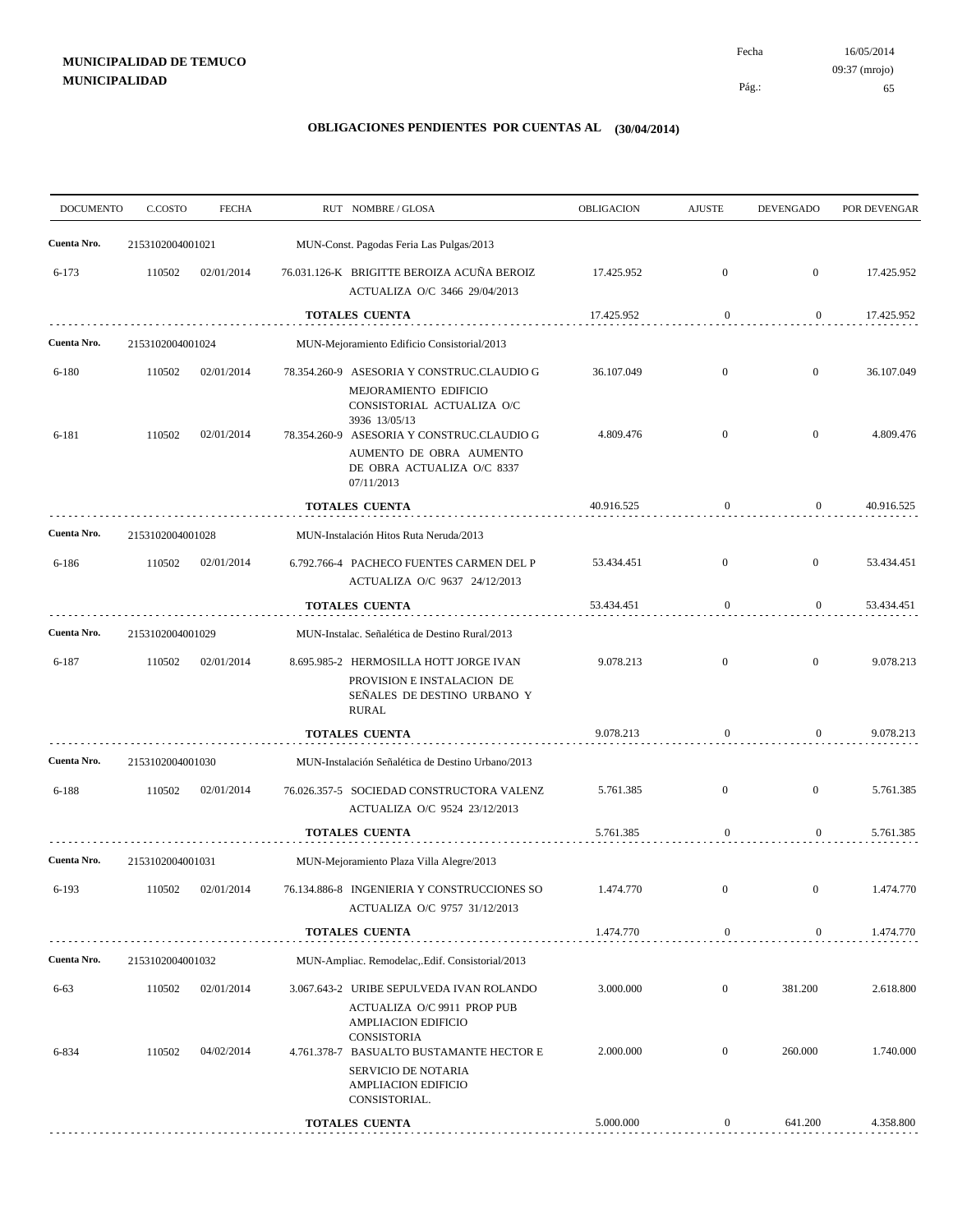# **MUNICIPALIDAD DE TEMUCO MUNICIPALIDAD**

16/05/2014 65 Pág.: Fecha 09:37 (mrojo)

| <b>DOCUMENTO</b> | C.COSTO          | <b>FECHA</b> |                                        | RUT NOMBRE/GLOSA                                                                                                      | <b>OBLIGACION</b> | <b>AJUSTE</b>    | <b>DEVENGADO</b> | POR DEVENGAR |
|------------------|------------------|--------------|----------------------------------------|-----------------------------------------------------------------------------------------------------------------------|-------------------|------------------|------------------|--------------|
| Cuenta Nro.      | 2153102004001021 |              |                                        | MUN-Const. Pagodas Feria Las Pulgas/2013                                                                              |                   |                  |                  |              |
| $6 - 173$        | 110502           | 02/01/2014   |                                        | 76.031.126-K BRIGITTE BEROIZA ACUÑA BEROIZ<br>ACTUALIZA O/C 3466 29/04/2013                                           | 17.425.952        | $\mathbf{0}$     | $\boldsymbol{0}$ | 17.425.952   |
|                  |                  |              |                                        | <b>TOTALES CUENTA</b>                                                                                                 | 17.425.952        | $\boldsymbol{0}$ | $\overline{0}$   | 17.425.952   |
| Cuenta Nro.      | 2153102004001024 |              |                                        | MUN-Mejoramiento Edificio Consistorial/2013                                                                           |                   |                  |                  |              |
| $6 - 180$        | 110502           | 02/01/2014   |                                        | 78.354.260-9 ASESORIA Y CONSTRUC.CLAUDIO G<br>MEJORAMIENTO EDIFICIO<br>CONSISTORIAL ACTUALIZA O/C                     | 36.107.049        | $\mathbf{0}$     | $\mathbf{0}$     | 36.107.049   |
| 6-181            | 110502           | 02/01/2014   | 78.354.260-9                           | 3936 13/05/13<br>ASESORIA Y CONSTRUC.CLAUDIO G<br>AUMENTO DE OBRA AUMENTO<br>DE OBRA ACTUALIZA O/C 8337<br>07/11/2013 | 4.809.476         | $\overline{0}$   | $\mathbf{0}$     | 4.809.476    |
|                  |                  |              |                                        | <b>TOTALES CUENTA</b>                                                                                                 | 40.916.525        | $\bf{0}$         | $\mathbf{0}$     | 40.916.525   |
| Cuenta Nro.      | 2153102004001028 |              | MUN-Instalación Hitos Ruta Neruda/2013 |                                                                                                                       |                   |                  |                  |              |
| 6-186            | 110502           | 02/01/2014   |                                        | 6.792.766-4 PACHECO FUENTES CARMEN DEL P<br>ACTUALIZA O/C 9637 24/12/2013                                             | 53.434.451        | $\mathbf{0}$     | $\mathbf{0}$     | 53.434.451   |
|                  |                  |              |                                        | TOTALES CUENTA                                                                                                        | 53.434.451        | $\boldsymbol{0}$ | $\overline{0}$   | 53.434.451   |
| Cuenta Nro.      | 2153102004001029 |              |                                        | MUN-Instalac. Señalética de Destino Rural/2013                                                                        |                   |                  |                  |              |
| 6-187            | 110502           | 02/01/2014   |                                        | 8.695.985-2 HERMOSILLA HOTT JORGE IVAN<br>PROVISION E INSTALACION DE<br>SEÑALES DE DESTINO URBANO Y<br><b>RURAL</b>   | 9.078.213         | $\overline{0}$   | $\boldsymbol{0}$ | 9.078.213    |
|                  |                  |              |                                        | <b>TOTALES CUENTA</b>                                                                                                 | 9.078.213         | $\bf{0}$         | $\overline{0}$   | 9.078.213    |
| Cuenta Nro.      | 2153102004001030 |              |                                        | MUN-Instalación Señalética de Destino Urbano/2013                                                                     |                   |                  |                  |              |
| $6 - 188$        | 110502           | 02/01/2014   |                                        | 76.026.357-5 SOCIEDAD CONSTRUCTORA VALENZ<br>ACTUALIZA O/C 9524 23/12/2013                                            | 5.761.385         | $\overline{0}$   | $\mathbf{0}$     | 5.761.385    |
|                  |                  |              |                                        | <b>TOTALES CUENTA</b>                                                                                                 | 5.761.385         | $\mathbf{0}$     | 0                | 5.761.385    |
| Cuenta Nro.      | 2153102004001031 |              |                                        | MUN-Mejoramiento Plaza Villa Alegre/2013                                                                              |                   |                  |                  |              |
| 6-193            | 110502           | 02/01/2014   |                                        | 76.134.886-8 INGENIERIA Y CONSTRUCCIONES SO<br>ACTUALIZA O/C 9757 31/12/2013                                          | 1.474.770         | $\mathbf{0}$     | $\mathbf{0}$     | 1.474.770    |
|                  |                  |              |                                        | <b>TOTALES CUENTA</b>                                                                                                 | 1.474.770         | $\boldsymbol{0}$ | $\mathbf{0}$     | 1.474.770    |
| Cuenta Nro.      | 2153102004001032 |              |                                        | MUN-Ampliac. Remodelac, Edif. Consistorial/2013                                                                       |                   |                  |                  |              |
| $6 - 63$         | 110502           | 02/01/2014   |                                        | 3.067.643-2 URIBE SEPULVEDA IVAN ROLANDO<br>ACTUALIZA O/C 9911 PROP PUB<br><b>AMPLIACION EDIFICIO</b><br>CONSISTORIA  | 3.000.000         | $\boldsymbol{0}$ | 381.200          | 2.618.800    |
| 6-834            | 110502           | 04/02/2014   |                                        | 4.761.378-7 BASUALTO BUSTAMANTE HECTOR E<br><b>SERVICIO DE NOTARIA</b><br><b>AMPLIACION EDIFICIO</b><br>CONSISTORIAL. | 2.000.000         | $\boldsymbol{0}$ | 260.000          | 1.740.000    |
|                  |                  |              |                                        | <b>TOTALES CUENTA</b>                                                                                                 | 5.000.000         | $\boldsymbol{0}$ | 641.200          | 4.358.800    |
|                  |                  |              |                                        |                                                                                                                       |                   |                  |                  |              |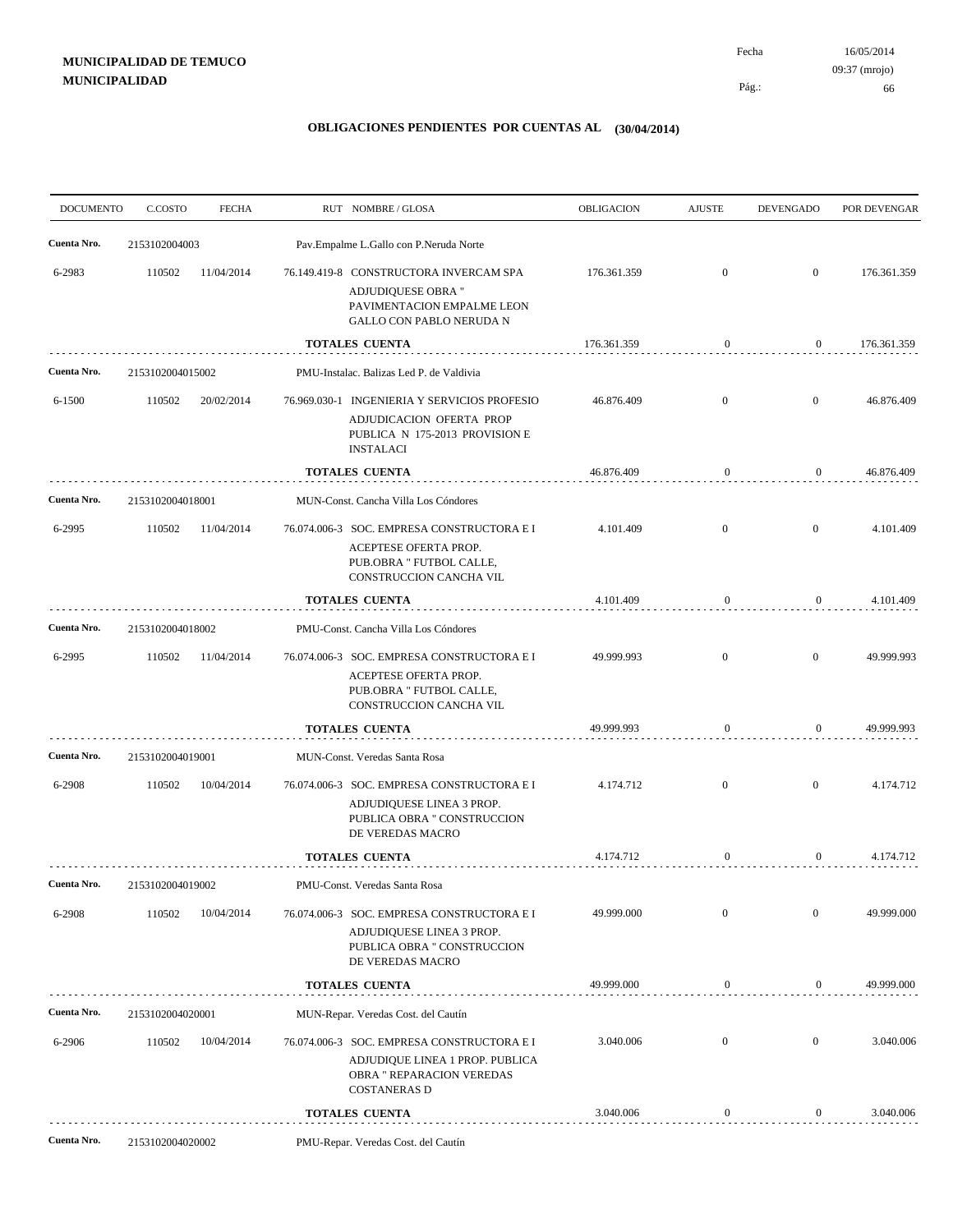# **MUNICIPALIDAD DE TEMUCO MUNICIPALIDAD**

16/05/2014 66 Pág.: Fecha 09:37 (mrojo)

| <b>DOCUMENTO</b> | C.COSTO          | <b>FECHA</b> |                                      | RUT NOMBRE/GLOSA                                                                                                                         | <b>OBLIGACION</b> | <b>AJUSTE</b>    | <b>DEVENGADO</b> | POR DEVENGAR |
|------------------|------------------|--------------|--------------------------------------|------------------------------------------------------------------------------------------------------------------------------------------|-------------------|------------------|------------------|--------------|
| Cuenta Nro.      | 2153102004003    |              |                                      | Pav.Empalme L.Gallo con P.Neruda Norte                                                                                                   |                   |                  |                  |              |
| 6-2983           | 110502           | 11/04/2014   |                                      | 76.149.419-8 CONSTRUCTORA INVERCAM SPA<br>ADJUDIQUESE OBRA "<br>PAVIMENTACION EMPALME LEON<br>GALLO CON PABLO NERUDA N                   | 176.361.359       | $\mathbf{0}$     | $\overline{0}$   | 176.361.359  |
|                  |                  |              |                                      | <b>TOTALES CUENTA</b>                                                                                                                    | 176.361.359       | $\bf{0}$         | $\overline{0}$   | 176.361.359  |
| Cuenta Nro.      | 2153102004015002 |              |                                      | PMU-Instalac. Balizas Led P. de Valdivia                                                                                                 |                   |                  |                  |              |
| 6-1500           | 110502           | 20/02/2014   |                                      | 76.969.030-1 INGENIERIA Y SERVICIOS PROFESIO<br>ADJUDICACION OFERTA PROP<br>PUBLICA N 175-2013 PROVISION E<br><b>INSTALACI</b>           | 46.876.409        | $\mathbf{0}$     | $\overline{0}$   | 46.876.409   |
|                  |                  |              |                                      | <b>TOTALES CUENTA</b>                                                                                                                    | 46.876.409        | $\bf{0}$         | $\overline{0}$   | 46.876.409   |
| Cuenta Nro.      | 2153102004018001 |              | MUN-Const. Cancha Villa Los Cóndores |                                                                                                                                          |                   |                  |                  |              |
| 6-2995           | 110502           | 11/04/2014   |                                      | 76.074.006-3 SOC. EMPRESA CONSTRUCTORA E I<br>ACEPTESE OFERTA PROP.<br>PUB.OBRA " FUTBOL CALLE,<br>CONSTRUCCION CANCHA VIL               | 4.101.409         | $\mathbf{0}$     | $\mathbf{0}$     | 4.101.409    |
|                  |                  |              |                                      | <b>TOTALES CUENTA</b>                                                                                                                    | 4.101.409         | $\mathbf{0}$     | $\overline{0}$   | 4.101.409    |
| Cuenta Nro.      | 2153102004018002 |              |                                      | PMU-Const. Cancha Villa Los Cóndores                                                                                                     |                   |                  |                  |              |
| 6-2995           | 110502           | 11/04/2014   |                                      | 76.074.006-3 SOC. EMPRESA CONSTRUCTORA E I<br>ACEPTESE OFERTA PROP.<br>PUB.OBRA " FUTBOL CALLE,<br>CONSTRUCCION CANCHA VIL               | 49.999.993        | $\overline{0}$   | $\overline{0}$   | 49.999.993   |
|                  |                  |              |                                      | <b>TOTALES CUENTA</b>                                                                                                                    | 49.999.993        | $\boldsymbol{0}$ | $\boldsymbol{0}$ | 49.999.993   |
| Cuenta Nro.      | 2153102004019001 |              |                                      | MUN-Const. Veredas Santa Rosa                                                                                                            |                   |                  |                  |              |
| 6-2908           | 110502           | 10/04/2014   |                                      | 76.074.006-3 SOC. EMPRESA CONSTRUCTORA E I<br>ADJUDIQUESE LINEA 3 PROP.<br>PUBLICA OBRA " CONSTRUCCION<br>DE VEREDAS MACRO               | 4.174.712         | $\mathbf{0}$     | $\overline{0}$   | 4.174.712    |
|                  |                  |              |                                      | <b>TOTALES CUENTA</b>                                                                                                                    | 4.174.712         | $\bf{0}$         | $\overline{0}$   | 4.174.712    |
| Cuenta Nro.      | 2153102004019002 |              |                                      | PMU-Const. Veredas Santa Rosa                                                                                                            |                   |                  |                  |              |
| 6-2908           | 110502           | 10/04/2014   |                                      | 76.074.006-3 SOC. EMPRESA CONSTRUCTORA E I<br>ADJUDIQUESE LINEA 3 PROP.<br>PUBLICA OBRA " CONSTRUCCION<br>DE VEREDAS MACRO               | 49.999.000        | $\mathbf{0}$     | $\overline{0}$   | 49.999.000   |
|                  |                  |              |                                      | <b>TOTALES CUENTA</b>                                                                                                                    | 49.999.000        | $\boldsymbol{0}$ | $\boldsymbol{0}$ | 49.999.000   |
| Cuenta Nro.      | 2153102004020001 |              |                                      | MUN-Repar. Veredas Cost. del Cautín                                                                                                      |                   |                  |                  |              |
| 6-2906           | 110502           | 10/04/2014   |                                      | 76.074.006-3 SOC. EMPRESA CONSTRUCTORA E I<br>ADJUDIQUE LINEA 1 PROP. PUBLICA<br><b>OBRA " REPARACION VEREDAS</b><br><b>COSTANERAS D</b> | 3.040.006         | $\boldsymbol{0}$ | $\mathbf{0}$     | 3.040.006    |
|                  |                  |              |                                      | TOTALES CUENTA                                                                                                                           | 3.040.006         | 0                | 0                | 3.040.006    |
| Cuenta Nro.      | 2153102004020002 |              | PMU-Repar. Veredas Cost. del Cautín  |                                                                                                                                          |                   |                  |                  |              |